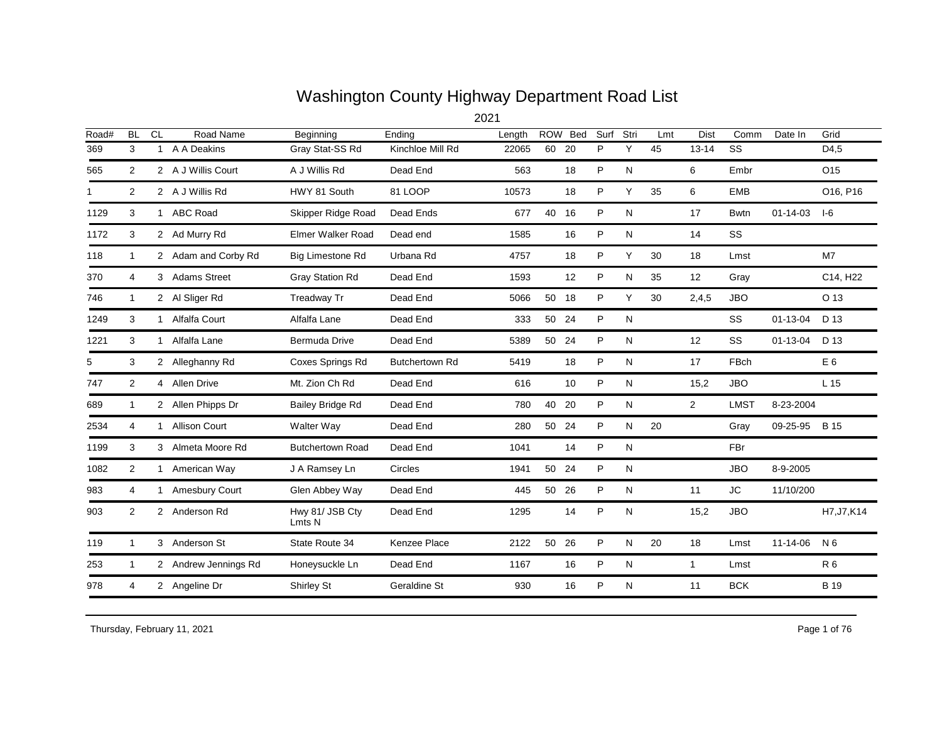## Washington County Highway Department Road List

| Road# | <b>BL</b>      | <b>CL</b>    | Road Name            | Beginning                 | Ending                | Length |       | ROW Bed | Surf | Stri | Lmt | <b>Dist</b>    | Comm                   | Date In        | Grid            |
|-------|----------------|--------------|----------------------|---------------------------|-----------------------|--------|-------|---------|------|------|-----|----------------|------------------------|----------------|-----------------|
| 369   | 3              | 1            | A A Deakins          | Gray Stat-SS Rd           | Kinchloe Mill Rd      | 22065  | 60    | 20      | P    | Υ    | 45  | $13 - 14$      | $\overline{\text{ss}}$ |                | D4,5            |
| 565   | $\overline{2}$ |              | 2 A J Willis Court   | A J Willis Rd             | Dead End              | 563    |       | 18      | P    | N    |     | 6              | Embr                   |                | O <sub>15</sub> |
|       | $\overline{2}$ |              | 2 A J Willis Rd      | HWY 81 South              | 81 LOOP               | 10573  |       | 18      | P    | Y    | 35  | 6              | <b>EMB</b>             |                | O16, P16        |
| 1129  | 3              |              | 1 ABC Road           | Skipper Ridge Road        | Dead Ends             | 677    | 40    | 16      | P    | N    |     | 17             | <b>Bwtn</b>            | $01 - 14 - 03$ | I-6             |
| 1172  | 3              |              | 2 Ad Murry Rd        | <b>Elmer Walker Road</b>  | Dead end              | 1585   |       | 16      | P    | N    |     | 14             | SS                     |                |                 |
| 118   | $\mathbf{1}$   |              | 2 Adam and Corby Rd  | <b>Big Limestone Rd</b>   | Urbana Rd             | 4757   |       | 18      | P    | Y    | 30  | 18             | Lmst                   |                | M7              |
| 370   | 4              |              | 3 Adams Street       | Gray Station Rd           | Dead End              | 1593   |       | 12      | P    | N    | 35  | 12             | Gray                   |                | C14, H22        |
| 746   | $\mathbf{1}$   |              | 2 Al Sliger Rd       | Treadway Tr               | Dead End              | 5066   | 50 18 |         | P    | Y    | 30  | 2,4,5          | <b>JBO</b>             |                | O 13            |
| 1249  | 3              | 1            | Alfalfa Court        | Alfalfa Lane              | Dead End              | 333    | 50    | 24      | P    | N    |     |                | <b>SS</b>              | $01 - 13 - 04$ | D 13            |
| 1221  | 3              | 1            | Alfalfa Lane         | Bermuda Drive             | Dead End              | 5389   | 50 24 |         | P    | N    |     | 12             | SS                     | $01 - 13 - 04$ | D 13            |
|       | 3              |              | 2 Alleghanny Rd      | <b>Coxes Springs Rd</b>   | <b>Butchertown Rd</b> | 5419   |       | 18      | P    | N    |     | 17             | FBch                   |                | E <sub>6</sub>  |
| 747   | 2              |              | 4 Allen Drive        | Mt. Zion Ch Rd            | Dead End              | 616    |       | 10      | P    | N    |     | 15,2           | <b>JBO</b>             |                | L <sub>15</sub> |
| 689   | $\mathbf{1}$   |              | 2 Allen Phipps Dr    | <b>Bailey Bridge Rd</b>   | Dead End              | 780    | 40    | 20      | P    | N    |     | $\overline{2}$ | <b>LMST</b>            | 8-23-2004      |                 |
| 2534  | 4              | $\mathbf{1}$ | <b>Allison Court</b> | Walter Way                | Dead End              | 280    | 50 24 |         | P    | N    | 20  |                | Gray                   | 09-25-95       | B 15            |
| 1199  | 3              |              | 3 Almeta Moore Rd    | <b>Butchertown Road</b>   | Dead End              | 1041   |       | 14      | P    | N    |     |                | FBr                    |                |                 |
| 1082  | $\overline{2}$ | 1            | American Way         | J A Ramsey Ln             | Circles               | 1941   | 50    | 24      | P    | N    |     |                | <b>JBO</b>             | 8-9-2005       |                 |
| 983   | 4              |              | Amesbury Court       | Glen Abbey Way            | Dead End              | 445    | 50    | -26     | P    | N    |     | 11             | JC                     | 11/10/200      |                 |
| 903   | 2              |              | 2 Anderson Rd        | Hwy 81/ JSB Cty<br>Lmts N | Dead End              | 1295   |       | 14      | P    | N    |     | 15,2           | <b>JBO</b>             |                | H7, J7, K14     |
| 119   | 1              |              | 3 Anderson St        | State Route 34            | Kenzee Place          | 2122   | 50    | 26      | P    | N    | 20  | 18             | Lmst                   | 11-14-06       | N 6             |
| 253   | $\mathbf{1}$   |              | 2 Andrew Jennings Rd | Honeysuckle Ln            | Dead End              | 1167   |       | 16      | P    | N    |     | $\mathbf{1}$   | Lmst                   |                | R <sub>6</sub>  |
| 978   | 4              |              | 2 Angeline Dr        | Shirley St                | Geraldine St          | 930    |       | 16      | P    | N    |     | 11             | <b>BCK</b>             |                | <b>B</b> 19     |

Thursday, February 11, 2021 2012 12:00 Page 1 of 76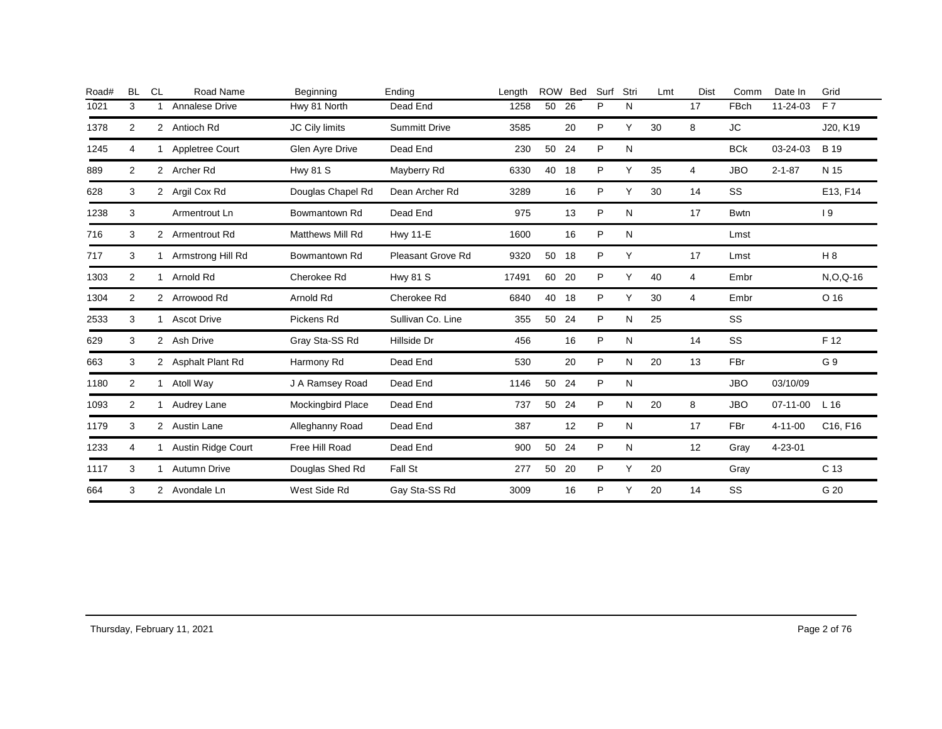| Road# | <b>BL</b> | <b>CL</b>      | Road Name           | Beginning                | Ending               | Length | <b>ROW</b> | <b>Bed</b> | Surf         | Stri | Lmt | Dist | Comm        | Date In        | Grid            |
|-------|-----------|----------------|---------------------|--------------------------|----------------------|--------|------------|------------|--------------|------|-----|------|-------------|----------------|-----------------|
| 1021  | 3         |                | Annalese Drive      | Hwy 81 North             | Dead End             | 1258   | 50         | 26         | P            | N    |     | 17   | <b>FBch</b> | 11-24-03       | F <sub>7</sub>  |
| 1378  | 2         |                | 2 Antioch Rd        | JC Cily limits           | <b>Summitt Drive</b> | 3585   |            | 20         | P            | Y    | 30  | 8    | JC          |                | J20, K19        |
| 1245  | 4         |                | Appletree Court     | Glen Ayre Drive          | Dead End             | 230    | 50         | 24         | P            | N    |     |      | <b>BCk</b>  | 03-24-03       | <b>B</b> 19     |
| 889   | 2         |                | 2 Archer Rd         | <b>Hwy 81 S</b>          | Mayberry Rd          | 6330   | 40         | 18         | P            | Y    | 35  | 4    | <b>JBO</b>  | $2 - 1 - 87$   | N 15            |
| 628   | 3         |                | 2 Argil Cox Rd      | Douglas Chapel Rd        | Dean Archer Rd       | 3289   |            | 16         | P            | Υ    | 30  | 14   | SS          |                | E13, F14        |
| 1238  | 3         |                | Armentrout Ln       | Bowmantown Rd            | Dead End             | 975    |            | 13         | $\mathsf{P}$ | N    |     | 17   | <b>Bwtn</b> |                | 19              |
| 716   | 3         | $\overline{2}$ | Armentrout Rd       | <b>Matthews Mill Rd</b>  | <b>Hwy 11-E</b>      | 1600   |            | 16         | P            | N    |     |      | Lmst        |                |                 |
| 717   | 3         |                | Armstrong Hill Rd   | Bowmantown Rd            | Pleasant Grove Rd    | 9320   | 50         | 18         | P            | Y    |     | 17   | Lmst        |                | H8              |
| 1303  | 2         |                | Arnold Rd           | Cherokee Rd              | <b>Hwy 81 S</b>      | 17491  | 60         | 20         | P            | Y    | 40  | 4    | Embr        |                | $N, O, Q-16$    |
| 1304  | 2         | $\overline{2}$ | Arrowood Rd         | Arnold Rd                | Cherokee Rd          | 6840   | 40         | 18         | P            | Υ    | 30  | 4    | Embr        |                | O 16            |
| 2533  | 3         | 1              | <b>Ascot Drive</b>  | Pickens Rd               | Sullivan Co. Line    | 355    | 50         | 24         | P            | N    | 25  |      | SS          |                |                 |
| 629   | 3         |                | 2 Ash Drive         | Gray Sta-SS Rd           | Hillside Dr          | 456    |            | 16         | P            | N    |     | 14   | SS          |                | F 12            |
| 663   | 3         |                | 2 Asphalt Plant Rd  | Harmony Rd               | Dead End             | 530    |            | 20         | P            | И    | 20  | 13   | FBr         |                | G 9             |
| 1180  | 2         |                | 1 Atoll Way         | J A Ramsey Road          | Dead End             | 1146   | 50         | 24         | P            | N    |     |      | <b>JBO</b>  | 03/10/09       |                 |
| 1093  | 2         |                | Audrey Lane         | <b>Mockingbird Place</b> | Dead End             | 737    | 50         | 24         | P            | N    | 20  | 8    | <b>JBO</b>  | $07 - 11 - 00$ | L <sub>16</sub> |
| 1179  | 3         |                | 2 Austin Lane       | Alleghanny Road          | Dead End             | 387    |            | 12         | P            | N    |     | 17   | FBr         | $4 - 11 - 00$  | C16, F16        |
| 1233  | 4         |                | Austin Ridge Court  | Free Hill Road           | Dead End             | 900    | 50         | 24         | P            | N    |     | 12   | Gray        | 4-23-01        |                 |
| 1117  | 3         |                | <b>Autumn Drive</b> | Douglas Shed Rd          | Fall St              | 277    | 50         | 20         | P            | Y    | 20  |      | Gray        |                | C <sub>13</sub> |
| 664   | 3         |                | 2 Avondale Ln       | West Side Rd             | Gay Sta-SS Rd        | 3009   |            | 16         | P            | Y    | 20  | 14   | SS          |                | G 20            |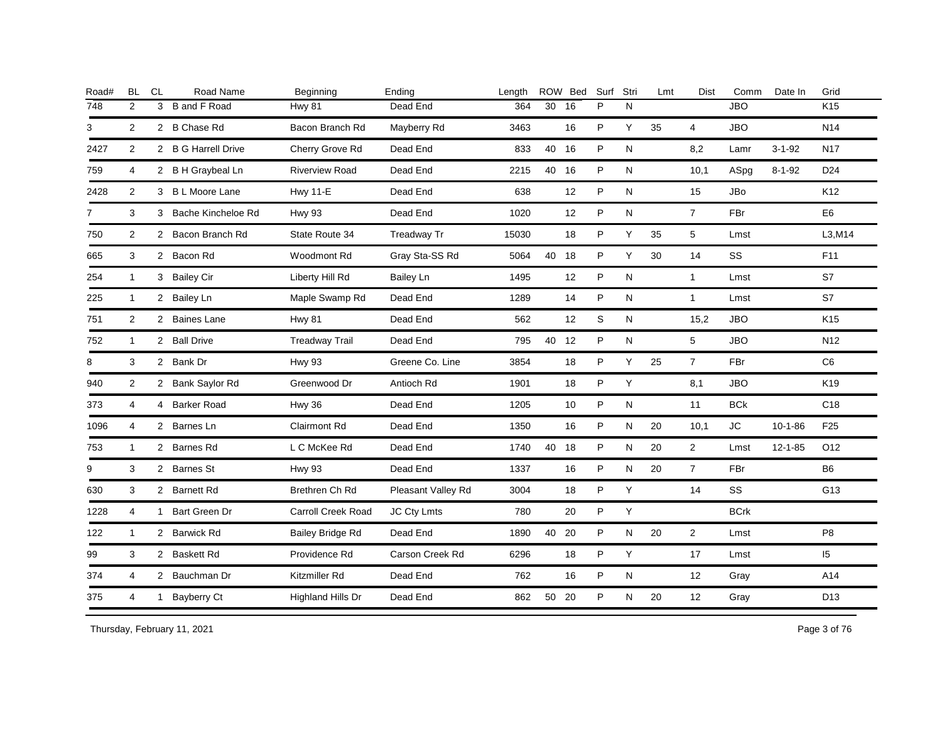| Road#          | <b>BL</b>      | <b>CL</b>    | Road Name            | Beginning                 | Ending             | Length |       | ROW Bed | Surf | Stri      | Lmt | <b>Dist</b>    | Comm        | Date In       | Grid            |
|----------------|----------------|--------------|----------------------|---------------------------|--------------------|--------|-------|---------|------|-----------|-----|----------------|-------------|---------------|-----------------|
| 748            | 2              | 3            | <b>B</b> and F Road  | <b>Hwy 81</b>             | Dead End           | 364    | 30    | 16      | P    | N         |     |                | <b>JBO</b>  |               | K <sub>15</sub> |
| 3              | 2              |              | 2 B Chase Rd         | Bacon Branch Rd           | Mayberry Rd        | 3463   |       | 16      | P    | Y         | 35  | $\overline{4}$ | <b>JBO</b>  |               | N14             |
| 2427           | 2              |              | 2 B G Harrell Drive  | Cherry Grove Rd           | Dead End           | 833    | 40 16 |         | P    | N         |     | 8,2            | Lamr        | $3 - 1 - 92$  | <b>N17</b>      |
| 759            | 4              |              | 2 B H Graybeal Ln    | <b>Riverview Road</b>     | Dead End           | 2215   | 40 16 |         | P    | N         |     | 10,1           | ASpg        | $8 - 1 - 92$  | D <sub>24</sub> |
| 2428           | $\overline{2}$ |              | 3 B L Moore Lane     | <b>Hwy 11-E</b>           | Dead End           | 638    |       | 12      | P    | N         |     | 15             | <b>JBo</b>  |               | K <sub>12</sub> |
| $\overline{7}$ | 3              |              | 3 Bache Kincheloe Rd | <b>Hwy 93</b>             | Dead End           | 1020   |       | 12      | P    | N         |     | $\overline{7}$ | FBr         |               | E <sub>6</sub>  |
| 750            | 2              |              | 2 Bacon Branch Rd    | State Route 34            | Treadway Tr        | 15030  |       | 18      | P    | Υ         | 35  | 5              | Lmst        |               | L3, M14         |
| 665            | 3              |              | 2 Bacon Rd           | <b>Woodmont Rd</b>        | Gray Sta-SS Rd     | 5064   | 40    | 18      | P    | Y         | 30  | 14             | <b>SS</b>   |               | F11             |
| 254            | $\mathbf{1}$   |              | 3 Bailey Cir         | Liberty Hill Rd           | <b>Bailey Ln</b>   | 1495   |       | 12      | P    | N         |     | $\mathbf{1}$   | Lmst        |               | S7              |
| 225            | $\mathbf{1}$   |              | 2 Bailey Ln          | Maple Swamp Rd            | Dead End           | 1289   |       | 14      | P    | N         |     | $\mathbf{1}$   | Lmst        |               | S7              |
| 751            | 2              |              | 2 Baines Lane        | <b>Hwy 81</b>             | Dead End           | 562    |       | 12      | S    | N         |     | 15,2           | <b>JBO</b>  |               | K15             |
| 752            | $\mathbf{1}$   |              | 2 Ball Drive         | <b>Treadway Trail</b>     | Dead End           | 795    | 40 12 |         | P    | N         |     | 5              | <b>JBO</b>  |               | N <sub>12</sub> |
| 8              | 3              |              | 2 Bank Dr            | <b>Hwy 93</b>             | Greene Co. Line    | 3854   |       | 18      | P    | Y         | 25  | $\overline{7}$ | FBr         |               | C <sub>6</sub>  |
| 940            | 2              |              | 2 Bank Saylor Rd     | Greenwood Dr              | Antioch Rd         | 1901   |       | 18      | P    | Y         |     | 8,1            | <b>JBO</b>  |               | K <sub>19</sub> |
| 373            | 4              |              | 4 Barker Road        | <b>Hwy 36</b>             | Dead End           | 1205   |       | 10      | P    | N         |     | 11             | <b>BCk</b>  |               | C <sub>18</sub> |
| 1096           | 4              |              | 2 Barnes Ln          | <b>Clairmont Rd</b>       | Dead End           | 1350   |       | 16      | P    | N         | 20  | 10,1           | <b>JC</b>   | $10 - 1 - 86$ | F <sub>25</sub> |
| 753            | 1              |              | 2 Barnes Rd          | L C McKee Rd              | Dead End           | 1740   | 40 18 |         | P    | N         | 20  | $\overline{2}$ | Lmst        | $12 - 1 - 85$ | O <sub>12</sub> |
| 9              | 3              |              | 2 Barnes St          | <b>Hwy 93</b>             | Dead End           | 1337   |       | 16      | P    | N         | 20  | $\overline{7}$ | <b>FBr</b>  |               | B <sub>6</sub>  |
| 630            | 3              |              | 2 Barnett Rd         | Brethren Ch Rd            | Pleasant Valley Rd | 3004   |       | 18      | P    | Y         |     | 14             | <b>SS</b>   |               | G13             |
| 1228           | 4              | 1            | Bart Green Dr        | <b>Carroll Creek Road</b> | JC Cty Lmts        | 780    |       | 20      | P    | Y         |     |                | <b>BCrk</b> |               |                 |
| 122            | $\mathbf{1}$   |              | 2 Barwick Rd         | Bailey Bridge Rd          | Dead End           | 1890   | 40    | 20      | P    | N         | 20  | $\overline{2}$ | Lmst        |               | P <sub>8</sub>  |
| 99             | 3              |              | 2 Baskett Rd         | Providence Rd             | Carson Creek Rd    | 6296   |       | 18      | P    | Y         |     | 17             | Lmst        |               | 15              |
| 374            | 4              |              | 2 Bauchman Dr        | Kitzmiller Rd             | Dead End           | 762    |       | 16      | P    | N         |     | 12             | Gray        |               | A14             |
| 375            | 4              | $\mathbf{1}$ | <b>Bayberry Ct</b>   | Highland Hills Dr         | Dead End           | 862    | 50    | 20      | P    | ${\sf N}$ | 20  | 12             | Gray        |               | D13             |
|                |                |              |                      |                           |                    |        |       |         |      |           |     |                |             |               |                 |

Thursday, February 11, 2021 2012 2014 2015 2016 2017 2021 2021 2022 2023 2024 2022 2030 2041 2022 2023 2024 2022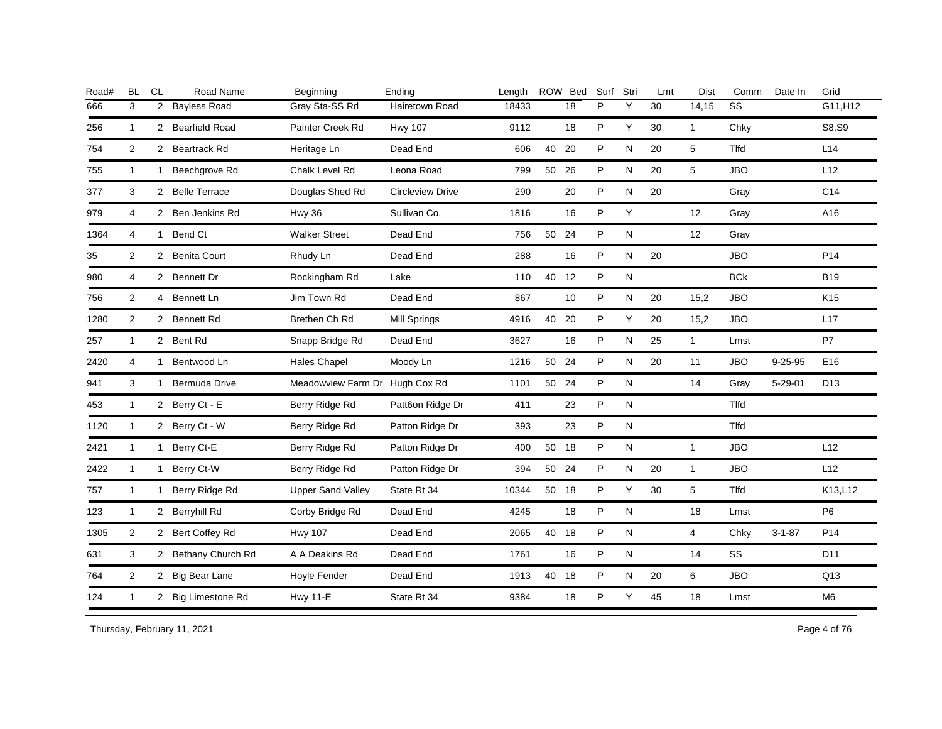| Road# | <b>BL</b>      | <b>CL</b>      | Road Name            | Beginning                | Ending                  | Length |       | ROW Bed | Surf | Stri      | Lmt | Dist           | Comm         | Date In       | Grid            |
|-------|----------------|----------------|----------------------|--------------------------|-------------------------|--------|-------|---------|------|-----------|-----|----------------|--------------|---------------|-----------------|
| 666   | 3              | $\overline{2}$ | <b>Bayless Road</b>  | Gray Sta-SS Rd           | Hairetown Road          | 18433  |       | 18      | P    | Y         | 30  | 14,15          | SS           |               | G11, H12        |
| 256   | $\mathbf{1}$   |                | 2 Bearfield Road     | Painter Creek Rd         | <b>Hwy 107</b>          | 9112   |       | 18      | P    | Y         | 30  | $\mathbf{1}$   | Chky         |               | S8,S9           |
| 754   | 2              |                | 2 Beartrack Rd       | Heritage Ln              | Dead End                | 606    | 40    | 20      | P    | N         | 20  | 5              | Tlfd         |               | L14             |
| 755   | $\mathbf{1}$   | $\mathbf{1}$   | Beechgrove Rd        | Chalk Level Rd           | Leona Road              | 799    | 50    | 26      | P    | N         | 20  | 5              | <b>JBO</b>   |               | L12             |
| 377   | 3              |                | 2 Belle Terrace      | Douglas Shed Rd          | <b>Circleview Drive</b> | 290    |       | 20      | P    | ${\sf N}$ | 20  |                | Gray         |               | C <sub>14</sub> |
| 979   | 4              |                | 2 Ben Jenkins Rd     | <b>Hwy 36</b>            | Sullivan Co.            | 1816   |       | 16      | P    | Υ         |     | 12             | Gray         |               | A16             |
| 1364  | 4              | 1              | Bend Ct              | <b>Walker Street</b>     | Dead End                | 756    | 50    | 24      | P    | ${\sf N}$ |     | 12             | Gray         |               |                 |
| 35    | $\overline{2}$ |                | 2 Benita Court       | Rhudy Ln                 | Dead End                | 288    |       | 16      | P    | ${\sf N}$ | 20  |                | <b>JBO</b>   |               | P <sub>14</sub> |
| 980   | 4              | $\mathbf{2}$   | <b>Bennett Dr</b>    | Rockingham Rd            | Lake                    | 110    | 40    | 12      | P    | N         |     |                | <b>BCk</b>   |               | <b>B19</b>      |
| 756   | $\overline{2}$ | 4              | Bennett Ln           | Jim Town Rd              | Dead End                | 867    |       | 10      | P    | ${\sf N}$ | 20  | 15,2           | <b>JBO</b>   |               | K <sub>15</sub> |
| 1280  | 2              |                | 2 Bennett Rd         | Brethen Ch Rd            | <b>Mill Springs</b>     | 4916   | 40    | -20     | P    | Y         | 20  | 15,2           | <b>JBO</b>   |               | L17             |
| 257   | 1              |                | 2 Bent Rd            | Snapp Bridge Rd          | Dead End                | 3627   |       | 16      | P    | N         | 25  | $\mathbf{1}$   | Lmst         |               | P7              |
| 2420  | 4              | $\mathbf{1}$   | Bentwood Ln          | <b>Hales Chapel</b>      | Moody Ln                | 1216   | 50 24 |         | P    | N         | 20  | 11             | <b>JBO</b>   | $9 - 25 - 95$ | E16             |
| 941   | 3              | 1              | <b>Bermuda Drive</b> | Meadowview Farm Dr       | Hugh Cox Rd             | 1101   | 50    | 24      | P    | N         |     | 14             | Gray         | $5 - 29 - 01$ | D <sub>13</sub> |
| 453   | $\mathbf{1}$   |                | 2 Berry Ct - E       | Berry Ridge Rd           | Patt6on Ridge Dr        | 411    |       | 23      | P    | N         |     |                | <b>T</b> Ifd |               |                 |
| 1120  | $\mathbf{1}$   |                | 2 Berry Ct - W       | Berry Ridge Rd           | Patton Ridge Dr         | 393    |       | 23      | P    | N         |     |                | Tlfd         |               |                 |
| 2421  | 1              | $\mathbf{1}$   | Berry Ct-E           | Berry Ridge Rd           | Patton Ridge Dr         | 400    | 50 18 |         | P    | N         |     | $\mathbf{1}$   | <b>JBO</b>   |               | L12             |
| 2422  | $\mathbf{1}$   | 1.             | Berry Ct-W           | Berry Ridge Rd           | Patton Ridge Dr         | 394    | 50 24 |         | P    | N         | 20  | $\mathbf{1}$   | <b>JBO</b>   |               | L12             |
| 757   | $\mathbf{1}$   | 1.             | Berry Ridge Rd       | <b>Upper Sand Valley</b> | State Rt 34             | 10344  | 50 18 |         | P    | Y         | 30  | 5              | Tlfd         |               | K13,L12         |
| 123   | $\mathbf{1}$   |                | 2 Berryhill Rd       | Corby Bridge Rd          | Dead End                | 4245   |       | 18      | P    | N         |     | 18             | Lmst         |               | <b>P6</b>       |
| 1305  | $\overline{2}$ |                | 2 Bert Coffey Rd     | <b>Hwy 107</b>           | Dead End                | 2065   | 40 18 |         | P    | N         |     | $\overline{4}$ | Chky         | $3 - 1 - 87$  | P <sub>14</sub> |
| 631   | 3              |                | 2 Bethany Church Rd  | A A Deakins Rd           | Dead End                | 1761   |       | 16      | P    | ${\sf N}$ |     | 14             | SS           |               | D <sub>11</sub> |
| 764   | $\overline{2}$ |                | 2 Big Bear Lane      | Hoyle Fender             | Dead End                | 1913   | 40 18 |         | P    | N         | 20  | 6              | <b>JBO</b>   |               | Q13             |
| 124   | $\mathbf{1}$   |                | 2 Big Limestone Rd   | <b>Hwy 11-E</b>          | State Rt 34             | 9384   |       | 18      | P    | Y         | 45  | 18             | Lmst         |               | M <sub>6</sub>  |
|       |                |                |                      |                          |                         |        |       |         |      |           |     |                |              |               |                 |

Thursday, February 11, 2021 2012 2014 12:30 Page 4 of 76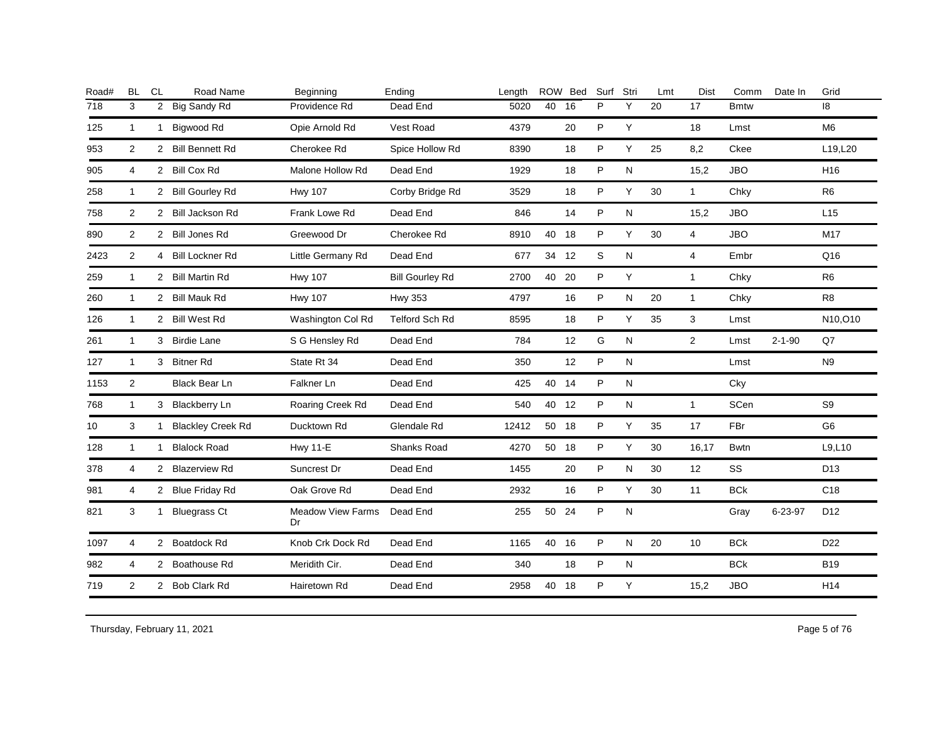| Road# | <b>BL</b>      | <b>CL</b>      | Road Name                | Beginning                      | Ending                 | Length |       | ROW Bed | Surf | Stri         | Lmt | Dist           | Comm        | Date In      | Grid            |
|-------|----------------|----------------|--------------------------|--------------------------------|------------------------|--------|-------|---------|------|--------------|-----|----------------|-------------|--------------|-----------------|
| 718   | 3              | $\overline{2}$ | Big Sandy Rd             | Providence Rd                  | Dead End               | 5020   | 40    | 16      | P    | Y            | 20  | 17             | <b>Bmtw</b> |              | 8               |
| 125   | $\mathbf{1}$   | $\mathbf{1}$   | Bigwood Rd               | Opie Arnold Rd                 | Vest Road              | 4379   |       | 20      | P    | Υ            |     | 18             | Lmst        |              | M <sub>6</sub>  |
| 953   | 2              |                | 2 Bill Bennett Rd        | Cherokee Rd                    | Spice Hollow Rd        | 8390   |       | 18      | P    | Y            | 25  | 8,2            | Ckee        |              | L19,L20         |
| 905   | 4              |                | 2 Bill Cox Rd            | Malone Hollow Rd               | Dead End               | 1929   |       | 18      | P    | N            |     | 15,2           | <b>JBO</b>  |              | H <sub>16</sub> |
| 258   | $\mathbf{1}$   |                | 2 Bill Gourley Rd        | <b>Hwy 107</b>                 | Corby Bridge Rd        | 3529   |       | 18      | P    | Υ            | 30  | $\mathbf{1}$   | Chky        |              | R <sub>6</sub>  |
| 758   | $\overline{2}$ |                | 2 Bill Jackson Rd        | Frank Lowe Rd                  | Dead End               | 846    |       | 14      | P    | ${\sf N}$    |     | 15,2           | <b>JBO</b>  |              | L15             |
| 890   | 2              |                | 2 Bill Jones Rd          | Greewood Dr                    | Cherokee Rd            | 8910   | 40 18 |         | P    | Y            | 30  | $\overline{4}$ | <b>JBO</b>  |              | M17             |
| 2423  | 2              |                | 4 Bill Lockner Rd        | Little Germany Rd              | Dead End               | 677    | 34    | 12      | S    | ${\sf N}$    |     | $\overline{4}$ | Embr        |              | Q16             |
| 259   | $\mathbf{1}$   |                | 2 Bill Martin Rd         | <b>Hwy 107</b>                 | <b>Bill Gourley Rd</b> | 2700   | 40    | 20      | P    | Υ            |     | $\mathbf{1}$   | Chky        |              | R6              |
| 260   | $\mathbf{1}$   |                | 2 Bill Mauk Rd           | <b>Hwy 107</b>                 | <b>Hwy 353</b>         | 4797   |       | 16      | P    | N            | 20  | $\mathbf{1}$   | Chky        |              | R <sub>8</sub>  |
| 126   | $\overline{1}$ |                | 2 Bill West Rd           | Washington Col Rd              | <b>Telford Sch Rd</b>  | 8595   |       | 18      | P    | Y            | 35  | 3              | Lmst        |              | N10,O10         |
| 261   | $\mathbf{1}$   |                | 3 Birdie Lane            | S G Hensley Rd                 | Dead End               | 784    |       | 12      | G    | N            |     | $\overline{2}$ | Lmst        | $2 - 1 - 90$ | Q7              |
| 127   | $\mathbf{1}$   |                | 3 Bitner Rd              | State Rt 34                    | Dead End               | 350    |       | 12      | P    | N            |     |                | Lmst        |              | N9              |
| 1153  | 2              |                | Black Bear Ln            | Falkner Ln                     | Dead End               | 425    | 40 14 |         | P    | N            |     |                | Cky         |              |                 |
| 768   | $\mathbf{1}$   |                | 3 Blackberry Ln          | Roaring Creek Rd               | Dead End               | 540    | 40 12 |         | P    | N            |     | $\mathbf{1}$   | SCen        |              | S9              |
| 10    | 3              |                | <b>Blackley Creek Rd</b> | Ducktown Rd                    | Glendale Rd            | 12412  | 50 18 |         | P    | Y            | 35  | 17             | FBr         |              | G <sub>6</sub>  |
| 128   | $\mathbf{1}$   | $\mathbf{1}$   | <b>Blalock Road</b>      | <b>Hwy 11-E</b>                | Shanks Road            | 4270   | 50 18 |         | P    | Υ            | 30  | 16,17          | <b>Bwtn</b> |              | L9,L10          |
| 378   | 4              |                | 2 Blazerview Rd          | Suncrest Dr                    | Dead End               | 1455   |       | 20      | P    | N            | 30  | 12             | SS          |              | D <sub>13</sub> |
| 981   | 4              |                | 2 Blue Friday Rd         | Oak Grove Rd                   | Dead End               | 2932   |       | 16      | P    | Y            | 30  | 11             | <b>BCk</b>  |              | C <sub>18</sub> |
| 821   | 3              | 1              | <b>Bluegrass Ct</b>      | <b>Meadow View Farms</b><br>Dr | Dead End               | 255    | 50    | 24      | P    | $\mathsf{N}$ |     |                | Gray        | 6-23-97      | D <sub>12</sub> |
| 1097  | 4              |                | 2 Boatdock Rd            | Knob Crk Dock Rd               | Dead End               | 1165   | 40 16 |         | P    | N            | 20  | 10             | <b>BCk</b>  |              | D <sub>22</sub> |
| 982   | 4              |                | 2 Boathouse Rd           | Meridith Cir.                  | Dead End               | 340    |       | 18      | P    | N            |     |                | <b>BCk</b>  |              | <b>B19</b>      |
| 719   | 2              |                | 2 Bob Clark Rd           | Hairetown Rd                   | Dead End               | 2958   | 40    | 18      | P    | Y            |     | 15,2           | <b>JBO</b>  |              | H <sub>14</sub> |
|       |                |                |                          |                                |                        |        |       |         |      |              |     |                |             |              |                 |

Thursday, February 11, 2021 2012 2014 2015 2016 2017 2021 2021 20:30 20:30 20:30 20:30 Page 5 of 76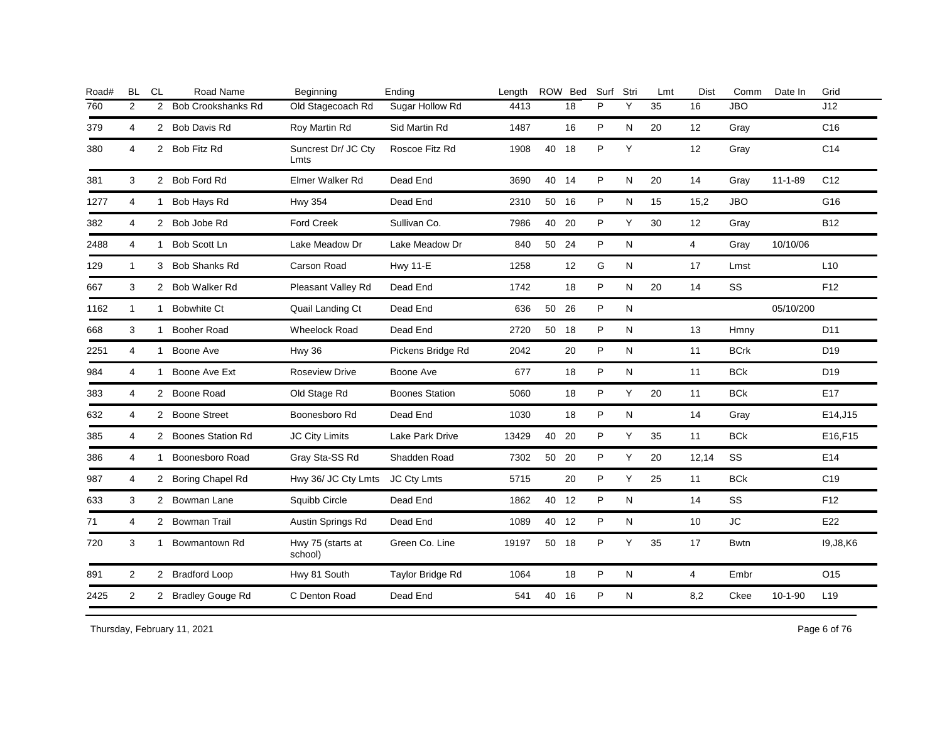| Road# | <b>BL</b>      | <b>CL</b>      | Road Name                 | Beginning                    | Ending                | Lenath |       | ROW Bed | Surf        | Stri      | Lmt | <b>Dist</b>    | Comm        | Date In       | Grid            |
|-------|----------------|----------------|---------------------------|------------------------------|-----------------------|--------|-------|---------|-------------|-----------|-----|----------------|-------------|---------------|-----------------|
| 760   | 2              | $\overline{2}$ | <b>Bob Crookshanks Rd</b> | Old Stagecoach Rd            | Sugar Hollow Rd       | 4413   |       | 18      | P           | Y         | 35  | 16             | <b>JBO</b>  |               | J12             |
| 379   | 4              |                | 2 Bob Davis Rd            | Roy Martin Rd                | Sid Martin Rd         | 1487   |       | 16      | P           | N         | 20  | 12             | Gray        |               | C <sub>16</sub> |
| 380   | 4              |                | 2 Bob Fitz Rd             | Suncrest Dr/ JC Cty<br>Lmts  | Roscoe Fitz Rd        | 1908   | 40    | 18      | P           | Y         |     | 12             | Gray        |               | C <sub>14</sub> |
| 381   | 3              |                | 2 Bob Ford Rd             | Elmer Walker Rd              | Dead End              | 3690   | 40 14 |         | P           | N         | 20  | 14             | Gray        | $11 - 1 - 89$ | C <sub>12</sub> |
| 1277  | 4              | 1              | Bob Hays Rd               | <b>Hwy 354</b>               | Dead End              | 2310   | 50    | 16      | P           | N         | 15  | 15,2           | <b>JBO</b>  |               | G16             |
| 382   | 4              |                | 2 Bob Jobe Rd             | <b>Ford Creek</b>            | Sullivan Co.          | 7986   | 40    | -20     | P           | Y         | 30  | 12             | Gray        |               | <b>B12</b>      |
| 2488  | $\overline{4}$ | 1              | Bob Scott Ln              | Lake Meadow Dr               | Lake Meadow Dr        | 840    | 50    | 24      | P           | ${\sf N}$ |     | $\overline{4}$ | Gray        | 10/10/06      |                 |
| 129   | $\mathbf{1}$   |                | 3 Bob Shanks Rd           | <b>Carson Road</b>           | <b>Hwy 11-E</b>       | 1258   |       | 12      | G           | N         |     | 17             | Lmst        |               | L10             |
| 667   | 3              |                | 2 Bob Walker Rd           | Pleasant Valley Rd           | Dead End              | 1742   |       | 18      | P           | N         | 20  | 14             | SS          |               | F <sub>12</sub> |
| 1162  | $\mathbf{1}$   |                | 1 Bobwhite Ct             | Quail Landing Ct             | Dead End              | 636    | 50    | 26      | P           | ${\sf N}$ |     |                |             | 05/10/200     |                 |
| 668   | 3              | $\mathbf{1}$   | <b>Booher Road</b>        | <b>Wheelock Road</b>         | Dead End              | 2720   | 50    | 18      | P           | N         |     | 13             | Hmny        |               | D <sub>11</sub> |
| 2251  | 4              | $\mathbf{1}$   | Boone Ave                 | Hwy 36                       | Pickens Bridge Rd     | 2042   |       | 20      | $\mathsf P$ | N         |     | 11             | <b>BCrk</b> |               | D <sub>19</sub> |
| 984   | 4              | $\mathbf{1}$   | Boone Ave Ext             | <b>Roseview Drive</b>        | Boone Ave             | 677    |       | 18      | P           | ${\sf N}$ |     | 11             | <b>BCk</b>  |               | D <sub>19</sub> |
| 383   | 4              |                | 2 Boone Road              | Old Stage Rd                 | <b>Boones Station</b> | 5060   |       | 18      | P           | Y         | 20  | 11             | <b>BCk</b>  |               | E17             |
| 632   | $\overline{4}$ |                | 2 Boone Street            | Boonesboro Rd                | Dead End              | 1030   |       | 18      | P           | N         |     | 14             | Gray        |               | E14, J15        |
| 385   | $\overline{4}$ |                | 2 Boones Station Rd       | JC City Limits               | Lake Park Drive       | 13429  | 40    | 20      | P           | Υ         | 35  | 11             | <b>BCk</b>  |               | E16,F15         |
| 386   | $\overline{4}$ | $\mathbf{1}$   | Boonesboro Road           | Gray Sta-SS Rd               | Shadden Road          | 7302   | 50    | 20      | P           | Y         | 20  | 12,14          | SS          |               | E14             |
| 987   | 4              |                | 2 Boring Chapel Rd        | Hwy 36/ JC Cty Lmts          | <b>JC Cty Lmts</b>    | 5715   |       | 20      | P           | Y         | 25  | 11             | <b>BCk</b>  |               | C <sub>19</sub> |
| 633   | 3              |                | 2 Bowman Lane             | Squibb Circle                | Dead End              | 1862   | 40 12 |         | P           | N         |     | 14             | SS          |               | F <sub>12</sub> |
| 71    | $\overline{4}$ |                | 2 Bowman Trail            | Austin Springs Rd            | Dead End              | 1089   | 40 12 |         | P           | N         |     | 10             | <b>JC</b>   |               | E22             |
| 720   | 3              | 1              | Bowmantown Rd             | Hwy 75 (starts at<br>school) | Green Co. Line        | 19197  | 50 18 |         | P           | Y         | 35  | 17             | <b>Bwtn</b> |               | 19, J8, K6      |
| 891   | $\overline{2}$ |                | 2 Bradford Loop           | Hwy 81 South                 | Taylor Bridge Rd      | 1064   |       | 18      | P           | N         |     | $\overline{4}$ | Embr        |               | O15             |
| 2425  | $\overline{2}$ |                | 2 Bradley Gouge Rd        | C Denton Road                | Dead End              | 541    | 40 16 |         | P           | N         |     | 8,2            | Ckee        | $10-1-90$     | L <sub>19</sub> |
|       |                |                |                           |                              |                       |        |       |         |             |           |     |                |             |               |                 |

Thursday, February 11, 2021 2012 2014 2015 2016 2017 2021 20:30 Page 6 of 76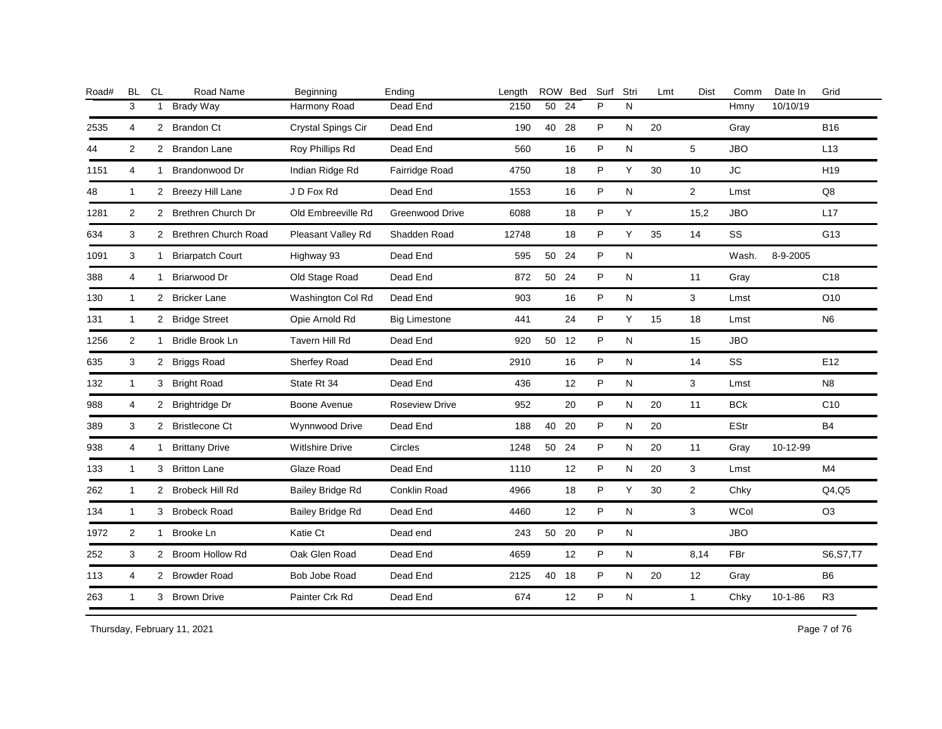| Road# | <b>BL</b>      | CL           | Road Name               | Beginning               | Ending                 | Length |       | ROW Bed | Surf | Stri      | Lmt | <b>Dist</b>    | Comm        | Date In   | Grid            |
|-------|----------------|--------------|-------------------------|-------------------------|------------------------|--------|-------|---------|------|-----------|-----|----------------|-------------|-----------|-----------------|
|       | 3              | 1            | <b>Brady Way</b>        | Harmony Road            | Dead End               | 2150   | 50    | 24      | P    | N         |     |                | Hmny        | 10/10/19  |                 |
| 2535  | 4              |              | 2 Brandon Ct            | Crystal Spings Cir      | Dead End               | 190    | 40    | 28      | P    | ${\sf N}$ | 20  |                | Gray        |           | <b>B16</b>      |
| 44    | $\overline{2}$ |              | 2 Brandon Lane          | Roy Phillips Rd         | Dead End               | 560    |       | 16      | P    | N         |     | 5              | <b>JBO</b>  |           | L13             |
| 1151  | 4              | $\mathbf{1}$ | Brandonwood Dr          | Indian Ridge Rd         | Fairridge Road         | 4750   |       | 18      | P    | Y         | 30  | 10             | <b>JC</b>   |           | H <sub>19</sub> |
| 48    | $\mathbf{1}$   |              | 2 Breezy Hill Lane      | J D Fox Rd              | Dead End               | 1553   |       | 16      | P    | N         |     | $\overline{2}$ | Lmst        |           | Q8              |
| 1281  | $\overline{2}$ |              | 2 Brethren Church Dr    | Old Embreeville Rd      | <b>Greenwood Drive</b> | 6088   |       | 18      | P    | Υ         |     | 15,2           | <b>JBO</b>  |           | L17             |
| 634   | 3              |              | 2 Brethren Church Road  | Pleasant Valley Rd      | Shadden Road           | 12748  |       | 18      | P    | Y         | 35  | 14             | SS          |           | G13             |
| 1091  | 3              | $\mathbf{1}$ | <b>Briarpatch Court</b> | Highway 93              | Dead End               | 595    | 50    | 24      | P    | N         |     |                | Wash.       | 8-9-2005  |                 |
| 388   | 4              | 1            | Briarwood Dr            | Old Stage Road          | Dead End               | 872    | 50    | 24      | P    | N         |     | 11             | Gray        |           | C <sub>18</sub> |
| 130   | 1              | $\mathbf{2}$ | <b>Bricker Lane</b>     | Washington Col Rd       | Dead End               | 903    |       | 16      | P    | N         |     | 3              | Lmst        |           | O10             |
| 131   | 1              |              | 2 Bridge Street         | Opie Arnold Rd          | <b>Big Limestone</b>   | 441    |       | 24      | P    | Y         | 15  | 18             | Lmst        |           | N <sub>6</sub>  |
| 1256  | $\overline{2}$ | 1            | Bridle Brook Ln         | Tavern Hill Rd          | Dead End               | 920    | 50 12 |         | P    | N         |     | 15             | <b>JBO</b>  |           |                 |
| 635   | 3              |              | 2 Briggs Road           | Sherfey Road            | Dead End               | 2910   |       | 16      | P    | N         |     | 14             | SS          |           | E <sub>12</sub> |
| 132   | 1              |              | 3 Bright Road           | State Rt 34             | Dead End               | 436    |       | 12      | P    | N         |     | 3              | Lmst        |           | N <sub>8</sub>  |
| 988   | 4              |              | 2 Brightridge Dr        | Boone Avenue            | <b>Roseview Drive</b>  | 952    |       | 20      | P    | N         | 20  | 11             | <b>BCk</b>  |           | C <sub>10</sub> |
| 389   | 3              |              | 2 Bristlecone Ct        | Wynnwood Drive          | Dead End               | 188    | 40    | 20      | P    | ${\sf N}$ | 20  |                | <b>EStr</b> |           | <b>B4</b>       |
| 938   | 4              | 1            | <b>Brittany Drive</b>   | <b>Witlshire Drive</b>  | Circles                | 1248   | 50 24 |         | P    | N         | 20  | 11             | Gray        | 10-12-99  |                 |
| 133   | 1              |              | 3 Britton Lane          | Glaze Road              | Dead End               | 1110   |       | 12      | P    | N         | 20  | 3              | Lmst        |           | M4              |
| 262   | 1              |              | 2 Brobeck Hill Rd       | <b>Bailey Bridge Rd</b> | Conklin Road           | 4966   |       | 18      | P    | Y         | 30  | $\overline{2}$ | Chky        |           | Q4,Q5           |
| 134   | 1              |              | 3 Brobeck Road          | <b>Bailey Bridge Rd</b> | Dead End               | 4460   |       | 12      | P    | N         |     | 3              | <b>WCol</b> |           | O <sub>3</sub>  |
| 1972  | $\overline{2}$ | $\mathbf{1}$ | Brooke Ln               | Katie Ct                | Dead end               | 243    | 50 20 |         | P    | N         |     |                | <b>JBO</b>  |           |                 |
| 252   | 3              |              | 2 Broom Hollow Rd       | Oak Glen Road           | Dead End               | 4659   |       | 12      | P    | N         |     | 8,14           | FBr         |           | S6, S7, T7      |
| 113   | 4              |              | 2 Browder Road          | Bob Jobe Road           | Dead End               | 2125   | 40 18 |         | P    | N         | 20  | 12             | Gray        |           | B <sub>6</sub>  |
| 263   | $\mathbf{1}$   |              | 3 Brown Drive           | Painter Crk Rd          | Dead End               | 674    |       | 12      | P    | ${\sf N}$ |     | $\mathbf{1}$   | Chky        | $10-1-86$ | R <sub>3</sub>  |
|       |                |              |                         |                         |                        |        |       |         |      |           |     |                |             |           |                 |

Thursday, February 11, 2021 2012 2014 2015 2016 2017 2021 2021 20:30 Page 7 of 76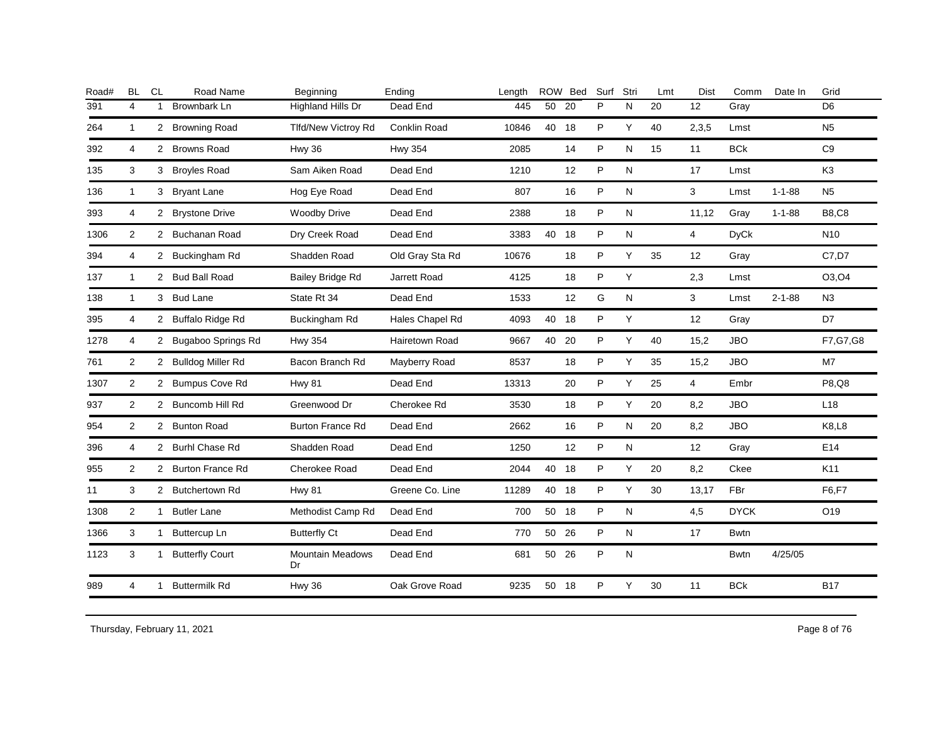| Road# | <b>BL</b>      | <b>CL</b>    | Road Name              | Beginning                     | Ending                | Length |       | ROW Bed | Surf | Stri | Lmt | Dist           | Comm        | Date In      | Grid            |
|-------|----------------|--------------|------------------------|-------------------------------|-----------------------|--------|-------|---------|------|------|-----|----------------|-------------|--------------|-----------------|
| 391   | $\overline{4}$ | 1            | Brownbark Ln           | Highland Hills Dr             | Dead End              | 445    | 50    | 20      | P    | N    | 20  | 12             | Gray        |              | D <sub>6</sub>  |
| 264   | $\mathbf{1}$   |              | 2 Browning Road        | <b>Tlfd/New Victroy Rd</b>    | Conklin Road          | 10846  | 40    | 18      | P    | Y    | 40  | 2,3,5          | Lmst        |              | N <sub>5</sub>  |
| 392   | 4              |              | 2 Browns Road          | Hwy 36                        | <b>Hwy 354</b>        | 2085   |       | 14      | P    | N    | 15  | 11             | <b>BCk</b>  |              | C <sub>9</sub>  |
| 135   | 3              |              | 3 Broyles Road         | Sam Aiken Road                | Dead End              | 1210   |       | 12      | P    | N    |     | 17             | Lmst        |              | K <sub>3</sub>  |
| 136   | $\mathbf{1}$   |              | 3 Bryant Lane          | Hog Eye Road                  | Dead End              | 807    |       | 16      | P    | N    |     | 3              | Lmst        | $1 - 1 - 88$ | N <sub>5</sub>  |
| 393   | 4              |              | 2 Brystone Drive       | <b>Woodby Drive</b>           | Dead End              | 2388   |       | 18      | P    | N    |     | 11,12          | Gray        | $1 - 1 - 88$ | <b>B8,C8</b>    |
| 1306  | 2              |              | 2 Buchanan Road        | Dry Creek Road                | Dead End              | 3383   | 40 18 |         | P    | N    |     | $\overline{4}$ | <b>DyCk</b> |              | N <sub>10</sub> |
| 394   | $\overline{4}$ |              | 2 Buckingham Rd        | Shadden Road                  | Old Gray Sta Rd       | 10676  |       | 18      | P    | Y    | 35  | 12             | Gray        |              | C7.D7           |
| 137   | $\mathbf{1}$   |              | 2 Bud Ball Road        | Bailey Bridge Rd              | Jarrett Road          | 4125   |       | 18      | P    | Υ    |     | 2,3            | Lmst        |              | O3, O4          |
| 138   | $\mathbf{1}$   |              | 3 Bud Lane             | State Rt 34                   | Dead End              | 1533   |       | 12      | G    | N    |     | 3              | Lmst        | $2 - 1 - 88$ | N3              |
| 395   | 4              |              | 2 Buffalo Ridge Rd     | Buckingham Rd                 | Hales Chapel Rd       | 4093   | 40    | 18      | P    | Υ    |     | 12             | Gray        |              | D7              |
| 1278  | 4              |              | 2 Bugaboo Springs Rd   | <b>Hwy 354</b>                | <b>Hairetown Road</b> | 9667   | 40 20 |         | P    | Y    | 40  | 15,2           | <b>JBO</b>  |              | F7, G7, G8      |
| 761   | 2              |              | 2 Bulldog Miller Rd    | Bacon Branch Rd               | Mayberry Road         | 8537   |       | 18      | P    | Y    | 35  | 15,2           | <b>JBO</b>  |              | M <sub>7</sub>  |
| 1307  | 2              |              | 2 Bumpus Cove Rd       | <b>Hwy 81</b>                 | Dead End              | 13313  |       | 20      | P    | Υ    | 25  | $\overline{4}$ | Embr        |              | P8,Q8           |
| 937   | 2              |              | 2 Buncomb Hill Rd      | Greenwood Dr                  | Cherokee Rd           | 3530   |       | 18      | P    | Y    | 20  | 8,2            | <b>JBO</b>  |              | L18             |
| 954   | 2              |              | 2 Bunton Road          | <b>Burton France Rd</b>       | Dead End              | 2662   |       | 16      | P    | N    | 20  | 8,2            | <b>JBO</b>  |              | <b>K8,L8</b>    |
| 396   | 4              |              | 2 Burhl Chase Rd       | Shadden Road                  | Dead End              | 1250   |       | 12      | P    | N    |     | 12             | Gray        |              | E14             |
| 955   | 2              |              | 2 Burton France Rd     | Cherokee Road                 | Dead End              | 2044   | 40 18 |         | P    | Y    | 20  | 8,2            | Ckee        |              | K11             |
| 11    | 3              |              | 2 Butchertown Rd       | <b>Hwy 81</b>                 | Greene Co. Line       | 11289  | 40    | 18      | P    | Y    | 30  | 13,17          | FBr         |              | F6,F7           |
| 1308  | 2              |              | 1 Butler Lane          | Methodist Camp Rd             | Dead End              | 700    | 50    | 18      | P    | N    |     | 4,5            | <b>DYCK</b> |              | O19             |
| 1366  | 3              |              | 1 Buttercup Ln         | <b>Butterfly Ct</b>           | Dead End              | 770    | 50    | 26      | P    | N    |     | 17             | <b>Bwtn</b> |              |                 |
| 1123  | 3              | 1            | <b>Butterfly Court</b> | <b>Mountain Meadows</b><br>Dr | Dead End              | 681    | 50    | 26      | P    | N    |     |                | <b>Bwtn</b> | 4/25/05      |                 |
| 989   | $\overline{4}$ | $\mathbf{1}$ | <b>Buttermilk Rd</b>   | <b>Hwy 36</b>                 | Oak Grove Road        | 9235   | 50 18 |         | P    | Y    | 30  | 11             | <b>BCk</b>  |              | <b>B17</b>      |
|       |                |              |                        |                               |                       |        |       |         |      |      |     |                |             |              |                 |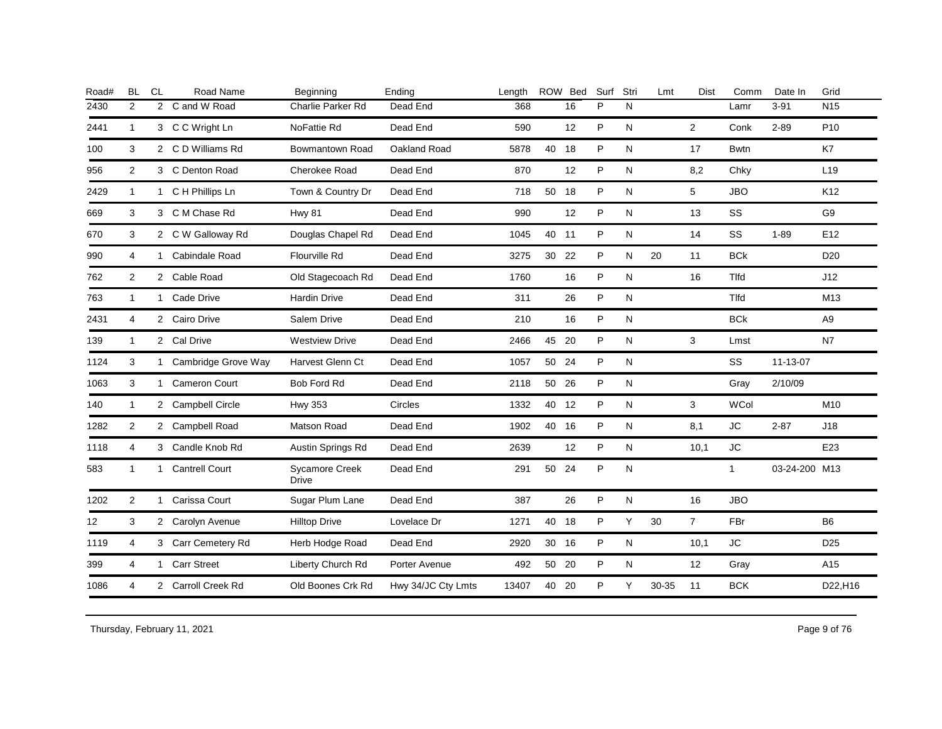| <b>BL</b>    | <b>CL</b> | Road Name             | Beginning                                                                                                                                                                                                                                                                                                                                                                                                     | Ending             | Length |    |    | Surf                                                                               | Stri | Lmt   | <b>Dist</b>    | Comm         | Date In  | Grid            |
|--------------|-----------|-----------------------|---------------------------------------------------------------------------------------------------------------------------------------------------------------------------------------------------------------------------------------------------------------------------------------------------------------------------------------------------------------------------------------------------------------|--------------------|--------|----|----|------------------------------------------------------------------------------------|------|-------|----------------|--------------|----------|-----------------|
| 2            |           | C and W Road          | Charlie Parker Rd                                                                                                                                                                                                                                                                                                                                                                                             | Dead End           | 368    |    | 16 | P                                                                                  | N    |       |                | Lamr         | $3 - 91$ | <b>N15</b>      |
| $\mathbf{1}$ |           |                       | NoFattie Rd                                                                                                                                                                                                                                                                                                                                                                                                   | Dead End           | 590    |    | 12 | P                                                                                  | N    |       | $\overline{2}$ | Conk         | $2 - 89$ | P <sub>10</sub> |
| 3            |           |                       | <b>Bowmantown Road</b>                                                                                                                                                                                                                                                                                                                                                                                        | Oakland Road       | 5878   | 40 | 18 | P                                                                                  | N    |       | 17             | <b>Bwtn</b>  |          | K7              |
| 2            |           |                       | <b>Cherokee Road</b>                                                                                                                                                                                                                                                                                                                                                                                          | Dead End           | 870    |    | 12 | P                                                                                  | N    |       | 8,2            | Chky         |          | L <sub>19</sub> |
| $\mathbf{1}$ |           |                       | Town & Country Dr                                                                                                                                                                                                                                                                                                                                                                                             | Dead End           | 718    |    |    | P                                                                                  | N    |       | 5              | <b>JBO</b>   |          | K <sub>12</sub> |
| 3            |           |                       | Hwy 81                                                                                                                                                                                                                                                                                                                                                                                                        | Dead End           | 990    |    | 12 | P                                                                                  | N    |       | 13             | SS           |          | G9              |
| 3            |           |                       | Douglas Chapel Rd                                                                                                                                                                                                                                                                                                                                                                                             | Dead End           | 1045   |    |    | P                                                                                  | N    |       | 14             | SS           | $1 - 89$ | E12             |
| 4            |           | Cabindale Road        | <b>Flourville Rd</b>                                                                                                                                                                                                                                                                                                                                                                                          | Dead End           | 3275   | 30 | 22 | P                                                                                  | N    | 20    | 11             | <b>BCk</b>   |          | D <sub>20</sub> |
| 2            |           |                       | Old Stagecoach Rd                                                                                                                                                                                                                                                                                                                                                                                             | Dead End           | 1760   |    | 16 | P                                                                                  | N    |       | 16             | Tlfd         |          | J12             |
| $\mathbf{1}$ |           |                       | <b>Hardin Drive</b>                                                                                                                                                                                                                                                                                                                                                                                           | Dead End           | 311    |    | 26 | $\sf P$                                                                            | N    |       |                | Tlfd         |          | M13             |
| 4            |           |                       | Salem Drive                                                                                                                                                                                                                                                                                                                                                                                                   | Dead End           | 210    |    | 16 | P                                                                                  | N    |       |                | <b>BCk</b>   |          | A <sub>9</sub>  |
| $\mathbf{1}$ |           |                       | <b>Westview Drive</b>                                                                                                                                                                                                                                                                                                                                                                                         | Dead End           | 2466   | 45 |    | P                                                                                  | N    |       | 3              | Lmst         |          | N7              |
| 3            |           |                       | Harvest Glenn Ct                                                                                                                                                                                                                                                                                                                                                                                              | Dead End           | 1057   | 50 | 24 | P                                                                                  | N    |       |                | SS           | 11-13-07 |                 |
| 3            |           |                       | <b>Bob Ford Rd</b>                                                                                                                                                                                                                                                                                                                                                                                            | Dead End           | 2118   |    | 26 | P                                                                                  | N    |       |                | Gray         | 2/10/09  |                 |
| $\mathbf{1}$ |           |                       | <b>Hwy 353</b>                                                                                                                                                                                                                                                                                                                                                                                                | Circles            | 1332   |    |    | P                                                                                  | N    |       | 3              | <b>WCol</b>  |          | M10             |
| 2            |           |                       | Matson Road                                                                                                                                                                                                                                                                                                                                                                                                   | Dead End           | 1902   |    |    | P                                                                                  | N    |       | 8,1            | <b>JC</b>    | $2 - 87$ | J18             |
| 4            |           |                       | Austin Springs Rd                                                                                                                                                                                                                                                                                                                                                                                             | Dead End           | 2639   |    | 12 | P                                                                                  | N    |       | 10,1           | <b>JC</b>    |          | E23             |
| $\mathbf{1}$ |           | <b>Cantrell Court</b> | <b>Sycamore Creek</b><br>Drive                                                                                                                                                                                                                                                                                                                                                                                | Dead End           | 291    | 50 | 24 | P                                                                                  | N    |       |                | $\mathbf{1}$ |          |                 |
| 2            |           | Carissa Court         | Sugar Plum Lane                                                                                                                                                                                                                                                                                                                                                                                               | Dead End           | 387    |    | 26 | P                                                                                  | N    |       | 16             | <b>JBO</b>   |          |                 |
| 3            |           |                       | <b>Hilltop Drive</b>                                                                                                                                                                                                                                                                                                                                                                                          | Lovelace Dr        | 1271   |    |    | P                                                                                  | Y    | 30    | $7^{\circ}$    | FBr          |          | B <sub>6</sub>  |
| 4            |           |                       | Herb Hodge Road                                                                                                                                                                                                                                                                                                                                                                                               | Dead End           | 2920   |    |    | P                                                                                  | N    |       | 10,1           | <b>JC</b>    |          | D <sub>25</sub> |
| 4            |           |                       | Liberty Church Rd                                                                                                                                                                                                                                                                                                                                                                                             | Porter Avenue      | 492    |    |    | P                                                                                  | N    |       | 12             | Gray         |          | A15             |
| 4            |           |                       | Old Boones Crk Rd                                                                                                                                                                                                                                                                                                                                                                                             | Hwy 34/JC Cty Lmts | 13407  | 40 | 20 | P                                                                                  | Y    | 30-35 | 11             | <b>BCK</b>   |          | D22, H16        |
|              |           |                       | $\overline{2}$<br>3 C C Wright Ln<br>2 C D Williams Rd<br>3 C Denton Road<br>1 C H Phillips Ln<br>3 C M Chase Rd<br>2 C W Galloway Rd<br>1<br>2 Cable Road<br>1 Cade Drive<br>2 Cairo Drive<br>2 Cal Drive<br>1 Cambridge Grove Way<br>1 Cameron Court<br>2 Campbell Circle<br>2 Campbell Road<br>3 Candle Knob Rd<br>1<br>1<br>2 Carolyn Avenue<br>3 Carr Cemetery Rd<br>1 Carr Street<br>2 Carroll Creek Rd |                    |        |    |    | ROW Bed<br>50 18<br>40 11<br>20<br>50<br>40 12<br>40 16<br>40 18<br>30 16<br>50 20 |      |       |                |              |          | 03-24-200 M13   |

Thursday, February 11, 2021 2012 2012 12:30 Page 9 of 76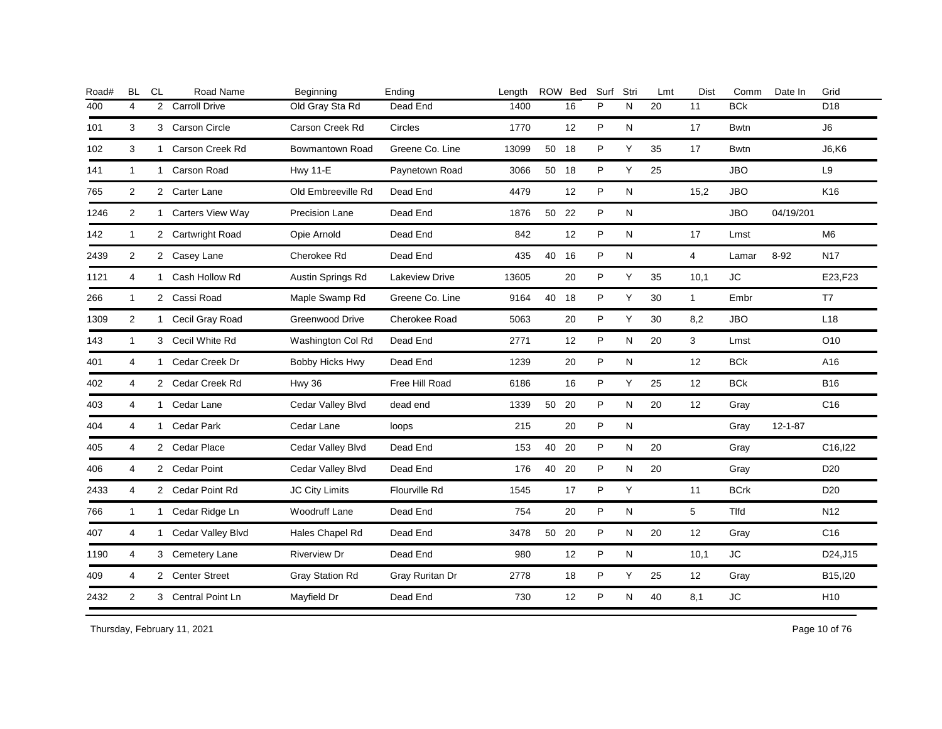| Road# | <b>BL</b>               | <b>CL</b>      | Road Name            | Beginning              | Ending          | Lenath |       | ROW Bed | Surf | Stri      | Lmt | <b>Dist</b>       | Comm        | Date In       | Grid            |
|-------|-------------------------|----------------|----------------------|------------------------|-----------------|--------|-------|---------|------|-----------|-----|-------------------|-------------|---------------|-----------------|
| 400   | $\overline{\mathbf{4}}$ | $\overline{2}$ | <b>Carroll Drive</b> | Old Gray Sta Rd        | Dead End        | 1400   |       | 16      | P    | N         | 20  | 11                | <b>BCk</b>  |               | D <sub>18</sub> |
| 101   | 3                       |                | 3 Carson Circle      | Carson Creek Rd        | Circles         | 1770   |       | 12      | P    | ${\sf N}$ |     | 17                | <b>Bwtn</b> |               | J6              |
| 102   | 3                       |                | 1 Carson Creek Rd    | Bowmantown Road        | Greene Co. Line | 13099  | 50 18 |         | P    | Y         | 35  | 17                | <b>Bwtn</b> |               | <b>J6,K6</b>    |
| 141   | $\mathbf{1}$            |                | 1 Carson Road        | <b>Hwy 11-E</b>        | Paynetown Road  | 3066   | 50 18 |         | P    | Y         | 25  |                   | <b>JBO</b>  |               | L9              |
| 765   | $\overline{2}$          |                | 2 Carter Lane        | Old Embreeville Rd     | Dead End        | 4479   |       | 12      | P    | N         |     | 15,2              | <b>JBO</b>  |               | K <sub>16</sub> |
| 1246  | 2                       |                | 1 Carters View Way   | Precision Lane         | Dead End        | 1876   | 50    | 22      | P    | N         |     |                   | <b>JBO</b>  | 04/19/201     |                 |
| 142   | $\mathbf{1}$            |                | 2 Cartwright Road    | Opie Arnold            | Dead End        | 842    |       | 12      | P    | N         |     | 17                | Lmst        |               | M <sub>6</sub>  |
| 2439  | 2                       |                | 2 Casey Lane         | Cherokee Rd            | Dead End        | 435    | 40    | 16      | P    | N         |     | $\overline{4}$    | Lamar       | $8 - 92$      | <b>N17</b>      |
| 1121  | 4                       | $\mathbf{1}$   | Cash Hollow Rd       | Austin Springs Rd      | Lakeview Drive  | 13605  |       | 20      | P    | Υ         | 35  | 10,1              | ${\sf JC}$  |               | E23,F23         |
| 266   | $\mathbf{1}$            |                | 2 Cassi Road         | Maple Swamp Rd         | Greene Co. Line | 9164   | 40    | 18      | P    | Y         | 30  | $\mathbf{1}$      | Embr        |               | T7              |
| 1309  | 2                       |                | 1 Cecil Gray Road    | <b>Greenwood Drive</b> | Cherokee Road   | 5063   |       | 20      | P    | Y         | 30  | 8,2               | <b>JBO</b>  |               | L18             |
| 143   | $\mathbf{1}$            |                | 3 Cecil White Rd     | Washington Col Rd      | Dead End        | 2771   |       | 12      | P    | N         | 20  | 3                 | Lmst        |               | O10             |
| 401   | $\overline{4}$          |                | 1 Cedar Creek Dr     | Bobby Hicks Hwy        | Dead End        | 1239   |       | 20      | P    | N         |     | 12                | <b>BCk</b>  |               | A16             |
| 402   | 4                       |                | 2 Cedar Creek Rd     | <b>Hwy 36</b>          | Free Hill Road  | 6186   |       | 16      | P    | Y         | 25  | $12 \overline{ }$ | <b>BCk</b>  |               | B <sub>16</sub> |
| 403   | 4                       |                | 1 Cedar Lane         | Cedar Valley Blvd      | dead end        | 1339   | 50 20 |         | P    | N         | 20  | 12                | Gray        |               | C <sub>16</sub> |
| 404   | 4                       |                | 1 Cedar Park         | Cedar Lane             | loops           | 215    |       | 20      | P    | ${\sf N}$ |     |                   | Gray        | $12 - 1 - 87$ |                 |
| 405   | 4                       |                | 2 Cedar Place        | Cedar Valley Blvd      | Dead End        | 153    | 40    | -20     | P    | N         | 20  |                   | Gray        |               | C16, 122        |
| 406   | 4                       |                | 2 Cedar Point        | Cedar Valley Blvd      | Dead End        | 176    | 40 20 |         | P    | N         | 20  |                   | Gray        |               | D <sub>20</sub> |
| 2433  | 4                       |                | 2 Cedar Point Rd     | <b>JC City Limits</b>  | Flourville Rd   | 1545   |       | 17      | P    | Y         |     | 11                | <b>BCrk</b> |               | D <sub>20</sub> |
| 766   | $\mathbf{1}$            |                | 1 Cedar Ridge Ln     | <b>Woodruff Lane</b>   | Dead End        | 754    |       | 20      | P    | N         |     | 5                 | <b>Tlfd</b> |               | N <sub>12</sub> |
| 407   | 4                       | $\mathbf{1}$   | Cedar Valley Blvd    | Hales Chapel Rd        | Dead End        | 3478   | 50    | 20      | P    | N         | 20  | 12                | Gray        |               | C <sub>16</sub> |
| 1190  | 4                       |                | 3 Cemetery Lane      | <b>Riverview Dr</b>    | Dead End        | 980    |       | 12      | P    | ${\sf N}$ |     | 10,1              | <b>JC</b>   |               | D24, J15        |
| 409   | 4                       |                | 2 Center Street      | <b>Gray Station Rd</b> | Gray Ruritan Dr | 2778   |       | 18      | P    | Υ         | 25  | 12                | Gray        |               | B15, 120        |
| 2432  | $\overline{2}$          |                | 3 Central Point Ln   | Mayfield Dr            | Dead End        | 730    |       | 12      | P    | ${\sf N}$ | 40  | 8,1               | ${\sf JC}$  |               | H <sub>10</sub> |
|       |                         |                |                      |                        |                 |        |       |         |      |           |     |                   |             |               |                 |

Thursday, February 11, 2021 2012 2012 12:30 Page 10 of 76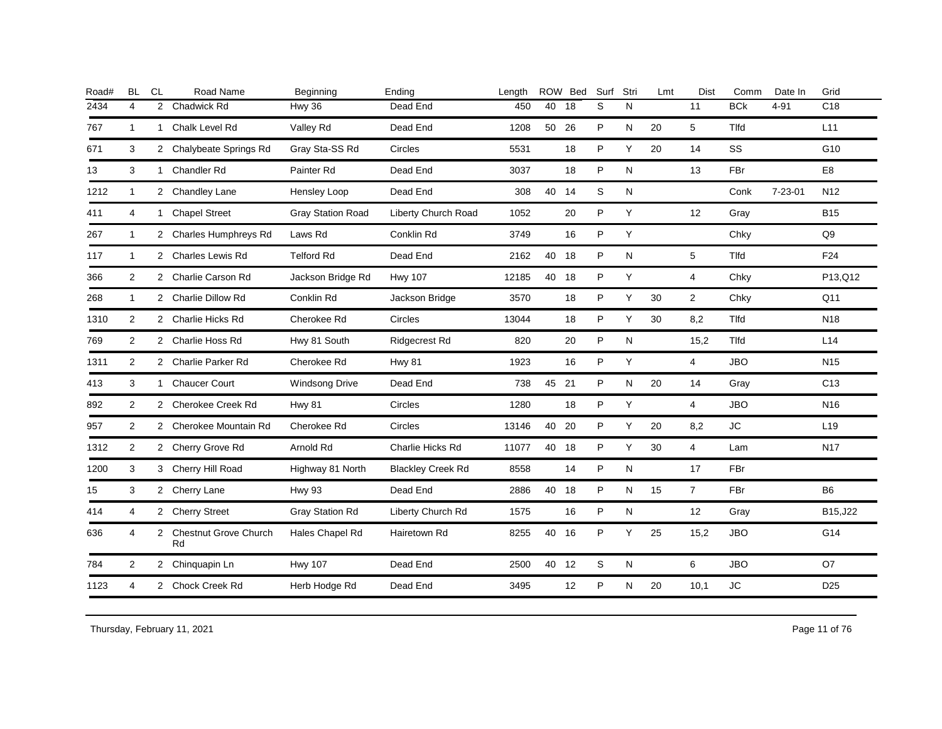| <b>BL</b>      | <b>CL</b> | Road Name            | Beginning                                                                                                                                                                                                                                                                                                                                                                                                                                                                               | Ending                   | Length |    |    | Surf                                                                      | Stri      | Lmt | Dist           | Comm       | Date In       | Grid            |
|----------------|-----------|----------------------|-----------------------------------------------------------------------------------------------------------------------------------------------------------------------------------------------------------------------------------------------------------------------------------------------------------------------------------------------------------------------------------------------------------------------------------------------------------------------------------------|--------------------------|--------|----|----|---------------------------------------------------------------------------|-----------|-----|----------------|------------|---------------|-----------------|
| 4              |           | <b>Chadwick Rd</b>   | Hwy 36                                                                                                                                                                                                                                                                                                                                                                                                                                                                                  | Dead End                 | 450    | 40 | 18 | S                                                                         | N         |     | 11             | <b>BCk</b> | $4 - 91$      | C <sub>18</sub> |
| $\overline{1}$ |           | Chalk Level Rd       | Valley Rd                                                                                                                                                                                                                                                                                                                                                                                                                                                                               | Dead End                 | 1208   | 50 | 26 | P                                                                         | N         | 20  | 5              | Tlfd       |               | L11             |
| 3              |           |                      | Gray Sta-SS Rd                                                                                                                                                                                                                                                                                                                                                                                                                                                                          | Circles                  | 5531   |    | 18 | P                                                                         | Y         | 20  | 14             | SS         |               | G10             |
| 3              |           |                      | Painter Rd                                                                                                                                                                                                                                                                                                                                                                                                                                                                              | Dead End                 | 3037   |    | 18 | P                                                                         | N         |     | 13             | FBr        |               | E8              |
| $\mathbf{1}$   |           |                      | Hensley Loop                                                                                                                                                                                                                                                                                                                                                                                                                                                                            | Dead End                 | 308    |    |    | S                                                                         | N         |     |                | Conk       | $7 - 23 - 01$ | N <sub>12</sub> |
| 4              |           | <b>Chapel Street</b> | <b>Gray Station Road</b>                                                                                                                                                                                                                                                                                                                                                                                                                                                                | Liberty Church Road      | 1052   |    | 20 | P                                                                         | Y         |     | 12             | Gray       |               | <b>B15</b>      |
| $\mathbf{1}$   |           |                      | Laws Rd                                                                                                                                                                                                                                                                                                                                                                                                                                                                                 | Conklin Rd               | 3749   |    | 16 | P                                                                         | Y         |     |                | Chky       |               | Q9              |
| $\mathbf{1}$   |           |                      | <b>Telford Rd</b>                                                                                                                                                                                                                                                                                                                                                                                                                                                                       | Dead End                 | 2162   | 40 |    | P                                                                         | ${\sf N}$ |     | 5              | Tlfd       |               | F24             |
| 2              |           |                      | Jackson Bridge Rd                                                                                                                                                                                                                                                                                                                                                                                                                                                                       | <b>Hwy 107</b>           | 12185  | 40 |    | P                                                                         | Υ         |     | 4              | Chky       |               | P13,Q12         |
| $\mathbf{1}$   |           |                      | Conklin Rd                                                                                                                                                                                                                                                                                                                                                                                                                                                                              | Jackson Bridge           | 3570   |    | 18 | P                                                                         | Y         | 30  | $\overline{2}$ | Chky       |               | Q11             |
| 2              |           |                      | Cherokee Rd                                                                                                                                                                                                                                                                                                                                                                                                                                                                             | Circles                  | 13044  |    | 18 | P                                                                         | Y         | 30  | 8,2            | Tlfd       |               | N <sub>18</sub> |
| 2              |           |                      | Hwy 81 South                                                                                                                                                                                                                                                                                                                                                                                                                                                                            | <b>Ridgecrest Rd</b>     | 820    |    | 20 | P                                                                         | ${\sf N}$ |     | 15,2           | Tlfd       |               | L14             |
| 2              |           |                      | Cherokee Rd                                                                                                                                                                                                                                                                                                                                                                                                                                                                             | <b>Hwy 81</b>            | 1923   |    | 16 | P                                                                         | Υ         |     | $\overline{4}$ | <b>JBO</b> |               | N <sub>15</sub> |
| 3              |           |                      | <b>Windsong Drive</b>                                                                                                                                                                                                                                                                                                                                                                                                                                                                   | Dead End                 | 738    |    |    | P                                                                         | N         | 20  | 14             | Gray       |               | C <sub>13</sub> |
| 2              |           |                      | <b>Hwy 81</b>                                                                                                                                                                                                                                                                                                                                                                                                                                                                           | Circles                  | 1280   |    | 18 | P                                                                         | Y         |     | 4              | <b>JBO</b> |               | N <sub>16</sub> |
| $\overline{2}$ |           |                      | Cherokee Rd                                                                                                                                                                                                                                                                                                                                                                                                                                                                             | Circles                  | 13146  | 40 |    | P                                                                         | Y         | 20  | 8,2            | <b>JC</b>  |               | L <sub>19</sub> |
| 2              |           |                      | Arnold Rd                                                                                                                                                                                                                                                                                                                                                                                                                                                                               | Charlie Hicks Rd         | 11077  | 40 |    | P                                                                         | Y         | 30  | $\overline{4}$ | Lam        |               | <b>N17</b>      |
| 3              |           |                      | Highway 81 North                                                                                                                                                                                                                                                                                                                                                                                                                                                                        | <b>Blackley Creek Rd</b> | 8558   |    | 14 | P                                                                         | N         |     | 17             | FBr        |               |                 |
| 3              |           |                      | <b>Hwy 93</b>                                                                                                                                                                                                                                                                                                                                                                                                                                                                           | Dead End                 | 2886   |    |    | P                                                                         | N         | 15  | 7 <sup>7</sup> | FBr        |               | B <sub>6</sub>  |
| 4              |           |                      | <b>Gray Station Rd</b>                                                                                                                                                                                                                                                                                                                                                                                                                                                                  | Liberty Church Rd        | 1575   |    | 16 | P                                                                         | N         |     | 12             | Gray       |               | B15, J22        |
| 4              |           | Rd                   | Hales Chapel Rd                                                                                                                                                                                                                                                                                                                                                                                                                                                                         | Hairetown Rd             | 8255   | 40 |    | P                                                                         | Y         | 25  | 15,2           | <b>JBO</b> |               | G14             |
| 2              |           |                      | <b>Hwy 107</b>                                                                                                                                                                                                                                                                                                                                                                                                                                                                          | Dead End                 | 2500   |    |    | S                                                                         | N         |     | 6              | <b>JBO</b> |               | O <sub>7</sub>  |
| 4              |           |                      | Herb Hodge Rd                                                                                                                                                                                                                                                                                                                                                                                                                                                                           | Dead End                 | 3495   |    | 12 | P                                                                         | N         | 20  | 10,1           | <b>JC</b>  |               | D <sub>25</sub> |
|                |           |                      | $\overline{2}$<br>$\mathbf{1}$<br>2 Chalybeate Springs Rd<br>1 Chandler Rd<br>2 Chandley Lane<br>1<br>2 Charles Humphreys Rd<br>2 Charles Lewis Rd<br>2 Charlie Carson Rd<br>2 Charlie Dillow Rd<br>2 Charlie Hicks Rd<br>2 Charlie Hoss Rd<br>2 Charlie Parker Rd<br>1 Chaucer Court<br>2 Cherokee Creek Rd<br>2 Cherokee Mountain Rd<br>2 Cherry Grove Rd<br>3 Cherry Hill Road<br>2 Cherry Lane<br>2 Cherry Street<br>2 Chestnut Grove Church<br>2 Chinquapin Ln<br>2 Chock Creek Rd |                          |        |    |    | ROW Bed<br>40 14<br>18<br>18<br>45 21<br>20<br>18<br>40 18<br>16<br>40 12 |           |     |                |            |               |                 |

Thursday, February 11, 2021 2012 2013 2014 2015 2016 2017 2021 2021 2022 2023 2024 2022 2023 2024 2021 2021 20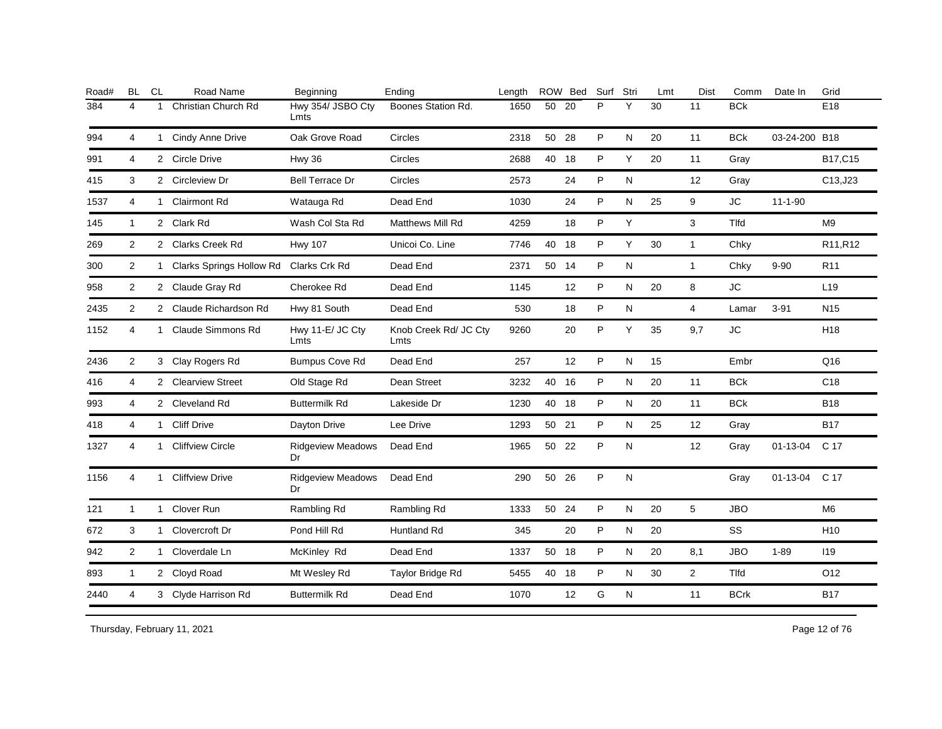| Road# | <b>BL</b>      | <b>CL</b>    | Road Name                  | Beginning                      | Ending                        | Length |       | ROW Bed | Surf | Stri         | Lmt | <b>Dist</b>    | Comm         | Date In        | Grid            |
|-------|----------------|--------------|----------------------------|--------------------------------|-------------------------------|--------|-------|---------|------|--------------|-----|----------------|--------------|----------------|-----------------|
| 384   | 4              |              | Christian Church Rd        | Hwy 354/ JSBO Cty<br>Lmts      | Boones Station Rd.            | 1650   | 50    | 20      | P    | Υ            | 30  | 11             | <b>BCk</b>   |                | E18             |
| 994   | 4              |              | 1 Cindy Anne Drive         | Oak Grove Road                 | Circles                       | 2318   | 50 28 |         | P    | N            | 20  | 11             | <b>BCk</b>   | 03-24-200 B18  |                 |
| 991   | 4              |              | 2 Circle Drive             | <b>Hwy 36</b>                  | Circles                       | 2688   | 40    | 18      | P    | Y            | 20  | 11             | Gray         |                | B17,C15         |
| 415   | 3              |              | 2 Circleview Dr            | <b>Bell Terrace Dr</b>         | Circles                       | 2573   |       | 24      | P    | N            |     | 12             | Gray         |                | C13,J23         |
| 1537  | 4              | 1            | <b>Clairmont Rd</b>        | Watauga Rd                     | Dead End                      | 1030   |       | 24      | P    | ${\sf N}$    | 25  | 9              | <b>JC</b>    | $11 - 1 - 90$  |                 |
| 145   | $\mathbf{1}$   |              | 2 Clark Rd                 | Wash Col Sta Rd                | <b>Matthews Mill Rd</b>       | 4259   |       | 18      | P    | Y            |     | 3              | <b>Tlfd</b>  |                | M <sub>9</sub>  |
| 269   | 2              |              | 2 Clarks Creek Rd          | <b>Hwy 107</b>                 | Unicoi Co. Line               | 7746   | 40    | 18      | P    | Y            | 30  | $\mathbf{1}$   | Chky         |                | R11, R12        |
| 300   | 2              |              | 1 Clarks Springs Hollow Rd | Clarks Crk Rd                  | Dead End                      | 2371   | 50    | 14      | P    | ${\sf N}$    |     | $\mathbf{1}$   | Chky         | $9 - 90$       | R <sub>11</sub> |
| 958   | $\overline{2}$ |              | 2 Claude Gray Rd           | Cherokee Rd                    | Dead End                      | 1145   |       | 12      | P    | N            | 20  | 8              | <b>JC</b>    |                | L <sub>19</sub> |
| 2435  | 2              |              | 2 Claude Richardson Rd     | Hwy 81 South                   | Dead End                      | 530    |       | 18      | P    | N            |     | $\overline{4}$ | Lamar        | $3 - 91$       | N <sub>15</sub> |
| 1152  | 4              | $\mathbf{1}$ | Claude Simmons Rd          | Hwy 11-E/ JC Cty<br>Lmts       | Knob Creek Rd/ JC Cty<br>Lmts | 9260   |       | 20      | P    | Y            | 35  | 9,7            | <b>JC</b>    |                | H <sub>18</sub> |
| 2436  | $\overline{2}$ |              | 3 Clay Rogers Rd           | <b>Bumpus Cove Rd</b>          | Dead End                      | 257    |       | 12      | P    | N            | 15  |                | Embr         |                | Q16             |
| 416   | 4              |              | 2 Clearview Street         | Old Stage Rd                   | Dean Street                   | 3232   | 40 16 |         | P    | N            | 20  | 11             | <b>BCk</b>   |                | C <sub>18</sub> |
| 993   | 4              |              | 2 Cleveland Rd             | <b>Buttermilk Rd</b>           | Lakeside Dr                   | 1230   | 40 18 |         | P    | N            | 20  | 11             | <b>BCk</b>   |                | <b>B18</b>      |
| 418   | 4              |              | 1 Cliff Drive              | Dayton Drive                   | Lee Drive                     | 1293   | 50 21 |         | P    | N            | 25  | 12             | Gray         |                | <b>B17</b>      |
| 1327  | 4              | $\mathbf 1$  | <b>Cliffview Circle</b>    | <b>Ridgeview Meadows</b><br>Dr | Dead End                      | 1965   | 50 22 |         | P    | N            |     | 12             | Gray         | $01 - 13 - 04$ | C 17            |
| 1156  | 4              | $\mathbf 1$  | <b>Cliffview Drive</b>     | <b>Ridgeview Meadows</b><br>Dr | Dead End                      | 290    | 50    | 26      | P    | $\mathsf{N}$ |     |                | Gray         | $01 - 13 - 04$ | C 17            |
| 121   | $\mathbf{1}$   | 1            | Clover Run                 | Rambling Rd                    | Rambling Rd                   | 1333   | 50    | -24     | P    | N            | 20  | 5              | <b>JBO</b>   |                | M <sub>6</sub>  |
| 672   | 3              |              | 1 Clovercroft Dr           | Pond Hill Rd                   | Huntland Rd                   | 345    |       | 20      | P    | N            | 20  |                | SS           |                | H <sub>10</sub> |
| 942   | 2              |              | 1 Cloverdale Ln            | McKinley Rd                    | Dead End                      | 1337   | 50    | 18      | P    | N            | 20  | 8,1            | <b>JBO</b>   | $1 - 89$       | <b>119</b>      |
| 893   | $\mathbf{1}$   |              | 2 Cloyd Road               | Mt Wesley Rd                   | Taylor Bridge Rd              | 5455   | 40    | 18      | P    | N            | 30  | $\overline{2}$ | <b>T</b> Ifd |                | O12             |
| 2440  | $\overline{4}$ |              | 3 Clyde Harrison Rd        | <b>Buttermilk Rd</b>           | Dead End                      | 1070   |       | 12      | G    | ${\sf N}$    |     | 11             | <b>BCrk</b>  |                | <b>B17</b>      |
|       |                |              |                            |                                |                               |        |       |         |      |              |     |                |              |                |                 |

Thursday, February 11, 2021 2012 12:00 Page 12 of 76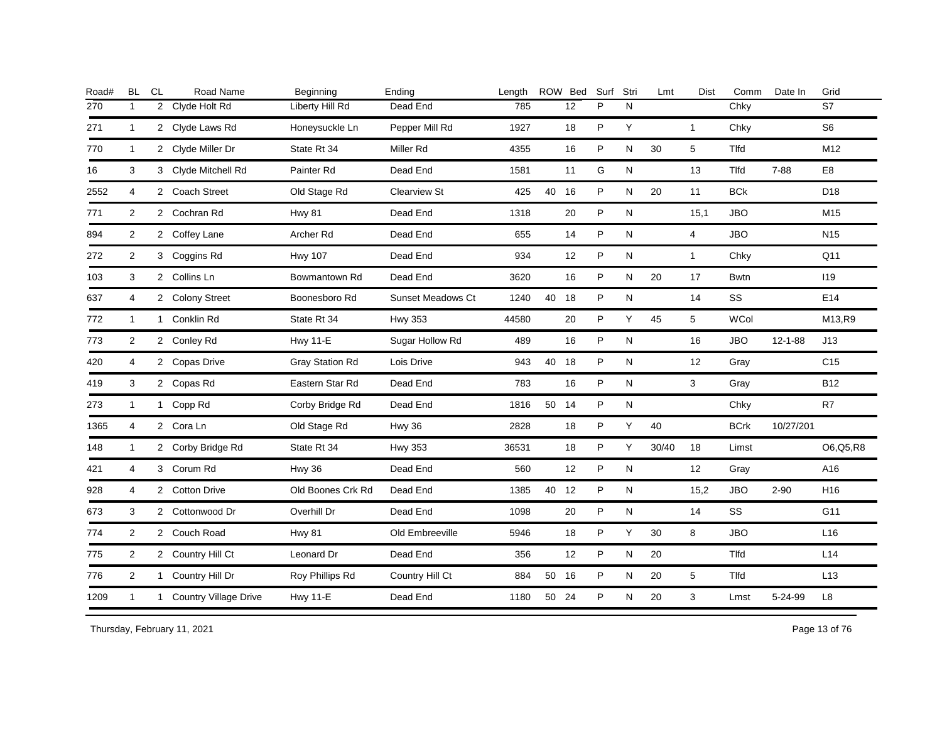| <b>BL</b>      | CL | Road Name | Beginning                                                                                                                                                                                                                                                                                                                                                                                                                                 | Ending                   | Length |    |    | Surf                                                                | Stri      | Lmt   | <b>Dist</b>    | Comm         | Date In       | Grid            |
|----------------|----|-----------|-------------------------------------------------------------------------------------------------------------------------------------------------------------------------------------------------------------------------------------------------------------------------------------------------------------------------------------------------------------------------------------------------------------------------------------------|--------------------------|--------|----|----|---------------------------------------------------------------------|-----------|-------|----------------|--------------|---------------|-----------------|
| $\mathbf{1}$   |    |           | Liberty Hill Rd                                                                                                                                                                                                                                                                                                                                                                                                                           | Dead End                 | 785    |    | 12 | P                                                                   | N         |       |                | Chky         |               | S7              |
| $\mathbf{1}$   |    |           | Honeysuckle Ln                                                                                                                                                                                                                                                                                                                                                                                                                            | Pepper Mill Rd           | 1927   |    | 18 | P                                                                   | Y         |       | $\mathbf{1}$   | Chky         |               | S <sub>6</sub>  |
| $\mathbf{1}$   |    |           | State Rt 34                                                                                                                                                                                                                                                                                                                                                                                                                               | Miller Rd                | 4355   |    | 16 | P                                                                   | N         | 30    | 5              | Tlfd         |               | M12             |
| 3              |    |           | Painter Rd                                                                                                                                                                                                                                                                                                                                                                                                                                | Dead End                 | 1581   |    | 11 | G                                                                   | ${\sf N}$ |       | 13             | <b>T</b> Ifd | $7 - 88$      | E <sub>8</sub>  |
| 4              |    |           | Old Stage Rd                                                                                                                                                                                                                                                                                                                                                                                                                              | Clearview St             | 425    |    |    | P                                                                   | ${\sf N}$ | 20    | 11             | <b>BCk</b>   |               | D <sub>18</sub> |
| $\overline{c}$ |    |           | <b>Hwy 81</b>                                                                                                                                                                                                                                                                                                                                                                                                                             | Dead End                 | 1318   |    | 20 | P                                                                   | N         |       | 15,1           | <b>JBO</b>   |               | M15             |
| $\overline{2}$ |    |           | Archer Rd                                                                                                                                                                                                                                                                                                                                                                                                                                 | Dead End                 | 655    |    | 14 | P                                                                   | N         |       | $\overline{4}$ | <b>JBO</b>   |               | N <sub>15</sub> |
| 2              |    |           | <b>Hwy 107</b>                                                                                                                                                                                                                                                                                                                                                                                                                            | Dead End                 | 934    |    | 12 | P                                                                   | N         |       | $\mathbf{1}$   | Chky         |               | Q11             |
| 3              |    |           | Bowmantown Rd                                                                                                                                                                                                                                                                                                                                                                                                                             | Dead End                 | 3620   |    | 16 | P                                                                   | N         | 20    | 17             | <b>Bwtn</b>  |               | 119             |
| 4              |    |           | Boonesboro Rd                                                                                                                                                                                                                                                                                                                                                                                                                             | <b>Sunset Meadows Ct</b> | 1240   | 40 |    | P                                                                   | ${\sf N}$ |       | 14             | SS           |               | E14             |
| $\mathbf{1}$   |    |           | State Rt 34                                                                                                                                                                                                                                                                                                                                                                                                                               | <b>Hwy 353</b>           | 44580  |    | 20 | P                                                                   | Y         | 45    | 5              | <b>WCol</b>  |               | M13,R9          |
| 2              |    |           | <b>Hwy 11-E</b>                                                                                                                                                                                                                                                                                                                                                                                                                           | Sugar Hollow Rd          | 489    |    | 16 | P                                                                   | N         |       | 16             | <b>JBO</b>   | $12 - 1 - 88$ | J13             |
| 4              |    |           | <b>Gray Station Rd</b>                                                                                                                                                                                                                                                                                                                                                                                                                    | Lois Drive               | 943    |    |    | P                                                                   | N         |       | 12             | Gray         |               | C <sub>15</sub> |
| 3              |    |           | Eastern Star Rd                                                                                                                                                                                                                                                                                                                                                                                                                           | Dead End                 | 783    |    | 16 | P                                                                   | N         |       | 3              | Gray         |               | <b>B12</b>      |
| $\mathbf{1}$   |    |           | Corby Bridge Rd                                                                                                                                                                                                                                                                                                                                                                                                                           | Dead End                 | 1816   |    |    | P                                                                   | N         |       |                | Chky         |               | R7              |
| $\overline{4}$ |    |           | Old Stage Rd                                                                                                                                                                                                                                                                                                                                                                                                                              | <b>Hwy 36</b>            | 2828   |    | 18 | P                                                                   | Y         | 40    |                | <b>BCrk</b>  | 10/27/201     |                 |
| $\mathbf{1}$   |    |           | State Rt 34                                                                                                                                                                                                                                                                                                                                                                                                                               | <b>Hwy 353</b>           | 36531  |    | 18 | P                                                                   | Y         | 30/40 | 18             | Limst        |               | O6, Q5, R8      |
| 4              |    |           | Hwy 36                                                                                                                                                                                                                                                                                                                                                                                                                                    | Dead End                 | 560    |    | 12 | P                                                                   | ${\sf N}$ |       | 12             | Gray         |               | A16             |
| 4              |    |           | Old Boones Crk Rd                                                                                                                                                                                                                                                                                                                                                                                                                         | Dead End                 | 1385   |    |    | P                                                                   | N         |       | 15,2           | <b>JBO</b>   | $2 - 90$      | H16             |
| 3              |    |           | Overhill Dr                                                                                                                                                                                                                                                                                                                                                                                                                               | Dead End                 | 1098   |    | 20 | P                                                                   | N         |       | 14             | <b>SS</b>    |               | G11             |
| $\overline{2}$ |    |           | <b>Hwy 81</b>                                                                                                                                                                                                                                                                                                                                                                                                                             | Old Embreeville          | 5946   |    | 18 | P                                                                   | Y         | 30    | 8              | <b>JBO</b>   |               | L16             |
| $\overline{2}$ |    |           | Leonard Dr                                                                                                                                                                                                                                                                                                                                                                                                                                | Dead End                 | 356    |    | 12 | P                                                                   | ${\sf N}$ | 20    |                | Tlfd         |               | L14             |
| $\overline{2}$ |    |           | Roy Phillips Rd                                                                                                                                                                                                                                                                                                                                                                                                                           | Country Hill Ct          | 884    |    |    | P                                                                   | N         | 20    | 5              | Tlfd         |               | L13             |
| $\mathbf{1}$   |    |           | <b>Hwy 11-E</b>                                                                                                                                                                                                                                                                                                                                                                                                                           | Dead End                 | 1180   |    |    | P                                                                   | N         | 20    | 3              | Lmst         | 5-24-99       | L8              |
|                |    |           | 2 Clyde Holt Rd<br>2 Clyde Laws Rd<br>2 Clyde Miller Dr<br>3 Clyde Mitchell Rd<br>2 Coach Street<br>2 Cochran Rd<br>2 Coffey Lane<br>3 Coggins Rd<br>2 Collins Ln<br>2 Colony Street<br>1 Conklin Rd<br>2 Conley Rd<br>2 Copas Drive<br>2 Copas Rd<br>1 Copp Rd<br>2 Cora Ln<br>2 Corby Bridge Rd<br>3 Corum Rd<br>2 Cotton Drive<br>2 Cottonwood Dr<br>2 Couch Road<br>2 Country Hill Ct<br>1 Country Hill Dr<br>1 Country Village Drive |                          |        |    |    | ROW Bed<br>40 16<br>18<br>40 18<br>50 14<br>40 12<br>50 16<br>50 24 |           |       |                |              |               |                 |

Thursday, February 11, 2021 2012 2014 2015 2016 2017 2021 20:30 20:30 20:30 20:30 20:30 20:30 20:30 20:30 20:30 20:30 20:30 20:30 20:30 20:30 20:30 20:30 20:30 20:30 20:30 20:30 20:30 20:30 20:30 20:30 20:30 20:30 20:30 20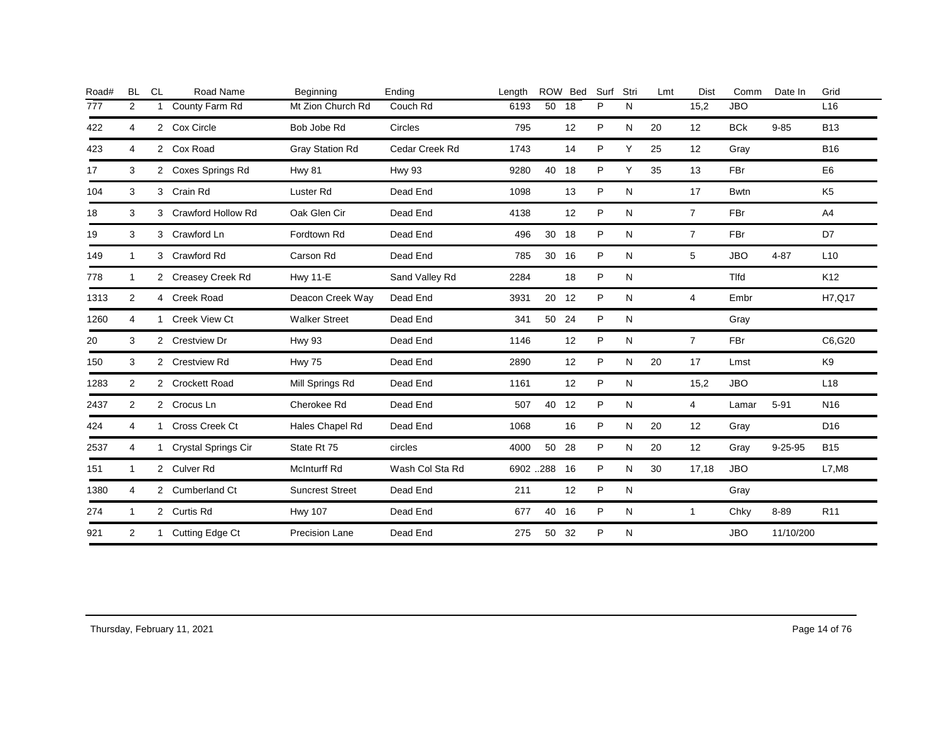| Road# | <b>BL</b>    | <b>CL</b>    | Road Name                  | Beginning              | Ending          | Length    | ROW   | <b>Bed</b> | Surf         | Stri         | Lmt | Dist           | Comm        | Date In       | Grid            |
|-------|--------------|--------------|----------------------------|------------------------|-----------------|-----------|-------|------------|--------------|--------------|-----|----------------|-------------|---------------|-----------------|
| 777   | 2            |              | County Farm Rd             | Mt Zion Church Rd      | Couch Rd        | 6193      | 50    | 18         | P            | N            |     | 15,2           | <b>JBO</b>  |               | L16             |
| 422   | 4            |              | 2 Cox Circle               | Bob Jobe Rd            | Circles         | 795       |       | 12         | P            | N            | 20  | 12             | <b>BCk</b>  | $9 - 85$      | <b>B13</b>      |
| 423   | 4            |              | 2 Cox Road                 | <b>Gray Station Rd</b> | Cedar Creek Rd  | 1743      |       | 14         | P            | Y            | 25  | 12             | Gray        |               | <b>B16</b>      |
| 17    | 3            |              | 2 Coxes Springs Rd         | <b>Hwy 81</b>          | <b>Hwy 93</b>   | 9280      | 40    | 18         | P            | Y            | 35  | 13             | FBr         |               | E <sub>6</sub>  |
| 104   | 3            |              | 3 Crain Rd                 | Luster <sub>Rd</sub>   | Dead End        | 1098      |       | 13         | P            | N            |     | 17             | <b>Bwtn</b> |               | K <sub>5</sub>  |
| 18    | 3            |              | 3 Crawford Hollow Rd       | Oak Glen Cir           | Dead End        | 4138      |       | 12         | $\mathsf{P}$ | N            |     | $\overline{7}$ | FBr         |               | A4              |
| 19    | 3            |              | 3 Crawford Ln              | Fordtown Rd            | Dead End        | 496       | 30 18 |            | P            | N            |     | $\overline{7}$ | FBr         |               | D7              |
| 149   | $\mathbf{1}$ |              | 3 Crawford Rd              | Carson Rd              | Dead End        | 785       | 30    | 16         | P            | N            |     | 5              | <b>JBO</b>  | $4 - 87$      | L <sub>10</sub> |
| 778   | $\mathbf{1}$ |              | 2 Creasey Creek Rd         | <b>Hwy 11-E</b>        | Sand Valley Rd  | 2284      |       | 18         | P            | N            |     |                | <b>Tlfd</b> |               | K <sub>12</sub> |
| 1313  | 2            |              | 4 Creek Road               | Deacon Creek Way       | Dead End        | 3931      | 20    | 12         | P            | N            |     | 4              | Embr        |               | H7, Q17         |
| 1260  | 4            |              | 1 Creek View Ct            | <b>Walker Street</b>   | Dead End        | 341       | 50 24 |            | P            | N            |     |                | Gray        |               |                 |
| 20    | 3            |              | 2 Crestview Dr             | Hwy 93                 | Dead End        | 1146      |       | 12         | P            | N            |     | $\overline{7}$ | FBr         |               | C6,G20          |
| 150   | 3            |              | 2 Crestview Rd             | <b>Hwy 75</b>          | Dead End        | 2890      |       | 12         | P            | N            | 20  | 17             | Lmst        |               | K9              |
| 1283  | 2            |              | 2 Crockett Road            | Mill Springs Rd        | Dead End        | 1161      |       | 12         | $\mathsf{P}$ | N            |     | 15,2           | <b>JBO</b>  |               | L <sub>18</sub> |
| 2437  | 2            |              | 2 Crocus Ln                | Cherokee Rd            | Dead End        | 507       | 40 12 |            | P            | N            |     | $\overline{4}$ | Lamar       | $5 - 91$      | N <sub>16</sub> |
| 424   | 4            | $\mathbf{1}$ | Cross Creek Ct             | Hales Chapel Rd        | Dead End        | 1068      |       | 16         | P            | N            | 20  | 12             | Gray        |               | D <sub>16</sub> |
| 2537  | 4            | 1            | <b>Crystal Springs Cir</b> | State Rt 75            | circles         | 4000      | 50 28 |            | P            | N            | 20  | 12             | Gray        | $9 - 25 - 95$ | <b>B15</b>      |
| 151   | $\mathbf{1}$ |              | 2 Culver Rd                | <b>McInturff Rd</b>    | Wash Col Sta Rd | 6902 .288 |       | 16         | P            | N            | 30  | 17,18          | <b>JBO</b>  |               | L7, M8          |
| 1380  | 4            |              | 2 Cumberland Ct            | <b>Suncrest Street</b> | Dead End        | 211       |       | 12         | P            | $\mathsf{N}$ |     |                | Gray        |               |                 |
| 274   | $\mathbf{1}$ |              | 2 Curtis Rd                | <b>Hwy 107</b>         | Dead End        | 677       | 40    | 16         | P            | N            |     | $\mathbf{1}$   | Chky        | 8-89          | R <sub>11</sub> |
| 921   | 2            |              | 1 Cutting Edge Ct          | Precision Lane         | Dead End        | 275       | 50    | 32         | P            | N            |     |                | <b>JBO</b>  | 11/10/200     |                 |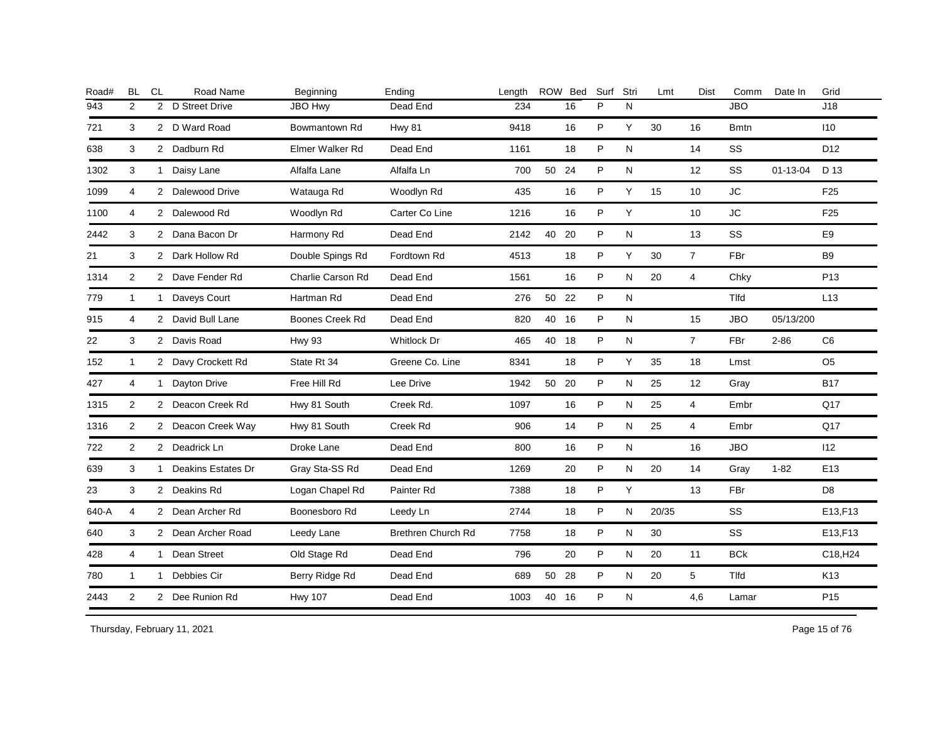| Road# | <b>BL</b>      | <b>CL</b>      | Road Name          | Beginning              | Ending             | Lenath |       | ROW Bed | Surf | Stri      | Lmt   | <b>Dist</b>       | Comm         | Date In   | Grid                 |
|-------|----------------|----------------|--------------------|------------------------|--------------------|--------|-------|---------|------|-----------|-------|-------------------|--------------|-----------|----------------------|
| 943   | 2              | $\overline{2}$ | D Street Drive     | <b>JBO Hwy</b>         | Dead End           | 234    |       | 16      | P    | N         |       |                   | <b>JBO</b>   |           | J18                  |
| 721   | 3              |                | 2 D Ward Road      | Bowmantown Rd          | <b>Hwy 81</b>      | 9418   |       | 16      | P    | Y         | 30    | 16                | <b>B</b> mtn |           | 110                  |
| 638   | 3              |                | 2 Dadburn Rd       | Elmer Walker Rd        | Dead End           | 1161   |       | 18      | P    | N         |       | 14                | SS           |           | D <sub>12</sub>      |
| 1302  | 3              |                | 1 Daisy Lane       | Alfalfa Lane           | Alfalfa Ln         | 700    | 50 24 |         | P    | ${\sf N}$ |       | 12                | SS           | 01-13-04  | D 13                 |
| 1099  | $\overline{4}$ |                | 2 Dalewood Drive   | Watauga Rd             | Woodlyn Rd         | 435    |       | 16      | P    | Y         | 15    | 10                | <b>JC</b>    |           | F <sub>25</sub>      |
| 1100  | 4              |                | 2 Dalewood Rd      | Woodlyn Rd             | Carter Co Line     | 1216   |       | 16      | P    | Υ         |       | 10                | <b>JC</b>    |           | F <sub>25</sub>      |
| 2442  | 3              |                | 2 Dana Bacon Dr    | Harmony Rd             | Dead End           | 2142   | 40    | 20      | P    | ${\sf N}$ |       | 13                | SS           |           | E9                   |
| 21    | 3              |                | 2 Dark Hollow Rd   | Double Spings Rd       | Fordtown Rd        | 4513   |       | 18      | P    | Y         | 30    | $\overline{7}$    | FBr          |           | B <sub>9</sub>       |
| 1314  | $\overline{2}$ |                | 2 Dave Fender Rd   | Charlie Carson Rd      | Dead End           | 1561   |       | 16      | P    | N         | 20    | $\overline{4}$    | Chky         |           | P <sub>13</sub>      |
| 779   | $\mathbf{1}$   | $\mathbf{1}$   | Daveys Court       | Hartman Rd             | Dead End           | 276    | 50    | 22      | P    | N         |       |                   | Tlfd         |           | L13                  |
| 915   | 4              |                | 2 David Bull Lane  | <b>Boones Creek Rd</b> | Dead End           | 820    | 40    | 16      | P    | N         |       | 15                | <b>JBO</b>   | 05/13/200 |                      |
| 22    | 3              |                | 2 Davis Road       | <b>Hwy 93</b>          | Whitlock Dr        | 465    | 40 18 |         | P    | N         |       | $\overline{7}$    | FBr          | $2 - 86$  | C <sub>6</sub>       |
| 152   | $\mathbf{1}$   |                | 2 Davy Crockett Rd | State Rt 34            | Greene Co. Line    | 8341   |       | 18      | P    | Y         | 35    | 18                | Lmst         |           | O <sub>5</sub>       |
| 427   | 4              | 1              | Dayton Drive       | Free Hill Rd           | Lee Drive          | 1942   | 50    | 20      | P    | N         | 25    | $12 \overline{ }$ | Gray         |           | B17                  |
| 1315  | $\overline{2}$ |                | 2 Deacon Creek Rd  | Hwy 81 South           | Creek Rd.          | 1097   |       | 16      | P    | N         | 25    | 4                 | Embr         |           | Q17                  |
| 1316  | 2              |                | 2 Deacon Creek Way | Hwy 81 South           | Creek Rd           | 906    |       | 14      | P    | N         | 25    | $\overline{4}$    | Embr         |           | Q17                  |
| 722   | 2              |                | 2 Deadrick Ln      | Droke Lane             | Dead End           | 800    |       | 16      | P    | N         |       | 16                | <b>JBO</b>   |           | 112                  |
| 639   | 3              | 1              | Deakins Estates Dr | Gray Sta-SS Rd         | Dead End           | 1269   |       | 20      | P    | N         | 20    | 14                | Gray         | $1 - 82$  | E <sub>13</sub>      |
| 23    | 3              |                | 2 Deakins Rd       | Logan Chapel Rd        | Painter Rd         | 7388   |       | 18      | P    | Y         |       | 13                | <b>FBr</b>   |           | D <sub>8</sub>       |
| 640-A | $\overline{4}$ |                | 2 Dean Archer Rd   | Boonesboro Rd          | Leedy Ln           | 2744   |       | 18      | P    | N         | 20/35 |                   | <b>SS</b>    |           | E13,F13              |
| 640   | 3              |                | 2 Dean Archer Road | Leedy Lane             | Brethren Church Rd | 7758   |       | 18      | P    | N         | 30    |                   | SS           |           | E13,F13              |
| 428   | $\overline{4}$ | $\mathbf{1}$   | Dean Street        | Old Stage Rd           | Dead End           | 796    |       | 20      | P    | ${\sf N}$ | 20    | 11                | <b>BCk</b>   |           | C18, H <sub>24</sub> |
| 780   | $\mathbf{1}$   |                | 1 Debbies Cir      | Berry Ridge Rd         | Dead End           | 689    | 50 28 |         | P    | N         | 20    | 5                 | Tlfd         |           | K13                  |
| 2443  | 2              |                | 2 Dee Runion Rd    | <b>Hwy 107</b>         | Dead End           | 1003   | 40    | 16      | P    | ${\sf N}$ |       | 4,6               | Lamar        |           | P <sub>15</sub>      |
|       |                |                |                    |                        |                    |        |       |         |      |           |       |                   |              |           |                      |

Thursday, February 11, 2021 2012 2014 2015 2016 2017 2021 20:30 Page 15 of 76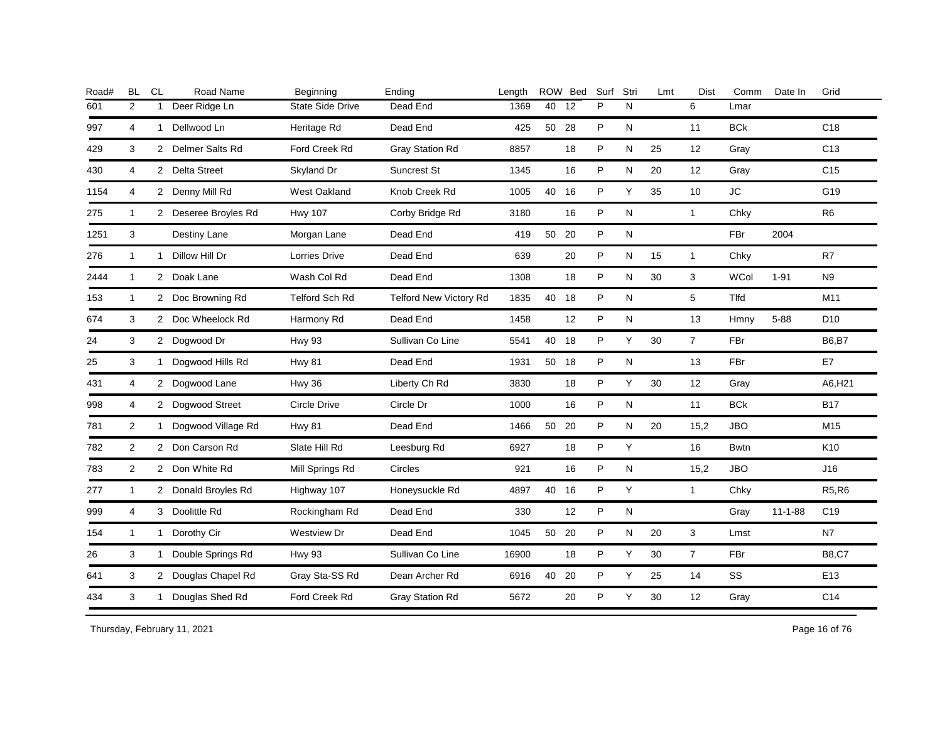| Road# | <b>BL</b>      | CL           | Road Name            | Beginning               | Ending                 | Length |       | ROW Bed | Surf | Stri      | Lmt | <b>Dist</b>    | Comm        | Date In       | Grid            |
|-------|----------------|--------------|----------------------|-------------------------|------------------------|--------|-------|---------|------|-----------|-----|----------------|-------------|---------------|-----------------|
| 601   | 2              | $\mathbf{1}$ | Deer Ridge Ln        | <b>State Side Drive</b> | Dead End               | 1369   | 40    | 12      | P    | N         |     | 6              | Lmar        |               |                 |
| 997   | 4              | $\mathbf{1}$ | Dellwood Ln          | Heritage Rd             | Dead End               | 425    | 50    | 28      | P    | N         |     | 11             | <b>BCk</b>  |               | C18             |
| 429   | 3              | $\mathbf{2}$ | Delmer Salts Rd      | Ford Creek Rd           | <b>Gray Station Rd</b> | 8857   |       | 18      | P    | N         | 25  | 12             | Gray        |               | C <sub>13</sub> |
| 430   | 4              |              | 2 Delta Street       | Skyland Dr              | <b>Suncrest St</b>     | 1345   |       | 16      | P    | N         | 20  | 12             | Gray        |               | C <sub>15</sub> |
| 1154  | $\overline{4}$ |              | 2 Denny Mill Rd      | West Oakland            | Knob Creek Rd          | 1005   | 40 16 |         | P    | Y         | 35  | 10             | <b>JC</b>   |               | G19             |
| 275   | $\mathbf{1}$   |              | 2 Deseree Broyles Rd | <b>Hwy 107</b>          | Corby Bridge Rd        | 3180   |       | 16      | P    | N         |     | $\mathbf{1}$   | Chky        |               | R <sub>6</sub>  |
| 1251  | 3              |              | Destiny Lane         | Morgan Lane             | Dead End               | 419    | 50    | 20      | P    | ${\sf N}$ |     |                | <b>FBr</b>  | 2004          |                 |
| 276   | $\mathbf{1}$   | $\mathbf{1}$ | Dillow Hill Dr       | Lorries Drive           | Dead End               | 639    |       | 20      | P    | ${\sf N}$ | 15  | $\mathbf{1}$   | Chky        |               | R7              |
| 2444  | $\mathbf{1}$   |              | 2 Doak Lane          | Wash Col Rd             | Dead End               | 1308   |       | 18      | P    | ${\sf N}$ | 30  | 3              | <b>WCol</b> | $1 - 91$      | N <sub>9</sub>  |
| 153   | $\mathbf{1}$   |              | 2 Doc Browning Rd    | <b>Telford Sch Rd</b>   | Telford New Victory Rd | 1835   | 40    | 18      | P    | N         |     | 5              | Tlfd        |               | M11             |
| 674   | 3              |              | 2 Doc Wheelock Rd    | Harmony Rd              | Dead End               | 1458   |       | 12      | P    | ${\sf N}$ |     | 13             | Hmny        | $5 - 88$      | D <sub>10</sub> |
| 24    | 3              |              | 2 Dogwood Dr         | <b>Hwy 93</b>           | Sullivan Co Line       | 5541   | 40    | 18      | P    | Y         | 30  | $\overline{7}$ | FBr         |               | <b>B6,B7</b>    |
| 25    | 3              | 1            | Dogwood Hills Rd     | <b>Hwy 81</b>           | Dead End               | 1931   | 50 18 |         | P    | N         |     | 13             | FBr         |               | E7              |
| 431   | 4              | $\mathbf{2}$ | Dogwood Lane         | Hwy 36                  | Liberty Ch Rd          | 3830   |       | 18      | P    | Y         | 30  | 12             | Gray        |               | A6, H21         |
| 998   | 4              |              | 2 Dogwood Street     | <b>Circle Drive</b>     | Circle Dr              | 1000   |       | 16      | P    | N         |     | 11             | <b>BCk</b>  |               | <b>B17</b>      |
| 781   | $\overline{2}$ | 1            | Dogwood Village Rd   | <b>Hwy 81</b>           | Dead End               | 1466   | 50 20 |         | P    | N         | 20  | 15,2           | <b>JBO</b>  |               | M15             |
| 782   | 2              |              | 2 Don Carson Rd      | Slate Hill Rd           | Leesburg Rd            | 6927   |       | 18      | P    | Y         |     | 16             | <b>Bwtn</b> |               | K <sub>10</sub> |
| 783   | $\overline{2}$ |              | 2 Don White Rd       | Mill Springs Rd         | Circles                | 921    |       | 16      | P    | N         |     | 15,2           | <b>JBO</b>  |               | J16             |
| 277   | $\mathbf{1}$   |              | 2 Donald Broyles Rd  | Highway 107             | Honeysuckle Rd         | 4897   | 40 16 |         | P    | Y         |     | $\mathbf{1}$   | Chky        |               | <b>R5,R6</b>    |
| 999   | 4              |              | 3 Doolittle Rd       | Rockingham Rd           | Dead End               | 330    |       | 12      | P    | ${\sf N}$ |     |                | Gray        | $11 - 1 - 88$ | C <sub>19</sub> |
| 154   | $\mathbf{1}$   | $\mathbf{1}$ | Dorothy Cir          | Westview Dr             | Dead End               | 1045   | 50 20 |         | P    | ${\sf N}$ | 20  | 3              | Lmst        |               | N7              |
| 26    | 3              | $\mathbf{1}$ | Double Springs Rd    | <b>Hwy 93</b>           | Sullivan Co Line       | 16900  |       | 18      | P    | Y         | 30  | $\overline{7}$ | FBr         |               | <b>B8,C7</b>    |
| 641   | 3              |              | 2 Douglas Chapel Rd  | Gray Sta-SS Rd          | Dean Archer Rd         | 6916   | 40    | 20      | P    | Υ         | 25  | 14             | SS          |               | E13             |
| 434   | 3              | $\mathbf{1}$ | Douglas Shed Rd      | Ford Creek Rd           | Gray Station Rd        | 5672   |       | 20      | P    | Υ         | 30  | 12             | Gray        |               | C14             |
|       |                |              |                      |                         |                        |        |       |         |      |           |     |                |             |               |                 |

Thursday, February 11, 2021 2012 2014 2012 20:30 Page 16 of 76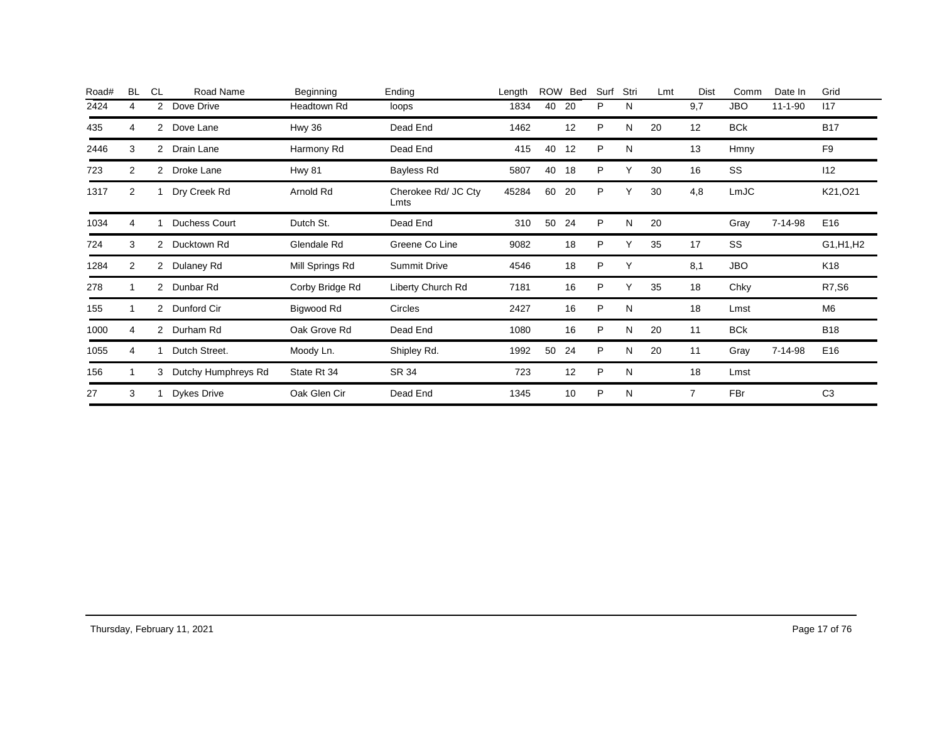| Road# | <b>BL</b>      | <b>CL</b>             | Road Name            | Beginning       | Ending                      | Length | <b>ROW</b> | Bed | Surf | Stri | Lmt | Dist | Comm       | Date In       | Grid            |
|-------|----------------|-----------------------|----------------------|-----------------|-----------------------------|--------|------------|-----|------|------|-----|------|------------|---------------|-----------------|
| 2424  | 4              | $\overline{2}$        | Dove Drive           | Headtown Rd     | loops                       | 1834   | 40         | 20  | P    | N    |     | 9,7  | <b>JBO</b> | $11 - 1 - 90$ | 117             |
| 435   | 4              |                       | 2 Dove Lane          | Hwy 36          | Dead End                    | 1462   |            | 12  | P    | N    | 20  | 12   | <b>BCk</b> |               | <b>B17</b>      |
| 2446  | 3              |                       | 2 Drain Lane         | Harmony Rd      | Dead End                    | 415    | 40         | 12  | P    | N    |     | 13   | Hmny       |               | F <sub>9</sub>  |
| 723   | $\overline{2}$ |                       | 2 Droke Lane         | <b>Hwy 81</b>   | Bayless Rd                  | 5807   | 40         | 18  | P    | Υ    | 30  | 16   | SS         |               | 112             |
| 1317  | $\overline{2}$ |                       | Dry Creek Rd         | Arnold Rd       | Cherokee Rd/ JC Cty<br>Lmts | 45284  | 60         | 20  | P    | ⋎    | 30  | 4,8  | LmJC       |               | K21, O21        |
| 1034  | 4              |                       | <b>Duchess Court</b> | Dutch St.       | Dead End                    | 310    | 50         | 24  | P    | N    | 20  |      | Gray       | 7-14-98       | E16             |
| 724   | 3              | $\overline{2}$        | Ducktown Rd          | Glendale Rd     | Greene Co Line              | 9082   |            | 18  | P    |      | 35  | 17   | SS         |               | G1, H1, H2      |
| 1284  | 2              | $\mathbf{2}$          | Dulaney Rd           | Mill Springs Rd | <b>Summit Drive</b>         | 4546   |            | 18  | P    | Υ    |     | 8,1  | <b>JBO</b> |               | K <sub>18</sub> |
| 278   |                | $\mathbf{2}^{\prime}$ | Dunbar Rd            | Corby Bridge Rd | Liberty Church Rd           | 7181   |            | 16  | P    | Υ    | 35  | 18   | Chky       |               | R7,S6           |
| 155   |                | $\overline{2}$        | Dunford Cir          | Bigwood Rd      | Circles                     | 2427   |            | 16  | P    | N    |     | 18   | Lmst       |               | M <sub>6</sub>  |
| 1000  | 4              | $\overline{2}$        | Durham Rd            | Oak Grove Rd    | Dead End                    | 1080   |            | 16  | P    | N    | 20  | 11   | <b>BCk</b> |               | <b>B18</b>      |
| 1055  | 4              |                       | Dutch Street.        | Moody Ln.       | Shipley Rd.                 | 1992   | 50         | 24  | P    | N    | 20  | 11   | Gray       | 7-14-98       | E16             |
| 156   |                | 3                     | Dutchy Humphreys Rd  | State Rt 34     | SR 34                       | 723    |            | 12  | P    | N    |     | 18   | Lmst       |               |                 |
| 27    | 3              |                       | <b>Dykes Drive</b>   | Oak Glen Cir    | Dead End                    | 1345   |            | 10  | P    | N    |     |      | <b>FBr</b> |               | C <sub>3</sub>  |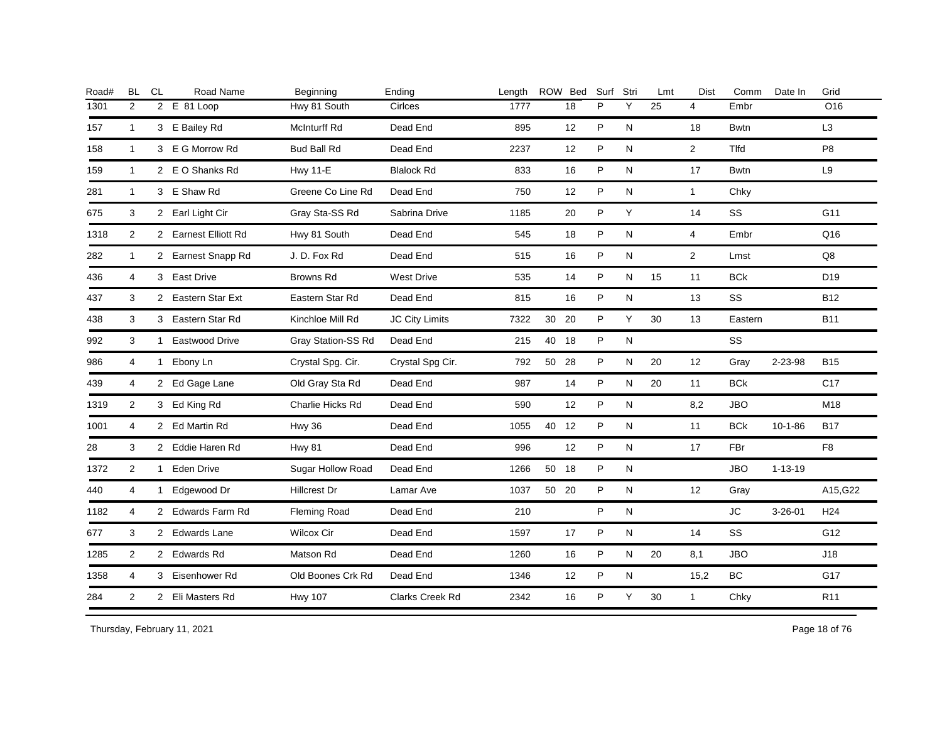| Road# | <b>BL</b>      | CL           | Road Name            | Beginning           | Ending            | Length |    | ROW Bed | Surf | Stri      | Lmt | <b>Dist</b>    | Comm        | Date In       | Grid            |
|-------|----------------|--------------|----------------------|---------------------|-------------------|--------|----|---------|------|-----------|-----|----------------|-------------|---------------|-----------------|
| 1301  | 2              |              | 2 E 81 Loop          | Hwy 81 South        | Cirlces           | 1777   |    | 18      | P    | Y         | 25  | $\overline{4}$ | Embr        |               | O16             |
| 157   | $\mathbf{1}$   |              | 3 E Bailey Rd        | <b>McInturff Rd</b> | Dead End          | 895    |    | 12      | P    | N         |     | 18             | <b>Bwtn</b> |               | L <sub>3</sub>  |
| 158   | $\mathbf{1}$   |              | 3 E G Morrow Rd      | <b>Bud Ball Rd</b>  | Dead End          | 2237   |    | 12      | P    | N         |     | $\overline{2}$ | <b>Tlfd</b> |               | P <sub>8</sub>  |
| 159   | $\mathbf{1}$   |              | 2 E O Shanks Rd      | <b>Hwy 11-E</b>     | <b>Blalock Rd</b> | 833    |    | 16      | P    | N         |     | 17             | <b>Bwtn</b> |               | L9              |
| 281   | $\mathbf{1}$   |              | 3 E Shaw Rd          | Greene Co Line Rd   | Dead End          | 750    |    | 12      | P    | ${\sf N}$ |     | $\mathbf{1}$   | Chky        |               |                 |
| 675   | 3              |              | 2 Earl Light Cir     | Gray Sta-SS Rd      | Sabrina Drive     | 1185   |    | 20      | P    | Y         |     | 14             | <b>SS</b>   |               | G11             |
| 1318  | 2              |              | 2 Earnest Elliott Rd | Hwy 81 South        | Dead End          | 545    |    | 18      | P    | N         |     | $\overline{4}$ | Embr        |               | Q16             |
| 282   | $\mathbf{1}$   |              | 2 Earnest Snapp Rd   | J.D. Fox Rd         | Dead End          | 515    |    | 16      | P    | N         |     | $\overline{2}$ | Lmst        |               | Q8              |
| 436   | $\overline{4}$ |              | 3 East Drive         | Browns Rd           | <b>West Drive</b> | 535    |    | 14      | P    | ${\sf N}$ | 15  | 11             | <b>BCk</b>  |               | D <sub>19</sub> |
| 437   | 3              |              | 2 Eastern Star Ext   | Eastern Star Rd     | Dead End          | 815    |    | 16      | P    | N         |     | 13             | SS          |               | <b>B12</b>      |
| 438   | 3              |              | 3 Eastern Star Rd    | Kinchloe Mill Rd    | JC City Limits    | 7322   | 30 | 20      | P    | Y         | 30  | 13             | Eastern     |               | <b>B11</b>      |
| 992   | 3              |              | 1 Eastwood Drive     | Gray Station-SS Rd  | Dead End          | 215    | 40 | 18      | P    | ${\sf N}$ |     |                | SS          |               |                 |
| 986   | 4              |              | 1 Ebony Ln           | Crystal Spg. Cir.   | Crystal Spg Cir.  | 792    |    | 50 28   | P    | N         | 20  | 12             | Gray        | 2-23-98       | <b>B15</b>      |
| 439   | 4              |              | 2 Ed Gage Lane       | Old Gray Sta Rd     | Dead End          | 987    |    | 14      | P    | N         | 20  | 11             | <b>BCk</b>  |               | C <sub>17</sub> |
| 1319  | $\overline{2}$ |              | 3 Ed King Rd         | Charlie Hicks Rd    | Dead End          | 590    |    | 12      | P    | N         |     | 8,2            | <b>JBO</b>  |               | M18             |
| 1001  | 4              |              | 2 Ed Martin Rd       | <b>Hwy 36</b>       | Dead End          | 1055   |    | 40 12   | P    | N         |     | 11             | <b>BCk</b>  | $10 - 1 - 86$ | <b>B17</b>      |
| 28    | 3              |              | 2 Eddie Haren Rd     | <b>Hwy 81</b>       | Dead End          | 996    |    | 12      | P    | N         |     | 17             | FBr         |               | F <sub>8</sub>  |
| 1372  | 2              |              | 1 Eden Drive         | Sugar Hollow Road   | Dead End          | 1266   |    | 50 18   | P    | N         |     |                | <b>JBO</b>  | $1 - 13 - 19$ |                 |
| 440   | 4              | $\mathbf{1}$ | Edgewood Dr          | <b>Hillcrest Dr</b> | Lamar Ave         | 1037   |    | 50 20   | P    | N         |     | 12             | Gray        |               | A15, G22        |
| 1182  | 4              |              | 2 Edwards Farm Rd    | <b>Fleming Road</b> | Dead End          | 210    |    |         | P    | N         |     |                | <b>JC</b>   | $3 - 26 - 01$ | H <sub>24</sub> |
| 677   | 3              |              | 2 Edwards Lane       | <b>Wilcox Cir</b>   | Dead End          | 1597   |    | 17      | P    | N         |     | 14             | <b>SS</b>   |               | G12             |
| 1285  | 2              |              | 2 Edwards Rd         | Matson Rd           | Dead End          | 1260   |    | 16      | P    | N         | 20  | 8,1            | <b>JBO</b>  |               | J18             |
| 1358  | 4              |              | 3 Eisenhower Rd      | Old Boones Crk Rd   | Dead End          | 1346   |    | 12      | P    | N         |     | 15,2           | <b>BC</b>   |               | G17             |
| 284   | $\overline{2}$ |              | 2 Eli Masters Rd     | <b>Hwy 107</b>      | Clarks Creek Rd   | 2342   |    | 16      | P    | Y         | 30  | $\mathbf{1}$   | Chky        |               | R <sub>11</sub> |
|       |                |              |                      |                     |                   |        |    |         |      |           |     |                |             |               |                 |

Thursday, February 11, 2021 2012 2014 2015 2016 2017 2021 20:30 Page 18 of 76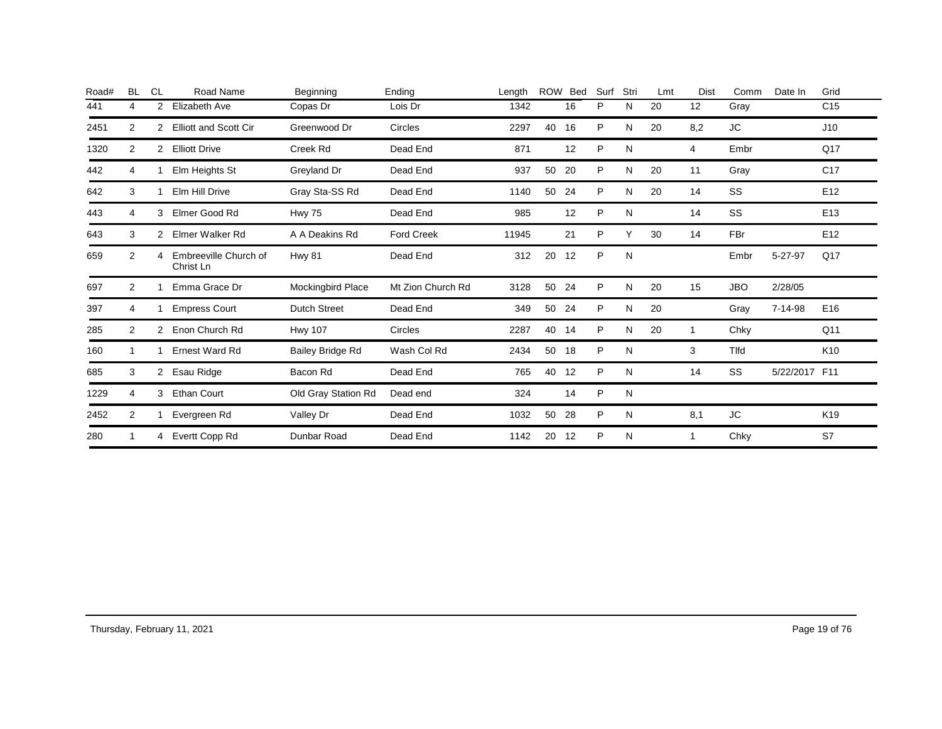| Road# | <b>BL</b>      | <b>CL</b>            | Road Name                          | Beginning           | Ending            | Length | <b>ROW</b> | Bed | Surf | Stri | Lmt | Dist | Comm        | Date In       | Grid            |
|-------|----------------|----------------------|------------------------------------|---------------------|-------------------|--------|------------|-----|------|------|-----|------|-------------|---------------|-----------------|
| 441   | 4              | 2                    | Elizabeth Ave                      | Copas Dr            | Lois Dr           | 1342   |            | 16  | P    | N    | 20  | 12   | Gray        |               | C <sub>15</sub> |
| 2451  | 2              | 2                    | <b>Elliott and Scott Cir</b>       | Greenwood Dr        | Circles           | 2297   | 40         | 16  | P    | N    | 20  | 8,2  | JC          |               | J10             |
| 1320  | 2              | 2                    | <b>Elliott Drive</b>               | Creek Rd            | Dead End          | 871    |            | 12  | P    | N    |     | 4    | Embr        |               | Q17             |
| 442   | 4              |                      | Elm Heights St                     | Greyland Dr         | Dead End          | 937    | 50         | 20  | P    | N    | 20  | 11   | Gray        |               | C <sub>17</sub> |
| 642   | 3              |                      | Elm Hill Drive                     | Gray Sta-SS Rd      | Dead End          | 1140   | 50         | 24  | P    | N    | 20  | 14   | SS          |               | E12             |
| 443   | 4              | 3                    | Elmer Good Rd                      | <b>Hwy 75</b>       | Dead End          | 985    |            | 12  | P    | N    |     | 14   | <b>SS</b>   |               | E <sub>13</sub> |
| 643   | 3              | $\mathbf{2}^{\circ}$ | Elmer Walker Rd                    | A A Deakins Rd      | <b>Ford Creek</b> | 11945  |            | 21  | P    | Υ    | 30  | 14   | FBr         |               | E <sub>12</sub> |
| 659   | $\overline{2}$ | 4                    | Embreeville Church of<br>Christ Ln | <b>Hwy 81</b>       | Dead End          | 312    | 20         | 12  | P    | N    |     |      | Embr        | 5-27-97       | Q17             |
| 697   | $\overline{2}$ |                      | Emma Grace Dr                      | Mockingbird Place   | Mt Zion Church Rd | 3128   | 50         | 24  | P    | N    | 20  | 15   | <b>JBO</b>  | 2/28/05       |                 |
| 397   | 4              |                      | <b>Empress Court</b>               | <b>Dutch Street</b> | Dead End          | 349    | 50         | -24 | P    | N    | 20  |      | Gray        | 7-14-98       | E <sub>16</sub> |
| 285   | 2              | 2                    | Enon Church Rd                     | <b>Hwy 107</b>      | Circles           | 2287   | 40         | 14  | P    | N    | 20  | -1   | Chky        |               | Q <sub>11</sub> |
| 160   |                |                      | <b>Ernest Ward Rd</b>              | Bailey Bridge Rd    | Wash Col Rd       | 2434   | 50         | 18  | P    | N    |     | 3    | <b>Tlfd</b> |               | K <sub>10</sub> |
| 685   | 3              | 2                    | Esau Ridge                         | Bacon Rd            | Dead End          | 765    | 40         | 12  | P    | N    |     | 14   | SS          | 5/22/2017 F11 |                 |
| 1229  | 4              | 3                    | <b>Ethan Court</b>                 | Old Gray Station Rd | Dead end          | 324    |            | 14  | P    | N    |     |      |             |               |                 |
| 2452  | 2              |                      | Evergreen Rd                       | Valley Dr           | Dead End          | 1032   | 50         | 28  | P    | N    |     | 8,1  | JC.         |               | K <sub>19</sub> |
| 280   | 1              | 4                    | Evertt Copp Rd                     | Dunbar Road         | Dead End          | 1142   | 20         | 12  | P    | N    |     |      | Chky        |               | S7              |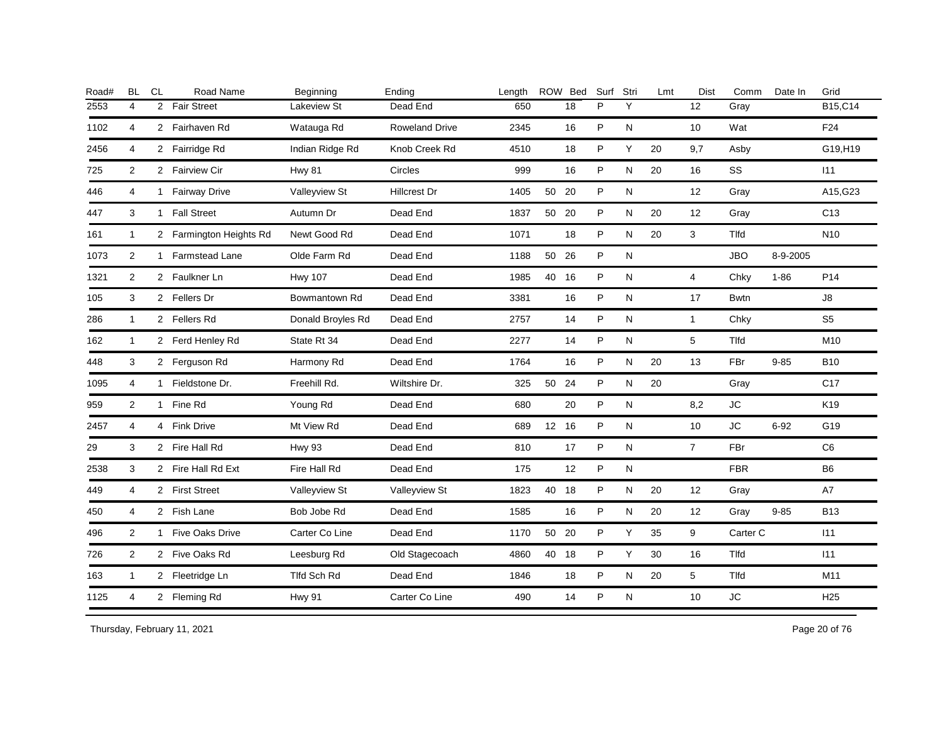| <b>BL</b>      | CL | Road Name | Beginning                                                                                                                                                                                                                                                                                                                                                                                                                                        | Ending                | Length |    |    | Surf                                                                                  | Stri | Lmt | Dist           | Comm        | Date In  | Grid            |
|----------------|----|-----------|--------------------------------------------------------------------------------------------------------------------------------------------------------------------------------------------------------------------------------------------------------------------------------------------------------------------------------------------------------------------------------------------------------------------------------------------------|-----------------------|--------|----|----|---------------------------------------------------------------------------------------|------|-----|----------------|-------------|----------|-----------------|
| 4              |    |           | Lakeview St                                                                                                                                                                                                                                                                                                                                                                                                                                      | Dead End              | 650    |    | 18 | P                                                                                     | Y    |     | 12             | Gray        |          | B15,C14         |
| 4              |    |           | Watauga Rd                                                                                                                                                                                                                                                                                                                                                                                                                                       | <b>Roweland Drive</b> | 2345   |    | 16 | P                                                                                     | N    |     | 10             | Wat         |          | F24             |
| $\overline{4}$ |    |           | Indian Ridge Rd                                                                                                                                                                                                                                                                                                                                                                                                                                  | Knob Creek Rd         | 4510   |    | 18 | P                                                                                     | Y    | 20  | 9,7            | Asby        |          | G19,H19         |
| 2              |    |           | <b>Hwy 81</b>                                                                                                                                                                                                                                                                                                                                                                                                                                    | Circles               | 999    |    | 16 | P                                                                                     | N    | 20  | 16             | SS          |          | 111             |
| 4              |    |           | Valleyview St                                                                                                                                                                                                                                                                                                                                                                                                                                    | <b>Hillcrest Dr</b>   | 1405   |    |    | P                                                                                     | N    |     | 12             | Gray        |          | A15, G23        |
| 3              |    |           | Autumn Dr                                                                                                                                                                                                                                                                                                                                                                                                                                        | Dead End              | 1837   |    |    | P                                                                                     | N    | 20  | 12             | Gray        |          | C <sub>13</sub> |
| $\mathbf{1}$   |    |           | Newt Good Rd                                                                                                                                                                                                                                                                                                                                                                                                                                     | Dead End              | 1071   |    | 18 | P                                                                                     | N    | 20  | 3              | Tlfd        |          | N <sub>10</sub> |
| 2              |    |           | Olde Farm Rd                                                                                                                                                                                                                                                                                                                                                                                                                                     | Dead End              | 1188   |    |    | P                                                                                     | N    |     |                | <b>JBO</b>  | 8-9-2005 |                 |
| 2              |    |           | <b>Hwy 107</b>                                                                                                                                                                                                                                                                                                                                                                                                                                   | Dead End              | 1985   |    |    | P                                                                                     | N    |     | $\overline{4}$ | Chky        | $1 - 86$ | P <sub>14</sub> |
| 3              |    |           | Bowmantown Rd                                                                                                                                                                                                                                                                                                                                                                                                                                    | Dead End              | 3381   |    | 16 | P                                                                                     | N    |     | 17             | <b>Bwtn</b> |          | $\mathsf{J}8$   |
| $\mathbf{1}$   |    |           | Donald Broyles Rd                                                                                                                                                                                                                                                                                                                                                                                                                                | Dead End              | 2757   |    | 14 | P                                                                                     | N    |     | $\mathbf{1}$   | Chky        |          | S <sub>5</sub>  |
| $\mathbf{1}$   |    |           | State Rt 34                                                                                                                                                                                                                                                                                                                                                                                                                                      | Dead End              | 2277   |    | 14 | $\mathsf{P}$                                                                          | N    |     | 5              | Tlfd        |          | M10             |
| 3              |    |           | Harmony Rd                                                                                                                                                                                                                                                                                                                                                                                                                                       | Dead End              | 1764   |    | 16 | P                                                                                     | N    | 20  | 13             | FBr         | $9 - 85$ | <b>B10</b>      |
| 4              |    |           | Freehill Rd.                                                                                                                                                                                                                                                                                                                                                                                                                                     | Wiltshire Dr.         | 325    | 50 |    | P                                                                                     | N    | 20  |                | Gray        |          | C <sub>17</sub> |
| 2              |    |           | Young Rd                                                                                                                                                                                                                                                                                                                                                                                                                                         | Dead End              | 680    |    | 20 | P                                                                                     | N    |     | 8,2            | <b>JC</b>   |          | K <sub>19</sub> |
| 4              |    |           | Mt View Rd                                                                                                                                                                                                                                                                                                                                                                                                                                       | Dead End              | 689    |    |    | P                                                                                     | N    |     | 10             | JC.         | $6 - 92$ | G19             |
| 3              |    |           | <b>Hwy 93</b>                                                                                                                                                                                                                                                                                                                                                                                                                                    | Dead End              | 810    |    | 17 | P                                                                                     | N    |     | $\overline{7}$ | <b>FBr</b>  |          | C <sub>6</sub>  |
| 3              |    |           | Fire Hall Rd                                                                                                                                                                                                                                                                                                                                                                                                                                     | Dead End              | 175    |    | 12 | P                                                                                     | N    |     |                | <b>FBR</b>  |          | B <sub>6</sub>  |
| 4              |    |           | Valleyview St                                                                                                                                                                                                                                                                                                                                                                                                                                    | Valleyview St         | 1823   |    |    | P                                                                                     | N    | 20  | 12             | Gray        |          | A7              |
| 4              |    |           | Bob Jobe Rd                                                                                                                                                                                                                                                                                                                                                                                                                                      | Dead End              | 1585   |    | 16 | P                                                                                     | N    | 20  | 12             | Gray        | $9 - 85$ | <b>B13</b>      |
| 2              |    |           | Carter Co Line                                                                                                                                                                                                                                                                                                                                                                                                                                   | Dead End              | 1170   |    |    | P                                                                                     | Y    | 35  | 9              |             |          | 111             |
| 2              |    |           | Leesburg Rd                                                                                                                                                                                                                                                                                                                                                                                                                                      | Old Stagecoach        | 4860   |    |    | P                                                                                     | Y    | 30  | 16             | Tlfd        |          | 111             |
| $\mathbf{1}$   |    |           | Tlfd Sch Rd                                                                                                                                                                                                                                                                                                                                                                                                                                      | Dead End              | 1846   |    | 18 | P                                                                                     | N    | 20  | 5              | Tlfd        |          | M11             |
| $\overline{4}$ |    |           | <b>Hwy 91</b>                                                                                                                                                                                                                                                                                                                                                                                                                                    | Carter Co Line        | 490    |    | 14 | P                                                                                     | N    |     | 10             | <b>JC</b>   |          | H <sub>25</sub> |
|                |    |           | 2 Fair Street<br>2 Fairhaven Rd<br>2 Fairridge Rd<br>2 Fairview Cir<br>1 Fairway Drive<br>1 Fall Street<br>2 Farmington Heights Rd<br>1 Farmstead Lane<br>2 Faulkner Ln<br>2 Fellers Dr<br>2 Fellers Rd<br>2 Ferd Henley Rd<br>2 Ferguson Rd<br>1 Fieldstone Dr.<br>1 Fine Rd<br>4 Fink Drive<br>2 Fire Hall Rd<br>2 Fire Hall Rd Ext<br>2 First Street<br>2 Fish Lane<br>1 Five Oaks Drive<br>2 Five Oaks Rd<br>2 Fleetridge Ln<br>2 Fleming Rd |                       |        |    |    | ROW Bed<br>50 20<br>50 20<br>50 26<br>40 16<br>24<br>12 16<br>40 18<br>50 20<br>40 18 |      |     |                |             | Carter C |                 |

Thursday, February 11, 2021 2012 12:33 and 20 of 76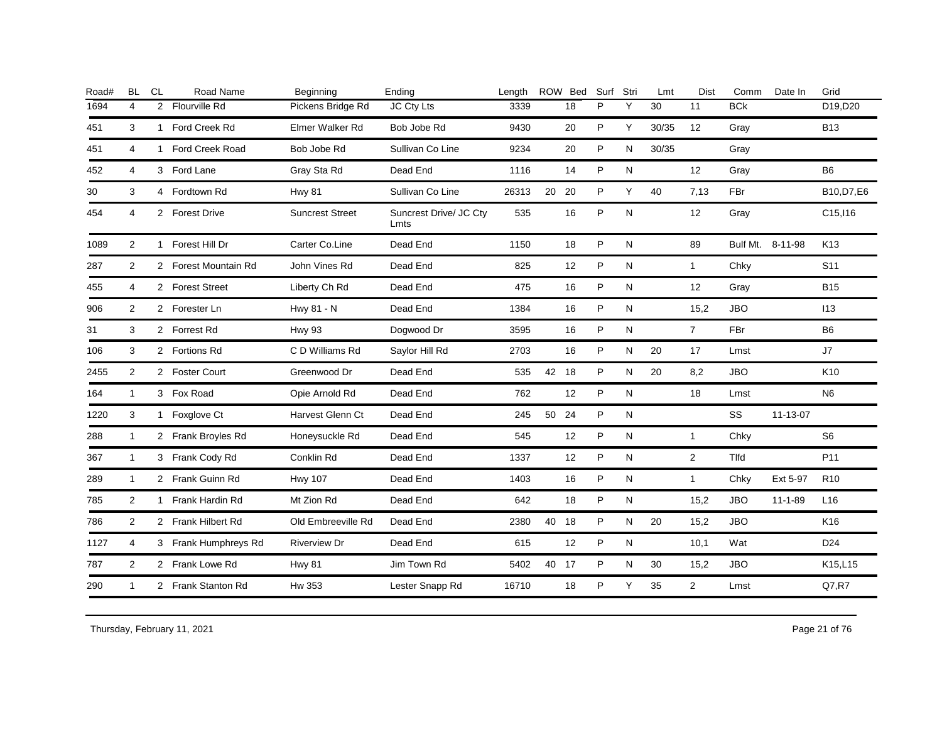| <b>BL</b>      | <b>CL</b>      | Road Name              | Beginning                                                                                                                                                                                                                                                                                                                                                                                       | Ending                         | Length |    | Surf                                           | Stri      | Lmt   | Dist              | Comm       | Date In       | Grid             |
|----------------|----------------|------------------------|-------------------------------------------------------------------------------------------------------------------------------------------------------------------------------------------------------------------------------------------------------------------------------------------------------------------------------------------------------------------------------------------------|--------------------------------|--------|----|------------------------------------------------|-----------|-------|-------------------|------------|---------------|------------------|
| 4              | $\overline{2}$ | <b>Flourville Rd</b>   | Pickens Bridge Rd                                                                                                                                                                                                                                                                                                                                                                               | JC Cty Lts                     | 3339   | 18 | P                                              | Υ         | 30    | 11                | <b>BCk</b> |               | D19.D20          |
| 3              |                | Ford Creek Rd          | Elmer Walker Rd                                                                                                                                                                                                                                                                                                                                                                                 | Bob Jobe Rd                    | 9430   | 20 | P                                              | Y         | 30/35 | 12                | Gray       |               | <b>B13</b>       |
| 4              |                | <b>Ford Creek Road</b> | Bob Jobe Rd                                                                                                                                                                                                                                                                                                                                                                                     | Sullivan Co Line               | 9234   | 20 | P                                              | N         | 30/35 |                   | Gray       |               |                  |
| 4              |                |                        | Gray Sta Rd                                                                                                                                                                                                                                                                                                                                                                                     | Dead End                       | 1116   | 14 | P                                              | N         |       | $12 \overline{ }$ | Gray       |               | B <sub>6</sub>   |
| 3              |                |                        | <b>Hwy 81</b>                                                                                                                                                                                                                                                                                                                                                                                   | Sullivan Co Line               | 26313  | 20 | P                                              | Y         | 40    | 7,13              | <b>FBr</b> |               | B10, D7, E6      |
| 4              |                |                        | <b>Suncrest Street</b>                                                                                                                                                                                                                                                                                                                                                                          | Suncrest Drive/ JC Ctv<br>Lmts | 535    | 16 | P                                              | ${\sf N}$ |       | 12                | Gray       |               | C15, 116         |
| $\overline{2}$ |                | Forest Hill Dr         | Carter Co.Line                                                                                                                                                                                                                                                                                                                                                                                  | Dead End                       | 1150   | 18 | P                                              | N         |       | 89                |            |               | K <sub>13</sub>  |
| 2              |                |                        | John Vines Rd                                                                                                                                                                                                                                                                                                                                                                                   | Dead End                       | 825    | 12 | P                                              | N         |       | $\mathbf{1}$      | Chky       |               | S <sub>11</sub>  |
| 4              |                |                        | Liberty Ch Rd                                                                                                                                                                                                                                                                                                                                                                                   | Dead End                       | 475    | 16 | P                                              | N         |       | 12                | Gray       |               | <b>B15</b>       |
| 2              |                |                        | Hwy 81 - N                                                                                                                                                                                                                                                                                                                                                                                      | Dead End                       | 1384   | 16 | P                                              | N         |       | 15,2              | <b>JBO</b> |               | 113              |
| 3              |                |                        | <b>Hwy 93</b>                                                                                                                                                                                                                                                                                                                                                                                   | Dogwood Dr                     | 3595   | 16 | P                                              | N         |       | $\overline{7}$    | FBr        |               | B <sub>6</sub>   |
| 3              |                |                        | C D Williams Rd                                                                                                                                                                                                                                                                                                                                                                                 | Saylor Hill Rd                 | 2703   | 16 | P                                              | N         | 20    | 17                | Lmst       |               | J7               |
| $\overline{2}$ |                |                        | Greenwood Dr                                                                                                                                                                                                                                                                                                                                                                                    | Dead End                       | 535    |    | P                                              | N         | 20    | 8,2               | <b>JBO</b> |               | K10              |
| $\mathbf{1}$   |                |                        | Opie Arnold Rd                                                                                                                                                                                                                                                                                                                                                                                  | Dead End                       | 762    | 12 | P                                              | N         |       | 18                | Lmst       |               | N <sub>6</sub>   |
| 3              |                |                        | Harvest Glenn Ct                                                                                                                                                                                                                                                                                                                                                                                | Dead End                       | 245    | 24 | P                                              | ${\sf N}$ |       |                   | SS         | 11-13-07      |                  |
| 1              |                |                        | Honeysuckle Rd                                                                                                                                                                                                                                                                                                                                                                                  | Dead End                       | 545    | 12 | P                                              | N         |       | $\mathbf{1}$      | Chky       |               | S <sub>6</sub>   |
| $\mathbf{1}$   |                |                        | Conklin Rd                                                                                                                                                                                                                                                                                                                                                                                      | Dead End                       | 1337   | 12 | P                                              | N         |       | $\overline{2}$    | Tlfd       |               | P <sub>11</sub>  |
| 1              |                |                        | <b>Hwy 107</b>                                                                                                                                                                                                                                                                                                                                                                                  | Dead End                       | 1403   | 16 | P                                              | N         |       | $\mathbf{1}$      | Chky       | Ext 5-97      | R <sub>10</sub>  |
| $\overline{2}$ |                |                        | Mt Zion Rd                                                                                                                                                                                                                                                                                                                                                                                      | Dead End                       | 642    | 18 | P                                              | ${\sf N}$ |       | 15,2              | <b>JBO</b> | $11 - 1 - 89$ | L16              |
| $\overline{2}$ |                |                        | Old Embreeville Rd                                                                                                                                                                                                                                                                                                                                                                              | Dead End                       | 2380   |    | P                                              | N         | 20    | 15,2              | <b>JBO</b> |               | K <sub>16</sub>  |
| 4              |                |                        | <b>Riverview Dr</b>                                                                                                                                                                                                                                                                                                                                                                             | Dead End                       | 615    | 12 | P                                              | N         |       | 10,1              | Wat        |               | D <sub>24</sub>  |
| $\overline{2}$ |                |                        | <b>Hwy 81</b>                                                                                                                                                                                                                                                                                                                                                                                   | Jim Town Rd                    | 5402   |    | P                                              | N         | 30    | 15,2              | <b>JBO</b> |               | K15,L15          |
| $\mathbf{1}$   |                |                        | Hw 353                                                                                                                                                                                                                                                                                                                                                                                          | Lester Snapp Rd                | 16710  | 18 | P                                              | Y         | 35    | $\overline{2}$    | Lmst       |               | Q7, R7           |
|                |                |                        | 1<br>1<br>3 Ford Lane<br>4 Fordtown Rd<br>2 Forest Drive<br>$\mathbf{1}$<br>2 Forest Mountain Rd<br>2 Forest Street<br>2 Forester Ln<br>2 Forrest Rd<br>2 Fortions Rd<br>2 Foster Court<br>3 Fox Road<br>1 Foxglove Ct<br>2 Frank Broyles Rd<br>3 Frank Cody Rd<br>2 Frank Guinn Rd<br>1 Frank Hardin Rd<br>2 Frank Hilbert Rd<br>3 Frank Humphreys Rd<br>2 Frank Lowe Rd<br>2 Frank Stanton Rd |                                |        |    | ROW Bed<br>20<br>42 18<br>50<br>40 18<br>40 17 |           |       |                   |            |               | Bulf Mt. 8-11-98 |

Thursday, February 11, 2021 2012 12:33 and the US and the US and the US and the Page 21 of 76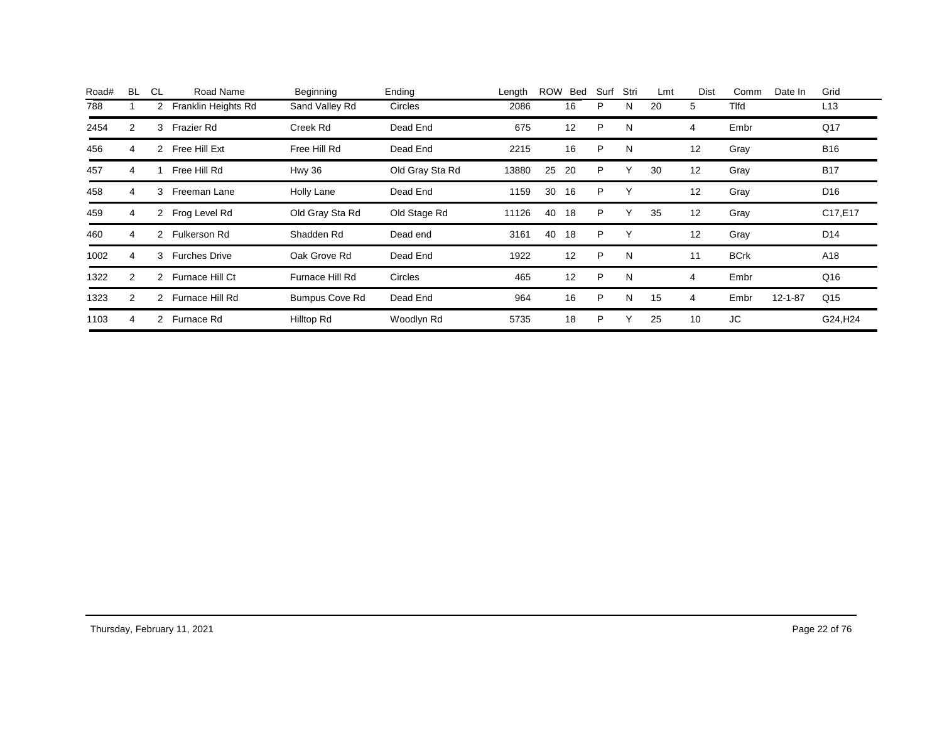| Road# | <b>BL</b> | <b>CL</b>      | Road Name            | Beginning             | Ending          | Length | <b>ROW</b> | Bed | Surf | Stri         | Lmt | Dist | Comm        | Date In       | Grid                 |
|-------|-----------|----------------|----------------------|-----------------------|-----------------|--------|------------|-----|------|--------------|-----|------|-------------|---------------|----------------------|
| 788   |           | $\overline{2}$ | Franklin Heights Rd  | Sand Valley Rd        | <b>Circles</b>  | 2086   |            | 16  | P    | N            | 20  | 5    | Tlfd        |               | L13                  |
| 2454  | 2         | 3              | <b>Frazier Rd</b>    | Creek Rd              | Dead End        | 675    |            | 12  | P    | N            |     | 4    | Embr        |               | Q17                  |
| 456   | 4         | $\overline{2}$ | Free Hill Ext        | Free Hill Rd          | Dead End        | 2215   |            | 16  | P    | N            |     | 12   | Gray        |               | <b>B16</b>           |
| 457   | 4         |                | Free Hill Rd         | Hwy 36                | Old Gray Sta Rd | 13880  | 25         | 20  | P    |              | 30  | 12   | Gray        |               | <b>B17</b>           |
| 458   | 4         | 3              | Freeman Lane         | Holly Lane            | Dead End        | 1159   | 30         | 16  | P    | Υ            |     | 12   | Gray        |               | D <sub>16</sub>      |
| 459   | 4         | $\overline{2}$ | Frog Level Rd        | Old Gray Sta Rd       | Old Stage Rd    | 11126  | 40         | 18  | P    | $\checkmark$ | 35  | 12   | Gray        |               | C17,E17              |
| 460   | 4         | 2              | Fulkerson Rd         | Shadden Rd            | Dead end        | 3161   | 40         | 18  | P    |              |     | 12   | Gray        |               | D <sub>14</sub>      |
| 1002  | 4         | 3              | <b>Furches Drive</b> | Oak Grove Rd          | Dead End        | 1922   |            | 12  | P    | N            |     | 11   | <b>BCrk</b> |               | A18                  |
| 1322  | 2         | 2              | Furnace Hill Ct      | Furnace Hill Rd       | <b>Circles</b>  | 465    |            | 12  | P    | N            |     | 4    | Embr        |               | Q16                  |
| 1323  | 2         | $\overline{2}$ | Furnace Hill Rd      | <b>Bumpus Cove Rd</b> | Dead End        | 964    |            | 16  | P    | N            | 15  | 4    | Embr        | $12 - 1 - 87$ | Q15                  |
| 1103  | 4         | 2              | Furnace Rd           | Hilltop Rd            | Woodlyn Rd      | 5735   |            | 18  | P    |              | 25  | 10   | JC          |               | G24, H <sub>24</sub> |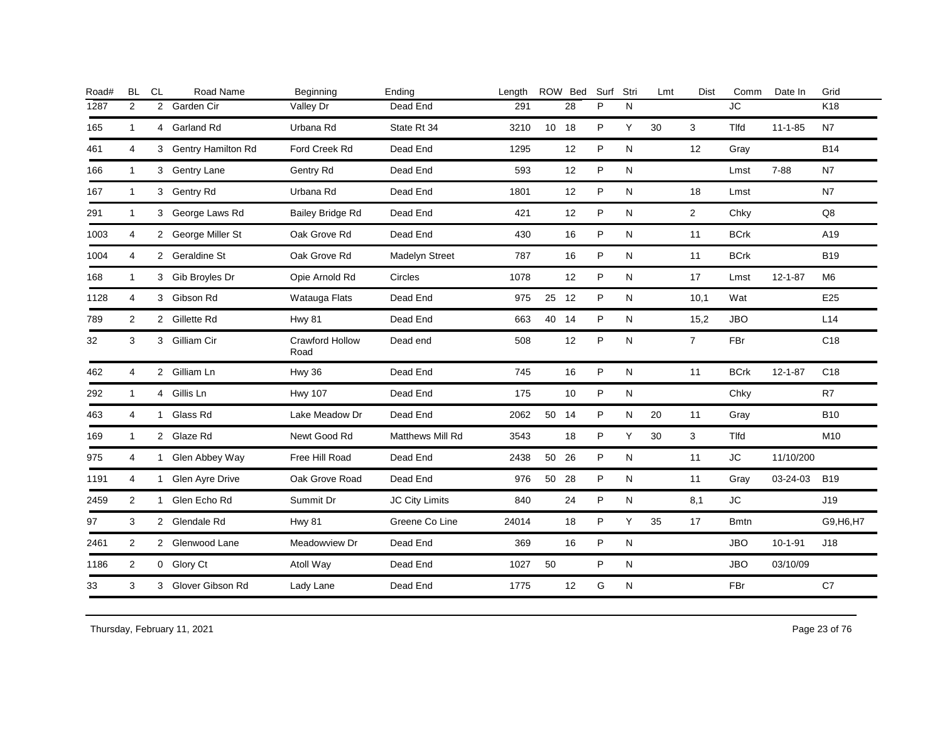| Road# | <b>BL</b>      | <b>CL</b>      | Road Name            | Beginning                      | Ending           | Length |       | ROW Bed | Surf | Stri | Lmt | <b>Dist</b>    | Comm                              | Date In       | Grid            |
|-------|----------------|----------------|----------------------|--------------------------------|------------------|--------|-------|---------|------|------|-----|----------------|-----------------------------------|---------------|-----------------|
| 1287  | 2              | $\overline{2}$ | Garden Cir           | Valley Dr                      | Dead End         | 291    |       | 28      | P    | N    |     |                | $\overline{\mathsf{J}\mathsf{C}}$ |               | K18             |
| 165   | $\mathbf{1}$   |                | 4 Garland Rd         | Urbana Rd                      | State Rt 34      | 3210   | 10 18 |         | P    | Y    | 30  | 3              | <b>T</b> Ifd                      | $11 - 1 - 85$ | N7              |
| 461   | $\overline{4}$ |                | 3 Gentry Hamilton Rd | Ford Creek Rd                  | Dead End         | 1295   |       | 12      | P    | N    |     | 12             | Gray                              |               | <b>B14</b>      |
| 166   | $\mathbf{1}$   |                | 3 Gentry Lane        | Gentry Rd                      | Dead End         | 593    |       | 12      | P    | N    |     |                | Lmst                              | $7 - 88$      | N7              |
| 167   | $\mathbf{1}$   |                | 3 Gentry Rd          | Urbana Rd                      | Dead End         | 1801   |       | 12      | P    | N    |     | 18             | Lmst                              |               | <b>N7</b>       |
| 291   | $\mathbf{1}$   |                | 3 George Laws Rd     | <b>Bailey Bridge Rd</b>        | Dead End         | 421    |       | 12      | P    | N    |     | $\overline{2}$ | Chky                              |               | Q8              |
| 1003  | 4              |                | 2 George Miller St   | Oak Grove Rd                   | Dead End         | 430    |       | 16      | P    | N    |     | 11             | <b>BCrk</b>                       |               | A19             |
| 1004  | $\overline{4}$ |                | 2 Geraldine St       | Oak Grove Rd                   | Madelyn Street   | 787    |       | 16      | P    | N    |     | 11             | <b>BCrk</b>                       |               | <b>B19</b>      |
| 168   | $\mathbf{1}$   |                | 3 Gib Broyles Dr     | Opie Arnold Rd                 | Circles          | 1078   |       | 12      | P    | N    |     | 17             | Lmst                              | $12 - 1 - 87$ | M <sub>6</sub>  |
| 1128  | $\overline{4}$ |                | 3 Gibson Rd          | Watauga Flats                  | Dead End         | 975    | 25 12 |         | P    | N    |     | 10,1           | Wat                               |               | E25             |
| 789   | 2              |                | 2 Gillette Rd        | <b>Hwy 81</b>                  | Dead End         | 663    | 40 14 |         | P    | N    |     | 15,2           | <b>JBO</b>                        |               | L14             |
| 32    | 3              |                | 3 Gilliam Cir        | <b>Crawford Hollow</b><br>Road | Dead end         | 508    |       | 12      | P    | N    |     | $\overline{7}$ | FBr                               |               | C18             |
| 462   | $\overline{4}$ |                | 2 Gilliam Ln         | Hwy 36                         | Dead End         | 745    |       | 16      | P    | N    |     | 11             | <b>BCrk</b>                       | $12 - 1 - 87$ | C <sub>18</sub> |
| 292   | $\mathbf{1}$   |                | 4 Gillis Ln          | <b>Hwy 107</b>                 | Dead End         | 175    |       | 10      | P    | N    |     |                | Chky                              |               | R7              |
| 463   | $\overline{4}$ |                | 1 Glass Rd           | Lake Meadow Dr                 | Dead End         | 2062   | 50 14 |         | P    | N    | 20  | 11             | Gray                              |               | <b>B10</b>      |
| 169   | $\mathbf{1}$   |                | 2 Glaze Rd           | Newt Good Rd                   | Matthews Mill Rd | 3543   |       | 18      | P    | Y    | 30  | 3              | Tlfd                              |               | M10             |
| 975   | 4              |                | 1 Glen Abbey Way     | Free Hill Road                 | Dead End         | 2438   | 50    | 26      | P    | N    |     | 11             | JC                                | 11/10/200     |                 |
| 1191  | 4              |                | 1 Glen Ayre Drive    | Oak Grove Road                 | Dead End         | 976    |       | 50 28   | P    | N    |     | 11             | Gray                              | 03-24-03      | <b>B19</b>      |
| 2459  | 2              | 1              | Glen Echo Rd         | Summit Dr                      | JC City Limits   | 840    |       | 24      | P    | N    |     | 8,1            | $\mathsf{J}\mathsf{C}$            |               | J19             |
| 97    | 3              |                | 2 Glendale Rd        | <b>Hwy 81</b>                  | Greene Co Line   | 24014  |       | 18      | P    | Y    | 35  | 17             | <b>B</b> mtn                      |               | G9, H6, H7      |
| 2461  | 2              |                | 2 Glenwood Lane      | Meadowview Dr                  | Dead End         | 369    |       | 16      | P    | N    |     |                | <b>JBO</b>                        | $10 - 1 - 91$ | J18             |
| 1186  | 2              |                | 0 Glory Ct           | Atoll Way                      | Dead End         | 1027   | 50    |         | P    | N    |     |                | <b>JBO</b>                        | 03/10/09      |                 |
| 33    | 3              |                | 3 Glover Gibson Rd   | Lady Lane                      | Dead End         | 1775   |       | 12      | G    | N    |     |                | <b>FBr</b>                        |               | C7              |
|       |                |                |                      |                                |                  |        |       |         |      |      |     |                |                                   |               |                 |

Thursday, February 11, 2021 23 of 76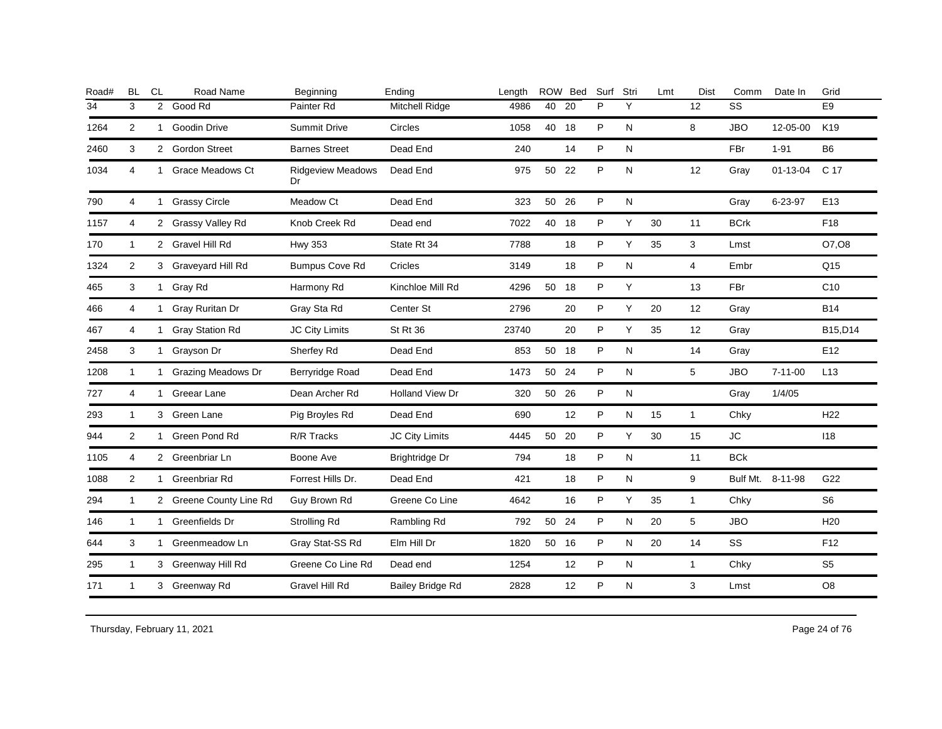| Road# | <b>BL</b>      | <b>CL</b>      | Road Name               | Beginning                      | Ending                  | Length |       | ROW Bed | Surf | Stri      | Lmt | Dist           | Comm        | Date In          | Grid            |
|-------|----------------|----------------|-------------------------|--------------------------------|-------------------------|--------|-------|---------|------|-----------|-----|----------------|-------------|------------------|-----------------|
| 34    | 3              | $\overline{2}$ | Good Rd                 | Painter Rd                     | <b>Mitchell Ridge</b>   | 4986   | 40    | 20      | P    | Y         |     | 12             | SS          |                  | E <sub>9</sub>  |
| 1264  | 2              | $\mathbf{1}$   | <b>Goodin Drive</b>     | Summit Drive                   | Circles                 | 1058   | 40    | 18      | P    | ${\sf N}$ |     | 8              | <b>JBO</b>  | 12-05-00         | K19             |
| 2460  | 3              |                | 2 Gordon Street         | <b>Barnes Street</b>           | Dead End                | 240    |       | 14      | P    | N         |     |                | FBr         | $1 - 91$         | B <sub>6</sub>  |
| 1034  | 4              | 1              | <b>Grace Meadows Ct</b> | <b>Ridgeview Meadows</b><br>Dr | Dead End                | 975    | 50    | 22      | P    | N         |     | 12             | Gray        | $01 - 13 - 04$   | C 17            |
| 790   | 4              |                | 1 Grassy Circle         | Meadow Ct                      | Dead End                | 323    | 50    | 26      | P    | ${\sf N}$ |     |                | Gray        | 6-23-97          | E13             |
| 1157  | 4              |                | 2 Grassy Valley Rd      | Knob Creek Rd                  | Dead end                | 7022   | 40    | 18      | P    | Y         | 30  | 11             | <b>BCrk</b> |                  | F18             |
| 170   | $\overline{1}$ |                | 2 Gravel Hill Rd        | <b>Hwy 353</b>                 | State Rt 34             | 7788   |       | 18      | P    | Y         | 35  | 3              | Lmst        |                  | O7,08           |
| 1324  | 2              |                | 3 Graveyard Hill Rd     | <b>Bumpus Cove Rd</b>          | Cricles                 | 3149   |       | 18      | P    | ${\sf N}$ |     | $\overline{4}$ | Embr        |                  | Q <sub>15</sub> |
| 465   | 3              |                | 1 Gray Rd               | Harmony Rd                     | Kinchloe Mill Rd        | 4296   | 50 18 |         | P    | Y         |     | 13             | FBr         |                  | C10             |
| 466   | 4              | $\mathbf{1}$   | Gray Ruritan Dr         | Gray Sta Rd                    | Center St               | 2796   |       | 20      | P    | Y         | 20  | 12             | Gray        |                  | <b>B14</b>      |
| 467   | 4              | $\mathbf{1}$   | <b>Gray Station Rd</b>  | <b>JC City Limits</b>          | St Rt 36                | 23740  |       | 20      | P    | Y         | 35  | 12             | Gray        |                  | B15,D14         |
| 2458  | 3              | 1              | Grayson Dr              | Sherfey Rd                     | Dead End                | 853    | 50    | 18      | P    | ${\sf N}$ |     | 14             | Gray        |                  | E12             |
| 1208  | $\mathbf{1}$   |                | 1 Grazing Meadows Dr    | Berryridge Road                | Dead End                | 1473   | 50    | 24      | P    | N         |     | 5              | <b>JBO</b>  | $7 - 11 - 00$    | L13             |
| 727   | 4              | $\mathbf{1}$   | Greear Lane             | Dean Archer Rd                 | <b>Holland View Dr</b>  | 320    | 50    | 26      | P    | N         |     |                | Gray        | 1/4/05           |                 |
| 293   | $\mathbf{1}$   |                | 3 Green Lane            | Pig Broyles Rd                 | Dead End                | 690    |       | 12      | P    | N         | 15  | $\mathbf{1}$   | Chky        |                  | H <sub>22</sub> |
| 944   | 2              | $\mathbf{1}$   | Green Pond Rd           | R/R Tracks                     | JC City Limits          | 4445   | 50 20 |         | P    | Υ         | 30  | 15             | <b>JC</b>   |                  | 118             |
| 1105  | 4              |                | 2 Greenbriar Ln         | Boone Ave                      | Brightridge Dr          | 794    |       | 18      | P    | N         |     | 11             | <b>BCk</b>  |                  |                 |
| 1088  | 2              | 1              | Greenbriar Rd           | Forrest Hills Dr.              | Dead End                | 421    |       | 18      | P    | N         |     | 9              |             | Bulf Mt. 8-11-98 | G22             |
| 294   | 1              |                | 2 Greene County Line Rd | Guy Brown Rd                   | Greene Co Line          | 4642   |       | 16      | P    | Y         | 35  | $\mathbf{1}$   | Chky        |                  | S <sub>6</sub>  |
| 146   | $\mathbf{1}$   |                | 1 Greenfields Dr        | Strolling Rd                   | Rambling Rd             | 792    | 50    | 24      | P    | N         | 20  | 5              | <b>JBO</b>  |                  | H <sub>20</sub> |
| 644   | 3              |                | 1 Greenmeadow Ln        | Gray Stat-SS Rd                | Elm Hill Dr             | 1820   | 50 16 |         | P    | N         | 20  | 14             | <b>SS</b>   |                  | F <sub>12</sub> |
| 295   | $\mathbf{1}$   |                | 3 Greenway Hill Rd      | Greene Co Line Rd              | Dead end                | 1254   |       | 12      | P    | N         |     | $\mathbf{1}$   | Chky        |                  | S <sub>5</sub>  |
| 171   | $\mathbf{1}$   |                | 3 Greenway Rd           | Gravel Hill Rd                 | <b>Bailey Bridge Rd</b> | 2828   |       | 12      | P    | N         |     | 3              | Lmst        |                  | O <sub>8</sub>  |
|       |                |                |                         |                                |                         |        |       |         |      |           |     |                |             |                  |                 |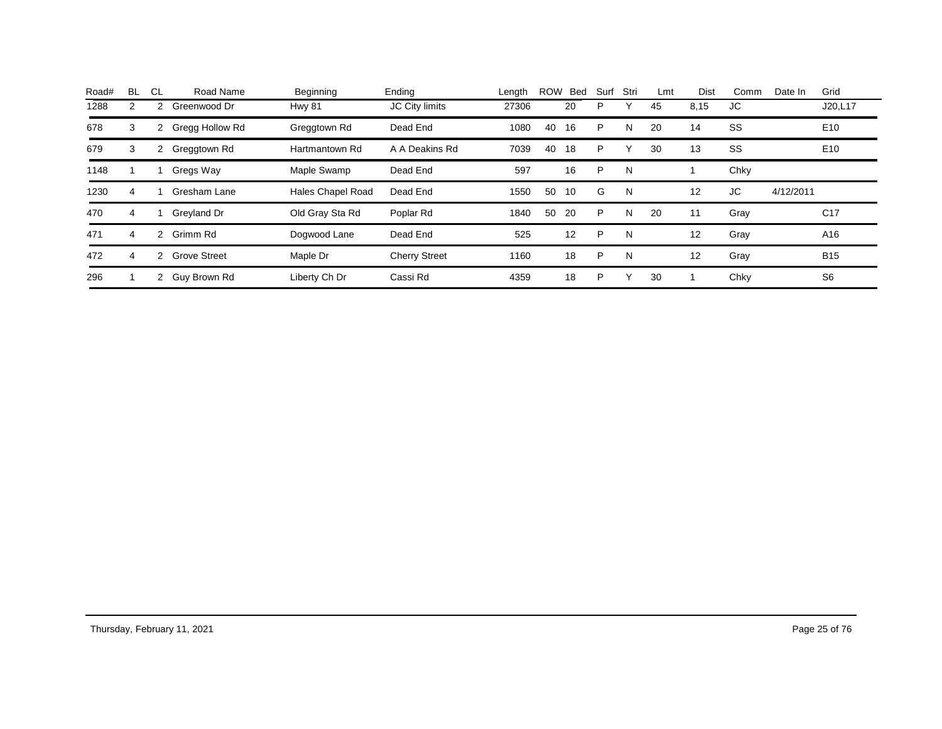| <b>BL</b> | CL. | Road Name           | Beginning                | Ending               | Length |    | Bed | Surf       | Stri | Lmt | Dist | Comm | Date In   | Grid            |
|-----------|-----|---------------------|--------------------------|----------------------|--------|----|-----|------------|------|-----|------|------|-----------|-----------------|
| 2         | 2   | Greenwood Dr        | Hwy 81                   | JC City limits       | 27306  |    | 20  | P          | ◡    | 45  | 8,15 | JC   |           | J20,L17         |
| 3         | 2   | Gregg Hollow Rd     | Greggtown Rd             | Dead End             | 1080   | 40 | 16  | P          | N    | 20  | 14   | SS   |           | E <sub>10</sub> |
| 3         | 2   | Greggtown Rd        | Hartmantown Rd           | A A Deakins Rd       | 7039   | 40 | 18  | P          |      | 30  | 13   | SS   |           | E <sub>10</sub> |
|           |     | Gregs Way           | Maple Swamp              | Dead End             | 597    |    | 16  | P          | N    |     |      | Chky |           |                 |
| 4         |     | Gresham Lane        | <b>Hales Chapel Road</b> | Dead End             | 1550   | 50 | 10  | G          | N    |     | 12   | JC   | 4/12/2011 |                 |
| 4         |     | Greyland Dr         | Old Gray Sta Rd          | Poplar Rd            | 1840   | 50 | 20  | P          | N    | 20  | 11   | Gray |           | C <sub>17</sub> |
| 4         | 2   | Grimm Rd            | Dogwood Lane             | Dead End             | 525    |    | 12  | P          | N    |     | 12   | Gray |           | A16             |
| 4         |     | <b>Grove Street</b> | Maple Dr                 | <b>Cherry Street</b> | 1160   |    | 18  | P          | N    |     | 12   | Gray |           | <b>B15</b>      |
|           |     | Guy Brown Rd        | Liberty Ch Dr            | Cassi Rd             | 4359   |    | 18  | P          |      | 30  |      | Chky |           | S <sub>6</sub>  |
|           |     |                     | $\mathbf{2}$             |                      |        |    |     | <b>ROW</b> |      |     |      |      |           |                 |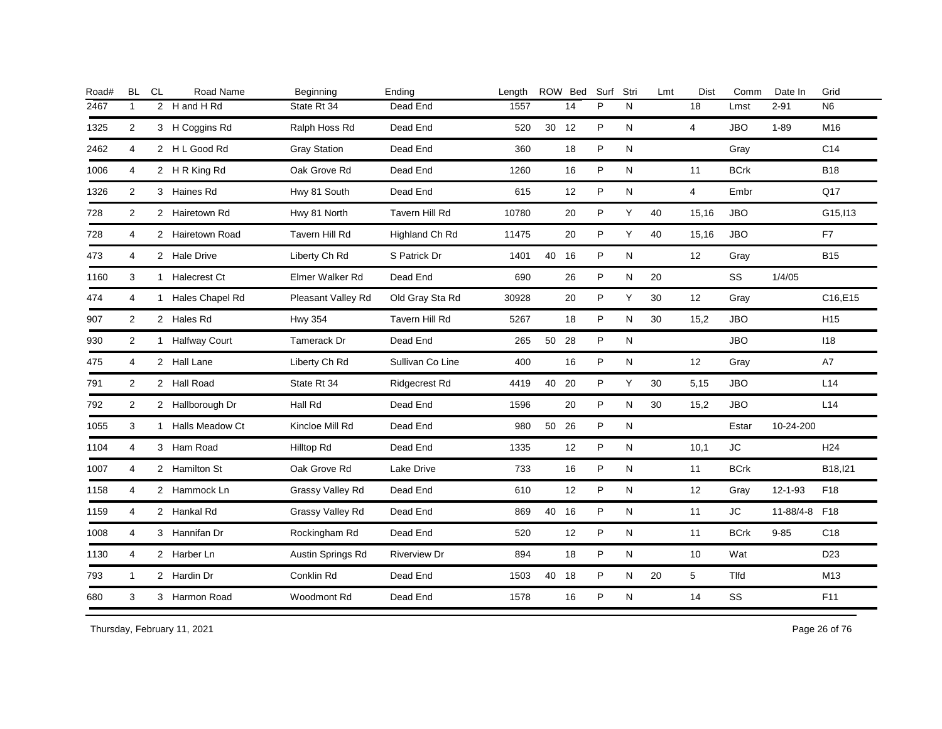| Road# | <b>BL</b>      | <b>CL</b> | Road Name         | Beginning               | Ending               | Length |       | ROW Bed | Surf | Stri      | Lmt | Dist           | Comm        | Date In       | Grid            |
|-------|----------------|-----------|-------------------|-------------------------|----------------------|--------|-------|---------|------|-----------|-----|----------------|-------------|---------------|-----------------|
| 2467  | $\mathbf{1}$   |           | 2 H and H Rd      | State Rt 34             | Dead End             | 1557   |       | 14      | P    | N         |     | 18             | Lmst        | $2 - 91$      | N <sub>6</sub>  |
| 1325  | 2              |           | 3 H Coggins Rd    | Ralph Hoss Rd           | Dead End             | 520    | 30 12 |         | P    | N         |     | $\overline{4}$ | <b>JBO</b>  | $1 - 89$      | M16             |
| 2462  | 4              |           | 2 HL Good Rd      | <b>Gray Station</b>     | Dead End             | 360    |       | 18      | P    | N         |     |                | Gray        |               | C <sub>14</sub> |
| 1006  | 4              |           | 2 H R King Rd     | Oak Grove Rd            | Dead End             | 1260   |       | 16      | P    | N         |     | 11             | <b>BCrk</b> |               | <b>B18</b>      |
| 1326  | 2              |           | 3 Haines Rd       | Hwy 81 South            | Dead End             | 615    |       | 12      | P    | N         |     | $\overline{4}$ | Embr        |               | Q17             |
| 728   | 2              |           | 2 Hairetown Rd    | Hwy 81 North            | Tavern Hill Rd       | 10780  |       | 20      | P    | Υ         | 40  | 15,16          | <b>JBO</b>  |               | G15, I13        |
| 728   | 4              |           | 2 Hairetown Road  | <b>Tavern Hill Rd</b>   | Highland Ch Rd       | 11475  |       | 20      | P    | Υ         | 40  | 15,16          | <b>JBO</b>  |               | F7              |
| 473   | $\overline{4}$ |           | 2 Hale Drive      | Liberty Ch Rd           | S Patrick Dr         | 1401   | 40    | 16      | P    | ${\sf N}$ |     | 12             | Gray        |               | <b>B15</b>      |
| 1160  | 3              |           | 1 Halecrest Ct    | Elmer Walker Rd         | Dead End             | 690    |       | 26      | P    | N         | 20  |                | SS          | 1/4/05        |                 |
| 474   | 4              | 1         | Hales Chapel Rd   | Pleasant Valley Rd      | Old Gray Sta Rd      | 30928  |       | 20      | P    | Y         | 30  | 12             | Gray        |               | C16,E15         |
| 907   | 2              |           | 2 Hales Rd        | <b>Hwy 354</b>          | Tavern Hill Rd       | 5267   |       | 18      | P    | N         | 30  | 15,2           | <b>JBO</b>  |               | H <sub>15</sub> |
| 930   | $\overline{2}$ |           | 1 Halfway Court   | Tamerack Dr             | Dead End             | 265    | 50    | 28      | P    | N         |     |                | <b>JBO</b>  |               | 118             |
| 475   | 4              |           | 2 Hall Lane       | Liberty Ch Rd           | Sullivan Co Line     | 400    |       | 16      | P    | N         |     | 12             | Gray        |               | A7              |
| 791   | 2              |           | 2 Hall Road       | State Rt 34             | <b>Ridgecrest Rd</b> | 4419   | 40    | 20      | P    | Y         | 30  | 5,15           | <b>JBO</b>  |               | L14             |
| 792   | 2              |           | 2 Hallborough Dr  | Hall Rd                 | Dead End             | 1596   |       | 20      | P    | N         | 30  | 15,2           | <b>JBO</b>  |               | L14             |
| 1055  | 3              |           | 1 Halls Meadow Ct | Kincloe Mill Rd         | Dead End             | 980    | 50 26 |         | P    | ${\sf N}$ |     |                | Estar       | 10-24-200     |                 |
| 1104  | 4              |           | 3 Ham Road        | Hilltop Rd              | Dead End             | 1335   |       | 12      | P    | N         |     | 10,1           | <b>JC</b>   |               | H <sub>24</sub> |
| 1007  | 4              |           | 2 Hamilton St     | Oak Grove Rd            | Lake Drive           | 733    |       | 16      | P    | N         |     | 11             | <b>BCrk</b> |               | B18, 121        |
| 1158  | 4              |           | 2 Hammock Ln      | Grassy Valley Rd        | Dead End             | 610    |       | 12      | P    | N         |     | 12             | Gray        | $12 - 1 - 93$ | F18             |
| 1159  | 4              |           | 2 Hankal Rd       | <b>Grassy Valley Rd</b> | Dead End             | 869    | 40 16 |         | P    | N         |     | 11             | <b>JC</b>   | 11-88/4-8 F18 |                 |
| 1008  | 4              |           | 3 Hannifan Dr     | Rockingham Rd           | Dead End             | 520    |       | 12      | P    | N         |     | 11             | <b>BCrk</b> | $9 - 85$      | C <sub>18</sub> |
| 1130  | 4              |           | 2 Harber Ln       | Austin Springs Rd       | <b>Riverview Dr</b>  | 894    |       | 18      | P    | ${\sf N}$ |     | 10             | Wat         |               | D <sub>23</sub> |
| 793   | $\mathbf{1}$   |           | 2 Hardin Dr       | Conklin Rd              | Dead End             | 1503   | 40 18 |         | P    | N         | 20  | 5              | Tlfd        |               | M13             |
| 680   | 3              |           | 3 Harmon Road     | Woodmont Rd             | Dead End             | 1578   |       | 16      | P    | ${\sf N}$ |     | 14             | SS          |               | F11             |
|       |                |           |                   |                         |                      |        |       |         |      |           |     |                |             |               |                 |

Thursday, February 11, 2021 26 of 76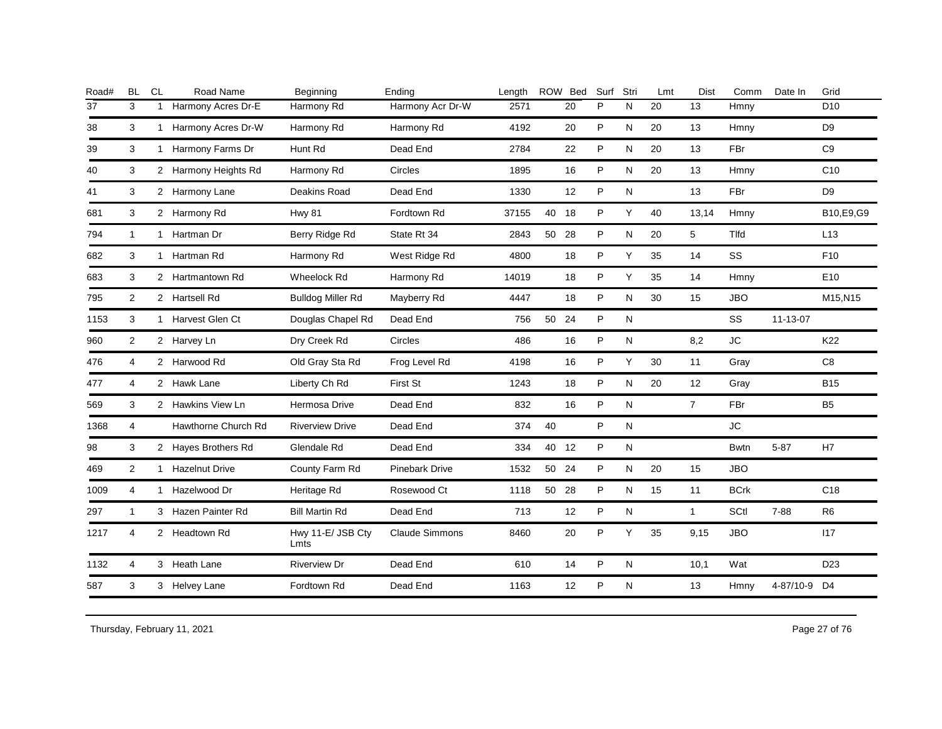| <b>BL</b>      | CL | Road Name           | Beginning                                                                                                                                                                                                                                                                                                                                                                                 | Ending                | Length |    |    | Surf                            | Stri      | Lmt | Dist              | Comm        | Date In   | Grid            |
|----------------|----|---------------------|-------------------------------------------------------------------------------------------------------------------------------------------------------------------------------------------------------------------------------------------------------------------------------------------------------------------------------------------------------------------------------------------|-----------------------|--------|----|----|---------------------------------|-----------|-----|-------------------|-------------|-----------|-----------------|
| 3              | 1  | Harmony Acres Dr-E  | Harmony Rd                                                                                                                                                                                                                                                                                                                                                                                | Harmony Acr Dr-W      | 2571   |    | 20 | P                               | N         | 20  | 13                | Hmny        |           | D <sub>10</sub> |
| 3              |    |                     | Harmony Rd                                                                                                                                                                                                                                                                                                                                                                                | Harmony Rd            | 4192   |    | 20 | P                               | N         | 20  | 13                | Hmny        |           | D <sub>9</sub>  |
| 3              |    |                     | Hunt Rd                                                                                                                                                                                                                                                                                                                                                                                   | Dead End              | 2784   |    | 22 | P                               | N         | 20  | 13                | FBr         |           | C <sub>9</sub>  |
| 3              |    |                     | Harmony Rd                                                                                                                                                                                                                                                                                                                                                                                | Circles               | 1895   |    | 16 | P                               | N         | 20  | 13                | Hmny        |           | C <sub>10</sub> |
| 3              |    |                     | Deakins Road                                                                                                                                                                                                                                                                                                                                                                              | Dead End              | 1330   |    | 12 | P                               | ${\sf N}$ |     | 13                | FBr         |           | D <sub>9</sub>  |
| 3              |    |                     | <b>Hwy 81</b>                                                                                                                                                                                                                                                                                                                                                                             | Fordtown Rd           | 37155  |    |    | P                               | Y         | 40  | 13,14             | Hmny        |           | B10,E9,G9       |
| $\mathbf{1}$   |    | Hartman Dr          | Berry Ridge Rd                                                                                                                                                                                                                                                                                                                                                                            | State Rt 34           | 2843   | 50 | 28 | P                               | N         | 20  | 5                 | Tlfd        |           | L13             |
| 3              |    | Hartman Rd          | Harmony Rd                                                                                                                                                                                                                                                                                                                                                                                | West Ridge Rd         | 4800   |    | 18 | P                               | Y         | 35  | 14                | SS          |           | F <sub>10</sub> |
| 3              |    |                     | Wheelock Rd                                                                                                                                                                                                                                                                                                                                                                               | Harmony Rd            | 14019  |    | 18 | P                               | Υ         | 35  | 14                | Hmny        |           | E10             |
| 2              |    |                     | <b>Bulldog Miller Rd</b>                                                                                                                                                                                                                                                                                                                                                                  | Mayberry Rd           | 4447   |    | 18 | P                               | N         | 30  | 15                | <b>JBO</b>  |           | M15, N15        |
| 3              |    |                     | Douglas Chapel Rd                                                                                                                                                                                                                                                                                                                                                                         | Dead End              | 756    | 50 | 24 | P                               | N         |     |                   | SS          | 11-13-07  |                 |
| $\overline{2}$ |    |                     | Dry Creek Rd                                                                                                                                                                                                                                                                                                                                                                              | Circles               | 486    |    | 16 | P                               | N         |     | 8,2               | <b>JC</b>   |           | K22             |
| 4              |    |                     | Old Gray Sta Rd                                                                                                                                                                                                                                                                                                                                                                           | Frog Level Rd         | 4198   |    | 16 | P                               | Y         | 30  | 11                | Gray        |           | C8              |
| 4              |    |                     | Liberty Ch Rd                                                                                                                                                                                                                                                                                                                                                                             | First St              | 1243   |    | 18 | P                               | N         | 20  | $12 \overline{ }$ | Gray        |           | <b>B15</b>      |
| 3              |    |                     | Hermosa Drive                                                                                                                                                                                                                                                                                                                                                                             | Dead End              | 832    |    | 16 | P                               | N         |     | $\overline{7}$    | FBr         |           | <b>B5</b>       |
| 4              |    | Hawthorne Church Rd | <b>Riverview Drive</b>                                                                                                                                                                                                                                                                                                                                                                    | Dead End              | 374    | 40 |    | P                               | ${\sf N}$ |     |                   | <b>JC</b>   |           |                 |
| 3              |    |                     | Glendale Rd                                                                                                                                                                                                                                                                                                                                                                               | Dead End              | 334    |    |    | P                               | N         |     |                   | <b>Bwtn</b> | $5 - 87$  | H7              |
| 2              |    |                     | County Farm Rd                                                                                                                                                                                                                                                                                                                                                                            | <b>Pinebark Drive</b> | 1532   |    | 24 | P                               | N         | 20  | 15                | <b>JBO</b>  |           |                 |
| $\overline{4}$ |    | Hazelwood Dr        | Heritage Rd                                                                                                                                                                                                                                                                                                                                                                               | Rosewood Ct           | 1118   | 50 | 28 | P                               | N         | 15  | 11                | <b>BCrk</b> |           | C <sub>18</sub> |
| $\mathbf{1}$   |    |                     | <b>Bill Martin Rd</b>                                                                                                                                                                                                                                                                                                                                                                     | Dead End              | 713    |    | 12 | ${\sf P}$                       | ${\sf N}$ |     | $\mathbf{1}$      | SCtl        | $7 - 88$  | R6              |
| 4              |    |                     | Hwy 11-E/ JSB Cty<br>Lmts                                                                                                                                                                                                                                                                                                                                                                 | <b>Claude Simmons</b> | 8460   |    | 20 | P                               | Y         | 35  | 9,15              | <b>JBO</b>  |           | 117             |
| 4              |    |                     | <b>Riverview Dr</b>                                                                                                                                                                                                                                                                                                                                                                       | Dead End              | 610    |    | 14 | P                               | N         |     | 10,1              | Wat         |           | D <sub>23</sub> |
| 3              |    |                     | Fordtown Rd                                                                                                                                                                                                                                                                                                                                                                               | Dead End              | 1163   |    | 12 | P                               | ${\sf N}$ |     | 13                | Hmny        | 4-87/10-9 | D4              |
|                |    |                     | 1 Harmony Acres Dr-W<br>1 Harmony Farms Dr<br>2 Harmony Heights Rd<br>2 Harmony Lane<br>2 Harmony Rd<br>$\mathbf{1}$<br>$\mathbf{1}$<br>2 Hartmantown Rd<br>2 Hartsell Rd<br>1 Harvest Glen Ct<br>2 Harvey Ln<br>2 Harwood Rd<br>2 Hawk Lane<br>2 Hawkins View Ln<br>2 Hayes Brothers Rd<br>1 Hazelnut Drive<br>1<br>3 Hazen Painter Rd<br>2 Headtown Rd<br>3 Heath Lane<br>3 Helvey Lane |                       |        |    |    | ROW Bed<br>40 18<br>40 12<br>50 |           |     |                   |             |           |                 |

Thursday, February 11, 2021 27 of 76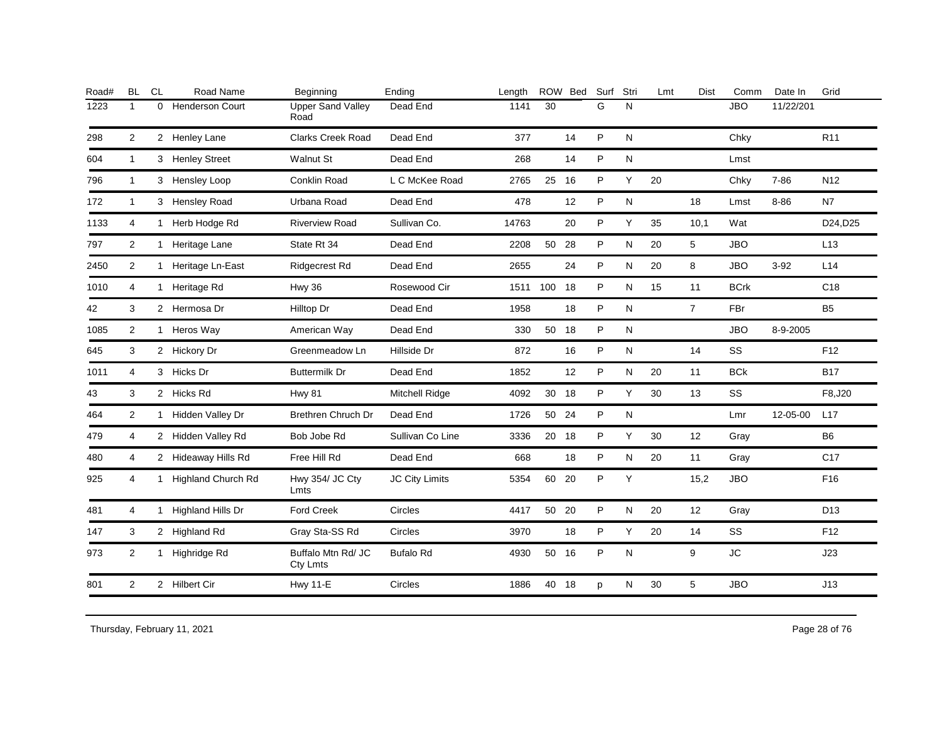| Road# | <b>BL</b>      | <b>CL</b>    | Road Name                 | Beginning                        | Ending                | Length |          | ROW Bed | Surf | Stri      | Lmt | <b>Dist</b>    | Comm        | Date In   | Grid            |
|-------|----------------|--------------|---------------------------|----------------------------------|-----------------------|--------|----------|---------|------|-----------|-----|----------------|-------------|-----------|-----------------|
| 1223  | $\mathbf{1}$   | 0            | <b>Henderson Court</b>    | <b>Upper Sand Valley</b><br>Road | Dead End              | 1141   | 30       |         | G    | N         |     |                | <b>JBO</b>  | 11/22/201 |                 |
| 298   | $\overline{2}$ |              | 2 Henley Lane             | <b>Clarks Creek Road</b>         | Dead End              | 377    |          | 14      | P    | N         |     |                | Chky        |           | R <sub>11</sub> |
| 604   | $\mathbf{1}$   |              | 3 Henley Street           | <b>Walnut St</b>                 | Dead End              | 268    |          | 14      | P    | ${\sf N}$ |     |                | Lmst        |           |                 |
| 796   | $\mathbf{1}$   |              | 3 Hensley Loop            | Conklin Road                     | L C McKee Road        | 2765   | 25       | 16      | P    | Υ         | 20  |                | Chky        | $7 - 86$  | N <sub>12</sub> |
| 172   | $\mathbf{1}$   |              | 3 Hensley Road            | Urbana Road                      | Dead End              | 478    |          | 12      | P    | N         |     | 18             | Lmst        | 8-86      | N7              |
| 1133  | 4              | $\mathbf{1}$ | Herb Hodge Rd             | <b>Riverview Road</b>            | Sullivan Co.          | 14763  |          | 20      | P    | Y         | 35  | 10,1           | Wat         |           | D24, D25        |
| 797   | $\overline{2}$ |              | 1 Heritage Lane           | State Rt 34                      | Dead End              | 2208   | 50 28    |         | P    | N         | 20  | 5              | <b>JBO</b>  |           | L13             |
| 2450  | $\overline{2}$ | 1            | Heritage Ln-East          | <b>Ridgecrest Rd</b>             | Dead End              | 2655   |          | 24      | P    | N         | 20  | 8              | <b>JBO</b>  | $3 - 92$  | L14             |
| 1010  | 4              |              | 1 Heritage Rd             | <b>Hwy 36</b>                    | Rosewood Cir          |        | 1511 100 | 18      | P    | N         | 15  | 11             | <b>BCrk</b> |           | C <sub>18</sub> |
| 42    | 3              |              | 2 Hermosa Dr              | Hilltop Dr                       | Dead End              | 1958   |          | 18      | P    | N         |     | $\overline{7}$ | <b>FBr</b>  |           | <b>B5</b>       |
| 1085  | $\overline{2}$ |              | 1 Heros Way               | American Way                     | Dead End              | 330    | 50 18    |         | P    | N         |     |                | <b>JBO</b>  | 8-9-2005  |                 |
| 645   | 3              |              | 2 Hickory Dr              | Greenmeadow Ln                   | Hillside Dr           | 872    |          | 16      | P    | N         |     | 14             | SS          |           | F <sub>12</sub> |
| 1011  | 4              |              | 3 Hicks Dr                | <b>Buttermilk Dr</b>             | Dead End              | 1852   |          | 12      | P    | ${\sf N}$ | 20  | 11             | <b>BCk</b>  |           | <b>B17</b>      |
| 43    | 3              |              | 2 Hicks Rd                | Hwy 81                           | <b>Mitchell Ridge</b> | 4092   | 30       | 18      | P    | Υ         | 30  | 13             | SS          |           | F8,J20          |
| 464   | 2              |              | 1 Hidden Valley Dr        | <b>Brethren Chruch Dr</b>        | Dead End              | 1726   | 50       | 24      | P    | N         |     |                | Lmr         | 12-05-00  | L17             |
| 479   | $\overline{4}$ |              | 2 Hidden Valley Rd        | Bob Jobe Rd                      | Sullivan Co Line      | 3336   | 20 18    |         | P    | Y         | 30  | 12             | Gray        |           | <b>B6</b>       |
| 480   | 4              |              | 2 Hideaway Hills Rd       | Free Hill Rd                     | Dead End              | 668    |          | 18      | P    | N         | 20  | 11             | Gray        |           | C <sub>17</sub> |
| 925   | 4              | $\mathbf{1}$ | <b>Highland Church Rd</b> | Hwy 354/ JC Cty<br>Lmts          | <b>JC City Limits</b> | 5354   | 60       | 20      | P    | Y         |     | 15,2           | <b>JBO</b>  |           | F16             |
| 481   | 4              |              | 1 Highland Hills Dr       | <b>Ford Creek</b>                | Circles               | 4417   | 50       | 20      | P    | N         | 20  | 12             | Gray        |           | D <sub>13</sub> |
| 147   | 3              |              | 2 Highland Rd             | Gray Sta-SS Rd                   | Circles               | 3970   |          | 18      | P    | Υ         | 20  | 14             | SS          |           | F12             |
| 973   | 2              | 1            | Highridge Rd              | Buffalo Mtn Rd/ JC<br>Cty Lmts   | <b>Bufalo Rd</b>      | 4930   | 50       | 16      | P    | N         |     | 9              | <b>JC</b>   |           | J23             |
| 801   | $\overline{2}$ |              | 2 Hilbert Cir             | <b>Hwy 11-E</b>                  | Circles               | 1886   | 40 18    |         | p    | N         | 30  | 5              | <b>JBO</b>  |           | J13             |
|       |                |              |                           |                                  |                       |        |          |         |      |           |     |                |             |           |                 |

Thursday, February 11, 2021 28 of 76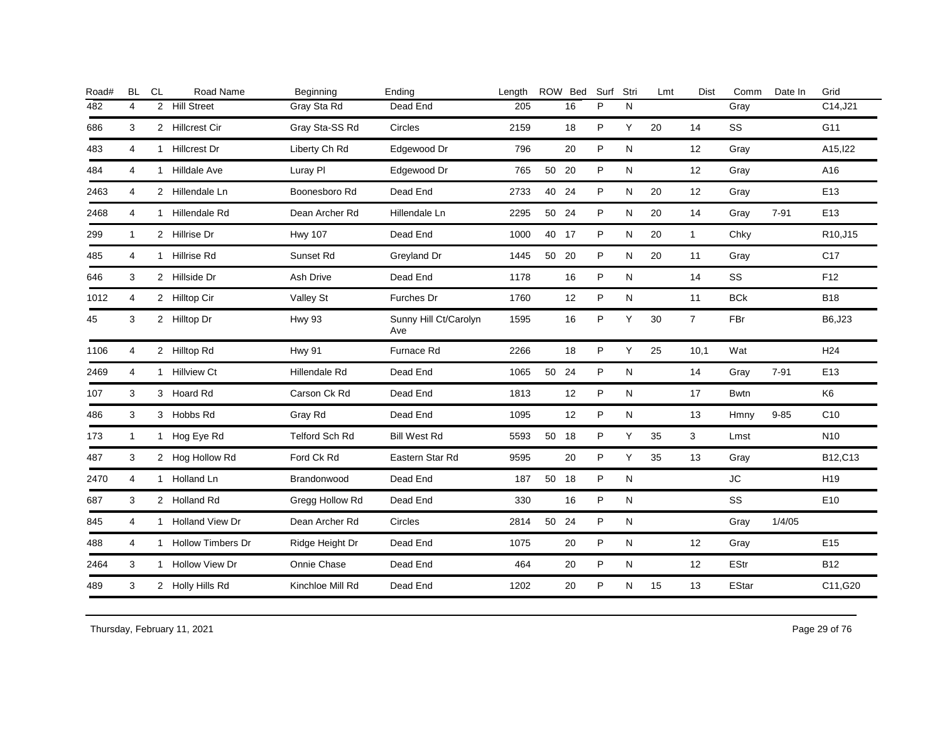| Road# | <b>BL</b>      | <b>CL</b> | Road Name           | Beginning             | Ending                       | Length |       | ROW Bed | Surf | Stri      | Lmt | <b>Dist</b>    | Comm        | Date In  | Grid            |
|-------|----------------|-----------|---------------------|-----------------------|------------------------------|--------|-------|---------|------|-----------|-----|----------------|-------------|----------|-----------------|
| 482   | $\overline{4}$ |           | 2 Hill Street       | Gray Sta Rd           | Dead End                     | 205    |       | 16      | P    | N         |     |                | Gray        |          | C14,J21         |
| 686   | 3              |           | 2 Hillcrest Cir     | Gray Sta-SS Rd        | Circles                      | 2159   |       | 18      | P    | Y         | 20  | 14             | SS          |          | G11             |
| 483   | 4              |           | 1 Hillcrest Dr      | Liberty Ch Rd         | Edgewood Dr                  | 796    |       | 20      | P    | N         |     | 12             | Gray        |          | A15, 122        |
| 484   | 4              |           | 1 Hilldale Ave      | Luray PI              | Edgewood Dr                  | 765    | 50 20 |         | P    | N         |     | 12             | Gray        |          | A16             |
| 2463  | 4              |           | 2 Hillendale Ln     | Boonesboro Rd         | Dead End                     | 2733   | 40 24 |         | P    | N         | 20  | 12             | Gray        |          | E <sub>13</sub> |
| 2468  | 4              |           | 1 Hillendale Rd     | Dean Archer Rd        | Hillendale Ln                | 2295   | 50 24 |         | P    | N         | 20  | 14             | Gray        | $7 - 91$ | E13             |
| 299   | $\mathbf{1}$   |           | 2 Hillrise Dr       | <b>Hwy 107</b>        | Dead End                     | 1000   | 40 17 |         | P    | ${\sf N}$ | 20  | $\mathbf{1}$   | Chky        |          | R10,J15         |
| 485   | 4              |           | 1 Hillrise Rd       | Sunset Rd             | Greyland Dr                  | 1445   | 50    | - 20    | P    | N         | 20  | 11             | Gray        |          | C <sub>17</sub> |
| 646   | 3              |           | 2 Hillside Dr       | Ash Drive             | Dead End                     | 1178   |       | 16      | P    | N         |     | 14             | SS          |          | F12             |
| 1012  | 4              |           | 2 Hilltop Cir       | Valley St             | <b>Furches Dr</b>            | 1760   |       | 12      | P    | N         |     | 11             | <b>BCk</b>  |          | <b>B18</b>      |
| 45    | 3              |           | 2 Hilltop Dr        | <b>Hwy 93</b>         | Sunny Hill Ct/Carolyn<br>Ave | 1595   |       | 16      | P    | Y         | 30  | $\overline{7}$ | FBr         |          | B6,J23          |
| 1106  | 4              |           | 2 Hilltop Rd        | <b>Hwy 91</b>         | Furnace Rd                   | 2266   |       | 18      | P    | Y         | 25  | 10,1           | Wat         |          | H <sub>24</sub> |
| 2469  | $\overline{4}$ |           | 1 Hillview Ct       | Hillendale Rd         | Dead End                     | 1065   | 50 24 |         | P    | N         |     | 14             | Gray        | $7 - 91$ | E <sub>13</sub> |
| 107   | 3              |           | 3 Hoard Rd          | Carson Ck Rd          | Dead End                     | 1813   |       | 12      | P    | N         |     | 17             | <b>Bwtn</b> |          | K <sub>6</sub>  |
| 486   | 3              |           | 3 Hobbs Rd          | Gray Rd               | Dead End                     | 1095   |       | 12      | P    | N         |     | 13             | Hmny        | $9 - 85$ | C10             |
| 173   | $\mathbf{1}$   |           | 1 Hog Eye Rd        | <b>Telford Sch Rd</b> | <b>Bill West Rd</b>          | 5593   | 50 18 |         | P    | Y         | 35  | 3              | Lmst        |          | N <sub>10</sub> |
| 487   | 3              |           | 2 Hog Hollow Rd     | Ford Ck Rd            | Eastern Star Rd              | 9595   |       | 20      | P    | Y         | 35  | 13             | Gray        |          | B12,C13         |
| 2470  | $\overline{4}$ |           | 1 Holland Ln        | Brandonwood           | Dead End                     | 187    | 50 18 |         | P    | N         |     |                | <b>JC</b>   |          | H <sub>19</sub> |
| 687   | 3              |           | 2 Holland Rd        | Gregg Hollow Rd       | Dead End                     | 330    |       | 16      | P    | N         |     |                | SS          |          | E10             |
| 845   | 4              |           | 1 Holland View Dr   | Dean Archer Rd        | <b>Circles</b>               | 2814   | 50 24 |         | P    | N         |     |                | Gray        | 1/4/05   |                 |
| 488   | $\overline{4}$ |           | 1 Hollow Timbers Dr | Ridge Height Dr       | Dead End                     | 1075   |       | 20      | P    | N         |     | 12             | Gray        |          | E <sub>15</sub> |
| 2464  | 3              |           | 1 Hollow View Dr    | Onnie Chase           | Dead End                     | 464    |       | 20      | P    | N         |     | 12             | <b>EStr</b> |          | <b>B12</b>      |
| 489   | 3              |           | 2 Holly Hills Rd    | Kinchloe Mill Rd      | Dead End                     | 1202   |       | 20      | P    | N         | 15  | 13             | EStar       |          | C11,G20         |
|       |                |           |                     |                       |                              |        |       |         |      |           |     |                |             |          |                 |

Thursday, February 11, 2021 29 of 76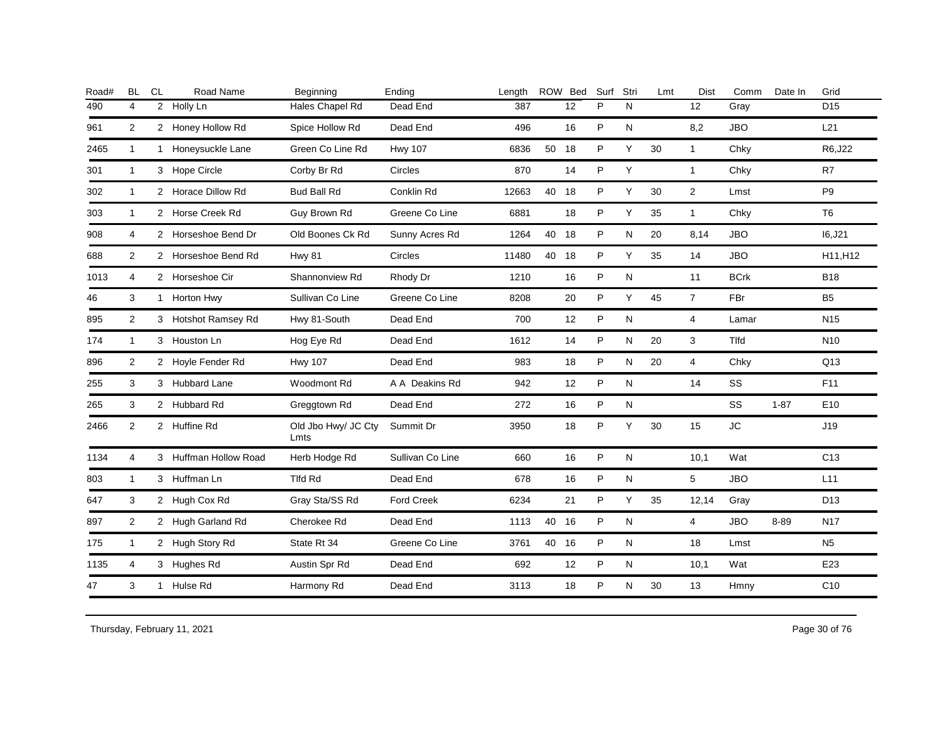| <b>BL</b>      | CL | Road Name | Beginning                                                                                                                                                                                                                                                                                                                                                                                                                                      | Ending            | Length |    |    | Surf                                                    | Stri      | Lmt | Dist           | Comm        | Date In  | Grid            |
|----------------|----|-----------|------------------------------------------------------------------------------------------------------------------------------------------------------------------------------------------------------------------------------------------------------------------------------------------------------------------------------------------------------------------------------------------------------------------------------------------------|-------------------|--------|----|----|---------------------------------------------------------|-----------|-----|----------------|-------------|----------|-----------------|
| 4              |    |           | Hales Chapel Rd                                                                                                                                                                                                                                                                                                                                                                                                                                | Dead End          | 387    |    | 12 | P                                                       | N         |     | 12             | Gray        |          | D <sub>15</sub> |
| 2              |    |           | Spice Hollow Rd                                                                                                                                                                                                                                                                                                                                                                                                                                | Dead End          | 496    |    | 16 | P                                                       | N         |     | 8,2            | <b>JBO</b>  |          | L21             |
| $\mathbf{1}$   |    |           | Green Co Line Rd                                                                                                                                                                                                                                                                                                                                                                                                                               | <b>Hwy 107</b>    | 6836   |    |    | P                                                       | Y         | 30  | $\mathbf{1}$   | Chky        |          | R6, J22         |
| 1              |    |           | Corby Br Rd                                                                                                                                                                                                                                                                                                                                                                                                                                    | Circles           | 870    |    | 14 | P                                                       | Y         |     | $\mathbf{1}$   | Chky        |          | R7              |
| $\mathbf{1}$   |    |           | <b>Bud Ball Rd</b>                                                                                                                                                                                                                                                                                                                                                                                                                             | Conklin Rd        | 12663  |    |    | P                                                       | Y         | 30  | $\overline{2}$ | Lmst        |          | P <sub>9</sub>  |
| 1              |    |           | Guy Brown Rd                                                                                                                                                                                                                                                                                                                                                                                                                                   | Greene Co Line    | 6881   |    | 18 | P                                                       | Y         | 35  | $\mathbf{1}$   | Chky        |          | T <sub>6</sub>  |
| 4              |    |           | Old Boones Ck Rd                                                                                                                                                                                                                                                                                                                                                                                                                               | Sunny Acres Rd    | 1264   | 40 |    | P                                                       | ${\sf N}$ | 20  | 8,14           | <b>JBO</b>  |          | 16, J21         |
| $\overline{2}$ |    |           | <b>Hwy 81</b>                                                                                                                                                                                                                                                                                                                                                                                                                                  | Circles           | 11480  | 40 |    | P                                                       | Y         | 35  | 14             | <b>JBO</b>  |          | H11, H12        |
| 4              |    |           | Shannonview Rd                                                                                                                                                                                                                                                                                                                                                                                                                                 | Rhody Dr          | 1210   |    | 16 | P                                                       | N         |     | 11             | <b>BCrk</b> |          | <b>B18</b>      |
| 3              |    |           | Sullivan Co Line                                                                                                                                                                                                                                                                                                                                                                                                                               | Greene Co Line    | 8208   |    | 20 | P                                                       | Y         | 45  | $\overline{7}$ | FBr         |          | <b>B5</b>       |
| $\overline{2}$ |    |           | Hwy 81-South                                                                                                                                                                                                                                                                                                                                                                                                                                   | Dead End          | 700    |    | 12 | P                                                       | N         |     | $\overline{4}$ | Lamar       |          | N <sub>15</sub> |
| $\mathbf{1}$   |    |           | Hog Eye Rd                                                                                                                                                                                                                                                                                                                                                                                                                                     | Dead End          | 1612   |    | 14 | P                                                       | N         | 20  | 3              | <b>Tlfd</b> |          | N <sub>10</sub> |
| $\overline{2}$ |    |           | <b>Hwy 107</b>                                                                                                                                                                                                                                                                                                                                                                                                                                 | Dead End          | 983    |    | 18 | P                                                       | N         | 20  | $\overline{4}$ | Chky        |          | Q13             |
| 3              |    |           | <b>Woodmont Rd</b>                                                                                                                                                                                                                                                                                                                                                                                                                             | A A Deakins Rd    | 942    |    | 12 | P                                                       | N         |     | 14             | SS          |          | F11             |
| 3              |    |           | Greggtown Rd                                                                                                                                                                                                                                                                                                                                                                                                                                   | Dead End          | 272    |    | 16 | P                                                       | N         |     |                | SS          | $1 - 87$ | E10             |
| $\overline{2}$ |    |           | Old Jbo Hwy/ JC Cty<br>Lmts                                                                                                                                                                                                                                                                                                                                                                                                                    | Summit Dr         | 3950   |    | 18 | P                                                       | Y         | 30  | 15             | <b>JC</b>   |          | J19             |
| 4              |    |           | Herb Hodge Rd                                                                                                                                                                                                                                                                                                                                                                                                                                  | Sullivan Co Line  | 660    |    | 16 | P                                                       | ${\sf N}$ |     | 10,1           | Wat         |          | C <sub>13</sub> |
| 1              |    |           | Tlfd Rd                                                                                                                                                                                                                                                                                                                                                                                                                                        | Dead End          | 678    |    | 16 | P                                                       | N         |     | 5              | <b>JBO</b>  |          | L11             |
| 3              |    |           | Gray Sta/SS Rd                                                                                                                                                                                                                                                                                                                                                                                                                                 | <b>Ford Creek</b> | 6234   |    | 21 | P                                                       | Y         | 35  | 12,14          | Gray        |          | D <sub>13</sub> |
| $\overline{2}$ |    |           | Cherokee Rd                                                                                                                                                                                                                                                                                                                                                                                                                                    | Dead End          | 1113   |    |    | P                                                       | N         |     | $\overline{4}$ | <b>JBO</b>  | 8-89     | N <sub>17</sub> |
| 1              |    |           | State Rt 34                                                                                                                                                                                                                                                                                                                                                                                                                                    | Greene Co Line    | 3761   |    |    | P                                                       | N         |     | 18             | Lmst        |          | N <sub>5</sub>  |
| 4              |    |           | Austin Spr Rd                                                                                                                                                                                                                                                                                                                                                                                                                                  | Dead End          | 692    |    | 12 | P                                                       | N         |     | 10,1           | Wat         |          | E23             |
| 3              |    |           | Harmony Rd                                                                                                                                                                                                                                                                                                                                                                                                                                     | Dead End          | 3113   |    | 18 | P                                                       | N         | 30  | 13             | Hmny        |          | C10             |
|                |    |           | 2 Holly Ln<br>2 Honey Hollow Rd<br>1 Honeysuckle Lane<br>3 Hope Circle<br>2 Horace Dillow Rd<br>2 Horse Creek Rd<br>2 Horseshoe Bend Dr<br>2 Horseshoe Bend Rd<br>2 Horseshoe Cir<br>1 Horton Hwy<br>3 Hotshot Ramsey Rd<br>3 Houston Ln<br>2 Hoyle Fender Rd<br>3 Hubbard Lane<br>2 Hubbard Rd<br>2 Huffine Rd<br>3 Huffman Hollow Road<br>3 Huffman Ln<br>2 Hugh Cox Rd<br>2 Hugh Garland Rd<br>2 Hugh Story Rd<br>3 Hughes Rd<br>1 Hulse Rd |                   |        |    |    | ROW Bed<br>50 18<br>40 18<br>18<br>18<br>40 16<br>40 16 |           |     |                |             |          |                 |

Thursday, February 11, 2021 2012 2012 12:30 Page 30 of 76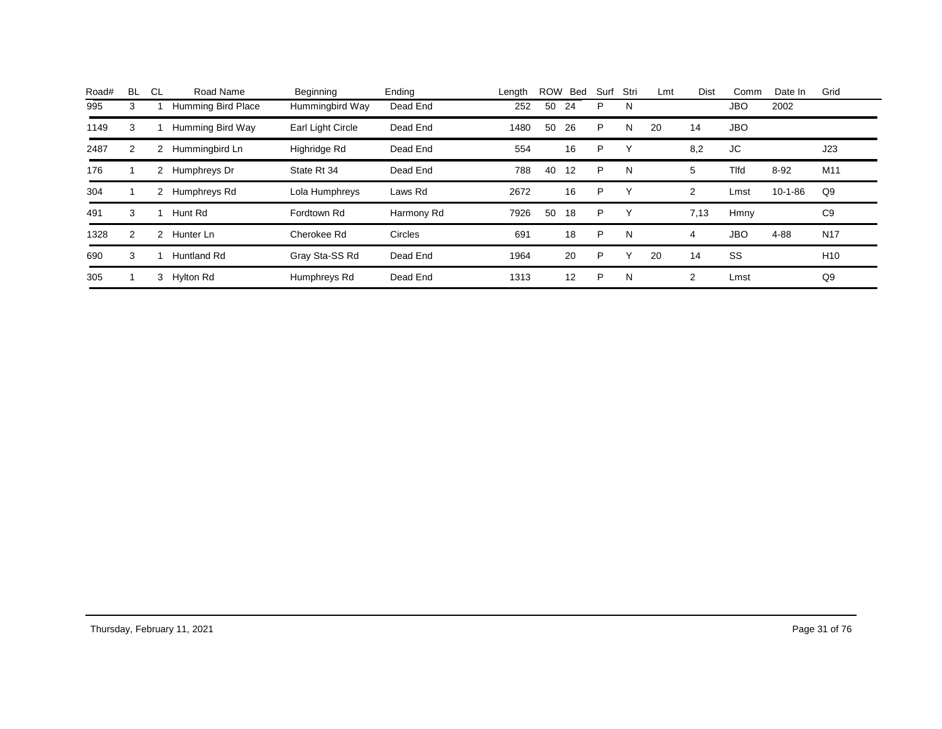| Road# | <b>BL</b> | CL.           | Road Name          | Beginning         | Ending     | Length |    | ROW Bed | Surf | Stri | Lmt | Dist | Comm        | Date In       | Grid            |
|-------|-----------|---------------|--------------------|-------------------|------------|--------|----|---------|------|------|-----|------|-------------|---------------|-----------------|
| 995   | 3         |               | Humming Bird Place | Hummingbird Way   | Dead End   | 252    | 50 | 24      | P    | N    |     |      | <b>JBO</b>  | 2002          |                 |
| 1149  | 3         |               | Humming Bird Way   | Earl Light Circle | Dead End   | 1480   | 50 | 26      | P    | N    | 20  | 14   | <b>JBO</b>  |               |                 |
| 2487  | 2         | 2             | Hummingbird Ln     | Highridge Rd      | Dead End   | 554    |    | 16      | P    | v    |     | 8,2  | JC          |               | J23             |
| 176   |           | 2             | Humphreys Dr       | State Rt 34       | Dead End   | 788    | 40 | 12      | P    | N    |     | 5    | <b>Tlfd</b> | $8 - 92$      | M11             |
| 304   |           | 2             | Humphreys Rd       | Lola Humphreys    | Laws Rd    | 2672   |    | 16      | P    | Υ    |     | 2    | Lmst        | $10 - 1 - 86$ | Q9              |
| 491   | 3         |               | Hunt Rd            | Fordtown Rd       | Harmony Rd | 7926   | 50 | 18      | P    | Υ    |     | 7,13 | Hmny        |               | C <sub>9</sub>  |
| 1328  | 2         | $\mathcal{P}$ | Hunter Ln          | Cherokee Rd       | Circles    | 691    |    | 18      | P    | N    |     | 4    | <b>JBO</b>  | 4-88          | <b>N17</b>      |
| 690   | 3         |               | Huntland Rd        | Gray Sta-SS Rd    | Dead End   | 1964   |    | 20      | P    | ∨    | 20  | 14   | SS          |               | H <sub>10</sub> |
| 305   |           | 3             | Hylton Rd          | Humphreys Rd      | Dead End   | 1313   |    | 12      | P    | N    |     | 2    | Lmst        |               | Q9              |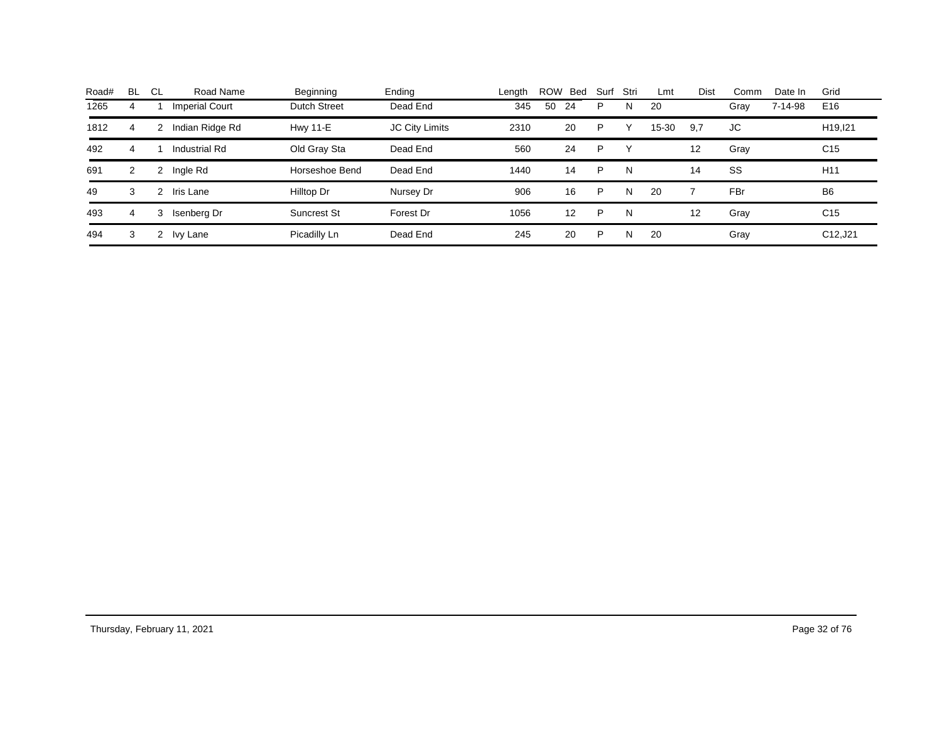| Road# | BL. | CL     | Road Name             | Beginning           | Ending                | Length | <b>ROW</b> | <b>Bed</b> | Surf | Stri | Lmt   | <b>Dist</b>       | Comm | Date In | Grid                 |
|-------|-----|--------|-----------------------|---------------------|-----------------------|--------|------------|------------|------|------|-------|-------------------|------|---------|----------------------|
| 1265  | 4   |        | <b>Imperial Court</b> | <b>Dutch Street</b> | Dead End              | 345    | 50         | 24         | P    | Ν    | 20    |                   | Gray | 7-14-98 | E16                  |
| 1812  | 4   |        | ndian Ridge Rd        | <b>Hwy 11-E</b>     | <b>JC City Limits</b> | 2310   |            | 20         | P    |      | 15-30 | 9.7               | JC   |         | H <sub>19</sub> .121 |
| 492   | 4   |        | Industrial Rd         | Old Gray Sta        | Dead End              | 560    |            | 24         | P    |      |       | $12 \overline{ }$ | Gray |         | C <sub>15</sub>      |
| 691   | 2   |        | Ingle Rd              | Horseshoe Bend      | Dead End              | 1440   |            | 14         | P    | N    |       | 14                | SS   |         | H <sub>11</sub>      |
| 49    | 3   |        | Iris Lane             | Hilltop Dr          | Nursey Dr             | 906    |            | 16         | P    | N    | 20    |                   | FBr  |         | B <sub>6</sub>       |
| 493   | 4   | 3      | Isenberg Dr           | <b>Suncrest St</b>  | Forest Dr             | 1056   |            | 12         | P    | N    |       | 12                | Gray |         | C <sub>15</sub>      |
| 494   | 3   | $^{2}$ | Ivy Lane              | Picadilly Ln        | Dead End              | 245    |            | 20         | P    | N    | 20    |                   | Gray |         | C12, J21             |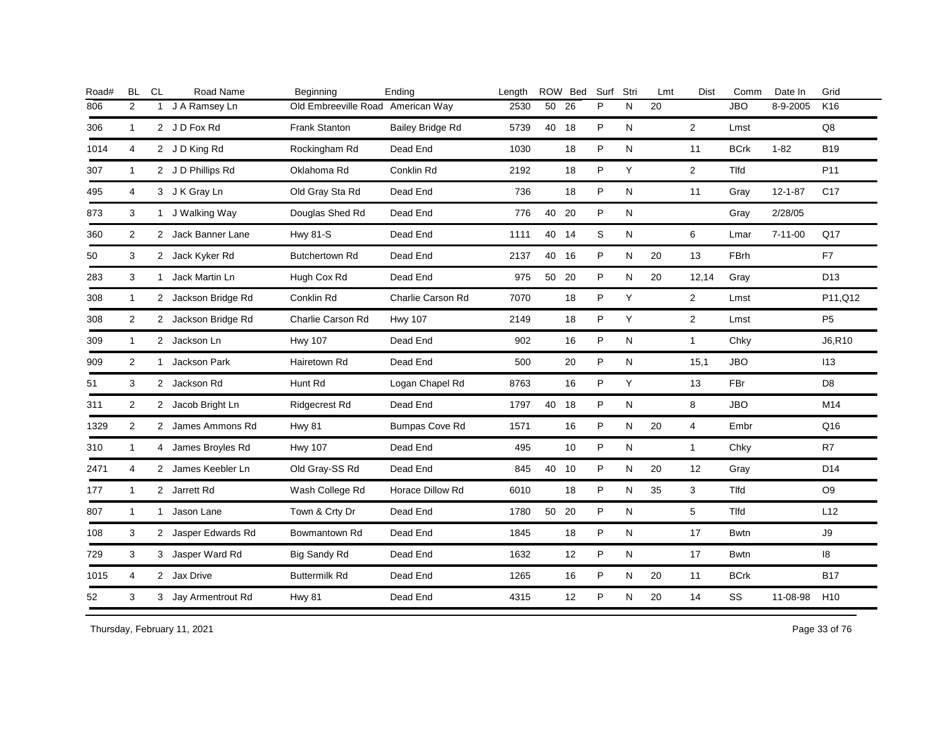| Road# | <b>BL</b>      | <b>CL</b>    | Road Name           | Beginning                         | Ending                  | Length |       | ROW Bed | Surf Stri |   | Lmt | <b>Dist</b>    | Comm        | Date In       | Grid            |
|-------|----------------|--------------|---------------------|-----------------------------------|-------------------------|--------|-------|---------|-----------|---|-----|----------------|-------------|---------------|-----------------|
| 806   | 2              | $\mathbf{1}$ | J A Ramsey Ln       | Old Embreeville Road American Way |                         | 2530   | 50    | 26      | P         | N | 20  |                | <b>JBO</b>  | 8-9-2005      | K <sub>16</sub> |
| 306   | $\mathbf{1}$   |              | 2 J D Fox Rd        | Frank Stanton                     | <b>Bailey Bridge Rd</b> | 5739   | 40 18 |         | P         | N |     | $\overline{2}$ | Lmst        |               | $\mathsf{Q8}$   |
| 1014  | $\overline{4}$ |              | 2 JD King Rd        | Rockingham Rd                     | Dead End                | 1030   |       | 18      | P         | N |     | 11             | <b>BCrk</b> | $1 - 82$      | <b>B19</b>      |
| 307   | $\mathbf{1}$   |              | 2 J D Phillips Rd   | Oklahoma Rd                       | Conklin Rd              | 2192   |       | 18      | P         | Y |     | $\overline{2}$ | <b>Tlfd</b> |               | P <sub>11</sub> |
| 495   | 4              |              | 3 J K Gray Ln       | Old Gray Sta Rd                   | Dead End                | 736    |       | 18      | P         | N |     | 11             | Gray        | $12 - 1 - 87$ | C <sub>17</sub> |
| 873   | 3              |              | 1 J Walking Way     | Douglas Shed Rd                   | Dead End                | 776    | 40    | 20      | P         | N |     |                | Gray        | 2/28/05       |                 |
| 360   | 2              |              | 2 Jack Banner Lane  | <b>Hwy 81-S</b>                   | Dead End                | 1111   | 40    | 14      | S         | N |     | 6              | Lmar        | $7 - 11 - 00$ | Q17             |
| 50    | 3              |              | 2 Jack Kyker Rd     | <b>Butchertown Rd</b>             | Dead End                | 2137   | 40    | 16      | P         | N | 20  | 13             | <b>FBrh</b> |               | F7              |
| 283   | 3              |              | 1 Jack Martin Ln    | Hugh Cox Rd                       | Dead End                | 975    | 50    | 20      | P         | N | 20  | 12,14          | Gray        |               | D <sub>13</sub> |
| 308   | $\mathbf{1}$   |              | 2 Jackson Bridge Rd | Conklin Rd                        | Charlie Carson Rd       | 7070   |       | 18      | P         | Y |     | $\overline{2}$ | Lmst        |               | P11,Q12         |
| 308   | 2              |              | 2 Jackson Bridge Rd | Charlie Carson Rd                 | <b>Hwy 107</b>          | 2149   |       | 18      | P         | Y |     | $\overline{2}$ | Lmst        |               | P <sub>5</sub>  |
| 309   | $\mathbf{1}$   |              | 2 Jackson Ln        | <b>Hwy 107</b>                    | Dead End                | 902    |       | 16      | P         | N |     | $\mathbf{1}$   | Chky        |               | J6,R10          |
| 909   | 2              |              | 1 Jackson Park      | Hairetown Rd                      | Dead End                | 500    |       | 20      | P         | N |     | 15,1           | <b>JBO</b>  |               | 113             |
| 51    | 3              |              | 2 Jackson Rd        | Hunt Rd                           | Logan Chapel Rd         | 8763   |       | 16      | P         | Y |     | 13             | <b>FBr</b>  |               | D <sub>8</sub>  |
| 311   | $\overline{2}$ |              | 2 Jacob Bright Ln   | Ridgecrest Rd                     | Dead End                | 1797   | 40 18 |         | P         | N |     | 8              | <b>JBO</b>  |               | M14             |
| 1329  | 2              |              | 2 James Ammons Rd   | <b>Hwy 81</b>                     | <b>Bumpas Cove Rd</b>   | 1571   |       | 16      | P         | N | 20  | $\overline{4}$ | Embr        |               | Q16             |
| 310   | $\mathbf{1}$   |              | 4 James Broyles Rd  | <b>Hwy 107</b>                    | Dead End                | 495    |       | 10      | P         | N |     | $\mathbf{1}$   | Chky        |               | R7              |
| 2471  | 4              |              | 2 James Keebler Ln  | Old Gray-SS Rd                    | Dead End                | 845    | 40 10 |         | P         | N | 20  | 12             | Gray        |               | D14             |
| 177   | $\mathbf{1}$   |              | 2 Jarrett Rd        | Wash College Rd                   | Horace Dillow Rd        | 6010   |       | 18      | P         | N | 35  | 3              | <b>Tlfd</b> |               | O <sub>9</sub>  |
| 807   | $\mathbf{1}$   |              | 1 Jason Lane        | Town & Crty Dr                    | Dead End                | 1780   | 50 20 |         | P         | N |     | 5              | <b>Tlfd</b> |               | L12             |
| 108   | 3              |              | 2 Jasper Edwards Rd | Bowmantown Rd                     | Dead End                | 1845   |       | 18      | P         | N |     | 17             | <b>Bwtn</b> |               | J9              |
| 729   | 3              |              | 3 Jasper Ward Rd    | Big Sandy Rd                      | Dead End                | 1632   |       | 12      | P         | N |     | 17             | <b>Bwtn</b> |               | 18              |
| 1015  | 4              |              | 2 Jax Drive         | <b>Buttermilk Rd</b>              | Dead End                | 1265   |       | 16      | P         | N | 20  | 11             | <b>BCrk</b> |               | <b>B17</b>      |
| 52    | 3              |              | 3 Jay Armentrout Rd | <b>Hwy 81</b>                     | Dead End                | 4315   |       | 12      | P         | N | 20  | 14             | SS          | 11-08-98      | H <sub>10</sub> |
|       |                |              |                     |                                   |                         |        |       |         |           |   |     |                |             |               |                 |

Thursday, February 11, 2021 2012 2014 2015 2016 2017 2021 20:30 20:40 20:40 20:40 20:40 20:40 20:40 20:40 Page 33 of 76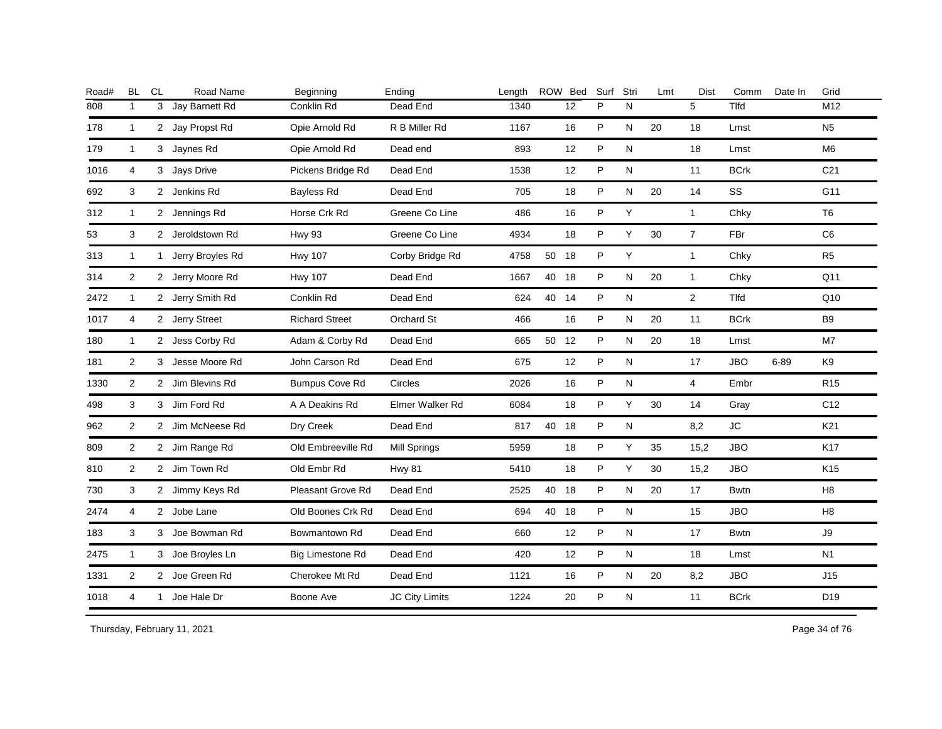| Road# | <b>BL</b>      | CL | Road Name          | Beginning               | Ending              | Length |       | ROW Bed | Surf | Stri      | Lmt | Dist           | Comm        | Date In  | Grid            |
|-------|----------------|----|--------------------|-------------------------|---------------------|--------|-------|---------|------|-----------|-----|----------------|-------------|----------|-----------------|
| 808   | $\mathbf{1}$   | 3  | Jay Barnett Rd     | Conklin Rd              | Dead End            | 1340   |       | 12      | P    | N         |     | 5              | Tlfd        |          | M12             |
| 178   | $\mathbf{1}$   |    | 2 Jay Propst Rd    | Opie Arnold Rd          | R B Miller Rd       | 1167   |       | 16      | P    | N         | 20  | 18             | Lmst        |          | N <sub>5</sub>  |
| 179   | $\mathbf{1}$   |    | 3 Jaynes Rd        | Opie Arnold Rd          | Dead end            | 893    |       | 12      | P    | N         |     | 18             | Lmst        |          | M <sub>6</sub>  |
| 1016  | 4              |    | 3 Jays Drive       | Pickens Bridge Rd       | Dead End            | 1538   |       | 12      | P    | N         |     | 11             | <b>BCrk</b> |          | C <sub>21</sub> |
| 692   | 3              |    | 2 Jenkins Rd       | <b>Bayless Rd</b>       | Dead End            | 705    |       | 18      | P    | N         | 20  | 14             | SS          |          | G11             |
| 312   | $\mathbf{1}$   |    | 2 Jennings Rd      | Horse Crk Rd            | Greene Co Line      | 486    |       | 16      | P    | Υ         |     | $\mathbf{1}$   | Chky        |          | T <sub>6</sub>  |
| 53    | 3              |    | 2 Jeroldstown Rd   | <b>Hwy 93</b>           | Greene Co Line      | 4934   |       | 18      | P    | Υ         | 30  | $\overline{7}$ | FBr         |          | C <sub>6</sub>  |
| 313   | $\mathbf{1}$   |    | 1 Jerry Broyles Rd | <b>Hwy 107</b>          | Corby Bridge Rd     | 4758   | 50 18 |         | P    | Y         |     | $\mathbf{1}$   | Chky        |          | R <sub>5</sub>  |
| 314   | 2              |    | 2 Jerry Moore Rd   | <b>Hwy 107</b>          | Dead End            | 1667   | 40    | 18      | P    | N         | 20  | $\mathbf{1}$   | Chky        |          | Q11             |
| 2472  | $\mathbf{1}$   |    | 2 Jerry Smith Rd   | Conklin Rd              | Dead End            | 624    | 40    | 14      | P    | N         |     | $\overline{2}$ | Tlfd        |          | Q10             |
| 1017  | 4              |    | 2 Jerry Street     | <b>Richard Street</b>   | Orchard St          | 466    |       | 16      | P    | N         | 20  | 11             | <b>BCrk</b> |          | <b>B9</b>       |
| 180   | $\mathbf{1}$   |    | 2 Jess Corby Rd    | Adam & Corby Rd         | Dead End            | 665    | 50 12 |         | P    | N         | 20  | 18             | Lmst        |          | M7              |
| 181   | 2              |    | 3 Jesse Moore Rd   | John Carson Rd          | Dead End            | 675    |       | 12      | P    | N         |     | 17             | <b>JBO</b>  | $6 - 89$ | K9              |
| 1330  | $\overline{2}$ |    | 2 Jim Blevins Rd   | <b>Bumpus Cove Rd</b>   | Circles             | 2026   |       | 16      | P    | ${\sf N}$ |     | 4              | Embr        |          | R <sub>15</sub> |
| 498   | 3              |    | 3 Jim Ford Rd      | A A Deakins Rd          | Elmer Walker Rd     | 6084   |       | 18      | P    | Y         | 30  | 14             | Gray        |          | C <sub>12</sub> |
| 962   | $\overline{2}$ |    | 2 Jim McNeese Rd   | Dry Creek               | Dead End            | 817    | 40 18 |         | P    | ${\sf N}$ |     | 8,2            | <b>JC</b>   |          | K21             |
| 809   | $\overline{2}$ |    | 2 Jim Range Rd     | Old Embreeville Rd      | <b>Mill Springs</b> | 5959   |       | 18      | P    | Y         | 35  | 15,2           | <b>JBO</b>  |          | K17             |
| 810   | $\overline{2}$ |    | 2 Jim Town Rd      | Old Embr Rd             | <b>Hwy 81</b>       | 5410   |       | 18      | P    | Y         | 30  | 15,2           | <b>JBO</b>  |          | K <sub>15</sub> |
| 730   | 3              |    | 2 Jimmy Keys Rd    | Pleasant Grove Rd       | Dead End            | 2525   | 40    | 18      | P    | ${\sf N}$ | 20  | 17             | <b>Bwtn</b> |          | H8              |
| 2474  | $\overline{4}$ |    | 2 Jobe Lane        | Old Boones Crk Rd       | Dead End            | 694    | 40 18 |         | P    | N         |     | 15             | <b>JBO</b>  |          | H8              |
| 183   | 3              |    | 3 Joe Bowman Rd    | Bowmantown Rd           | Dead End            | 660    |       | 12      | P    | N         |     | 17             | <b>Bwtn</b> |          | J9              |
| 2475  | $\mathbf{1}$   |    | 3 Joe Broyles Ln   | <b>Big Limestone Rd</b> | Dead End            | 420    |       | 12      | P    | N         |     | 18             | Lmst        |          | N <sub>1</sub>  |
| 1331  | $\overline{2}$ |    | 2 Joe Green Rd     | Cherokee Mt Rd          | Dead End            | 1121   |       | 16      | P    | N         | 20  | 8,2            | <b>JBO</b>  |          | J15             |
| 1018  | 4              |    | 1 Joe Hale Dr      | Boone Ave               | JC City Limits      | 1224   |       | 20      | P    | ${\sf N}$ |     | 11             | <b>BCrk</b> |          | D <sub>19</sub> |
|       |                |    |                    |                         |                     |        |       |         |      |           |     |                |             |          |                 |

Thursday, February 11, 2021 2012 2014 2015 2016 2017 2021 20:30 Page 34 of 76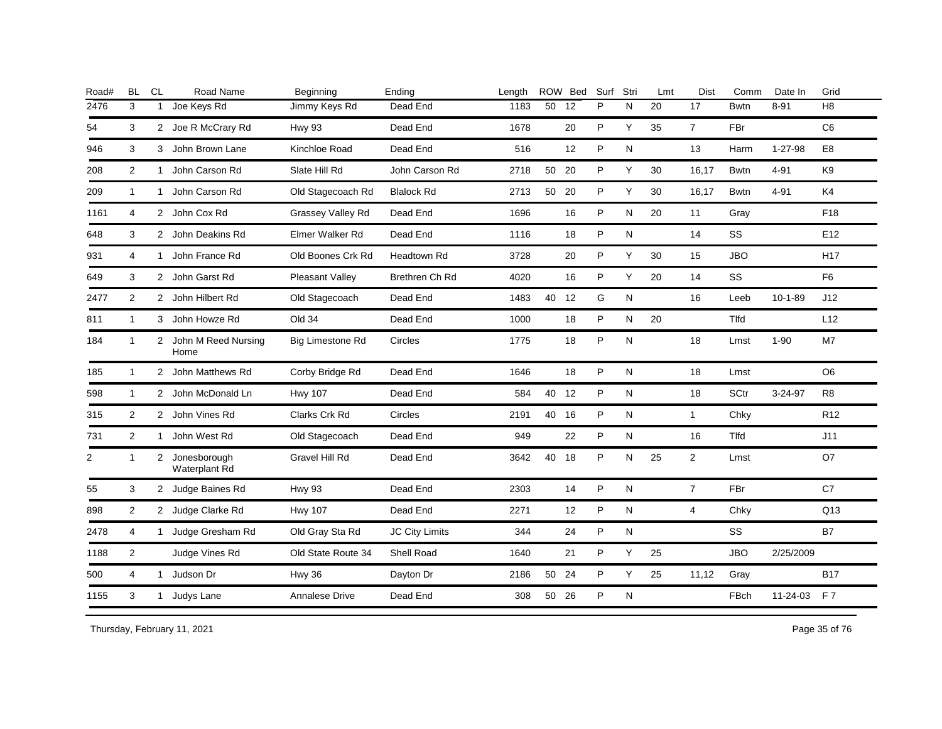| Road# | <b>BL</b>      | CL           | Road Name                     | Beginning          | Ending             | Length |       | ROW Bed | Surf | Stri      | Lmt | <b>Dist</b>    | Comm         | Date In       | Grid            |
|-------|----------------|--------------|-------------------------------|--------------------|--------------------|--------|-------|---------|------|-----------|-----|----------------|--------------|---------------|-----------------|
| 2476  | 3              | 1            | Joe Keys Rd                   | Jimmy Keys Rd      | Dead End           | 1183   | 50    | 12      | P    | N         | 20  | 17             | <b>Bwtn</b>  | $8 - 91$      | H8              |
| 54    | 3              |              | 2 Joe R McCrary Rd            | <b>Hwy 93</b>      | Dead End           | 1678   |       | 20      | P    | Y         | 35  | $\overline{7}$ | FBr          |               | C <sub>6</sub>  |
| 946   | 3              |              | 3 John Brown Lane             | Kinchloe Road      | Dead End           | 516    |       | 12      | P    | N         |     | 13             | Harm         | $1 - 27 - 98$ | E <sub>8</sub>  |
| 208   | $\overline{2}$ | $\mathbf{1}$ | John Carson Rd                | Slate Hill Rd      | John Carson Rd     | 2718   | 50 20 |         | P    | Y         | 30  | 16,17          | <b>Bwtn</b>  | $4 - 91$      | K <sub>9</sub>  |
| 209   | $\mathbf{1}$   |              | 1 John Carson Rd              | Old Stagecoach Rd  | <b>Blalock Rd</b>  | 2713   | 50 20 |         | P    | Y         | 30  | 16,17          | <b>Bwtn</b>  | $4 - 91$      | K <sub>4</sub>  |
| 1161  | 4              |              | 2 John Cox Rd                 | Grassey Valley Rd  | Dead End           | 1696   |       | 16      | P    | N         | 20  | 11             | Gray         |               | F18             |
| 648   | 3              |              | 2 John Deakins Rd             | Elmer Walker Rd    | Dead End           | 1116   |       | 18      | P    | N         |     | 14             | SS           |               | E <sub>12</sub> |
| 931   | 4              | 1            | John France Rd                | Old Boones Crk Rd  | <b>Headtown Rd</b> | 3728   |       | 20      | P    | Y         | 30  | 15             | <b>JBO</b>   |               | <b>H17</b>      |
| 649   | 3              |              | 2 John Garst Rd               | Pleasant Valley    | Brethren Ch Rd     | 4020   |       | 16      | P    | Υ         | 20  | 14             | SS           |               | F <sub>6</sub>  |
| 2477  | $\overline{2}$ |              | 2 John Hilbert Rd             | Old Stagecoach     | Dead End           | 1483   | 40    | 12      | G    | N         |     | 16             | Leeb         | $10 - 1 - 89$ | J12             |
| 811   | 1              |              | 3 John Howze Rd               | Old 34             | Dead End           | 1000   |       | 18      | P    | N         | 20  |                | <b>T</b> Ifd |               | L12             |
| 184   | 1              | 2            | John M Reed Nursing<br>Home   | Big Limestone Rd   | Circles            | 1775   |       | 18      | P    | N         |     | 18             | Lmst         | $1 - 90$      | M7              |
| 185   | $\mathbf{1}$   | $\mathbf{2}$ | John Matthews Rd              | Corby Bridge Rd    | Dead End           | 1646   |       | 18      | P    | ${\sf N}$ |     | 18             | Lmst         |               | O <sub>6</sub>  |
| 598   | $\mathbf{1}$   |              | 2 John McDonald Ln            | <b>Hwy 107</b>     | Dead End           | 584    | 40    | 12      | P    | ${\sf N}$ |     | 18             | SCtr         | 3-24-97       | R <sub>8</sub>  |
| 315   | $\overline{2}$ |              | 2 John Vines Rd               | Clarks Crk Rd      | Circles            | 2191   | 40 16 |         | P    | N         |     | $\mathbf{1}$   | Chky         |               | R <sub>12</sub> |
| 731   | $\overline{2}$ |              | 1 John West Rd                | Old Stagecoach     | Dead End           | 949    |       | 22      | P    | N         |     | 16             | Tlfd         |               | J11             |
| 2     | $\mathbf{1}$   | $2^{\circ}$  | Jonesborough<br>Waterplant Rd | Gravel Hill Rd     | Dead End           | 3642   | 40 18 |         | P    | N         | 25  | $\overline{2}$ | Lmst         |               | O7              |
| 55    | 3              |              | 2 Judge Baines Rd             | <b>Hwy 93</b>      | Dead End           | 2303   |       | 14      | P    | N         |     | $\overline{7}$ | FBr          |               | C7              |
| 898   | 2              |              | 2 Judge Clarke Rd             | <b>Hwy 107</b>     | Dead End           | 2271   |       | 12      | P    | N         |     | $\overline{4}$ | Chky         |               | Q13             |
| 2478  | 4              | 1            | Judge Gresham Rd              | Old Gray Sta Rd    | JC City Limits     | 344    |       | 24      | P    | ${\sf N}$ |     |                | SS           |               | <b>B7</b>       |
| 1188  | 2              |              | Judge Vines Rd                | Old State Route 34 | <b>Shell Road</b>  | 1640   |       | 21      | P    | Y         | 25  |                | <b>JBO</b>   | 2/25/2009     |                 |
| 500   | 4              | 1            | Judson Dr                     | Hwy 36             | Dayton Dr          | 2186   | 50 24 |         | P    | Υ         | 25  | 11,12          | Gray         |               | <b>B17</b>      |
| 1155  | 3              | $\mathbf{1}$ | Judys Lane                    | Annalese Drive     | Dead End           | 308    | 50 26 |         | P    | N         |     |                | FBch         | 11-24-03      | <b>F7</b>       |
|       |                |              |                               |                    |                    |        |       |         |      |           |     |                |              |               |                 |

Thursday, February 11, 2021 2012 2014 2015 2016 2017 2021 20:30 20:30 20:30 20:30 20:30 20:30 20:30 20:30 20:30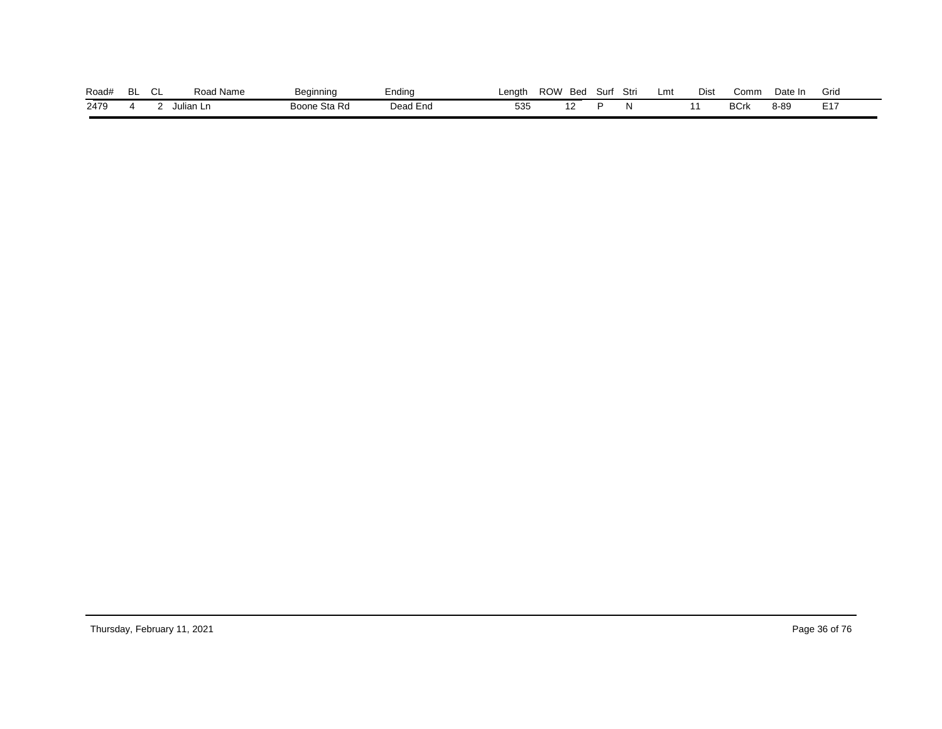| Road# | ים<br>-- | ົ<br>◡∟ | ' Name<br>Road | ∕ م⊂<br>'nnina | Endina   | _enath_ | ROW | Bed | Surf | Stri | Lmt | Dist | Comm       | Date In | Gric          |
|-------|----------|---------|----------------|----------------|----------|---------|-----|-----|------|------|-----|------|------------|---------|---------------|
| 2479  |          |         | `ulian Ln∶     | Boone Sta Rd   | Dead End | 535     |     |     |      |      |     |      | <b>BCn</b> | 8-89    | E 47<br>- ' ' |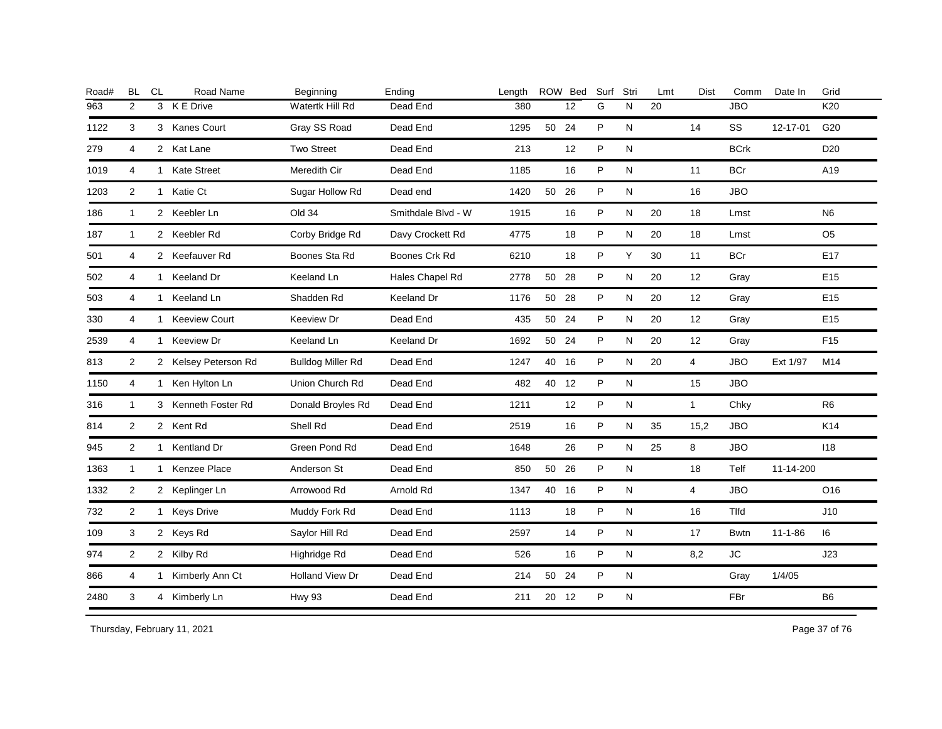| Road# | <b>BL</b>      | <b>CL</b> | Road Name            | Beginning                | Ending             | Length |       | ROW Bed | Surf | Stri         | Lmt | <b>Dist</b>    | Comm        | Date In       | Grid            |
|-------|----------------|-----------|----------------------|--------------------------|--------------------|--------|-------|---------|------|--------------|-----|----------------|-------------|---------------|-----------------|
| 963   | 2              |           | 3 K E Drive          | Watertk Hill Rd          | Dead End           | 380    |       | 12      | G    | N            | 20  |                | <b>JBO</b>  |               | K20             |
| 1122  | 3              |           | 3 Kanes Court        | Gray SS Road             | Dead End           | 1295   | 50 24 |         | P    | N            |     | 14             | SS          | 12-17-01      | G20             |
| 279   | 4              |           | 2 Kat Lane           | <b>Two Street</b>        | Dead End           | 213    |       | 12      | P    | N            |     |                | <b>BCrk</b> |               | D <sub>20</sub> |
| 1019  | 4              |           | 1 Kate Street        | Meredith Cir             | Dead End           | 1185   |       | 16      | P    | N            |     | 11             | <b>BCr</b>  |               | A19             |
| 1203  | 2              |           | 1 Katie Ct           | Sugar Hollow Rd          | Dead end           | 1420   | 50 26 |         | P    | N            |     | 16             | <b>JBO</b>  |               |                 |
| 186   | $\mathbf{1}$   |           | 2 Keebler Ln         | Old 34                   | Smithdale Blvd - W | 1915   |       | 16      | P    | N            | 20  | 18             | Lmst        |               | N <sub>6</sub>  |
| 187   | $\mathbf{1}$   |           | 2 Keebler Rd         | Corby Bridge Rd          | Davy Crockett Rd   | 4775   |       | 18      | P    | N            | 20  | 18             | Lmst        |               | O <sub>5</sub>  |
| 501   | 4              |           | 2 Keefauver Rd       | Boones Sta Rd            | Boones Crk Rd      | 6210   |       | 18      | P    | Y            | 30  | 11             | <b>BCr</b>  |               | E <sub>17</sub> |
| 502   | 4              |           | 1 Keeland Dr         | Keeland Ln               | Hales Chapel Rd    | 2778   | 50    | 28      | P    | N            | 20  | 12             | Gray        |               | E <sub>15</sub> |
| 503   | 4              |           | 1 Keeland Ln         | Shadden Rd               | Keeland Dr         | 1176   | 50    | 28      | P    | N            | 20  | 12             | Gray        |               | E <sub>15</sub> |
| 330   | $\overline{4}$ |           | 1 Keeview Court      | Keeview Dr               | Dead End           | 435    | 50    | 24      | P    | N            | 20  | 12             | Gray        |               | E15             |
| 2539  | 4              |           | 1 Keeview Dr         | Keeland Ln               | Keeland Dr         | 1692   | 50    | 24      | P    | N            | 20  | 12             | Gray        |               | F <sub>15</sub> |
| 813   | 2              |           | 2 Kelsey Peterson Rd | <b>Bulldog Miller Rd</b> | Dead End           | 1247   | 40 16 |         | P    | N            | 20  | $\overline{4}$ | <b>JBO</b>  | Ext 1/97      | M14             |
| 1150  | 4              |           | 1 Ken Hylton Ln      | Union Church Rd          | Dead End           | 482    | 40    | 12      | P    | N            |     | 15             | <b>JBO</b>  |               |                 |
| 316   | $\mathbf{1}$   |           | 3 Kenneth Foster Rd  | Donald Broyles Rd        | Dead End           | 1211   |       | 12      | P    | N            |     | $\mathbf{1}$   | Chky        |               | R <sub>6</sub>  |
| 814   | 2              |           | 2 Kent Rd            | Shell Rd                 | Dead End           | 2519   |       | 16      | P    | N            | 35  | 15,2           | <b>JBO</b>  |               | K14             |
| 945   | $\overline{2}$ |           | 1 Kentland Dr        | Green Pond Rd            | Dead End           | 1648   |       | 26      | P    | N            | 25  | 8              | <b>JBO</b>  |               | 118             |
| 1363  | $\mathbf{1}$   |           | 1 Kenzee Place       | Anderson St              | Dead End           | 850    | 50 26 |         | P    | N            |     | 18             | Telf        | 11-14-200     |                 |
| 1332  | $\overline{2}$ |           | 2 Keplinger Ln       | Arrowood Rd              | Arnold Rd          | 1347   | 40 16 |         | P    | N            |     | 4              | <b>JBO</b>  |               | O16             |
| 732   | 2              |           | 1 Keys Drive         | Muddy Fork Rd            | Dead End           | 1113   |       | 18      | P    | N            |     | 16             | Tlfd        |               | J10             |
| 109   | 3              |           | 2 Keys Rd            | Saylor Hill Rd           | Dead End           | 2597   |       | 14      | P    | N            |     | 17             | <b>Bwtn</b> | $11 - 1 - 86$ | 16              |
| 974   | 2              |           | 2 Kilby Rd           | Highridge Rd             | Dead End           | 526    |       | 16      | P    | $\mathsf{N}$ |     | 8,2            | <b>JC</b>   |               | J23             |
| 866   | 4              |           | 1 Kimberly Ann Ct    | <b>Holland View Dr</b>   | Dead End           | 214    | 50 24 |         | P    | N            |     |                | Gray        | 1/4/05        |                 |
| 2480  | 3              |           | 4 Kimberly Ln        | <b>Hwy 93</b>            | Dead End           | 211    | 20 12 |         | P    | N            |     |                | FBr         |               | B <sub>6</sub>  |
|       |                |           |                      |                          |                    |        |       |         |      |              |     |                |             |               |                 |

Thursday, February 11, 2021 2012 2014 2015 2016 2017 2021 20:30 Page 37 of 76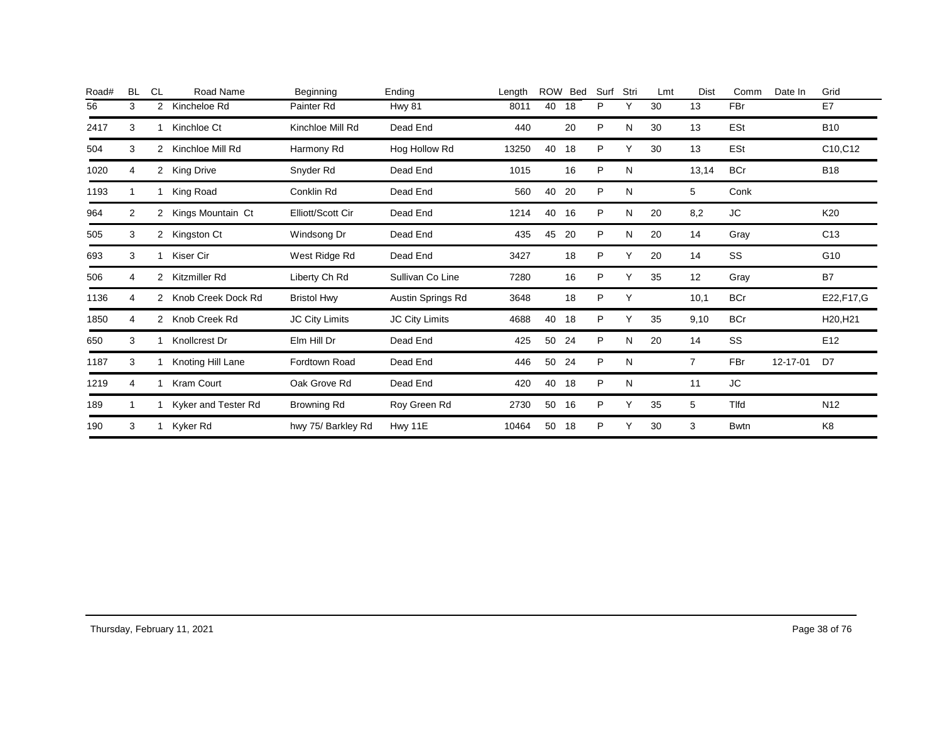| Road# | <b>BL</b> | <b>CL</b>      | Road Name           | Beginning          | Ending            | Length | <b>ROW</b> | Bed | Surf | Stri | Lmt | Dist           | Comm        | Date In  | Grid            |
|-------|-----------|----------------|---------------------|--------------------|-------------------|--------|------------|-----|------|------|-----|----------------|-------------|----------|-----------------|
| 56    | 3         | 2              | Kincheloe Rd        | Painter Rd         | Hwy 81            | 8011   | 40         | 18  | P    | Y    | 30  | 13             | <b>FBr</b>  |          | E7              |
| 2417  | 3         |                | Kinchloe Ct         | Kinchloe Mill Rd   | Dead End          | 440    |            | 20  | P    | N    | 30  | 13             | ESt         |          | <b>B10</b>      |
| 504   | 3         | 2              | Kinchloe Mill Rd    | Harmony Rd         | Hog Hollow Rd     | 13250  | 40         | 18  | P    | Υ    | 30  | 13             | ESt         |          | C10,C12         |
| 1020  | 4         |                | 2 King Drive        | Snyder Rd          | Dead End          | 1015   |            | 16  | P    | N    |     | 13,14          | <b>BCr</b>  |          | <b>B18</b>      |
| 1193  |           |                | King Road           | Conklin Rd         | Dead End          | 560    | 40         | 20  | P    | Ν    |     | 5              | Conk        |          |                 |
| 964   | 2         | $\overline{2}$ | Kings Mountain Ct   | Elliott/Scott Cir  | Dead End          | 1214   | 40         | 16  | P    | N    | 20  | 8,2            | JC          |          | K20             |
| 505   | 3         | $\mathbf{2}$   | Kingston Ct         | Windsong Dr        | Dead End          | 435    | 45         | 20  | P    | N    | 20  | 14             | Gray        |          | C <sub>13</sub> |
| 693   | 3         |                | Kiser Cir           | West Ridge Rd      | Dead End          | 3427   |            | 18  | P    | Υ    | 20  | 14             | SS          |          | G10             |
| 506   | 4         | 2              | Kitzmiller Rd       | Liberty Ch Rd      | Sullivan Co Line  | 7280   |            | 16  | P    | Υ    | 35  | 12             | Gray        |          | B7              |
| 1136  | 4         | 2              | Knob Creek Dock Rd  | <b>Bristol Hwy</b> | Austin Springs Rd | 3648   |            | 18  | P    | Υ    |     | 10,1           | <b>BCr</b>  |          | E22, F17, G     |
| 1850  | 4         | 2              | Knob Creek Rd       | JC City Limits     | JC City Limits    | 4688   | 40         | 18  | P    | Υ    | 35  | 9,10           | <b>BCr</b>  |          | H20, H21        |
| 650   | 3         |                | Knollcrest Dr       | Elm Hill Dr        | Dead End          | 425    | 50         | 24  | P    | N    | 20  | 14             | SS          |          | E <sub>12</sub> |
| 1187  | 3         |                | Knoting Hill Lane   | Fordtown Road      | Dead End          | 446    | 50         | 24  | P    | N    |     | $\overline{7}$ | <b>FBr</b>  | 12-17-01 | D7              |
| 1219  | 4         |                | <b>Kram Court</b>   | Oak Grove Rd       | Dead End          | 420    | 40         | 18  | P    | N    |     | 11             | JC          |          |                 |
| 189   |           |                | Kyker and Tester Rd | Browning Rd        | Roy Green Rd      | 2730   | 50         | 16  | P    | Υ    | 35  | 5              | Tlfd        |          | N <sub>12</sub> |
| 190   | 3         |                | Kyker Rd            | hwy 75/ Barkley Rd | Hwy 11E           | 10464  | 50         | 18  | P    | Υ    | 30  | 3              | <b>Bwtn</b> |          | K <sub>8</sub>  |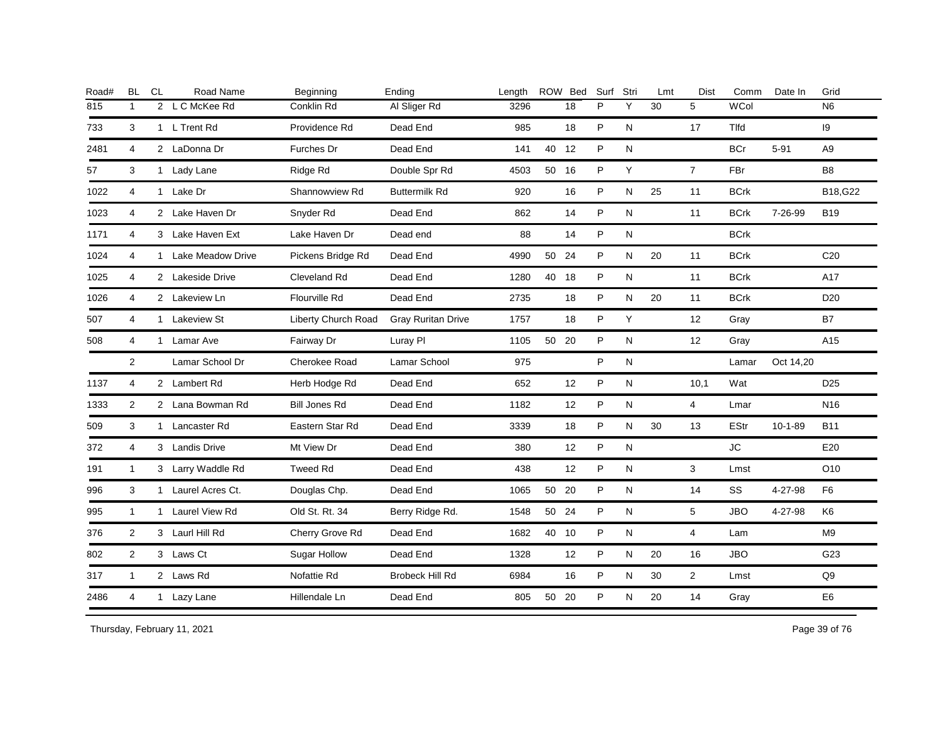| Road# | <b>BL</b>      | <b>CL</b> | Road Name           | Beginning            | Ending                    | Length |       | ROW Bed | Surf | Stri         | Lmt | <b>Dist</b>    | Comm        | Date In       | Grid            |
|-------|----------------|-----------|---------------------|----------------------|---------------------------|--------|-------|---------|------|--------------|-----|----------------|-------------|---------------|-----------------|
| 815   | $\mathbf{1}$   |           | 2 L C McKee Rd      | Conklin Rd           | Al Sliger Rd              | 3296   |       | 18      | P    | Y            | 30  | 5              | WCol        |               | N <sub>6</sub>  |
| 733   | 3              |           | 1 L Trent Rd        | Providence Rd        | Dead End                  | 985    |       | 18      | P    | N            |     | 17             | Tlfd        |               | 9               |
| 2481  | 4              |           | 2 LaDonna Dr        | Furches Dr           | Dead End                  | 141    | 40 12 |         | P    | N            |     |                | <b>BCr</b>  | $5 - 91$      | A <sub>9</sub>  |
| 57    | 3              |           | 1 Lady Lane         | Ridge Rd             | Double Spr Rd             | 4503   | 50 16 |         | P    | Y            |     | $\overline{7}$ | FBr         |               | B <sub>8</sub>  |
| 1022  | $\overline{4}$ |           | 1 Lake Dr           | Shannowview Rd       | <b>Buttermilk Rd</b>      | 920    |       | 16      | P    | N            | 25  | 11             | <b>BCrk</b> |               | B18, G22        |
| 1023  | 4              |           | 2 Lake Haven Dr     | Snyder Rd            | Dead End                  | 862    |       | 14      | P    | $\mathsf{N}$ |     | 11             | <b>BCrk</b> | 7-26-99       | <b>B19</b>      |
| 1171  | 4              |           | 3 Lake Haven Ext    | Lake Haven Dr        | Dead end                  | 88     |       | 14      | P    | N            |     |                | <b>BCrk</b> |               |                 |
| 1024  | 4              |           | 1 Lake Meadow Drive | Pickens Bridge Rd    | Dead End                  | 4990   | 50 24 |         | P    | N            | 20  | 11             | <b>BCrk</b> |               | C <sub>20</sub> |
| 1025  | 4              |           | 2 Lakeside Drive    | Cleveland Rd         | Dead End                  | 1280   | 40    | 18      | P    | N            |     | 11             | <b>BCrk</b> |               | A17             |
| 1026  | 4              |           | 2 Lakeview Ln       | Flourville Rd        | Dead End                  | 2735   |       | 18      | P    | N            | 20  | 11             | <b>BCrk</b> |               | D <sub>20</sub> |
| 507   | 4              |           | 1 Lakeview St       | Liberty Church Road  | <b>Gray Ruritan Drive</b> | 1757   |       | 18      | P    | Y            |     | 12             | Gray        |               | <b>B7</b>       |
| 508   | 4              |           | 1 Lamar Ave         | Fairway Dr           | Luray PI                  | 1105   | 50    | 20      | P    | N            |     | 12             | Gray        |               | A15             |
|       | $\overline{2}$ |           | Lamar School Dr     | Cherokee Road        | Lamar School              | 975    |       |         | P    | N            |     |                | Lamar       | Oct 14,20     |                 |
| 1137  | 4              |           | 2 Lambert Rd        | Herb Hodge Rd        | Dead End                  | 652    |       | 12      | P    | N            |     | 10,1           | Wat         |               | D <sub>25</sub> |
| 1333  | 2              |           | 2 Lana Bowman Rd    | <b>Bill Jones Rd</b> | Dead End                  | 1182   |       | 12      | P    | N            |     | 4              | Lmar        |               | N <sub>16</sub> |
| 509   | 3              |           | 1 Lancaster Rd      | Eastern Star Rd      | Dead End                  | 3339   |       | 18      | P    | N            | 30  | 13             | <b>EStr</b> | $10 - 1 - 89$ | <b>B11</b>      |
| 372   | 4              |           | 3 Landis Drive      | Mt View Dr           | Dead End                  | 380    |       | 12      | P    | N            |     |                | <b>JC</b>   |               | E20             |
| 191   | $\mathbf{1}$   |           | 3 Larry Waddle Rd   | <b>Tweed Rd</b>      | Dead End                  | 438    |       | 12      | P    | N            |     | 3              | Lmst        |               | O10             |
| 996   | 3              |           | 1 Laurel Acres Ct.  | Douglas Chp.         | Dead End                  | 1065   | 50 20 |         | P    | N            |     | 14             | SS          | 4-27-98       | F <sub>6</sub>  |
| 995   | $\mathbf{1}$   |           | 1 Laurel View Rd    | Old St. Rt. 34       | Berry Ridge Rd.           | 1548   | 50 24 |         | P    | N            |     | 5              | <b>JBO</b>  | 4-27-98       | K <sub>6</sub>  |
| 376   | 2              |           | 3 Laurl Hill Rd     | Cherry Grove Rd      | Dead End                  | 1682   | 40 10 |         | P    | N            |     | $\overline{4}$ | Lam         |               | M <sub>9</sub>  |
| 802   | $\overline{2}$ |           | 3 Laws Ct           | Sugar Hollow         | Dead End                  | 1328   |       | 12      | P    | N            | 20  | 16             | <b>JBO</b>  |               | G23             |
| 317   | $\mathbf{1}$   |           | 2 Laws Rd           | Nofattie Rd          | <b>Brobeck Hill Rd</b>    | 6984   |       | 16      | P    | N            | 30  | $\overline{2}$ | Lmst        |               | Q9              |
| 2486  | 4              |           | 1 Lazy Lane         | Hillendale Ln        | Dead End                  | 805    | 50 20 |         | P    | N            | 20  | 14             | Gray        |               | E <sub>6</sub>  |
|       |                |           |                     |                      |                           |        |       |         |      |              |     |                |             |               |                 |

Thursday, February 11, 2021 2012 2014 2015 2016 2017 2021 20:30 20:40 20:40 20:40 20:40 20:40 20:40 20:40 20:40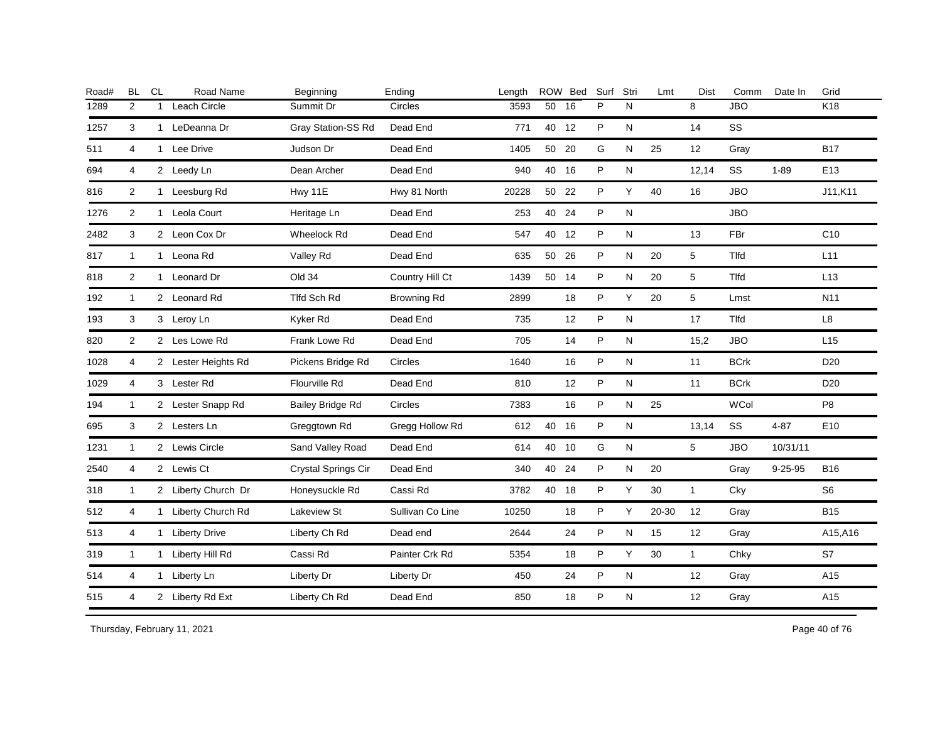| Road# | <b>BL</b>      | CL           | Road Name           | Beginning               | Ending             | Length |       | ROW Bed | Surf | Stri      | Lmt       | <b>Dist</b>  | Comm        | Date In       | Grid            |
|-------|----------------|--------------|---------------------|-------------------------|--------------------|--------|-------|---------|------|-----------|-----------|--------------|-------------|---------------|-----------------|
| 1289  | 2              | $\mathbf{1}$ | Leach Circle        | Summit Dr               | Circles            | 3593   | 50    | 16      | P    | N         |           | 8            | <b>JBO</b>  |               | K18             |
| 1257  | 3              |              | 1 LeDeanna Dr       | Gray Station-SS Rd      | Dead End           | 771    | 40 12 |         | P    | N         |           | 14           | SS          |               |                 |
| 511   | 4              | $\mathbf{1}$ | Lee Drive           | Judson Dr               | Dead End           | 1405   | 50 20 |         | G    | ${\sf N}$ | 25        | 12           | Gray        |               | <b>B17</b>      |
| 694   | 4              |              | 2 Leedy Ln          | Dean Archer             | Dead End           | 940    | 40 16 |         | P    | N         |           | 12,14        | SS          | $1 - 89$      | E <sub>13</sub> |
| 816   | $\overline{2}$ |              | 1 Leesburg Rd       | Hwy 11E                 | Hwy 81 North       | 20228  | 50 22 |         | P    | Υ         | 40        | 16           | <b>JBO</b>  |               | J11,K11         |
| 1276  | 2              | $\mathbf{1}$ | Leola Court         | Heritage Ln             | Dead End           | 253    | 40    | 24      | P    | ${\sf N}$ |           |              | <b>JBO</b>  |               |                 |
| 2482  | 3              |              | 2 Leon Cox Dr       | <b>Wheelock Rd</b>      | Dead End           | 547    | 40    | 12      | P    | ${\sf N}$ |           | 13           | FBr         |               | C10             |
| 817   | $\mathbf{1}$   |              | 1 Leona Rd          | Valley Rd               | Dead End           | 635    | 50    | 26      | P    | N         | 20        | 5            | Tlfd        |               | L11             |
| 818   | 2              | $\mathbf{1}$ | Leonard Dr          | Old 34                  | Country Hill Ct    | 1439   | 50 14 |         | P    | N         | 20        | 5            | <b>Tlfd</b> |               | L13             |
| 192   | $\mathbf{1}$   |              | 2 Leonard Rd        | Tlfd Sch Rd             | <b>Browning Rd</b> | 2899   |       | 18      | P    | Υ         | 20        | 5            | Lmst        |               | N11             |
| 193   | 3              |              | 3 Leroy Ln          | Kyker Rd                | Dead End           | 735    |       | 12      | P    | ${\sf N}$ |           | 17           | Tlfd        |               | L8              |
| 820   | 2              |              | 2 Les Lowe Rd       | Frank Lowe Rd           | Dead End           | 705    |       | 14      | P    | N         |           | 15,2         | <b>JBO</b>  |               | L15             |
| 1028  | 4              |              | 2 Lester Heights Rd | Pickens Bridge Rd       | Circles            | 1640   |       | 16      | P    | N         |           | 11           | <b>BCrk</b> |               | D <sub>20</sub> |
| 1029  | 4              |              | 3 Lester Rd         | Flourville Rd           | Dead End           | 810    |       | 12      | P    | ${\sf N}$ |           | 11           | <b>BCrk</b> |               | D <sub>20</sub> |
| 194   | $\mathbf{1}$   |              | 2 Lester Snapp Rd   | <b>Bailey Bridge Rd</b> | Circles            | 7383   |       | 16      | P    | ${\sf N}$ | 25        |              | WCol        |               | P <sub>8</sub>  |
| 695   | 3              |              | 2 Lesters Ln        | Greggtown Rd            | Gregg Hollow Rd    | 612    | 40 16 |         | P    | N         |           | 13,14        | SS          | $4 - 87$      | E10             |
| 1231  | $\mathbf{1}$   |              | 2 Lewis Circle      | Sand Valley Road        | Dead End           | 614    | 40 10 |         | G    | N         |           | 5            | <b>JBO</b>  | 10/31/11      |                 |
| 2540  | 4              |              | 2 Lewis Ct          | Crystal Springs Cir     | Dead End           | 340    | 40    | 24      | P    | N         | 20        |              | Gray        | $9 - 25 - 95$ | <b>B16</b>      |
| 318   | $\mathbf{1}$   |              | 2 Liberty Church Dr | Honeysuckle Rd          | Cassi Rd           | 3782   | 40 18 |         | P    | Υ         | 30        | $\mathbf{1}$ | Cky         |               | S <sub>6</sub>  |
| 512   | 4              |              | 1 Liberty Church Rd | Lakeview St             | Sullivan Co Line   | 10250  |       | 18      | P    | Y         | $20 - 30$ | 12           | Gray        |               | <b>B15</b>      |
| 513   | 4              |              | 1 Liberty Drive     | Liberty Ch Rd           | Dead end           | 2644   |       | 24      | P    | N         | 15        | 12           | Gray        |               | A15,A16         |
| 319   | $\mathbf{1}$   | 1            | Liberty Hill Rd     | Cassi Rd                | Painter Crk Rd     | 5354   |       | 18      | P    | Y         | 30        | $\mathbf{1}$ | Chky        |               | S7              |
| 514   | 4              |              | 1 Liberty Ln        | Liberty Dr              | Liberty Dr         | 450    |       | 24      | P    | ${\sf N}$ |           | 12           | Gray        |               | A15             |
| 515   | 4              |              | 2 Liberty Rd Ext    | Liberty Ch Rd           | Dead End           | 850    |       | 18      | P    | ${\sf N}$ |           | 12           | Gray        |               | A15             |
|       |                |              |                     |                         |                    |        |       |         |      |           |           |              |             |               |                 |

Thursday, February 11, 2021 2012 2012 12:30 Page 40 of 76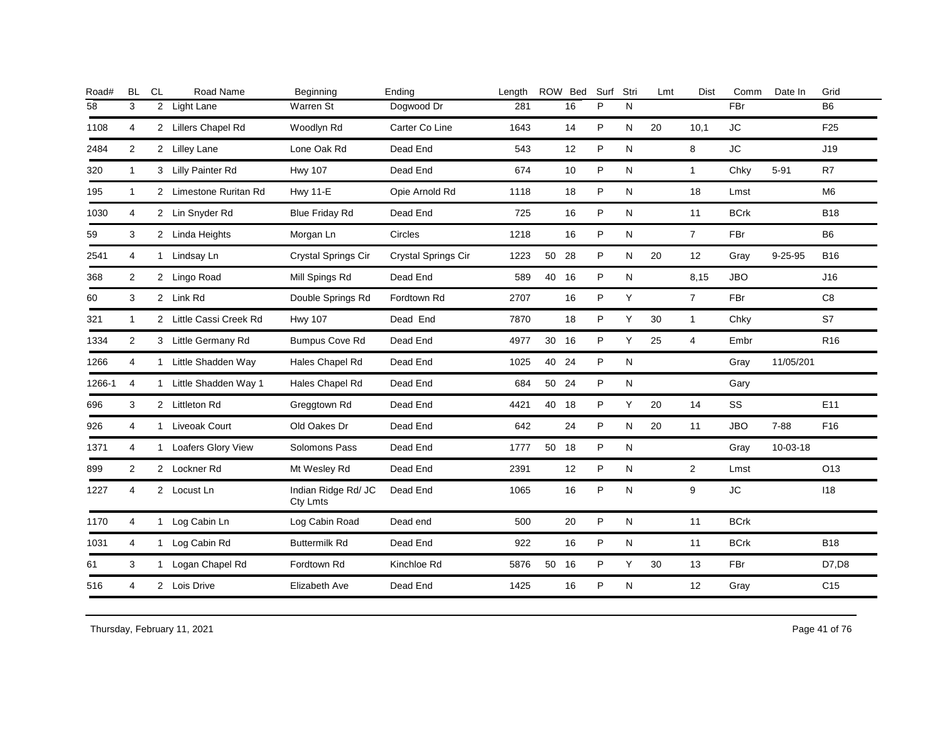| 2 Light Lane<br>2 Lillers Chapel Rd<br>2 Lilley Lane<br>3 Lilly Painter Rd | Warren St<br>Woodlyn Rd<br>Lone Oak Rd | Dogwood Dr<br>Carter Co Line | 281<br>1643 |    | 16 | P                                                        | N |    |                | FBr         |               | <b>B6</b>       |
|----------------------------------------------------------------------------|----------------------------------------|------------------------------|-------------|----|----|----------------------------------------------------------|---|----|----------------|-------------|---------------|-----------------|
|                                                                            |                                        |                              |             |    |    |                                                          |   |    |                |             |               |                 |
|                                                                            |                                        |                              |             |    | 14 | P                                                        | N | 20 | 10,1           | <b>JC</b>   |               | F <sub>25</sub> |
|                                                                            |                                        | Dead End                     | 543         |    | 12 | P                                                        | N |    | 8              | <b>JC</b>   |               | J19             |
|                                                                            | <b>Hwy 107</b>                         | Dead End                     | 674         |    | 10 | P                                                        | N |    | $\mathbf{1}$   | Chky        | $5 - 91$      | R7              |
| 2 Limestone Ruritan Rd                                                     | <b>Hwy 11-E</b>                        | Opie Arnold Rd               | 1118        |    | 18 | P                                                        | N |    | 18             | Lmst        |               | M6              |
| 2 Lin Snyder Rd                                                            | <b>Blue Friday Rd</b>                  | Dead End                     | 725         |    | 16 | P                                                        | N |    | 11             | <b>BCrk</b> |               | <b>B18</b>      |
| 2 Linda Heights                                                            | Morgan Ln                              | Circles                      | 1218        |    | 16 | P                                                        | N |    | $\overline{7}$ | FBr         |               | B <sub>6</sub>  |
| 1 Lindsay Ln                                                               | Crystal Springs Cir                    | Crystal Springs Cir          | 1223        | 50 |    | P                                                        | N | 20 | 12             | Gray        | $9 - 25 - 95$ | <b>B16</b>      |
| 2 Lingo Road                                                               | Mill Spings Rd                         | Dead End                     | 589         | 40 |    | P                                                        | N |    | 8,15           | <b>JBO</b>  |               | J16             |
| 2 Link Rd                                                                  | Double Springs Rd                      | Fordtown Rd                  | 2707        |    | 16 | P                                                        | Y |    | $\overline{7}$ | FBr         |               | C8              |
| 2 Little Cassi Creek Rd                                                    | <b>Hwy 107</b>                         | Dead End                     | 7870        |    | 18 | P                                                        | Y | 30 | $\mathbf{1}$   | Chky        |               | S7              |
| 3 Little Germany Rd                                                        | <b>Bumpus Cove Rd</b>                  | Dead End                     | 4977        |    |    | P                                                        | Y | 25 | $\overline{4}$ | Embr        |               | R <sub>16</sub> |
| 1 Little Shadden Way                                                       | Hales Chapel Rd                        | Dead End                     | 1025        | 40 |    | P                                                        | N |    |                | Gray        | 11/05/201     |                 |
| 1 Little Shadden Way 1                                                     | Hales Chapel Rd                        | Dead End                     | 684         | 50 |    | P                                                        | N |    |                | Gary        |               |                 |
| 2 Littleton Rd                                                             | Greggtown Rd                           | Dead End                     | 4421        |    |    | P                                                        | Y | 20 | 14             | SS          |               | E11             |
| 1 Liveoak Court                                                            | Old Oakes Dr                           | Dead End                     | 642         |    | 24 | P                                                        | N | 20 | 11             | <b>JBO</b>  | $7 - 88$      | F16             |
| 1 Loafers Glory View                                                       | Solomons Pass                          | Dead End                     | 1777        |    |    | P                                                        | N |    |                | Gray        | 10-03-18      |                 |
| 2 Lockner Rd                                                               | Mt Wesley Rd                           | Dead End                     | 2391        |    | 12 | P                                                        | N |    | 2              | Lmst        |               | O <sub>13</sub> |
| 2 Locust Ln                                                                | Indian Ridge Rd/ JC<br>Cty Lmts        | Dead End                     | 1065        |    | 16 | P                                                        | N |    | 9              | <b>JC</b>   |               | 118             |
| 1 Log Cabin Ln                                                             | Log Cabin Road                         | Dead end                     | 500         |    | 20 | P                                                        | N |    | 11             | <b>BCrk</b> |               |                 |
| 1 Log Cabin Rd                                                             | <b>Buttermilk Rd</b>                   | Dead End                     | 922         |    | 16 | P                                                        | N |    | 11             | <b>BCrk</b> |               | <b>B18</b>      |
| 1 Logan Chapel Rd                                                          | Fordtown Rd                            | Kinchloe Rd                  | 5876        |    |    | P                                                        | Y | 30 | 13             | <b>FBr</b>  |               | D7,D8           |
| 2 Lois Drive                                                               | Elizabeth Ave                          | Dead End                     | 1425        |    | 16 | P                                                        | N |    | 12             | Gray        |               | C <sub>15</sub> |
|                                                                            |                                        |                              |             |    |    | 28<br>16<br>30 16<br>24<br>24<br>40 18<br>50 18<br>50 16 |   |    |                |             |               |                 |

Thursday, February 11, 2021 2012 2014 12:30 Page 41 of 76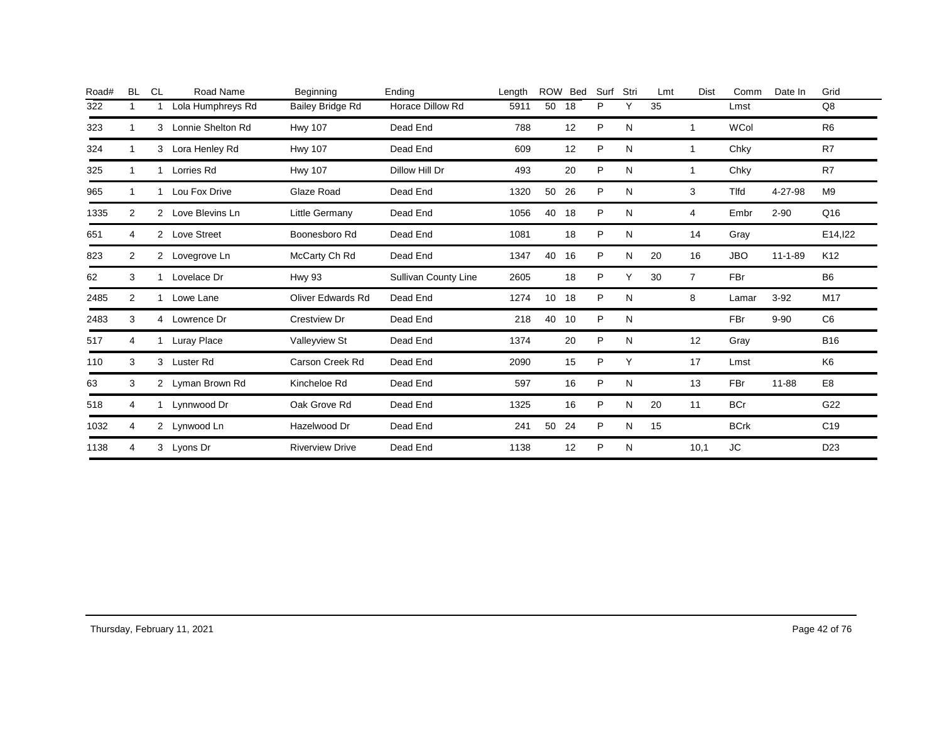| Road# | <b>BL</b>      | <b>CL</b>      | Road Name          | Beginning                | Ending                      | Length | <b>ROW</b>      | Bed | Surf | Stri | Lmt | <b>Dist</b>    | Comm         | Date In       | Grid            |
|-------|----------------|----------------|--------------------|--------------------------|-----------------------------|--------|-----------------|-----|------|------|-----|----------------|--------------|---------------|-----------------|
| 322   | 1              |                | Lola Humphreys Rd  | Bailey Bridge Rd         | Horace Dillow Rd            | 5911   | 50              | 18  | P    | Υ    | 35  |                | Lmst         |               | Q8              |
| 323   | 1              | 3              | Lonnie Shelton Rd  | <b>Hwy 107</b>           | Dead End                    | 788    |                 | 12  | P    | N    |     |                | <b>WCol</b>  |               | R <sub>6</sub>  |
| 324   | 1              | 3              | Lora Henley Rd     | <b>Hwy 107</b>           | Dead End                    | 609    |                 | 12  | P    | N    |     |                | Chky         |               | R7              |
| 325   | 1              |                | Lorries Rd         | <b>Hwy 107</b>           | Dillow Hill Dr              | 493    |                 | 20  | P    | N    |     |                | Chky         |               | R7              |
| 965   | 1              | 1              | Lou Fox Drive      | Glaze Road               | Dead End                    | 1320   | 50              | 26  | P    | N    |     | 3              | <b>T</b> Ifd | 4-27-98       | M <sub>9</sub>  |
| 1335  | $\overline{2}$ | 2              | Love Blevins Ln    | Little Germany           | Dead End                    | 1056   | 40              | 18  | P    | N    |     | 4              | Embr         | $2 - 90$      | Q16             |
| 651   | 4              | $\mathcal{P}$  | <b>Love Street</b> | Boonesboro Rd            | Dead End                    | 1081   |                 | 18  | P    | N    |     | 14             | Gray         |               | E14, 122        |
| 823   | 2              | $\overline{2}$ | Lovegrove Ln       | McCarty Ch Rd            | Dead End                    | 1347   | 40              | 16  | P    | N    | 20  | 16             | <b>JBO</b>   | $11 - 1 - 89$ | K <sub>12</sub> |
| 62    | 3              |                | Lovelace Dr        | <b>Hwy 93</b>            | <b>Sullivan County Line</b> | 2605   |                 | 18  | P    | Υ    | 30  | $\overline{7}$ | <b>FBr</b>   |               | B <sub>6</sub>  |
| 2485  | $\overline{2}$ | 1              | Lowe Lane          | <b>Oliver Edwards Rd</b> | Dead End                    | 1274   | 10 <sup>°</sup> | 18  | P    | N    |     | 8              | Lamar        | $3 - 92$      | M17             |
| 2483  | 3              | 4              | Lowrence Dr        | Crestview Dr             | Dead End                    | 218    | 40              | 10  | P    | N    |     |                | <b>FBr</b>   | $9 - 90$      | C <sub>6</sub>  |
| 517   | 4              | 1              | Luray Place        | Valleyview St            | Dead End                    | 1374   |                 | 20  | P    | N    |     | 12             | Gray         |               | <b>B16</b>      |
| 110   | 3              | 3              | Luster Rd          | Carson Creek Rd          | Dead End                    | 2090   |                 | 15  | P    | Y    |     | 17             | Lmst         |               | K <sub>6</sub>  |
| 63    | 3              | $\mathbf{2}$   | Lyman Brown Rd     | Kincheloe Rd             | Dead End                    | 597    |                 | 16  | P    | N    |     | 13             | <b>FBr</b>   | 11-88         | E <sub>8</sub>  |
| 518   | 4              |                | Lynnwood Dr        | Oak Grove Rd             | Dead End                    | 1325   |                 | 16  | P    | N    | 20  | 11             | <b>BCr</b>   |               | G22             |
| 1032  | 4              | $\overline{2}$ | Lynwood Ln         | Hazelwood Dr             | Dead End                    | 241    | 50              | 24  | P    | N    | 15  |                | <b>BCrk</b>  |               | C <sub>19</sub> |
| 1138  | 4              | 3              | Lyons Dr           | <b>Riverview Drive</b>   | Dead End                    | 1138   |                 | 12  | P    | N    |     | 10,1           | JC           |               | D <sub>23</sub> |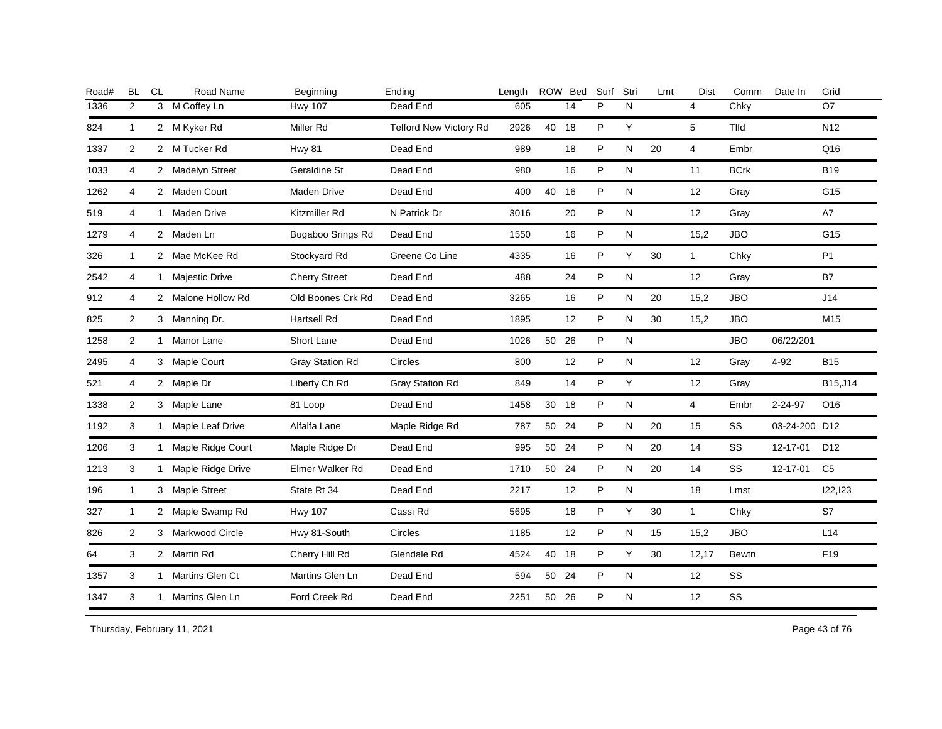| Road# | <b>BL</b>      | <b>CL</b> | Road Name           | Beginning            | Ending                 | Length |       | ROW Bed | Surf | Stri | Lmt | <b>Dist</b>       | Comm        | Date In       | Grid            |
|-------|----------------|-----------|---------------------|----------------------|------------------------|--------|-------|---------|------|------|-----|-------------------|-------------|---------------|-----------------|
| 1336  | 2              |           | 3 M Coffey Ln       | <b>Hwy 107</b>       | Dead End               | 605    |       | 14      | P    | N    |     | $\overline{4}$    | Chky        |               | O7              |
| 824   | $\mathbf{1}$   |           | 2 M Kyker Rd        | Miller Rd            | Telford New Victory Rd | 2926   | 40 18 |         | P    | Y    |     | 5                 | Tlfd        |               | N <sub>12</sub> |
| 1337  | 2              |           | 2 M Tucker Rd       | <b>Hwy 81</b>        | Dead End               | 989    |       | 18      | P    | N    | 20  | $\overline{4}$    | Embr        |               | Q16             |
| 1033  | 4              |           | 2 Madelyn Street    | Geraldine St         | Dead End               | 980    |       | 16      | P    | N    |     | 11                | <b>BCrk</b> |               | <b>B19</b>      |
| 1262  | 4              |           | 2 Maden Court       | Maden Drive          | Dead End               | 400    | 40 16 |         | P    | N    |     | 12                | Gray        |               | G15             |
| 519   | 4              |           | 1 Maden Drive       | Kitzmiller Rd        | N Patrick Dr           | 3016   |       | 20      | P    | N    |     | 12                | Gray        |               | A7              |
| 1279  | 4              |           | 2 Maden Ln          | Bugaboo Srings Rd    | Dead End               | 1550   |       | 16      | P    | N    |     | 15,2              | <b>JBO</b>  |               | G15             |
| 326   | $\mathbf{1}$   |           | 2 Mae McKee Rd      | Stockyard Rd         | Greene Co Line         | 4335   |       | 16      | P    | Y    | 30  | $\mathbf{1}$      | Chky        |               | P <sub>1</sub>  |
| 2542  | 4              |           | 1 Majestic Drive    | <b>Cherry Street</b> | Dead End               | 488    |       | 24      | P    | N    |     | 12                | Gray        |               | <b>B7</b>       |
| 912   | 4              |           | 2 Malone Hollow Rd  | Old Boones Crk Rd    | Dead End               | 3265   |       | 16      | P    | N    | 20  | 15,2              | <b>JBO</b>  |               | J14             |
| 825   | 2              |           | 3 Manning Dr.       | Hartsell Rd          | Dead End               | 1895   |       | 12      | P    | N    | 30  | 15,2              | <b>JBO</b>  |               | M15             |
| 1258  | 2              |           | 1 Manor Lane        | Short Lane           | Dead End               | 1026   | 50 26 |         | P    | N    |     |                   | <b>JBO</b>  | 06/22/201     |                 |
| 2495  | 4              |           | 3 Maple Court       | Gray Station Rd      | Circles                | 800    |       | 12      | P    | N    |     | $12 \overline{ }$ | Gray        | $4 - 92$      | <b>B15</b>      |
| 521   | 4              |           | 2 Maple Dr          | Liberty Ch Rd        | Gray Station Rd        | 849    |       | 14      | P    | Y    |     | 12                | Gray        |               | B15, J14        |
| 1338  | $\overline{2}$ |           | 3 Maple Lane        | 81 Loop              | Dead End               | 1458   | 30 18 |         | P    | N    |     | $\overline{4}$    | Embr        | 2-24-97       | O16             |
| 1192  | 3              |           | 1 Maple Leaf Drive  | Alfalfa Lane         | Maple Ridge Rd         | 787    | 50 24 |         | P    | N    | 20  | 15                | SS          | 03-24-200 D12 |                 |
| 1206  | 3              |           | 1 Maple Ridge Court | Maple Ridge Dr       | Dead End               | 995    | 50    | 24      | P    | N    | 20  | 14                | SS          | 12-17-01      | D <sub>12</sub> |
| 1213  | 3              |           | 1 Maple Ridge Drive | Elmer Walker Rd      | Dead End               | 1710   | 50    | 24      | P    | N    | 20  | 14                | SS          | 12-17-01      | C <sub>5</sub>  |
| 196   | $\mathbf{1}$   |           | 3 Maple Street      | State Rt 34          | Dead End               | 2217   |       | 12      | P    | N    |     | 18                | Lmst        |               | 122,123         |
| 327   | $\mathbf{1}$   |           | 2 Maple Swamp Rd    | <b>Hwy 107</b>       | Cassi Rd               | 5695   |       | 18      | P    | Y    | 30  | $\mathbf{1}$      | Chky        |               | S7              |
| 826   | 2              |           | 3 Markwood Circle   | Hwy 81-South         | Circles                | 1185   |       | 12      | P    | N    | 15  | 15,2              | <b>JBO</b>  |               | L14             |
| 64    | 3              |           | 2 Martin Rd         | Cherry Hill Rd       | Glendale Rd            | 4524   | 40    | 18      | P    | Y    | 30  | 12,17             | Bewtn       |               | F19             |
| 1357  | 3              |           | 1 Martins Glen Ct   | Martins Glen Ln      | Dead End               | 594    | 50    | 24      | P    | N    |     | 12                | SS          |               |                 |
| 1347  | 3              |           | 1 Martins Glen Ln   | Ford Creek Rd        | Dead End               | 2251   | 50    | 26      | P    | N    |     | 12                | SS          |               |                 |
|       |                |           |                     |                      |                        |        |       |         |      |      |     |                   |             |               |                 |

Thursday, February 11, 2021 2012 2014 2015 2016 2017 2021 20:30 Page 43 of 76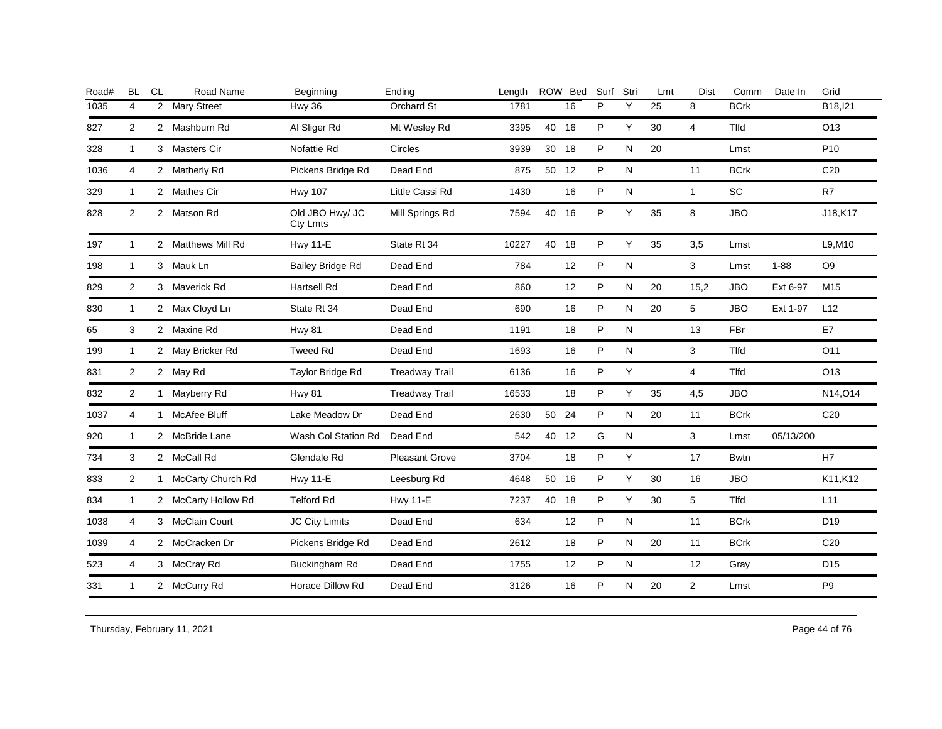| Road# | <b>BL</b>      | <b>CL</b>      | Road Name           | Beginning                   | Ending                | Length |       | ROW Bed | Surf | Stri | Lmt | <b>Dist</b>    | Comm        | Date In   | Grid            |
|-------|----------------|----------------|---------------------|-----------------------------|-----------------------|--------|-------|---------|------|------|-----|----------------|-------------|-----------|-----------------|
| 1035  | 4              | $\overline{2}$ | <b>Mary Street</b>  | Hwy 36                      | Orchard St            | 1781   |       | 16      | P    | Y    | 25  | 8              | <b>BCrk</b> |           | B18, 121        |
| 827   | 2              |                | 2 Mashburn Rd       | Al Sliger Rd                | Mt Wesley Rd          | 3395   | 40    | 16      | P    | Y    | 30  | $\overline{4}$ | Tlfd        |           | O13             |
| 328   | $\mathbf{1}$   |                | 3 Masters Cir       | Nofattie Rd                 | Circles               | 3939   | 30    | 18      | P    | N    | 20  |                | Lmst        |           | P <sub>10</sub> |
| 1036  | 4              |                | 2 Matherly Rd       | Pickens Bridge Rd           | Dead End              | 875    | 50 12 |         | P    | N    |     | 11             | <b>BCrk</b> |           | C <sub>20</sub> |
| 329   | $\mathbf{1}$   |                | 2 Mathes Cir        | <b>Hwy 107</b>              | Little Cassi Rd       | 1430   |       | 16      | P    | N    |     | $\mathbf{1}$   | <b>SC</b>   |           | R7              |
| 828   | $\overline{2}$ |                | 2 Matson Rd         | Old JBO Hwy/ JC<br>Cty Lmts | Mill Springs Rd       | 7594   | 40 16 |         | P    | Y    | 35  | 8              | <b>JBO</b>  |           | J18,K17         |
| 197   | $\overline{1}$ |                | 2 Matthews Mill Rd  | <b>Hwy 11-E</b>             | State Rt 34           | 10227  | 40 18 |         | P    | Y    | 35  | 3,5            | Lmst        |           | L9, M10         |
| 198   | $\overline{1}$ |                | 3 Mauk Ln           | <b>Bailey Bridge Rd</b>     | Dead End              | 784    |       | 12      | P    | N    |     | 3              | Lmst        | $1 - 88$  | O <sub>9</sub>  |
| 829   | 2              |                | 3 Maverick Rd       | Hartsell Rd                 | Dead End              | 860    |       | 12      | P    | N    | 20  | 15,2           | <b>JBO</b>  | Ext 6-97  | M15             |
| 830   | $\mathbf{1}$   |                | 2 Max Cloyd Ln      | State Rt 34                 | Dead End              | 690    |       | 16      | P    | N    | 20  | 5              | <b>JBO</b>  | Ext 1-97  | L12             |
| 65    | 3              |                | 2 Maxine Rd         | <b>Hwy 81</b>               | Dead End              | 1191   |       | 18      | P    | N    |     | 13             | <b>FBr</b>  |           | E7              |
| 199   | $\mathbf{1}$   |                | 2 May Bricker Rd    | <b>Tweed Rd</b>             | Dead End              | 1693   |       | 16      | P    | N    |     | 3              | Tlfd        |           | O11             |
| 831   | 2              |                | 2 May Rd            | Taylor Bridge Rd            | <b>Treadway Trail</b> | 6136   |       | 16      | P    | Y    |     | $\overline{4}$ | Tlfd        |           | O13             |
| 832   | 2              |                | 1 Mayberry Rd       | <b>Hwy 81</b>               | <b>Treadway Trail</b> | 16533  |       | 18      | P    | Y    | 35  | 4,5            | <b>JBO</b>  |           | N14, O14        |
| 1037  | 4              |                | 1 McAfee Bluff      | Lake Meadow Dr              | Dead End              | 2630   | 50    | 24      | P    | N    | 20  | 11             | <b>BCrk</b> |           | C <sub>20</sub> |
| 920   | $\overline{1}$ |                | 2 McBride Lane      | Wash Col Station Rd         | Dead End              | 542    | 40 12 |         | G    | N    |     | 3              | Lmst        | 05/13/200 |                 |
| 734   | 3              |                | 2 McCall Rd         | Glendale Rd                 | <b>Pleasant Grove</b> | 3704   |       | 18      | P    | Y    |     | 17             | <b>Bwtn</b> |           | H7              |
| 833   | 2              |                | 1 McCarty Church Rd | <b>Hwy 11-E</b>             | Leesburg Rd           | 4648   | 50    | 16      | P    | Y    | 30  | 16             | <b>JBO</b>  |           | K11, K12        |
| 834   | $\mathbf{1}$   |                | 2 McCarty Hollow Rd | <b>Telford Rd</b>           | <b>Hwy 11-E</b>       | 7237   | 40    | 18      | P    | Y    | 30  | 5              | Tlfd        |           | L11             |
| 1038  | 4              |                | 3 McClain Court     | JC City Limits              | Dead End              | 634    |       | 12      | P    | N    |     | 11             | <b>BCrk</b> |           | D <sub>19</sub> |
| 1039  | 4              |                | 2 McCracken Dr      | Pickens Bridge Rd           | Dead End              | 2612   |       | 18      | P    | N    | 20  | 11             | <b>BCrk</b> |           | C <sub>20</sub> |
| 523   | 4              |                | 3 McCray Rd         | Buckingham Rd               | Dead End              | 1755   |       | 12      | P    | N    |     | 12             | Gray        |           | D <sub>15</sub> |
| 331   | $\mathbf{1}$   |                | 2 McCurry Rd        | Horace Dillow Rd            | Dead End              | 3126   |       | 16      | P    | N    | 20  | $\overline{2}$ | Lmst        |           | P <sub>9</sub>  |
|       |                |                |                     |                             |                       |        |       |         |      |      |     |                |             |           |                 |

Thursday, February 11, 2021 2012 2014 2017 2018 2019 2019 2020 2020 2031 2040 2050 2061 2076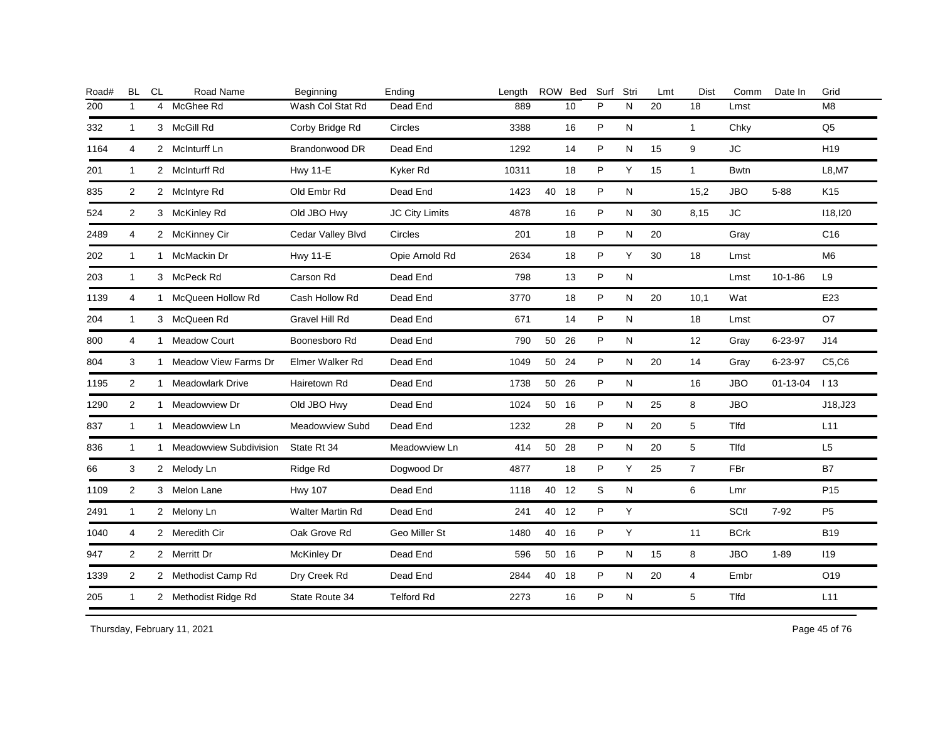| Road# | <b>BL</b>      | CL             | Road Name                | Beginning         | Ending                | Length |       | ROW Bed | Surf | Stri      | Lmt | <b>Dist</b>    | Comm         | Date In       | Grid            |
|-------|----------------|----------------|--------------------------|-------------------|-----------------------|--------|-------|---------|------|-----------|-----|----------------|--------------|---------------|-----------------|
| 200   | $\mathbf{1}$   | $\overline{4}$ | McGhee Rd                | Wash Col Stat Rd  | Dead End              | 889    |       | 10      | P    | N         | 20  | 18             | Lmst         |               | M <sub>8</sub>  |
| 332   | $\mathbf{1}$   |                | 3 McGill Rd              | Corby Bridge Rd   | Circles               | 3388   |       | 16      | P    | N         |     | $\mathbf{1}$   | Chky         |               | Q <sub>5</sub>  |
| 1164  | $\overline{4}$ |                | 2 McInturff Ln           | Brandonwood DR    | Dead End              | 1292   |       | 14      | P    | N         | 15  | 9              | <b>JC</b>    |               | H <sub>19</sub> |
| 201   | $\mathbf{1}$   |                | 2 McInturff Rd           | <b>Hwy 11-E</b>   | Kyker Rd              | 10311  |       | 18      | P    | Υ         | 15  | $\mathbf{1}$   | <b>Bwtn</b>  |               | L8, M7          |
| 835   | 2              |                | 2 McIntyre Rd            | Old Embr Rd       | Dead End              | 1423   | 40 18 |         | P    | ${\sf N}$ |     | 15,2           | <b>JBO</b>   | $5 - 88$      | K <sub>15</sub> |
| 524   | 2              |                | 3 McKinley Rd            | Old JBO Hwy       | <b>JC City Limits</b> | 4878   |       | 16      | P    | N         | 30  | 8,15           | JC           |               | 118,120         |
| 2489  | 4              |                | 2 McKinney Cir           | Cedar Valley Blvd | Circles               | 201    |       | 18      | P    | N         | 20  |                | Gray         |               | C <sub>16</sub> |
| 202   | $\mathbf{1}$   | $\mathbf{1}$   | McMackin Dr              | <b>Hwy 11-E</b>   | Opie Arnold Rd        | 2634   |       | 18      | P    | Y         | 30  | 18             | Lmst         |               | M <sub>6</sub>  |
| 203   | $\mathbf{1}$   |                | 3 McPeck Rd              | Carson Rd         | Dead End              | 798    |       | 13      | P    | ${\sf N}$ |     |                | Lmst         | $10-1-86$     | L9              |
| 1139  | 4              | 1              | McQueen Hollow Rd        | Cash Hollow Rd    | Dead End              | 3770   |       | 18      | P    | N         | 20  | 10,1           | Wat          |               | E23             |
| 204   | $\mathbf{1}$   |                | 3 McQueen Rd             | Gravel Hill Rd    | Dead End              | 671    |       | 14      | P    | N         |     | 18             | Lmst         |               | O7              |
| 800   | 4              | $\mathbf{1}$   | <b>Meadow Court</b>      | Boonesboro Rd     | Dead End              | 790    | 50    | 26      | P    | ${\sf N}$ |     | 12             | Gray         | 6-23-97       | J14             |
| 804   | 3              |                | 1 Meadow View Farms Dr   | Elmer Walker Rd   | Dead End              | 1049   | 50 24 |         | P    | N         | 20  | 14             | Gray         | $6 - 23 - 97$ | C5, C6          |
| 1195  | $\overline{2}$ | $\mathbf{1}$   | <b>Meadowlark Drive</b>  | Hairetown Rd      | Dead End              | 1738   | 50 26 |         | P    | N         |     | 16             | <b>JBO</b>   | 01-13-04      | 113             |
| 1290  | $\overline{2}$ |                | 1 Meadowview Dr          | Old JBO Hwy       | Dead End              | 1024   | 50 16 |         | P    | N         | 25  | 8              | <b>JBO</b>   |               | J18, J23        |
| 837   | $\mathbf{1}$   |                | 1 Meadowview Ln          | Meadowview Subd   | Dead End              | 1232   |       | 28      | P    | N         | 20  | 5              | <b>Tlfd</b>  |               | L11             |
| 836   | $\mathbf{1}$   |                | 1 Meadowview Subdivision | State Rt 34       | Meadowview Ln         | 414    | 50 28 |         | P    | N         | 20  | 5              | <b>T</b> Ifd |               | L <sub>5</sub>  |
| 66    | 3              |                | 2 Melody Ln              | Ridge Rd          | Dogwood Dr            | 4877   |       | 18      | P    | Y         | 25  | $\overline{7}$ | FBr          |               | <b>B7</b>       |
| 1109  | $\overline{2}$ |                | 3 Melon Lane             | <b>Hwy 107</b>    | Dead End              | 1118   | 40 12 |         | S    | N         |     | 6              | Lmr          |               | P <sub>15</sub> |
| 2491  | $\mathbf{1}$   |                | 2 Melony Ln              | Walter Martin Rd  | Dead End              | 241    | 40 12 |         | P    | Y         |     |                | SCtl         | $7 - 92$      | P <sub>5</sub>  |
| 1040  | 4              |                | 2 Meredith Cir           | Oak Grove Rd      | Geo Miller St         | 1480   | 40 16 |         | P    | Y         |     | 11             | <b>BCrk</b>  |               | <b>B19</b>      |
| 947   | 2              |                | 2 Merritt Dr             | McKinley Dr       | Dead End              | 596    | 50 16 |         | P    | N         | 15  | 8              | <b>JBO</b>   | $1 - 89$      | 119             |
| 1339  | $\overline{2}$ |                | 2 Methodist Camp Rd      | Dry Creek Rd      | Dead End              | 2844   | 40 18 |         | P    | N         | 20  | 4              | Embr         |               | O19             |
| 205   | $\mathbf{1}$   |                | 2 Methodist Ridge Rd     | State Route 34    | <b>Telford Rd</b>     | 2273   |       | 16      | P    | ${\sf N}$ |     | 5              | Tlfd         |               | L11             |
|       |                |                |                          |                   |                       |        |       |         |      |           |     |                |              |               |                 |

Thursday, February 11, 2021 2012 2014 2015 2016 2017 2021 20:30 Page 45 of 76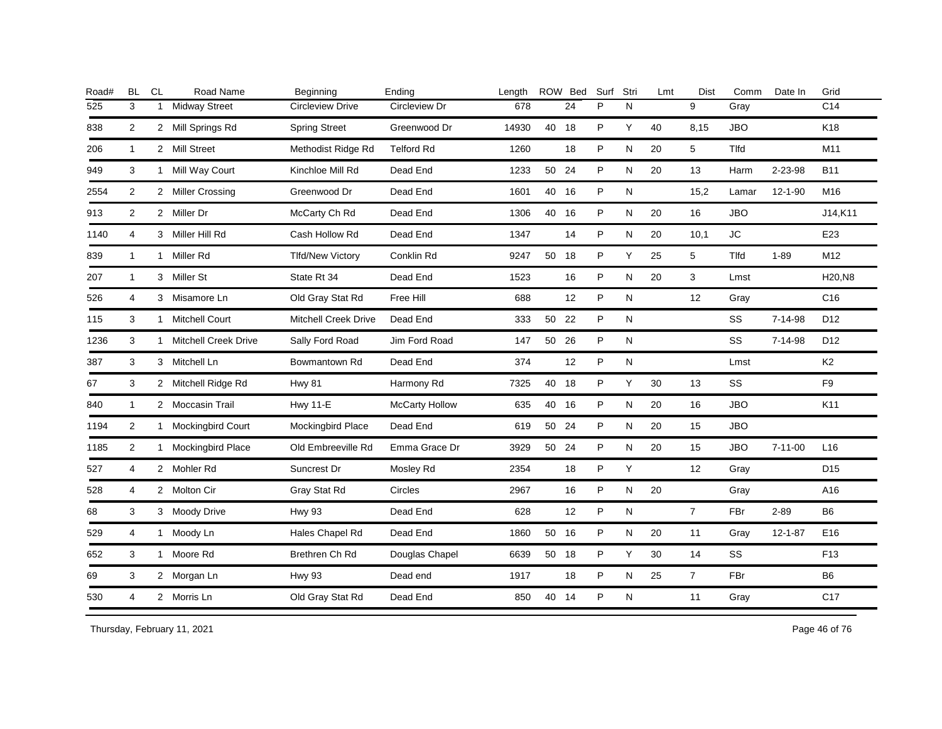| Road# | <b>BL</b>      | CL           | Road Name                   | Beginning                   | Ending                | Length |       | ROW Bed | Surf | Stri         | Lmt | Dist           | Comm         | Date In       | Grid            |
|-------|----------------|--------------|-----------------------------|-----------------------------|-----------------------|--------|-------|---------|------|--------------|-----|----------------|--------------|---------------|-----------------|
| 525   | 3              | $\mathbf{1}$ | <b>Midway Street</b>        | <b>Circleview Drive</b>     | Circleview Dr         | 678    |       | 24      | P    | N            |     | 9              | Gray         |               | C14             |
| 838   | $\overline{2}$ |              | 2 Mill Springs Rd           | <b>Spring Street</b>        | Greenwood Dr          | 14930  | 40 18 |         | P    | Y            | 40  | 8,15           | <b>JBO</b>   |               | K18             |
| 206   | $\mathbf{1}$   |              | 2 Mill Street               | Methodist Ridge Rd          | <b>Telford Rd</b>     | 1260   |       | 18      | P    | N            | 20  | 5              | <b>Tlfd</b>  |               | M11             |
| 949   | 3              | 1            | Mill Way Court              | Kinchloe Mill Rd            | Dead End              | 1233   | 50 24 |         | P    | N            | 20  | 13             | Harm         | 2-23-98       | <b>B11</b>      |
| 2554  | $\overline{2}$ |              | 2 Miller Crossing           | Greenwood Dr                | Dead End              | 1601   | 40 16 |         | P    | $\mathsf{N}$ |     | 15,2           | Lamar        | $12 - 1 - 90$ | M16             |
| 913   | 2              |              | 2 Miller Dr                 | McCarty Ch Rd               | Dead End              | 1306   | 40 16 |         | P    | N            | 20  | 16             | <b>JBO</b>   |               | J14,K11         |
| 1140  | 4              |              | 3 Miller Hill Rd            | Cash Hollow Rd              | Dead End              | 1347   |       | 14      | P    | N            | 20  | 10,1           | ${\sf JC}$   |               | E23             |
| 839   | $\mathbf{1}$   | $\mathbf{1}$ | Miller Rd                   | <b>Tlfd/New Victory</b>     | Conklin Rd            | 9247   | 50 18 |         | P    | Y            | 25  | 5              | <b>T</b> Ifd | $1 - 89$      | M12             |
| 207   | $\mathbf{1}$   |              | 3 Miller St                 | State Rt 34                 | Dead End              | 1523   |       | 16      | P    | N            | 20  | 3              | Lmst         |               | H20,N8          |
| 526   | 4              | 3            | Misamore Ln                 | Old Gray Stat Rd            | Free Hill             | 688    |       | 12      | P    | N            |     | 12             | Gray         |               | C <sub>16</sub> |
| 115   | 3              | $\mathbf{1}$ | <b>Mitchell Court</b>       | <b>Mitchell Creek Drive</b> | Dead End              | 333    | 50 22 |         | P    | ${\sf N}$    |     |                | SS           | 7-14-98       | D <sub>12</sub> |
| 1236  | 3              | 1            | <b>Mitchell Creek Drive</b> | Sally Ford Road             | Jim Ford Road         | 147    | 50 26 |         | P    | N            |     |                | SS           | $7 - 14 - 98$ | D12             |
| 387   | 3              |              | 3 Mitchell Ln               | Bowmantown Rd               | Dead End              | 374    |       | 12      | P    | N            |     |                | Lmst         |               | K <sub>2</sub>  |
| 67    | 3              |              | 2 Mitchell Ridge Rd         | <b>Hwy 81</b>               | Harmony Rd            | 7325   | 40 18 |         | P    | Y            | 30  | 13             | SS           |               | F <sub>9</sub>  |
| 840   | $\mathbf{1}$   |              | 2 Moccasin Trail            | <b>Hwy 11-E</b>             | <b>McCarty Hollow</b> | 635    | 40 16 |         | P    | N            | 20  | 16             | <b>JBO</b>   |               | K11             |
| 1194  | 2              | 1            | <b>Mockingbird Court</b>    | Mockingbird Place           | Dead End              | 619    | 50 24 |         | P    | N            | 20  | 15             | <b>JBO</b>   |               |                 |
| 1185  | $\overline{c}$ |              | 1 Mockingbird Place         | Old Embreeville Rd          | Emma Grace Dr         | 3929   | 50 24 |         | P    | N            | 20  | 15             | JBO          | $7 - 11 - 00$ | L <sub>16</sub> |
| 527   | 4              |              | 2 Mohler Rd                 | Suncrest Dr                 | Mosley Rd             | 2354   |       | 18      | P    | Y            |     | 12             | Gray         |               | D <sub>15</sub> |
| 528   | 4              |              | 2 Molton Cir                | Gray Stat Rd                | Circles               | 2967   |       | 16      | P    | N            | 20  |                | Gray         |               | A16             |
| 68    | 3              |              | 3 Moody Drive               | <b>Hwy 93</b>               | Dead End              | 628    |       | 12      | P    | N            |     | $\overline{7}$ | <b>FBr</b>   | $2 - 89$      | B <sub>6</sub>  |
| 529   | 4              | $\mathbf{1}$ | Moody Ln                    | Hales Chapel Rd             | Dead End              | 1860   | 50 16 |         | P    | N            | 20  | 11             | Gray         | $12 - 1 - 87$ | E16             |
| 652   | 3              | $\mathbf{1}$ | Moore Rd                    | Brethren Ch Rd              | Douglas Chapel        | 6639   | 50 18 |         | P    | Y            | 30  | 14             | <b>SS</b>    |               | F <sub>13</sub> |
| 69    | 3              |              | 2 Morgan Ln                 | <b>Hwy 93</b>               | Dead end              | 1917   |       | 18      | P    | N            | 25  | $7^{\circ}$    | FBr          |               | B <sub>6</sub>  |
| 530   | 4              |              | 2 Morris Ln                 | Old Gray Stat Rd            | Dead End              | 850    | 40 14 |         | P    | ${\sf N}$    |     | 11             | Gray         |               | C <sub>17</sub> |
|       |                |              |                             |                             |                       |        |       |         |      |              |     |                |              |               |                 |

Thursday, February 11, 2021 2012 2014 2015 2016 2017 2021 20:30 Page 46 of 76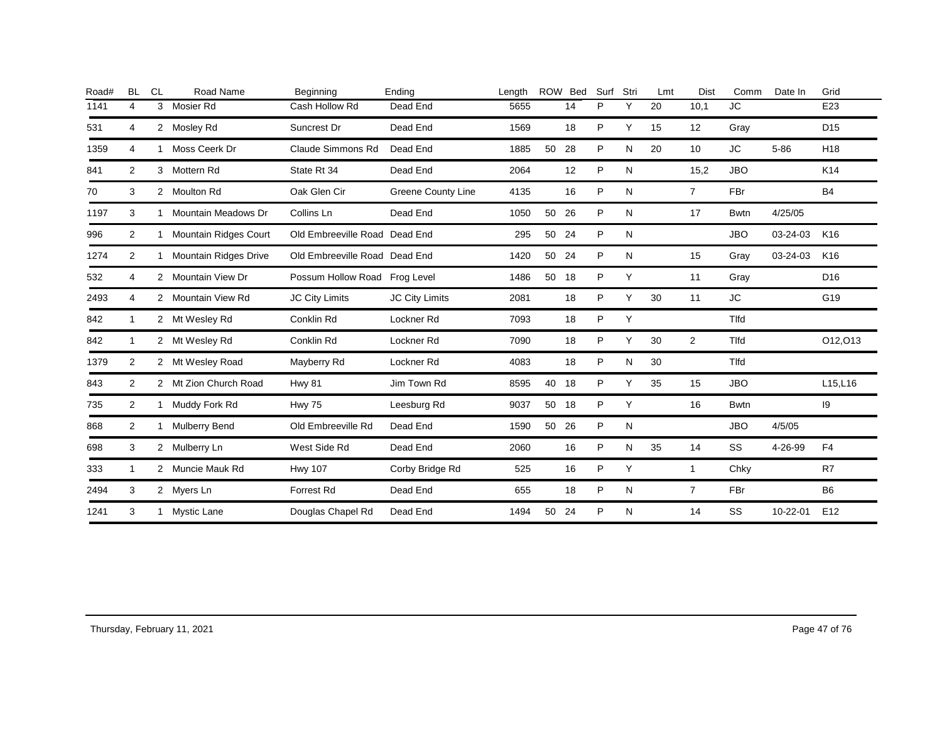| Road# | <b>BL</b>   | <b>CL</b> | Road Name               | Beginning                     | Ending                    | Length | ROW   | <b>Bed</b> | Surf | Stri | Lmt | Dist           | Comm        | Date In  | Grid            |
|-------|-------------|-----------|-------------------------|-------------------------------|---------------------------|--------|-------|------------|------|------|-----|----------------|-------------|----------|-----------------|
| 1141  | 4           |           | 3 Mosier Rd             | Cash Hollow Rd                | Dead End                  | 5655   |       | 14         | P    | Y    | 20  | 10,1           | <b>JC</b>   |          | E23             |
| 531   | 4           |           | 2 Mosley Rd             | Suncrest Dr                   | Dead End                  | 1569   |       | 18         | P    | Y    | 15  | 12             | Gray        |          | D <sub>15</sub> |
| 1359  | 4           |           | Moss Ceerk Dr           | Claude Simmons Rd             | Dead End                  | 1885   | 50    | 28         | P    | N    | 20  | 10             | JC.         | $5 - 86$ | H <sub>18</sub> |
| 841   | 2           |           | 3 Mottern Rd            | State Rt 34                   | Dead End                  | 2064   |       | 12         | P    | N    |     | 15,2           | <b>JBO</b>  |          | K14             |
| 70    | 3           |           | 2 Moulton Rd            | Oak Glen Cir                  | <b>Greene County Line</b> | 4135   |       | 16         | P    | N    |     | $\overline{7}$ | <b>FBr</b>  |          | <b>B4</b>       |
| 1197  | 3           |           | Mountain Meadows Dr     | Collins Ln                    | Dead End                  | 1050   | 50    | 26         | P    | N    |     | 17             | <b>Bwtn</b> | 4/25/05  |                 |
| 996   | 2           |           | 1 Mountain Ridges Court | Old Embreeville Road Dead End |                           | 295    | 50    | 24         | P    | N    |     |                | <b>JBO</b>  | 03-24-03 | K16             |
| 1274  | 2           |           | 1 Mountain Ridges Drive | Old Embreeville Road Dead End |                           | 1420   | 50 24 |            | P    | N    |     | 15             | Gray        | 03-24-03 | K16             |
| 532   | 4           |           | 2 Mountain View Dr      | Possum Hollow Road Frog Level |                           | 1486   | 50    | 18         | P    | Y    |     | 11             | Gray        |          | D <sub>16</sub> |
| 2493  | 4           |           | 2 Mountain View Rd      | <b>JC City Limits</b>         | JC City Limits            | 2081   |       | 18         | P    | Υ    | 30  | 11             | JC          |          | G19             |
| 842   | $\mathbf 1$ |           | 2 Mt Wesley Rd          | Conklin Rd                    | Lockner <sub>Rd</sub>     | 7093   |       | 18         | P    | Y    |     |                | <b>Tlfd</b> |          |                 |
| 842   | $\mathbf 1$ |           | 2 Mt Wesley Rd          | Conklin Rd                    | Lockner <sub>Rd</sub>     | 7090   |       | 18         | P    | Y    | 30  | 2              | <b>Tlfd</b> |          | 012,013         |
| 1379  | 2           |           | 2 Mt Wesley Road        | Mayberry Rd                   | Lockner <sub>Rd</sub>     | 4083   |       | 18         | P    | N    | 30  |                | <b>Tlfd</b> |          |                 |
| 843   | 2           |           | 2 Mt Zion Church Road   | <b>Hwy 81</b>                 | Jim Town Rd               | 8595   | 40    | 18         | P    | Y    | 35  | 15             | <b>JBO</b>  |          | L15,L16         |
| 735   | 2           |           | 1 Muddy Fork Rd         | <b>Hwy 75</b>                 | Leesburg Rd               | 9037   | 50    | 18         | P    | Y    |     | 16             | <b>Bwtn</b> |          | 19              |
| 868   | 2           |           | 1 Mulberry Bend         | Old Embreeville Rd            | Dead End                  | 1590   | 50    | 26         | P    | N    |     |                | <b>JBO</b>  | 4/5/05   |                 |
| 698   | 3           |           | 2 Mulberry Ln           | West Side Rd                  | Dead End                  | 2060   |       | 16         | P    | N    | 35  | 14             | <b>SS</b>   | 4-26-99  | F <sub>4</sub>  |
| 333   | $\mathbf 1$ |           | 2 Muncie Mauk Rd        | <b>Hwy 107</b>                | Corby Bridge Rd           | 525    |       | 16         | P    | Y    |     | $\mathbf{1}$   | Chky        |          | R7              |
| 2494  | 3           |           | 2 Myers Ln              | Forrest Rd                    | Dead End                  | 655    |       | 18         | P    | N    |     | $\overline{7}$ | FBr         |          | B <sub>6</sub>  |
| 1241  | 3           |           | 1 Mystic Lane           | Douglas Chapel Rd             | Dead End                  | 1494   | 50    | 24         | P    | N    |     | 14             | SS          | 10-22-01 | E <sub>12</sub> |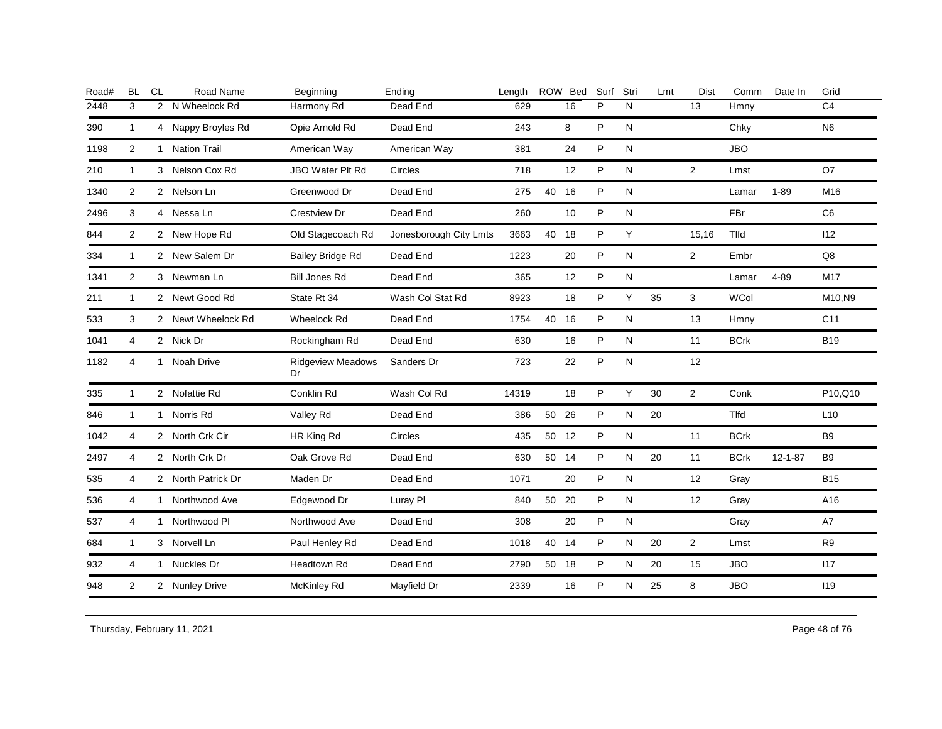| <b>BL</b>      | <b>CL</b> | Road Name           | Beginning                                                                                                                                                                                                                                                                                                                                                                                    | Ending                 | Length |    | ROW Bed | Surf                                                          | Stri      | Lmt | Dist           | Comm        | Date In       | Grid           |
|----------------|-----------|---------------------|----------------------------------------------------------------------------------------------------------------------------------------------------------------------------------------------------------------------------------------------------------------------------------------------------------------------------------------------------------------------------------------------|------------------------|--------|----|---------|---------------------------------------------------------------|-----------|-----|----------------|-------------|---------------|----------------|
| 3              |           | N Wheelock Rd       | Harmony Rd                                                                                                                                                                                                                                                                                                                                                                                   | Dead End               | 629    |    | 16      | P                                                             | N         |     | 13             | Hmny        |               | C <sub>4</sub> |
| 1              |           | Nappy Broyles Rd    | Opie Arnold Rd                                                                                                                                                                                                                                                                                                                                                                               | Dead End               | 243    |    | 8       | P                                                             | N         |     |                | Chky        |               | N <sub>6</sub> |
| $\overline{2}$ |           | <b>Nation Trail</b> | American Way                                                                                                                                                                                                                                                                                                                                                                                 | American Way           | 381    |    | 24      | P                                                             | N         |     |                | <b>JBO</b>  |               |                |
| 1              |           |                     | <b>JBO Water Plt Rd</b>                                                                                                                                                                                                                                                                                                                                                                      | <b>Circles</b>         | 718    |    | 12      | P                                                             | N         |     | $\overline{2}$ | Lmst        |               | O7             |
| 2              |           |                     | Greenwood Dr                                                                                                                                                                                                                                                                                                                                                                                 | Dead End               | 275    |    |         | P                                                             | N         |     |                | Lamar       | $1 - 89$      | M16            |
| 3              |           |                     | Crestview Dr                                                                                                                                                                                                                                                                                                                                                                                 | Dead End               | 260    |    | 10      | P                                                             | N         |     |                | FBr         |               | C <sub>6</sub> |
| $\overline{2}$ |           |                     | Old Stagecoach Rd                                                                                                                                                                                                                                                                                                                                                                            | Jonesborough City Lmts | 3663   | 40 | 18      | P                                                             | Y         |     | 15,16          | Tlfd        |               | 112            |
| $\mathbf{1}$   |           |                     | <b>Bailey Bridge Rd</b>                                                                                                                                                                                                                                                                                                                                                                      | Dead End               | 1223   |    | 20      | P                                                             | N         |     | $\overline{2}$ | Embr        |               | Q8             |
| $\overline{2}$ |           |                     | <b>Bill Jones Rd</b>                                                                                                                                                                                                                                                                                                                                                                         | Dead End               | 365    |    | 12      | P                                                             | N         |     |                | Lamar       | $4 - 89$      | M17            |
| $\mathbf{1}$   |           |                     | State Rt 34                                                                                                                                                                                                                                                                                                                                                                                  | Wash Col Stat Rd       | 8923   |    | 18      | P                                                             | Y         | 35  | 3              | <b>WCol</b> |               | M10.N9         |
| 3              |           |                     | Wheelock Rd                                                                                                                                                                                                                                                                                                                                                                                  | Dead End               | 1754   | 40 |         | P                                                             | ${\sf N}$ |     | 13             | Hmny        |               | C11            |
| 4              |           |                     | Rockingham Rd                                                                                                                                                                                                                                                                                                                                                                                | Dead End               | 630    |    | 16      | P                                                             | N         |     | 11             | <b>BCrk</b> |               | <b>B19</b>     |
| 4              |           | Noah Drive          | <b>Ridgeview Meadows</b><br>Dr                                                                                                                                                                                                                                                                                                                                                               | Sanders Dr             | 723    |    | 22      | P                                                             | N         |     | 12             |             |               |                |
| $\mathbf{1}$   |           |                     | Conklin Rd                                                                                                                                                                                                                                                                                                                                                                                   | Wash Col Rd            | 14319  |    | 18      | P                                                             | Y         | 30  | $\overline{2}$ | Conk        |               | P10,Q10        |
| $\mathbf{1}$   |           |                     | Valley Rd                                                                                                                                                                                                                                                                                                                                                                                    | Dead End               | 386    |    | 26      | P                                                             | ${\sf N}$ | 20  |                | Tlfd        |               | L10            |
| 4              |           |                     | HR King Rd                                                                                                                                                                                                                                                                                                                                                                                   | Circles                | 435    |    |         | P                                                             | N         |     | 11             | <b>BCrk</b> |               | B <sub>9</sub> |
| 4              |           |                     | Oak Grove Rd                                                                                                                                                                                                                                                                                                                                                                                 | Dead End               | 630    |    |         | P                                                             | N         | 20  | 11             | <b>BCrk</b> | $12 - 1 - 87$ | <b>B</b> 9     |
| 4              |           |                     | Maden Dr                                                                                                                                                                                                                                                                                                                                                                                     | Dead End               | 1071   |    | 20      | P                                                             | N         |     | 12             | Gray        |               | <b>B15</b>     |
| 4              |           |                     | Edgewood Dr                                                                                                                                                                                                                                                                                                                                                                                  | Luray PI               | 840    | 50 |         | P                                                             | N         |     | 12             | Gray        |               | A16            |
| 4              |           |                     | Northwood Ave                                                                                                                                                                                                                                                                                                                                                                                | Dead End               | 308    |    | 20      | P                                                             | N         |     |                | Gray        |               | A7             |
| 1              |           |                     | Paul Henley Rd                                                                                                                                                                                                                                                                                                                                                                               | Dead End               | 1018   |    |         | P                                                             | N         | 20  | $\overline{2}$ | Lmst        |               | R <sub>9</sub> |
| 4              |           |                     | Headtown Rd                                                                                                                                                                                                                                                                                                                                                                                  | Dead End               | 2790   |    |         | P                                                             | N         | 20  | 15             | <b>JBO</b>  |               | 117            |
| $\overline{2}$ |           |                     | McKinley Rd                                                                                                                                                                                                                                                                                                                                                                                  | Mayfield Dr            | 2339   |    | 16      | P                                                             | N         | 25  | 8              | <b>JBO</b>  |               | 119            |
|                |           |                     | $\overline{2}$<br>4<br>$\mathbf{1}$<br>3 Nelson Cox Rd<br>2 Nelson Ln<br>4 Nessa Ln<br>2 New Hope Rd<br>2 New Salem Dr<br>3 Newman Ln<br>2 Newt Good Rd<br>2 Newt Wheelock Rd<br>2 Nick Dr<br>$\mathbf{1}$<br>2 Nofattie Rd<br>1 Norris Rd<br>2 North Crk Cir<br>2 North Crk Dr<br>2 North Patrick Dr<br>1 Northwood Ave<br>1 Northwood PI<br>3 Norvell Ln<br>1 Nuckles Dr<br>2 Nunley Drive |                        |        |    |         | 40 16<br>16<br>50<br>50 12<br>50 14<br>- 20<br>40 14<br>50 18 |           |     |                |             |               |                |

Thursday, February 11, 2021 2012 2014 2015 2016 2017 2021 20:30 20:30 20:30 20:30 20:30 20:30 Page 48 of 76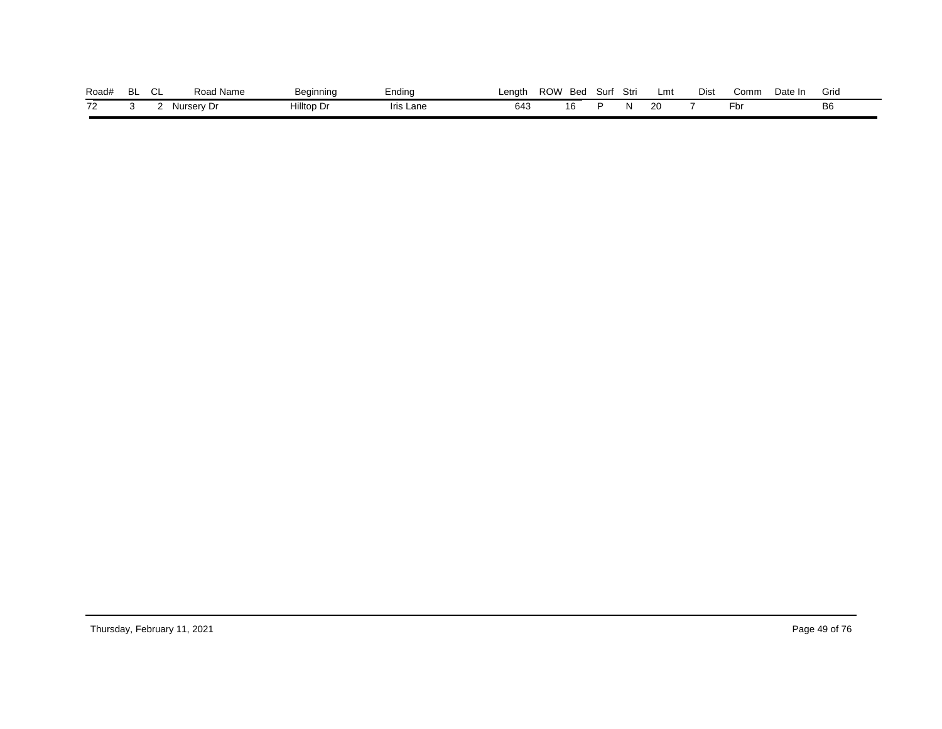| Road# | $\sim$<br>◡ | Road Name  | Beginning  | Endina    | ∟enath | ROW | Bed | Surf | Stri | Lmt | Dist | Comm | Date In | Grid           |
|-------|-------------|------------|------------|-----------|--------|-----|-----|------|------|-----|------|------|---------|----------------|
| 72    |             | Nurserv Dr | Hilltop Dr | Iris Lane | 643    |     | 16  |      |      | 20  |      | -pr  |         | B <sub>6</sub> |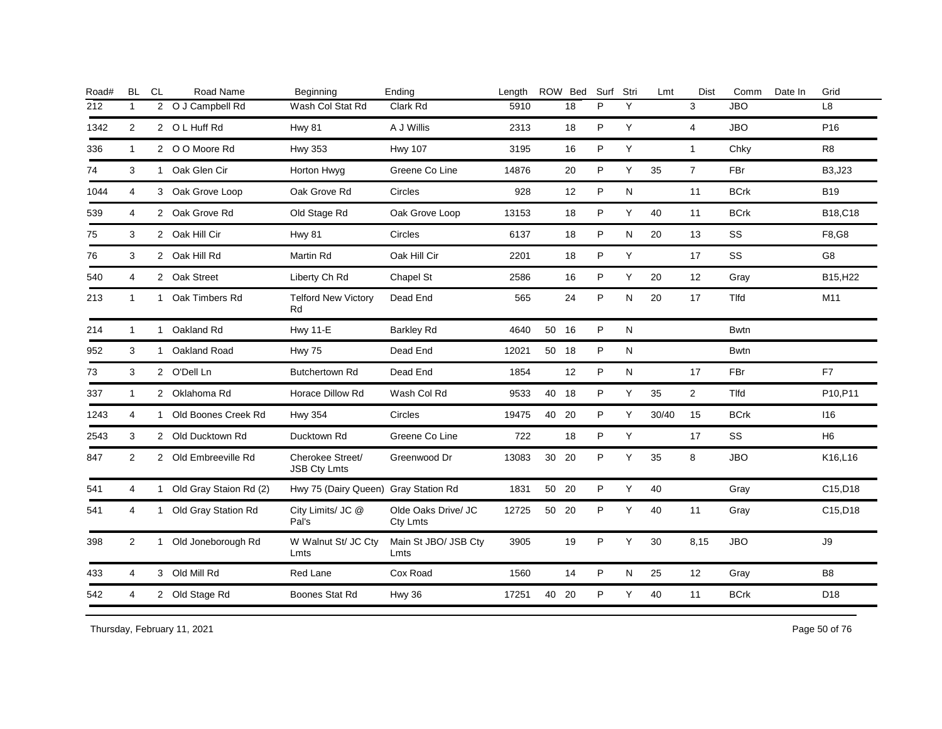| <b>BL</b>      | <b>CL</b> | Road Name          | Beginning                                                                                                                                                                                                                                                                                                                                                                                                 | Ending                          | Length                               |    |     | Surf                   | Stri      | Lmt   | <b>Dist</b>    | Comm<br>Date In | Grid            |
|----------------|-----------|--------------------|-----------------------------------------------------------------------------------------------------------------------------------------------------------------------------------------------------------------------------------------------------------------------------------------------------------------------------------------------------------------------------------------------------------|---------------------------------|--------------------------------------|----|-----|------------------------|-----------|-------|----------------|-----------------|-----------------|
| $\mathbf{1}$   |           |                    | Wash Col Stat Rd                                                                                                                                                                                                                                                                                                                                                                                          | Clark Rd                        | 5910                                 |    | 18  | P                      | Y         |       | 3              | <b>JBO</b>      | L8              |
| 2              |           |                    | <b>Hwy 81</b>                                                                                                                                                                                                                                                                                                                                                                                             | A J Willis                      | 2313                                 |    | 18  | P                      | Y         |       | $\overline{4}$ | <b>JBO</b>      | P <sub>16</sub> |
| $\mathbf{1}$   |           |                    | <b>Hwy 353</b>                                                                                                                                                                                                                                                                                                                                                                                            | <b>Hwy 107</b>                  | 3195                                 |    | 16  | P                      | Y         |       | $\mathbf{1}$   | Chky            | R <sub>8</sub>  |
| 3              |           |                    | Horton Hwyg                                                                                                                                                                                                                                                                                                                                                                                               | Greene Co Line                  | 14876                                |    | 20  | P                      | Y         | 35    | $\overline{7}$ | FBr             | B3, J23         |
| $\overline{4}$ |           |                    | Oak Grove Rd                                                                                                                                                                                                                                                                                                                                                                                              | Circles                         | 928                                  |    | 12  | P                      | N         |       | 11             | <b>BCrk</b>     | <b>B19</b>      |
| 4              |           |                    | Old Stage Rd                                                                                                                                                                                                                                                                                                                                                                                              | Oak Grove Loop                  | 13153                                |    | 18  | P                      | Y         | 40    | 11             | <b>BCrk</b>     | B18,C18         |
| 3              |           |                    | <b>Hwy 81</b>                                                                                                                                                                                                                                                                                                                                                                                             | Circles                         | 6137                                 |    | 18  | P                      | N         | 20    | 13             | SS              | F8,G8           |
| 3              |           |                    | Martin Rd                                                                                                                                                                                                                                                                                                                                                                                                 | Oak Hill Cir                    | 2201                                 |    | 18  | P                      | Y         |       | 17             | SS              | G <sub>8</sub>  |
| 4              |           |                    | Liberty Ch Rd                                                                                                                                                                                                                                                                                                                                                                                             | Chapel St                       | 2586                                 |    | 16  | P                      | Υ         | 20    | 12             | Gray            | B15, H22        |
| $\mathbf{1}$   |           | Oak Timbers Rd     | <b>Telford New Victory</b><br>Rd                                                                                                                                                                                                                                                                                                                                                                          | Dead End                        | 565                                  |    | 24  | P                      | N         | 20    | 17             | Tlfd            | M11             |
| $\mathbf{1}$   |           | Oakland Rd         | <b>Hwy 11-E</b>                                                                                                                                                                                                                                                                                                                                                                                           | <b>Barkley Rd</b>               | 4640                                 | 50 | 16  | P                      | N         |       |                | <b>Bwtn</b>     |                 |
| 3              |           |                    | <b>Hwy 75</b>                                                                                                                                                                                                                                                                                                                                                                                             | Dead End                        | 12021                                | 50 | 18  | P                      | N         |       |                | <b>Bwtn</b>     |                 |
| 3              |           |                    | <b>Butchertown Rd</b>                                                                                                                                                                                                                                                                                                                                                                                     | Dead End                        | 1854                                 |    | 12  | P                      | ${\sf N}$ |       | 17             | FBr             | F7              |
| $\mathbf{1}$   |           |                    | Horace Dillow Rd                                                                                                                                                                                                                                                                                                                                                                                          | Wash Col Rd                     | 9533                                 | 40 | 18  | P                      | Υ         | 35    | $\overline{2}$ | Tlfd            | P10, P11        |
| $\overline{4}$ |           |                    | <b>Hwy 354</b>                                                                                                                                                                                                                                                                                                                                                                                            | Circles                         | 19475                                | 40 | 20  | P                      | Y         | 30/40 | 15             | <b>BCrk</b>     | 116             |
| 3              |           |                    | Ducktown Rd                                                                                                                                                                                                                                                                                                                                                                                               | Greene Co Line                  | 722                                  |    | 18  | P                      | Υ         |       | 17             | SS              | H <sub>6</sub>  |
| $\overline{2}$ |           |                    | Cherokee Street/<br><b>JSB Cty Lmts</b>                                                                                                                                                                                                                                                                                                                                                                   | Greenwood Dr                    | 13083                                | 30 | -20 | P                      | Y         | 35    | 8              | <b>JBO</b>      | K16,L16         |
| 4              |           |                    |                                                                                                                                                                                                                                                                                                                                                                                                           |                                 | 1831                                 |    |     | P                      | Y         | 40    |                | Gray            | C15,D18         |
| 4              |           |                    | City Limits/ JC @<br>Pal's                                                                                                                                                                                                                                                                                                                                                                                | Olde Oaks Drive/ JC<br>Cty Lmts | 12725                                |    | -20 | P                      | Y         | 40    | 11             | Gray            | C15,D18         |
| 2              |           | Old Joneborough Rd | W Walnut St/ JC Cty<br>Lmts                                                                                                                                                                                                                                                                                                                                                                               | Main St JBO/ JSB Cty<br>Lmts    | 3905                                 |    | 19  | P                      | Y         | 30    | 8,15           | <b>JBO</b>      | $\mathsf{J}9$   |
| 4              |           |                    | Red Lane                                                                                                                                                                                                                                                                                                                                                                                                  | Cox Road                        | 1560                                 |    | 14  | P                      | N         | 25    | 12             | Gray            | B8              |
| 4              |           |                    | Boones Stat Rd                                                                                                                                                                                                                                                                                                                                                                                            | <b>Hwy 36</b>                   | 17251                                | 40 | 20  | P                      | Y         | 40    | 11             | <b>BCrk</b>     | D <sub>18</sub> |
|                |           |                    | 2 O J Campbell Rd<br>2 O L Huff Rd<br>2 O O Moore Rd<br>1 Oak Glen Cir<br>3 Oak Grove Loop<br>2 Oak Grove Rd<br>2 Oak Hill Cir<br>2 Oak Hill Rd<br>2 Oak Street<br>$\mathbf{1}$<br>1<br>1 Oakland Road<br>2 O'Dell Ln<br>2 Oklahoma Rd<br>1 Old Boones Creek Rd<br>2 Old Ducktown Rd<br>2 Old Embreeville Rd<br>1 Old Gray Staion Rd (2)<br>1 Old Gray Station Rd<br>1<br>3 Old Mill Rd<br>2 Old Stage Rd |                                 | Hwy 75 (Dairy Queen) Gray Station Rd |    |     | ROW Bed<br>50 20<br>50 |           |       |                |                 |                 |

Thursday, February 11, 2021 2012 2012 12:30 Page 50 of 76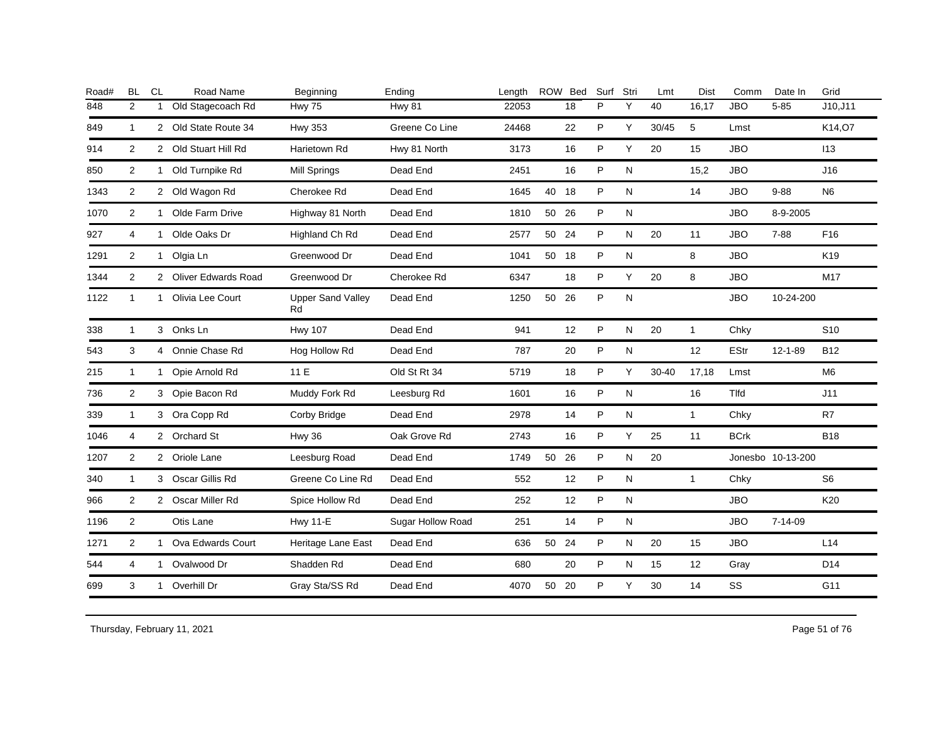| Road# | <b>BL</b>             | CL           | Road Name             | Beginning                      | Ending            | Length |       | ROW Bed | Surf | Stri      | Lmt       | Dist              | Comm        | Date In           | Grid            |
|-------|-----------------------|--------------|-----------------------|--------------------------------|-------------------|--------|-------|---------|------|-----------|-----------|-------------------|-------------|-------------------|-----------------|
| 848   | $\overline{2}$        | 1            | Old Stagecoach Rd     | Hwy 75                         | <b>Hwy 81</b>     | 22053  |       | 18      | P    | Y         | 40        | 16,17             | <b>JBO</b>  | $5 - 85$          | J10, J11        |
| 849   | 1                     |              | 2 Old State Route 34  | <b>Hwy 353</b>                 | Greene Co Line    | 24468  |       | 22      | P    | Y         | 30/45     | 5                 | Lmst        |                   | K14,07          |
| 914   | $\overline{2}$        |              | 2 Old Stuart Hill Rd  | Harietown Rd                   | Hwy 81 North      | 3173   |       | 16      | P    | Y         | 20        | 15                | <b>JBO</b>  |                   | 113             |
| 850   | $\overline{2}$        |              | 1 Old Turnpike Rd     | Mill Springs                   | Dead End          | 2451   |       | 16      | P    | N         |           | 15,2              | <b>JBO</b>  |                   | J16             |
| 1343  | 2                     |              | 2 Old Wagon Rd        | Cherokee Rd                    | Dead End          | 1645   | 40 18 |         | P    | N         |           | 14                | <b>JBO</b>  | $9 - 88$          | N <sub>6</sub>  |
| 1070  | $\overline{2}$        | $\mathbf{1}$ | Olde Farm Drive       | Highway 81 North               | Dead End          | 1810   | 50 26 |         | P    | N         |           |                   | <b>JBO</b>  | 8-9-2005          |                 |
| 927   | 4                     | $\mathbf{1}$ | Olde Oaks Dr          | Highland Ch Rd                 | Dead End          | 2577   | 50 24 |         | P    | N         | 20        | 11                | <b>JBO</b>  | $7 - 88$          | F <sub>16</sub> |
| 1291  | $\overline{2}$        | $\mathbf{1}$ | Olgia Ln              | Greenwood Dr                   | Dead End          | 1041   | 50    | 18      | P    | ${\sf N}$ |           | 8                 | <b>JBO</b>  |                   | K <sub>19</sub> |
| 1344  | $\mathbf{2}^{\prime}$ |              | 2 Oliver Edwards Road | Greenwood Dr                   | Cherokee Rd       | 6347   |       | 18      | P    | Υ         | 20        | 8                 | <b>JBO</b>  |                   | M17             |
| 1122  | $\mathbf{1}$          | $\mathbf{1}$ | Olivia Lee Court      | <b>Upper Sand Valley</b><br>Rd | Dead End          | 1250   | 50    | 26      | P    | N         |           |                   | <b>JBO</b>  | 10-24-200         |                 |
| 338   | $\mathbf{1}$          |              | 3 Onks Ln             | <b>Hwy 107</b>                 | Dead End          | 941    |       | 12      | P    | N         | 20        | $\mathbf{1}$      | Chky        |                   | S <sub>10</sub> |
| 543   | 3                     |              | 4 Onnie Chase Rd      | Hog Hollow Rd                  | Dead End          | 787    |       | 20      | P    | ${\sf N}$ |           | 12                | EStr        | 12-1-89           | <b>B12</b>      |
| 215   | $\mathbf{1}$          | 1            | Opie Arnold Rd        | 11 E                           | Old St Rt 34      | 5719   |       | 18      | P    | Y         | $30 - 40$ | 17,18             | Lmst        |                   | M <sub>6</sub>  |
| 736   | $\overline{2}$        |              | 3 Opie Bacon Rd       | Muddy Fork Rd                  | Leesburg Rd       | 1601   |       | 16      | P    | ${\sf N}$ |           | 16                | Tlfd        |                   | J11             |
| 339   | $\mathbf{1}$          |              | 3 Ora Copp Rd         | Corby Bridge                   | Dead End          | 2978   |       | 14      | P    | N         |           | $\mathbf{1}$      | Chky        |                   | R7              |
| 1046  | 4                     |              | 2 Orchard St          | <b>Hwy 36</b>                  | Oak Grove Rd      | 2743   |       | 16      | P    | Υ         | 25        | 11                | <b>BCrk</b> |                   | <b>B18</b>      |
| 1207  | $\overline{2}$        |              | 2 Oriole Lane         | Leesburg Road                  | Dead End          | 1749   | 50    | 26      | P    | N         | 20        |                   |             | Jonesbo 10-13-200 |                 |
| 340   | 1                     |              | 3 Oscar Gillis Rd     | Greene Co Line Rd              | Dead End          | 552    |       | 12      | P    | N         |           | $\mathbf{1}$      | Chky        |                   | S <sub>6</sub>  |
| 966   | 2                     |              | 2 Oscar Miller Rd     | Spice Hollow Rd                | Dead End          | 252    |       | 12      | P    | N         |           |                   | <b>JBO</b>  |                   | K20             |
| 1196  | 2                     |              | Otis Lane             | <b>Hwy 11-E</b>                | Sugar Hollow Road | 251    |       | 14      | P    | N         |           |                   | <b>JBO</b>  | $7 - 14 - 09$     |                 |
| 1271  | 2                     | 1            | Ova Edwards Court     | Heritage Lane East             | Dead End          | 636    | 50    | 24      | P    | N         | 20        | 15                | <b>JBO</b>  |                   | L14             |
| 544   | 4                     |              | 1 Ovalwood Dr         | Shadden Rd                     | Dead End          | 680    |       | 20      | P    | N         | 15        | $12 \overline{ }$ | Gray        |                   | D <sub>14</sub> |
| 699   | 3                     | $\mathbf{1}$ | Overhill Dr           | Gray Sta/SS Rd                 | Dead End          | 4070   | 50    | 20      | P    | Y         | 30        | 14                | SS          |                   | G11             |
|       |                       |              |                       |                                |                   |        |       |         |      |           |           |                   |             |                   |                 |

Thursday, February 11, 2021 2012 2013 2014 2015 2016 2017 2020 2020 2020 2020 2031 2032 2040 2040 2051 2052 205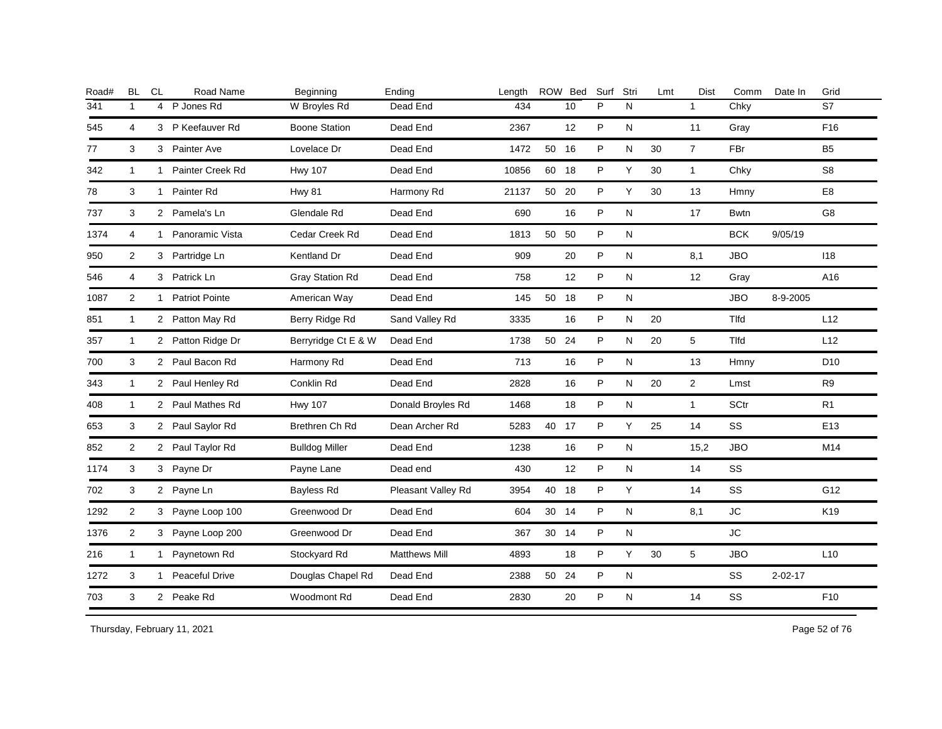| Road# | <b>BL</b>      | CL           | Road Name             | Beginning              | Ending               | Length |       | ROW Bed | Surf | Stri         | Lmt | <b>Dist</b>    | Comm         | Date In       | Grid            |
|-------|----------------|--------------|-----------------------|------------------------|----------------------|--------|-------|---------|------|--------------|-----|----------------|--------------|---------------|-----------------|
| 341   | $\mathbf{1}$   | 4            | P Jones Rd            | W Broyles Rd           | Dead End             | 434    |       | 10      | P    | N            |     | $\mathbf{1}$   | Chky         |               | S7              |
| 545   | 4              |              | 3 P Keefauver Rd      | <b>Boone Station</b>   | Dead End             | 2367   |       | 12      | P    | N            |     | 11             | Gray         |               | F16             |
| 77    | 3              |              | 3 Painter Ave         | Lovelace Dr            | Dead End             | 1472   | 50 16 |         | P    | N            | 30  | $\overline{7}$ | <b>FBr</b>   |               | <b>B5</b>       |
| 342   | 1              | 1            | Painter Creek Rd      | <b>Hwy 107</b>         | Dead End             | 10856  | 60 18 |         | P    | Y            | 30  | $\mathbf{1}$   | Chky         |               | S8              |
| 78    | 3              | $\mathbf{1}$ | Painter Rd            | <b>Hwy 81</b>          | Harmony Rd           | 21137  | 50 20 |         | P    | Y            | 30  | 13             | Hmny         |               | E <sub>8</sub>  |
| 737   | 3              |              | 2 Pamela's Ln         | Glendale Rd            | Dead End             | 690    |       | 16      | P    | N            |     | 17             | <b>Bwtn</b>  |               | G8              |
| 1374  | 4              | 1            | Panoramic Vista       | Cedar Creek Rd         | Dead End             | 1813   | 50 50 |         | P    | N            |     |                | <b>BCK</b>   | 9/05/19       |                 |
| 950   | 2              |              | 3 Partridge Ln        | Kentland Dr            | Dead End             | 909    |       | 20      | P    | N            |     | 8,1            | <b>JBO</b>   |               | 118             |
| 546   | $\overline{4}$ |              | 3 Patrick Ln          | <b>Gray Station Rd</b> | Dead End             | 758    |       | 12      | P    | ${\sf N}$    |     | 12             | Gray         |               | A16             |
| 1087  | 2              | 1            | <b>Patriot Pointe</b> | American Way           | Dead End             | 145    | 50 18 |         | P    | N            |     |                | <b>JBO</b>   | 8-9-2005      |                 |
| 851   | $\mathbf{1}$   |              | 2 Patton May Rd       | Berry Ridge Rd         | Sand Valley Rd       | 3335   |       | 16      | P    | N            | 20  |                | <b>T</b> Ifd |               | L12             |
| 357   | $\mathbf{1}$   |              | 2 Patton Ridge Dr     | Berryridge Ct E & W    | Dead End             | 1738   | 50 24 |         | P    | N            | 20  | 5              | Tlfd         |               | L12             |
| 700   | 3              |              | 2 Paul Bacon Rd       | Harmony Rd             | Dead End             | 713    |       | 16      | P    | N            |     | 13             | Hmny         |               | D <sub>10</sub> |
| 343   | 1              |              | 2 Paul Henley Rd      | Conklin Rd             | Dead End             | 2828   |       | 16      | P    | N            | 20  | $\overline{2}$ | Lmst         |               | R <sub>9</sub>  |
| 408   | $\mathbf{1}$   |              | 2 Paul Mathes Rd      | <b>Hwy 107</b>         | Donald Broyles Rd    | 1468   |       | 18      | P    | $\mathsf{N}$ |     | $\mathbf{1}$   | <b>SCtr</b>  |               | R <sub>1</sub>  |
| 653   | 3              |              | 2 Paul Saylor Rd      | Brethren Ch Rd         | Dean Archer Rd       | 5283   | 40 17 |         | P    | Y            | 25  | 14             | SS           |               | E <sub>13</sub> |
| 852   | $\overline{2}$ |              | 2 Paul Taylor Rd      | <b>Bulldog Miller</b>  | Dead End             | 1238   |       | 16      | P    | N            |     | 15,2           | <b>JBO</b>   |               | M14             |
| 1174  | 3              |              | 3 Payne Dr            | Payne Lane             | Dead end             | 430    |       | 12      | P    | N            |     | 14             | SS           |               |                 |
| 702   | 3              |              | 2 Payne Ln            | Bayless Rd             | Pleasant Valley Rd   | 3954   | 40 18 |         | P    | Y            |     | 14             | SS           |               | G12             |
| 1292  | $\overline{2}$ |              | 3 Payne Loop 100      | Greenwood Dr           | Dead End             | 604    | 30 14 |         | P    | N            |     | 8,1            | JC           |               | K19             |
| 1376  | $\overline{2}$ |              | 3 Payne Loop 200      | Greenwood Dr           | Dead End             | 367    | 30 14 |         | P    | N            |     |                | JC           |               |                 |
| 216   | 1              | $\mathbf{1}$ | Paynetown Rd          | Stockyard Rd           | <b>Matthews Mill</b> | 4893   |       | 18      | P    | Y            | 30  | 5              | <b>JBO</b>   |               | L10             |
| 1272  | 3              | $\mathbf{1}$ | Peaceful Drive        | Douglas Chapel Rd      | Dead End             | 2388   | 50 24 |         | P    | N            |     |                | SS           | $2 - 02 - 17$ |                 |
| 703   | 3              |              | 2 Peake Rd            | Woodmont Rd            | Dead End             | 2830   |       | 20      | P    | ${\sf N}$    |     | 14             | SS           |               | F10             |
|       |                |              |                       |                        |                      |        |       |         |      |              |     |                |              |               |                 |

Thursday, February 11, 2021 2012 2012 12:30 Page 52 of 76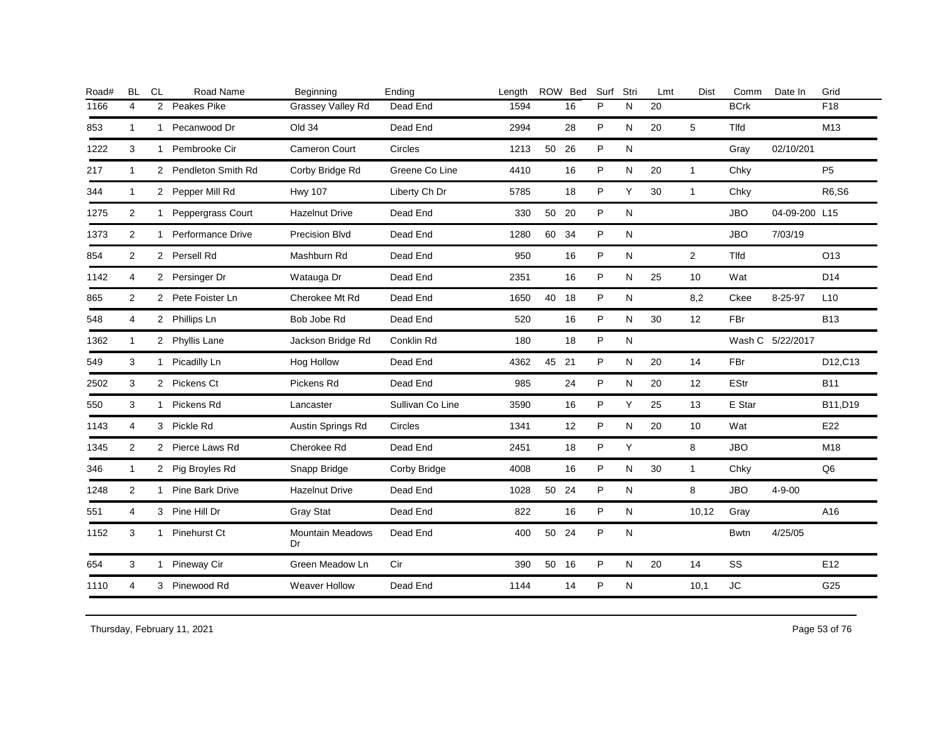| <b>BL</b>      | CL | Road Name         | Beginning                                                                                                                                                                                                                                                                                                                                                                                           | Ending           | Length |    |    | Surf                                              | Stri      | Lmt | <b>Dist</b>    | Comm        | Date In      | Grid                              |
|----------------|----|-------------------|-----------------------------------------------------------------------------------------------------------------------------------------------------------------------------------------------------------------------------------------------------------------------------------------------------------------------------------------------------------------------------------------------------|------------------|--------|----|----|---------------------------------------------------|-----------|-----|----------------|-------------|--------------|-----------------------------------|
| 4              |    | Peakes Pike       | Grassey Valley Rd                                                                                                                                                                                                                                                                                                                                                                                   | Dead End         | 1594   |    | 16 | P                                                 | N         | 20  |                | <b>BCrk</b> |              | F <sub>18</sub>                   |
| $\mathbf{1}$   |    | Pecanwood Dr      | Old 34                                                                                                                                                                                                                                                                                                                                                                                              | Dead End         | 2994   |    | 28 | P                                                 | N         | 20  | 5              | Tlfd        |              | M13                               |
| 3              |    |                   | <b>Cameron Court</b>                                                                                                                                                                                                                                                                                                                                                                                | Circles          | 1213   | 50 |    | P                                                 | ${\sf N}$ |     |                | Gray        | 02/10/201    |                                   |
| $\mathbf{1}$   |    |                   | Corby Bridge Rd                                                                                                                                                                                                                                                                                                                                                                                     | Greene Co Line   | 4410   |    | 16 | P                                                 | N         | 20  | $\mathbf{1}$   | Chky        |              | P <sub>5</sub>                    |
| $\mathbf{1}$   |    |                   | <b>Hwy 107</b>                                                                                                                                                                                                                                                                                                                                                                                      | Liberty Ch Dr    | 5785   |    | 18 | P                                                 | Y         | 30  | $\mathbf{1}$   | Chky        |              | R6,S6                             |
| 2              |    | Peppergrass Court | <b>Hazelnut Drive</b>                                                                                                                                                                                                                                                                                                                                                                               | Dead End         | 330    |    |    | P                                                 | N         |     |                | <b>JBO</b>  |              |                                   |
| $\overline{2}$ |    |                   | Precision Blvd                                                                                                                                                                                                                                                                                                                                                                                      | Dead End         | 1280   | 60 |    | P                                                 | N         |     |                | <b>JBO</b>  | 7/03/19      |                                   |
| 2              |    |                   | Mashburn Rd                                                                                                                                                                                                                                                                                                                                                                                         | Dead End         | 950    |    | 16 | P                                                 | ${\sf N}$ |     | $\overline{2}$ | Tlfd        |              | O <sub>13</sub>                   |
| 4              |    |                   | Watauga Dr                                                                                                                                                                                                                                                                                                                                                                                          | Dead End         | 2351   |    | 16 | P                                                 | N         | 25  | 10             | Wat         |              | D <sub>14</sub>                   |
| $\overline{2}$ |    |                   | Cherokee Mt Rd                                                                                                                                                                                                                                                                                                                                                                                      | Dead End         | 1650   | 40 |    | P                                                 | ${\sf N}$ |     | 8,2            | Ckee        | 8-25-97      | L10                               |
| 4              |    |                   | Bob Jobe Rd                                                                                                                                                                                                                                                                                                                                                                                         | Dead End         | 520    |    | 16 | P                                                 | N         | 30  | 12             | FBr         |              | <b>B13</b>                        |
| $\overline{1}$ |    |                   | Jackson Bridge Rd                                                                                                                                                                                                                                                                                                                                                                                   | Conklin Rd       | 180    |    | 18 | P                                                 | N         |     |                |             |              |                                   |
| 3              |    |                   | Hog Hollow                                                                                                                                                                                                                                                                                                                                                                                          | Dead End         | 4362   | 45 |    | P                                                 | N         | 20  | 14             | FBr         |              | D12,C13                           |
| 3              |    |                   | Pickens Rd                                                                                                                                                                                                                                                                                                                                                                                          | Dead End         | 985    |    | 24 | P                                                 | N         | 20  | 12             | <b>EStr</b> |              | <b>B11</b>                        |
| 3              |    |                   | Lancaster                                                                                                                                                                                                                                                                                                                                                                                           | Sullivan Co Line | 3590   |    | 16 | P                                                 | Y         | 25  | 13             | E Star      |              | B11,D19                           |
| 4              |    |                   | Austin Springs Rd                                                                                                                                                                                                                                                                                                                                                                                   | Circles          | 1341   |    | 12 | P                                                 | N         | 20  | 10             | Wat         |              | E22                               |
| 2              |    |                   | Cherokee Rd                                                                                                                                                                                                                                                                                                                                                                                         | Dead End         | 2451   |    | 18 | P                                                 | Y         |     | 8              | <b>JBO</b>  |              | M18                               |
| $\mathbf{1}$   |    |                   | Snapp Bridge                                                                                                                                                                                                                                                                                                                                                                                        | Corby Bridge     | 4008   |    | 16 | P                                                 | ${\sf N}$ | 30  | $\mathbf{1}$   | Chky        |              | Q <sub>6</sub>                    |
| $\overline{2}$ |    |                   | <b>Hazelnut Drive</b>                                                                                                                                                                                                                                                                                                                                                                               | Dead End         | 1028   | 50 | 24 | P                                                 | ${\sf N}$ |     | 8              | <b>JBO</b>  | $4 - 9 - 00$ |                                   |
| $\overline{4}$ |    |                   | <b>Gray Stat</b>                                                                                                                                                                                                                                                                                                                                                                                    | Dead End         | 822    |    | 16 | P                                                 | N         |     | 10,12          | Gray        |              | A16                               |
| 3              |    | Pinehurst Ct      | <b>Mountain Meadows</b><br>Dr                                                                                                                                                                                                                                                                                                                                                                       | Dead End         | 400    | 50 | 24 | P                                                 | N         |     |                | <b>Bwtn</b> | 4/25/05      |                                   |
| 3              |    |                   | Green Meadow Ln                                                                                                                                                                                                                                                                                                                                                                                     | Cir              | 390    |    |    | P                                                 | N         | 20  | 14             | SS          |              | E <sub>12</sub>                   |
| $\overline{4}$ |    |                   | <b>Weaver Hollow</b>                                                                                                                                                                                                                                                                                                                                                                                | Dead End         | 1144   |    | 14 | P                                                 | ${\sf N}$ |     | 10,1           | <b>JC</b>   |              | G25                               |
|                |    | $\overline{2}$    | $\mathbf{1}$<br>1 Pembrooke Cir<br>2 Pendleton Smith Rd<br>2 Pepper Mill Rd<br>1<br>1 Performance Drive<br>2 Persell Rd<br>2 Persinger Dr<br>2 Pete Foister Ln<br>2 Phillips Ln<br>2 Phyllis Lane<br>1 Picadilly Ln<br>2 Pickens Ct<br>1 Pickens Rd<br>3 Pickle Rd<br>2 Pierce Laws Rd<br>2 Pig Broyles Rd<br>1 Pine Bark Drive<br>3 Pine Hill Dr<br>$\mathbf{1}$<br>1 Pineway Cir<br>3 Pinewood Rd |                  |        |    |    | ROW Bed<br>26<br>50 20<br>34<br>18<br>21<br>50 16 |           |     |                |             |              | 04-09-200 L15<br>Wash C 5/22/2017 |

Thursday, February 11, 2021 2012 2014 2015 2016 2017 2021 20:30 20:30 20:30 20:30 20:30 20:30 20:30 20:30 20:30 20:30 20:30 20:30 20:30 20:30 20:30 20:30 20:30 20:30 20:30 20:30 20:30 20:30 20:30 20:30 20:30 20:30 20:30 20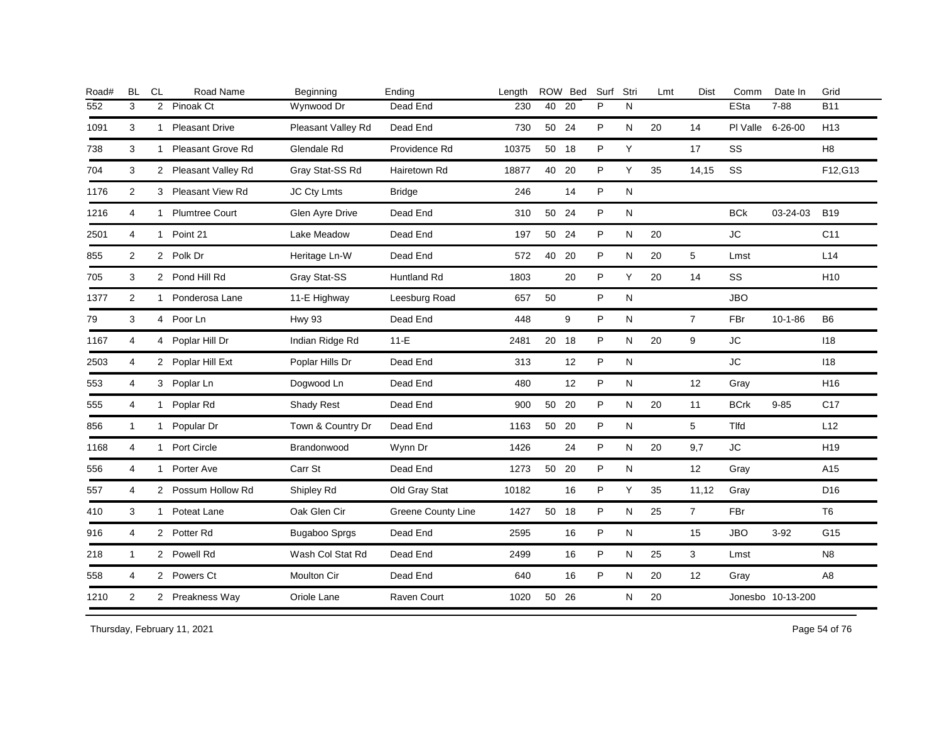| <b>BL</b>      | CL | Road Name         | Beginning                                                                                                                                                                                                                                                                                                                                                                                | Ending             | Length |    |    | Surf                                                                                        | Stri      | Lmt | <b>Dist</b>    | Comm        | Date In       | Grid                                  |
|----------------|----|-------------------|------------------------------------------------------------------------------------------------------------------------------------------------------------------------------------------------------------------------------------------------------------------------------------------------------------------------------------------------------------------------------------------|--------------------|--------|----|----|---------------------------------------------------------------------------------------------|-----------|-----|----------------|-------------|---------------|---------------------------------------|
| 3              |    |                   | Wynwood Dr                                                                                                                                                                                                                                                                                                                                                                               | Dead End           | 230    | 40 | 20 | P                                                                                           | N         |     |                | ESta        | $7 - 88$      | <b>B11</b>                            |
| 3              |    |                   | Pleasant Valley Rd                                                                                                                                                                                                                                                                                                                                                                       | Dead End           | 730    |    |    | P                                                                                           | N         | 20  | 14             |             |               | H <sub>13</sub>                       |
| 3              |    | Pleasant Grove Rd | Glendale Rd                                                                                                                                                                                                                                                                                                                                                                              | Providence Rd      | 10375  |    |    | P                                                                                           | Y         |     | 17             | SS          |               | H <sub>8</sub>                        |
| 3              |    |                   | Gray Stat-SS Rd                                                                                                                                                                                                                                                                                                                                                                          | Hairetown Rd       | 18877  |    |    | P                                                                                           | Υ         | 35  | 14,15          | SS          |               | F12, G13                              |
| $\overline{2}$ |    |                   | JC Cty Lmts                                                                                                                                                                                                                                                                                                                                                                              | <b>Bridge</b>      | 246    |    | 14 | P                                                                                           | ${\sf N}$ |     |                |             |               |                                       |
| 4              |    |                   | Glen Ayre Drive                                                                                                                                                                                                                                                                                                                                                                          | Dead End           | 310    |    |    | P                                                                                           | N         |     |                | <b>BCk</b>  | 03-24-03      | <b>B19</b>                            |
| 4              |    |                   | Lake Meadow                                                                                                                                                                                                                                                                                                                                                                              | Dead End           | 197    |    | 24 | P                                                                                           | ${\sf N}$ | 20  |                | JC          |               | C11                                   |
| 2              |    |                   | Heritage Ln-W                                                                                                                                                                                                                                                                                                                                                                            | Dead End           | 572    | 40 | 20 | P                                                                                           | N         | 20  | 5              | Lmst        |               | L14                                   |
| 3              |    |                   | Gray Stat-SS                                                                                                                                                                                                                                                                                                                                                                             | <b>Huntland Rd</b> | 1803   |    | 20 | P                                                                                           | Y         | 20  | 14             | SS          |               | H <sub>10</sub>                       |
| $\overline{2}$ |    | Ponderosa Lane    | 11-E Highway                                                                                                                                                                                                                                                                                                                                                                             | Leesburg Road      | 657    | 50 |    | P                                                                                           | N         |     |                | <b>JBO</b>  |               |                                       |
| 3              |    |                   | <b>Hwy 93</b>                                                                                                                                                                                                                                                                                                                                                                            | Dead End           | 448    |    | 9  | P                                                                                           | ${\sf N}$ |     | $\overline{7}$ | FBr         | $10 - 1 - 86$ | B <sub>6</sub>                        |
| 4              |    |                   | Indian Ridge Rd                                                                                                                                                                                                                                                                                                                                                                          | $11-E$             | 2481   |    |    | P                                                                                           | N         | 20  | 9              | <b>JC</b>   |               | 118                                   |
| 4              |    |                   | Poplar Hills Dr                                                                                                                                                                                                                                                                                                                                                                          | Dead End           | 313    |    | 12 | P                                                                                           | N         |     |                | <b>JC</b>   |               | 118                                   |
| 4              |    |                   | Dogwood Ln                                                                                                                                                                                                                                                                                                                                                                               | Dead End           | 480    |    | 12 | P                                                                                           | N         |     | 12             | Gray        |               | H <sub>16</sub>                       |
| 4              |    |                   | Shady Rest                                                                                                                                                                                                                                                                                                                                                                               | Dead End           | 900    |    |    | P                                                                                           | N         | 20  | 11             | <b>BCrk</b> | $9 - 85$      | C <sub>17</sub>                       |
| $\mathbf{1}$   |    |                   | Town & Country Dr                                                                                                                                                                                                                                                                                                                                                                        | Dead End           | 1163   |    |    | P                                                                                           | N         |     | 5              | <b>Tlfd</b> |               | L12                                   |
| 4              |    |                   | Brandonwood                                                                                                                                                                                                                                                                                                                                                                              | Wynn Dr            | 1426   |    | 24 | P                                                                                           | N         | 20  | 9,7            | <b>JC</b>   |               | H <sub>19</sub>                       |
| 4              |    |                   | Carr St                                                                                                                                                                                                                                                                                                                                                                                  | Dead End           | 1273   |    | 20 | P                                                                                           | N         |     | 12             | Gray        |               | A15                                   |
| 4              |    |                   | Shipley Rd                                                                                                                                                                                                                                                                                                                                                                               | Old Gray Stat      | 10182  |    | 16 | P                                                                                           | Y         | 35  | 11,12          | Gray        |               | D <sub>16</sub>                       |
| 3              |    | Poteat Lane       | Oak Glen Cir                                                                                                                                                                                                                                                                                                                                                                             | Greene County Line | 1427   |    |    | P                                                                                           | N         | 25  | $\overline{7}$ | FBr         |               | T <sub>6</sub>                        |
| 4              |    |                   | Bugaboo Sprgs                                                                                                                                                                                                                                                                                                                                                                            | Dead End           | 2595   |    | 16 | P                                                                                           | ${\sf N}$ |     | 15             | <b>JBO</b>  | $3 - 92$      | G15                                   |
| $\mathbf{1}$   |    |                   | Wash Col Stat Rd                                                                                                                                                                                                                                                                                                                                                                         | Dead End           | 2499   |    | 16 | P                                                                                           | N         | 25  | 3              | Lmst        |               | N <sub>8</sub>                        |
| 4              |    |                   | Moulton Cir                                                                                                                                                                                                                                                                                                                                                                              | Dead End           | 640    |    | 16 | P                                                                                           | N         | 20  | 12             | Gray        |               | A <sub>8</sub>                        |
| $\overline{2}$ |    |                   | Oriole Lane                                                                                                                                                                                                                                                                                                                                                                              | Raven Court        | 1020   | 50 | 26 |                                                                                             | ${\sf N}$ | 20  |                |             |               |                                       |
|                |    |                   | 2 Pinoak Ct<br>1 Pleasant Drive<br>1<br>2 Pleasant Valley Rd<br>3 Pleasant View Rd<br>1 Plumtree Court<br>1 Point 21<br>2 Polk Dr<br>2 Pond Hill Rd<br>1<br>4 Poor Ln<br>4 Poplar Hill Dr<br>2 Poplar Hill Ext<br>3 Poplar Ln<br>1 Poplar Rd<br>1 Popular Dr<br>1 Port Circle<br>1 Porter Ave<br>2 Possum Hollow Rd<br>1<br>2 Potter Rd<br>2 Powell Rd<br>2 Powers Ct<br>2 Preakness Way |                    |        |    |    | ROW Bed<br>50 24<br>50 18<br>40 20<br>50 24<br>50<br>20 18<br>50 20<br>50 20<br>50<br>50 18 |           |     |                |             |               | PI Valle 6-26-00<br>Jonesbo 10-13-200 |

Thursday, February 11, 2021 2012 2014 2015 2016 2017 2021 20:30 Page 54 of 76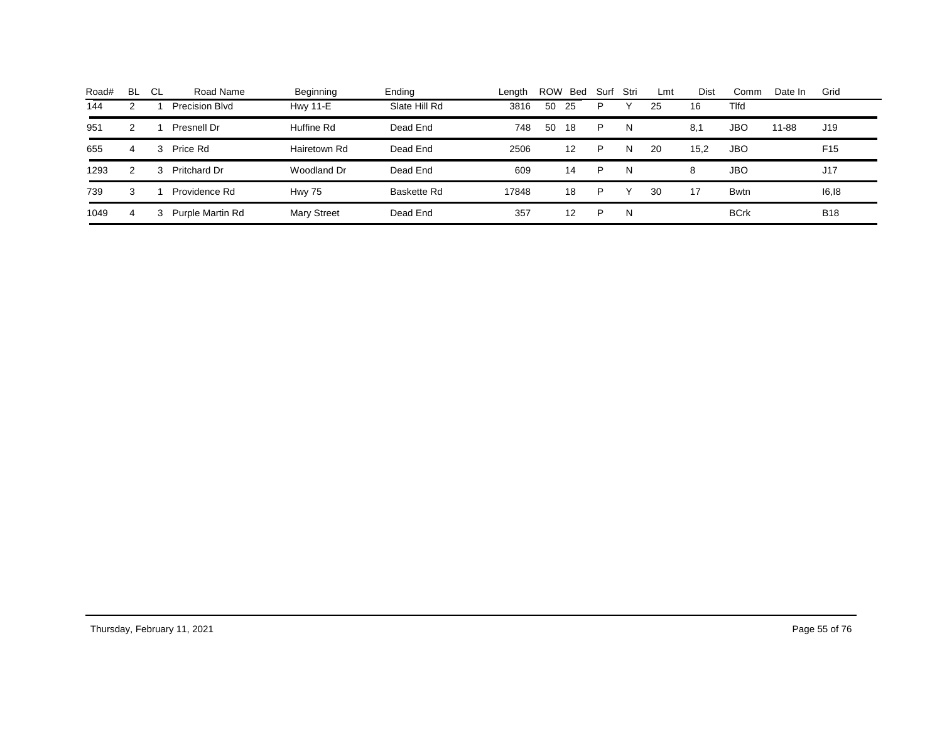| Road# | BL | - CL | Road Name        | Beginning          | Ending        | Lenath | <b>ROW</b> | Bed | Surf | Stri | Lmt | Dist | Comm         | Date In | Grid            |
|-------|----|------|------------------|--------------------|---------------|--------|------------|-----|------|------|-----|------|--------------|---------|-----------------|
| 144   | 2  |      | Precision Blvd   | <b>Hwy 11-E</b>    | Slate Hill Rd | 3816   | 50         | 25  | P    |      | 25  | 16   | <b>T</b> Ifd |         |                 |
| 951   | 2  |      | Presnell Dr      | Huffine Rd         | Dead End      | 748    | 50         | 18  | P    | N    |     | 8,1  | <b>JBO</b>   | 11-88   | J19             |
| 655   | 4  | 3    | Price Rd         | Hairetown Rd       | Dead End      | 2506   |            | 12  | P    | N    | 20  | 15.2 | <b>JBO</b>   |         | F <sub>15</sub> |
| 1293  | 2  | з    | Pritchard Dr     | Woodland Dr        | Dead End      | 609    |            | 14  | P    | N    |     | 8    | <b>JBO</b>   |         | J17             |
| 739   | 3  |      | Providence Rd    | <b>Hwy 75</b>      | Baskette Rd   | 17848  |            | 18  | P    |      | 30  | 17   | <b>Bwtn</b>  |         | 16,18           |
| 1049  | 4  | 3    | Purple Martin Rd | <b>Mary Street</b> | Dead End      | 357    |            | 12  | ▫    | N    |     |      | <b>BCrk</b>  |         | <b>B18</b>      |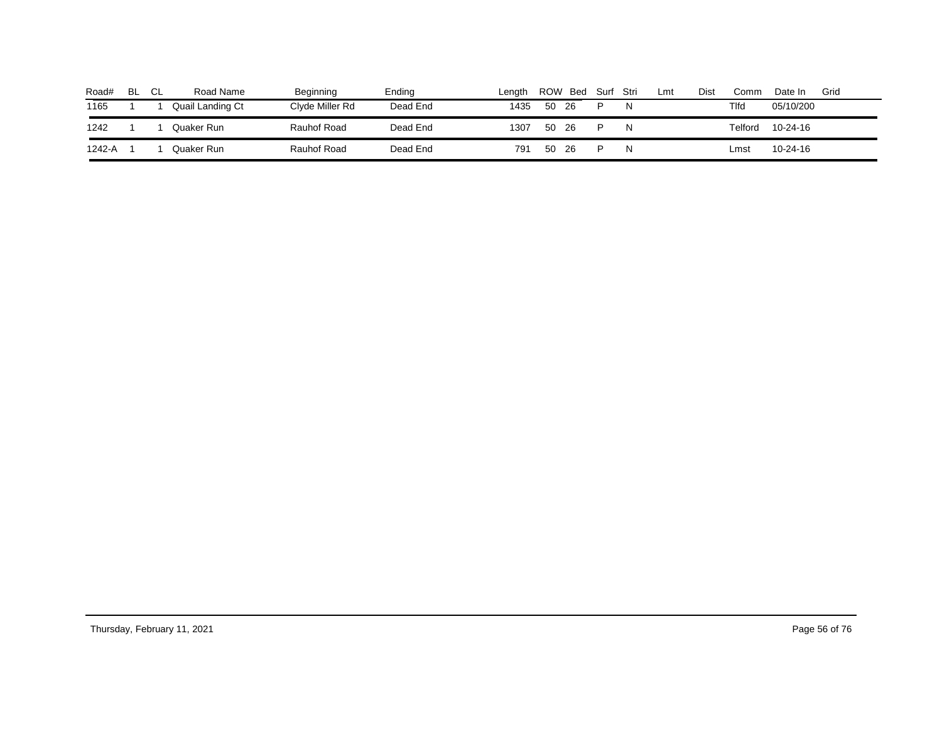| Road#  | BL | СL | Road Name        | Beginning          | Endina   | Length | <b>ROW</b> | Bed | Surf | Stri | Lmt | Dist | Comm    | Date In   | Grid |
|--------|----|----|------------------|--------------------|----------|--------|------------|-----|------|------|-----|------|---------|-----------|------|
| 1165   |    |    | Quail Landing Ct | Clyde Miller Rd    | Dead End | 1435   | 50         | -26 | D    |      |     |      | Tlfd    | 05/10/200 |      |
| 1242   |    |    | Quaker Runi      | <b>Rauhof Road</b> | Dead End | 1307   | 50         | 26  |      |      |     |      | Telford | 10-24-16  |      |
| 1242-A |    |    | Quaker Runi      | Rauhof Road        | Dead End | 791    | -50        | 26  |      |      |     |      | Lmst    | 10-24-16  |      |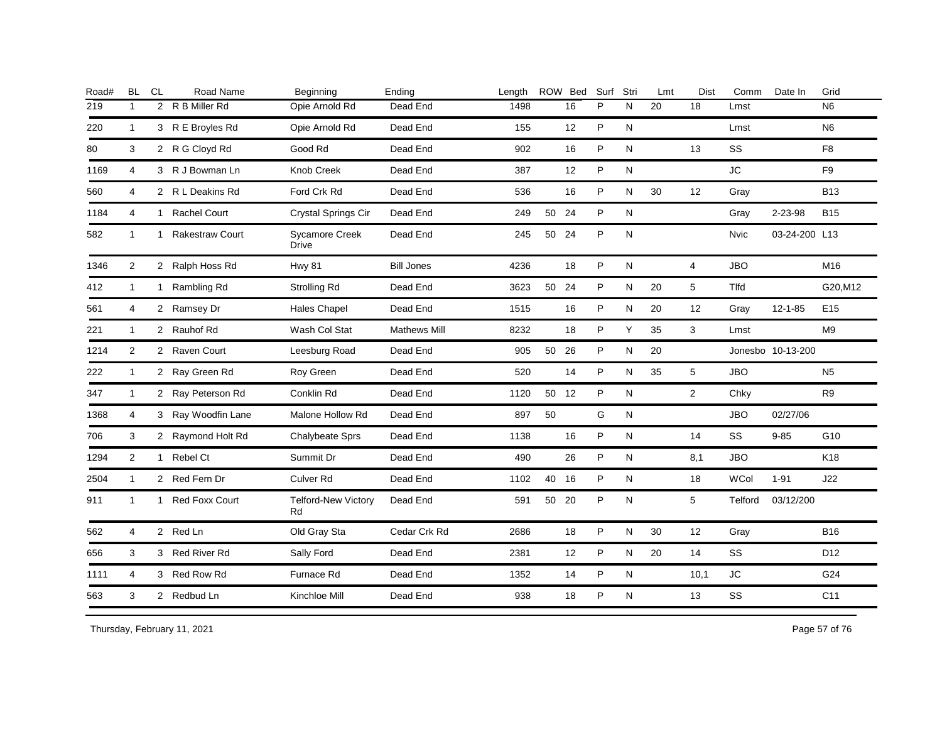| Road# | <b>BL</b>      | <b>CL</b>    | Road Name              | Beginning                             | Ending              | Length |       | ROW Bed | Surf | Stri         | Lmt | Dist           | Comm           | Date In           | Grid            |
|-------|----------------|--------------|------------------------|---------------------------------------|---------------------|--------|-------|---------|------|--------------|-----|----------------|----------------|-------------------|-----------------|
| 219   | $\mathbf{1}$   |              | 2 R B Miller Rd        | Opie Arnold Rd                        | Dead End            | 1498   |       | 16      | P    | N            | 20  | 18             | Lmst           |                   | N <sub>6</sub>  |
| 220   | 1              |              | 3 R E Broyles Rd       | Opie Arnold Rd                        | Dead End            | 155    |       | 12      | P    | N            |     |                | Lmst           |                   | N <sub>6</sub>  |
| 80    | 3              |              | 2 R G Cloyd Rd         | Good Rd                               | Dead End            | 902    |       | 16      | P    | N            |     | 13             | SS             |                   | F <sub>8</sub>  |
| 1169  | 4              |              | 3 R J Bowman Ln        | Knob Creek                            | Dead End            | 387    |       | 12      | P    | N            |     |                | JC             |                   | F <sub>9</sub>  |
| 560   | 4              |              | 2 R L Deakins Rd       | Ford Crk Rd                           | Dead End            | 536    |       | 16      | P    | ${\sf N}$    | 30  | 12             | Gray           |                   | <b>B13</b>      |
| 1184  | 4              | $\mathbf{1}$ | <b>Rachel Court</b>    | Crystal Springs Cir                   | Dead End            | 249    | 50 24 |         | P    | ${\sf N}$    |     |                | Gray           | 2-23-98           | <b>B15</b>      |
| 582   | 1              | 1            | <b>Rakestraw Court</b> | <b>Sycamore Creek</b><br><b>Drive</b> | Dead End            | 245    | 50 24 |         | P    | N            |     |                | <b>Nvic</b>    | 03-24-200 L13     |                 |
| 1346  | $\overline{2}$ |              | 2 Ralph Hoss Rd        | <b>Hwy 81</b>                         | <b>Bill Jones</b>   | 4236   |       | 18      | P    | $\mathsf{N}$ |     | $\overline{4}$ | <b>JBO</b>     |                   | M16             |
| 412   | $\mathbf{1}$   | $\mathbf{1}$ | Rambling Rd            | Strolling Rd                          | Dead End            | 3623   | 50 24 |         | P    | N            | 20  | 5              | <b>Tlfd</b>    |                   | G20, M12        |
| 561   | 4              |              | 2 Ramsey Dr            | <b>Hales Chapel</b>                   | Dead End            | 1515   |       | 16      | P    | N            | 20  | 12             | Gray           | 12-1-85           | E <sub>15</sub> |
| 221   | $\mathbf{1}$   |              | 2 Rauhof Rd            | Wash Col Stat                         | <b>Mathews Mill</b> | 8232   |       | 18      | P    | Y            | 35  | 3              | Lmst           |                   | M <sub>9</sub>  |
| 1214  | $\overline{2}$ |              | 2 Raven Court          | Leesburg Road                         | Dead End            | 905    | 50 26 |         | P    | N            | 20  |                |                | Jonesbo 10-13-200 |                 |
| 222   | $\mathbf{1}$   |              | 2 Ray Green Rd         | Roy Green                             | Dead End            | 520    |       | 14      | P    | N            | 35  | $\sqrt{5}$     | <b>JBO</b>     |                   | N <sub>5</sub>  |
| 347   | $\mathbf{1}$   |              | 2 Ray Peterson Rd      | Conklin Rd                            | Dead End            | 1120   | 50 12 |         | P    | $\mathsf{N}$ |     | $\overline{2}$ | Chky           |                   | R <sub>9</sub>  |
| 1368  | 4              |              | 3 Ray Woodfin Lane     | Malone Hollow Rd                      | Dead End            | 897    | 50    |         | G    | ${\sf N}$    |     |                | <b>JBO</b>     | 02/27/06          |                 |
| 706   | 3              |              | 2 Raymond Holt Rd      | Chalybeate Sprs                       | Dead End            | 1138   |       | 16      | P    | N            |     | 14             | SS             | $9 - 85$          | G10             |
| 1294  | $\overline{2}$ | $\mathbf{1}$ | Rebel Ct               | Summit Dr                             | Dead End            | 490    |       | 26      | P    | $\mathsf{N}$ |     | 8,1            | <b>JBO</b>     |                   | K18             |
| 2504  | 1              |              | 2 Red Fern Dr          | Culver Rd                             | Dead End            | 1102   | 40 16 |         | P    | $\mathsf{N}$ |     | 18             | WCol           | $1 - 91$          | J22             |
| 911   | 1              | $\mathbf{1}$ | <b>Red Foxx Court</b>  | <b>Telford-New Victory</b><br>Rd      | Dead End            | 591    | 50 20 |         | P    | N            |     | 5              | <b>Telford</b> | 03/12/200         |                 |
| 562   | 4              |              | 2 Red Ln               | Old Gray Sta                          | Cedar Crk Rd        | 2686   |       | 18      | P    | N            | 30  | 12             | Gray           |                   | <b>B16</b>      |
| 656   | 3              |              | 3 Red River Rd         | Sally Ford                            | Dead End            | 2381   |       | 12      | P    | N            | 20  | 14             | <b>SS</b>      |                   | D <sub>12</sub> |
| 1111  | 4              |              | 3 Red Row Rd           | Furnace Rd                            | Dead End            | 1352   |       | 14      | P    | N            |     | 10,1           | ${\sf JC}$     |                   | G24             |
| 563   | 3              |              | 2 Redbud Ln            | Kinchloe Mill                         | Dead End            | 938    |       | 18      | P    | ${\sf N}$    |     | 13             | SS             |                   | C <sub>11</sub> |
|       |                |              |                        |                                       |                     |        |       |         |      |              |     |                |                |                   |                 |

Thursday, February 11, 2021 2012 2014 2015 2016 2017 2021 20:30 Page 57 of 76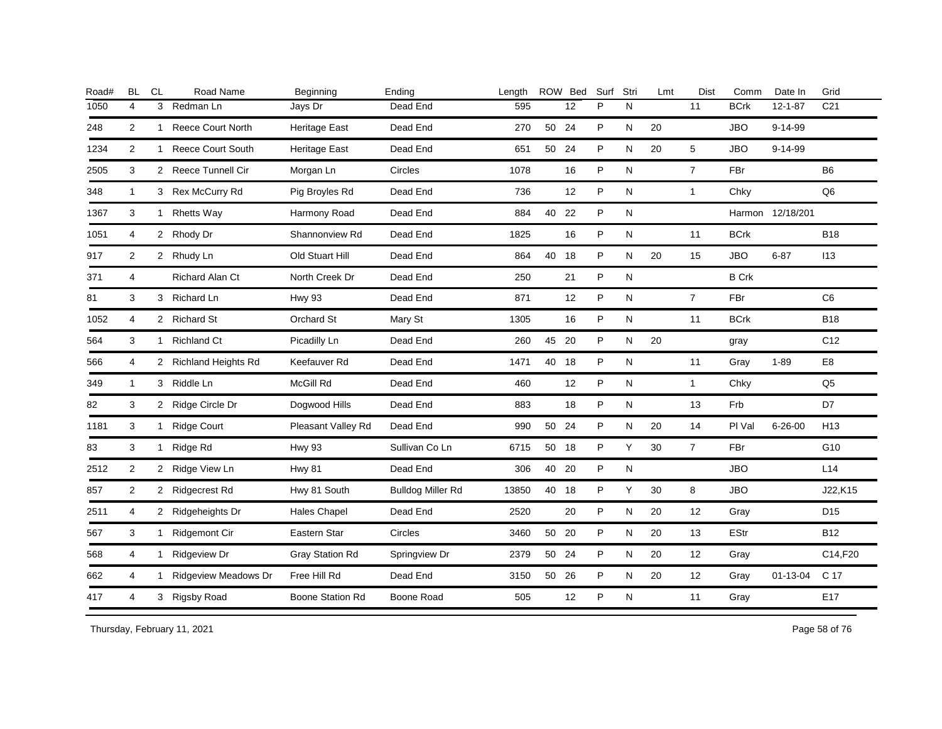| Road# | <b>BL</b>      | <b>CL</b>      | Road Name              | Beginning               | Ending                   | Length |       | ROW Bed | Surf | Stri | Lmt | <b>Dist</b>    | Comm         | Date In          | Grid            |
|-------|----------------|----------------|------------------------|-------------------------|--------------------------|--------|-------|---------|------|------|-----|----------------|--------------|------------------|-----------------|
| 1050  | 4              | 3 <sup>1</sup> | Redman Ln              | Jays Dr                 | Dead End                 | 595    |       | 12      | P    | N    |     | 11             | <b>BCrk</b>  | $12 - 1 - 87$    | C <sub>21</sub> |
| 248   | $\overline{2}$ |                | 1 Reece Court North    | <b>Heritage East</b>    | Dead End                 | 270    | 50 24 |         | P    | N    | 20  |                | <b>JBO</b>   | $9 - 14 - 99$    |                 |
| 1234  | 2              |                | 1 Reece Court South    | <b>Heritage East</b>    | Dead End                 | 651    | 50 24 |         | P    | N    | 20  | 5              | <b>JBO</b>   | $9 - 14 - 99$    |                 |
| 2505  | 3              |                | 2 Reece Tunnell Cir    | Morgan Ln               | Circles                  | 1078   |       | 16      | P    | N    |     | $\overline{7}$ | FBr          |                  | B <sub>6</sub>  |
| 348   | $\mathbf{1}$   |                | 3 Rex McCurry Rd       | Pig Broyles Rd          | Dead End                 | 736    |       | 12      | P    | N    |     | $\mathbf{1}$   | Chky         |                  | Q <sub>6</sub>  |
| 1367  | 3              |                | 1 Rhetts Way           | Harmony Road            | Dead End                 | 884    | 40 22 |         | P    | N    |     |                |              | Harmon 12/18/201 |                 |
| 1051  | 4              |                | 2 Rhody Dr             | Shannonview Rd          | Dead End                 | 1825   |       | 16      | P    | N    |     | 11             | <b>BCrk</b>  |                  | <b>B18</b>      |
| 917   | 2              |                | 2 Rhudy Ln             | Old Stuart Hill         | Dead End                 | 864    | 40 18 |         | P    | N    | 20  | 15             | <b>JBO</b>   | $6 - 87$         | 113             |
| 371   | 4              |                | Richard Alan Ct        | North Creek Dr          | Dead End                 | 250    |       | 21      | P    | N    |     |                | <b>B</b> Crk |                  |                 |
| 81    | 3              |                | 3 Richard Ln           | <b>Hwy 93</b>           | Dead End                 | 871    |       | 12      | P    | N    |     | $\overline{7}$ | FBr          |                  | C <sub>6</sub>  |
| 1052  | 4              |                | 2 Richard St           | Orchard St              | Mary St                  | 1305   |       | 16      | P    | N    |     | 11             | <b>BCrk</b>  |                  | <b>B18</b>      |
| 564   | 3              |                | 1 Richland Ct          | Picadilly Ln            | Dead End                 | 260    | 45 20 |         | P    | N    | 20  |                | gray         |                  | C <sub>12</sub> |
| 566   | 4              |                | 2 Richland Heights Rd  | Keefauver Rd            | Dead End                 | 1471   | 40 18 |         | P    | N    |     | 11             | Gray         | $1 - 89$         | E <sub>8</sub>  |
| 349   | 1              |                | 3 Riddle Ln            | McGill Rd               | Dead End                 | 460    |       | 12      | P    | N    |     | $\mathbf{1}$   | Chky         |                  | Q <sub>5</sub>  |
| 82    | 3              |                | 2 Ridge Circle Dr      | Dogwood Hills           | Dead End                 | 883    |       | 18      | P    | N    |     | 13             | Frb          |                  | D7              |
| 1181  | 3              | 1              | <b>Ridge Court</b>     | Pleasant Valley Rd      | Dead End                 | 990    | 50 24 |         | P    | N    | 20  | 14             | PI Val       | $6 - 26 - 00$    | H <sub>13</sub> |
| 83    | 3              |                | 1 Ridge Rd             | <b>Hwy 93</b>           | Sullivan Co Ln           | 6715   | 50 18 |         | P    | Y    | 30  | $\overline{7}$ | <b>FBr</b>   |                  | G10             |
| 2512  | $\overline{2}$ |                | 2 Ridge View Ln        | <b>Hwy 81</b>           | Dead End                 | 306    | 40 20 |         | P    | N    |     |                | <b>JBO</b>   |                  | L14             |
| 857   | $\overline{2}$ |                | 2 Ridgecrest Rd        | Hwy 81 South            | <b>Bulldog Miller Rd</b> | 13850  | 40 18 |         | P    | Y    | 30  | 8              | <b>JBO</b>   |                  | J22,K15         |
| 2511  | 4              |                | 2 Ridgeheights Dr      | <b>Hales Chapel</b>     | Dead End                 | 2520   |       | 20      | P    | N    | 20  | 12             | Gray         |                  | D <sub>15</sub> |
| 567   | 3              |                | 1 Ridgemont Cir        | Eastern Star            | Circles                  | 3460   | 50 20 |         | P    | Ν    | 20  | 13             | <b>EStr</b>  |                  | <b>B12</b>      |
| 568   | 4              |                | 1 Ridgeview Dr         | Gray Station Rd         | Springview Dr            | 2379   | 50 24 |         | P    | N    | 20  | 12             | Gray         |                  | C14,F20         |
| 662   | 4              |                | 1 Ridgeview Meadows Dr | Free Hill Rd            | Dead End                 | 3150   | 50 26 |         | P    | N    | 20  | 12             | Gray         | 01-13-04         | C 17            |
| 417   | 4              |                | 3 Rigsby Road          | <b>Boone Station Rd</b> | Boone Road               | 505    |       | 12      | P    | N    |     | 11             | Gray         |                  | E17             |
|       |                |                |                        |                         |                          |        |       |         |      |      |     |                |              |                  |                 |

Thursday, February 11, 2021 2012 2014 2015 2016 2017 2021 20:30 20:30 20:30 20:30 20:30 20:30 20:30 20:30 20:30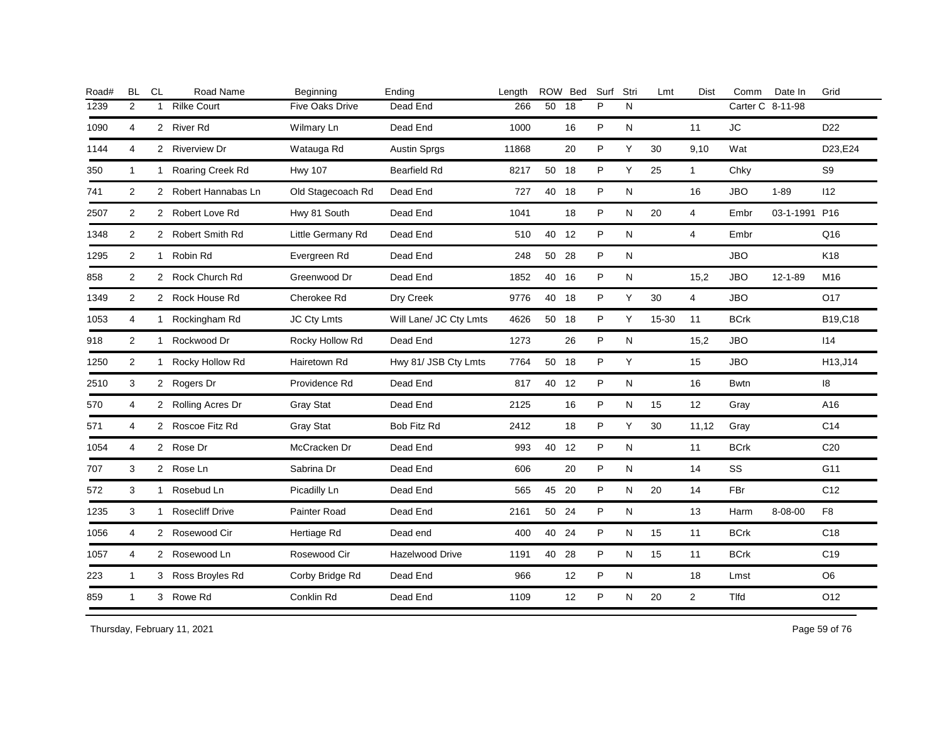| Road# | <b>BL</b>      | CL           | Road Name              | Beginning         | Ending                 | Length |       | ROW Bed | Surf | Stri      | Lmt   | <b>Dist</b>    | Comm             | Date In       | Grid            |
|-------|----------------|--------------|------------------------|-------------------|------------------------|--------|-------|---------|------|-----------|-------|----------------|------------------|---------------|-----------------|
| 1239  | 2              | $\mathbf{1}$ | <b>Rilke Court</b>     | Five Oaks Drive   | Dead End               | 266    | 50    | 18      | P    | N         |       |                | Carter C 8-11-98 |               |                 |
| 1090  | 4              |              | 2 River Rd             | Wilmary Ln        | Dead End               | 1000   |       | 16      | P    | N         |       | 11             | <b>JC</b>        |               | D <sub>22</sub> |
| 1144  | 4              |              | 2 Riverview Dr         | Watauga Rd        | <b>Austin Sprgs</b>    | 11868  |       | 20      | P    | Y         | 30    | 9,10           | Wat              |               | D23,E24         |
| 350   | $\mathbf{1}$   |              | 1 Roaring Creek Rd     | <b>Hwy 107</b>    | <b>Bearfield Rd</b>    | 8217   | 50 18 |         | P    | Υ         | 25    | $\mathbf{1}$   | Chky             |               | S9              |
| 741   | 2              |              | 2 Robert Hannabas Ln   | Old Stagecoach Rd | Dead End               | 727    | 40 18 |         | P    | ${\sf N}$ |       | 16             | <b>JBO</b>       | $1 - 89$      | 112             |
| 2507  | 2              |              | 2 Robert Love Rd       | Hwy 81 South      | Dead End               | 1041   |       | 18      | P    | N         | 20    | $\overline{4}$ | Embr             | 03-1-1991 P16 |                 |
| 1348  | 2              |              | 2 Robert Smith Rd      | Little Germany Rd | Dead End               | 510    | 40    | 12      | P    | ${\sf N}$ |       | $\overline{4}$ | Embr             |               | Q16             |
| 1295  | 2              |              | 1 Robin Rd             | Evergreen Rd      | Dead End               | 248    | 50 28 |         | P    | N         |       |                | <b>JBO</b>       |               | K18             |
| 858   | 2              |              | 2 Rock Church Rd       | Greenwood Dr      | Dead End               | 1852   | 40    | 16      | P    | ${\sf N}$ |       | 15,2           | <b>JBO</b>       | $12 - 1 - 89$ | M16             |
| 1349  | 2              |              | 2 Rock House Rd        | Cherokee Rd       | Dry Creek              | 9776   | 40    | 18      | P    | Υ         | 30    | $\overline{4}$ | <b>JBO</b>       |               | O17             |
| 1053  | 4              |              | 1 Rockingham Rd        | JC Cty Lmts       | Will Lane/ JC Cty Lmts | 4626   | 50 18 |         | P    | Y         | 15-30 | 11             | <b>BCrk</b>      |               | B19,C18         |
| 918   | 2              |              | 1 Rockwood Dr          | Rocky Hollow Rd   | Dead End               | 1273   |       | 26      | P    | N         |       | 15,2           | <b>JBO</b>       |               | 114             |
| 1250  | 2              |              | 1 Rocky Hollow Rd      | Hairetown Rd      | Hwy 81/ JSB Cty Lmts   | 7764   | 50 18 |         | P    | Y         |       | 15             | <b>JBO</b>       |               | H13,J14         |
| 2510  | 3              |              | 2 Rogers Dr            | Providence Rd     | Dead End               | 817    | 40 12 |         | P    | N         |       | 16             | Bwtn             |               | 8               |
| 570   | 4              |              | 2 Rolling Acres Dr     | Gray Stat         | Dead End               | 2125   |       | 16      | P    | N         | 15    | 12             | Gray             |               | A16             |
| 571   | 4              |              | 2 Roscoe Fitz Rd       | Gray Stat         | <b>Bob Fitz Rd</b>     | 2412   |       | 18      | P    | Y         | 30    | 11.12          | Gray             |               | C <sub>14</sub> |
| 1054  | 4              |              | 2 Rose Dr              | McCracken Dr      | Dead End               | 993    | 40 12 |         | P    | N         |       | 11             | <b>BCrk</b>      |               | C <sub>20</sub> |
| 707   | 3              |              | 2 Rose Ln              | Sabrina Dr        | Dead End               | 606    |       | 20      | P    | N         |       | 14             | SS               |               | G11             |
| 572   | 3              |              | 1 Rosebud Ln           | Picadilly Ln      | Dead End               | 565    | 45 20 |         | P    | N         | 20    | 14             | FBr              |               | C <sub>12</sub> |
| 1235  | 3              | $\mathbf{1}$ | <b>Rosecliff Drive</b> | Painter Road      | Dead End               | 2161   | 50 24 |         | P    | ${\sf N}$ |       | 13             | Harm             | 8-08-00       | F <sub>8</sub>  |
| 1056  | 4              |              | 2 Rosewood Cir         | Hertiage Rd       | Dead end               | 400    | 40    | 24      | P    | ${\sf N}$ | 15    | 11             | <b>BCrk</b>      |               | C <sub>18</sub> |
| 1057  | $\overline{4}$ |              | 2 Rosewood Ln          | Rosewood Cir      | <b>Hazelwood Drive</b> | 1191   | 40    | 28      | P    | N         | 15    | 11             | <b>BCrk</b>      |               | C <sub>19</sub> |
| 223   | $\mathbf{1}$   |              | 3 Ross Broyles Rd      | Corby Bridge Rd   | Dead End               | 966    |       | 12      | P    | N         |       | 18             | Lmst             |               | O <sub>6</sub>  |
| 859   | $\mathbf{1}$   |              | 3 Rowe Rd              | Conklin Rd        | Dead End               | 1109   |       | 12      | P    | ${\sf N}$ | 20    | $\overline{2}$ | Tlfd             |               | O12             |
|       |                |              |                        |                   |                        |        |       |         |      |           |       |                |                  |               |                 |

Thursday, February 11, 2021 2012 2014 2015 2016 2017 2021 20:30 20:30 20:30 20:30 20:30 20:30 20:30 20:30 20:30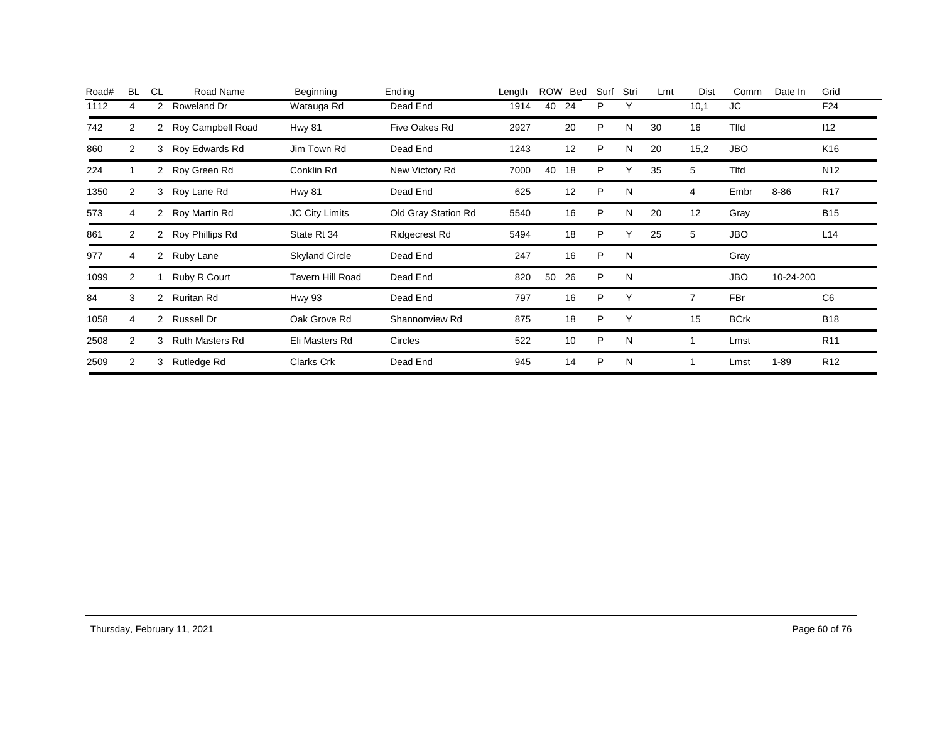| Road# | <b>BL</b>      | <b>CL</b>            | Road Name              | Beginning               | Ending              | Length | ROW | Bed | Surf | Stri | Lmt | <b>Dist</b> | Comm         | Date In   | Grid            |
|-------|----------------|----------------------|------------------------|-------------------------|---------------------|--------|-----|-----|------|------|-----|-------------|--------------|-----------|-----------------|
| 1112  |                | 2                    | Roweland Dr            | Watauga Rd              | Dead End            | 1914   | 40  | 24  | P    | Υ    |     | 10,1        | JC           |           | F24             |
| 742   | 2              | $\mathbf{2}^{\circ}$ | Roy Campbell Road      | <b>Hwy 81</b>           | Five Oakes Rd       | 2927   |     | 20  | P    | N    | 30  | 16          | <b>T</b> Ifd |           | 112             |
| 860   | 2              | 3                    | Roy Edwards Rd         | Jim Town Rd             | Dead End            | 1243   |     | 12  | P    | N    | 20  | 15,2        | <b>JBO</b>   |           | K <sub>16</sub> |
| 224   |                | $\overline{2}$       | Roy Green Rd           | Conklin Rd              | New Victory Rd      | 7000   | 40  | 18  | P    | Υ    | 35  | 5           | Tlfd         |           | N <sub>12</sub> |
| 1350  | $\overline{2}$ | 3                    | Roy Lane Rd            | <b>Hwy 81</b>           | Dead End            | 625    |     | 12  | P    | N    |     | 4           | Embr         | $8 - 86$  | <b>R17</b>      |
| 573   | 4              | 2                    | Roy Martin Rd          | <b>JC City Limits</b>   | Old Gray Station Rd | 5540   |     | 16  | P    | N    | 20  | 12          | Gray         |           | <b>B15</b>      |
| 861   | 2              | 2                    | Roy Phillips Rd        | State Rt 34             | Ridgecrest Rd       | 5494   |     | 18  | P    | Υ    | 25  | 5           | <b>JBO</b>   |           | L14             |
| 977   | 4              | 2                    | Ruby Lane              | <b>Skyland Circle</b>   | Dead End            | 247    |     | 16  | P    | N    |     |             | Gray         |           |                 |
| 1099  | 2              |                      | Ruby R Court           | <b>Tavern Hill Road</b> | Dead End            | 820    | 50  | 26  | P    | N    |     |             | <b>JBO</b>   | 10-24-200 |                 |
| 84    | 3              | 2                    | Ruritan Rd             | <b>Hwy 93</b>           | Dead End            | 797    |     | 16  | P    | Υ    |     |             | FBr          |           | C <sub>6</sub>  |
| 1058  | 4              | $\mathbf{2}^{\circ}$ | Russell Dr             | Oak Grove Rd            | Shannonview Rd      | 875    |     | 18  | P    | Υ    |     | 15          | <b>BCrk</b>  |           | <b>B18</b>      |
| 2508  | 2              | 3                    | <b>Ruth Masters Rd</b> | Eli Masters Rd          | Circles             | 522    |     | 10  | P    | N    |     |             | Lmst         |           | R <sub>11</sub> |
| 2509  | $\overline{2}$ | 3                    | Rutledge Rd            | Clarks Crk              | Dead End            | 945    |     | 14  | P    | N    |     |             | Lmst         | $1 - 89$  | R <sub>12</sub> |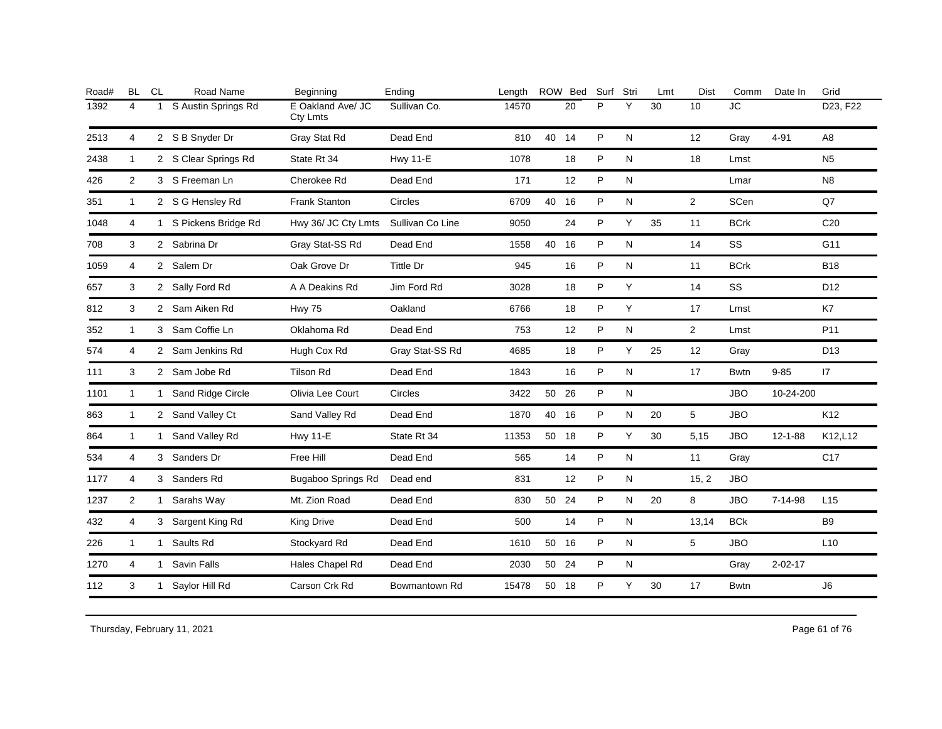| Road# | <b>BL</b>      | <b>CL</b>    | Road Name             | Beginning                            | Ending           | Length |       | ROW Bed | Surf | Stri      | Lmt | <b>Dist</b>    | Comm        | Date In       | Grid            |
|-------|----------------|--------------|-----------------------|--------------------------------------|------------------|--------|-------|---------|------|-----------|-----|----------------|-------------|---------------|-----------------|
| 1392  | 4              | $\mathbf{1}$ | S Austin Springs Rd   | E Oakland Ave/ JC<br><b>Cty Lmts</b> | Sullivan Co.     | 14570  |       | 20      | P    | Υ         | 30  | 10             | JC          |               | D23, F22        |
| 2513  | $\overline{4}$ |              | 2 S B Snyder Dr       | Gray Stat Rd                         | Dead End         | 810    | 40 14 |         | P    | N         |     | 12             | Gray        | $4 - 91$      | A <sub>8</sub>  |
| 2438  | $\mathbf{1}$   |              | 2 S Clear Springs Rd  | State Rt 34                          | <b>Hwy 11-E</b>  | 1078   |       | 18      | P    | N         |     | 18             | Lmst        |               | N <sub>5</sub>  |
| 426   | $\overline{2}$ |              | 3 S Freeman Ln        | Cherokee Rd                          | Dead End         | 171    |       | 12      | P    | N         |     |                | Lmar        |               | N <sub>8</sub>  |
| 351   | $\mathbf{1}$   |              | 2 S G Hensley Rd      | <b>Frank Stanton</b>                 | Circles          | 6709   | 40 16 |         | P    | N         |     | $\overline{2}$ | <b>SCen</b> |               | Q7              |
| 1048  | 4              |              | 1 S Pickens Bridge Rd | Hwy 36/ JC Cty Lmts                  | Sullivan Co Line | 9050   |       | 24      | P    | Y         | 35  | 11             | <b>BCrk</b> |               | C <sub>20</sub> |
| 708   | 3              |              | 2 Sabrina Dr          | Gray Stat-SS Rd                      | Dead End         | 1558   | 40 16 |         | P    | N         |     | 14             | SS          |               | G11             |
| 1059  | 4              |              | 2 Salem Dr            | Oak Grove Dr                         | Tittle Dr        | 945    |       | 16      | P    | N         |     | 11             | <b>BCrk</b> |               | <b>B18</b>      |
| 657   | 3              |              | 2 Sally Ford Rd       | A A Deakins Rd                       | Jim Ford Rd      | 3028   |       | 18      | P    | Y         |     | 14             | SS          |               | D <sub>12</sub> |
| 812   | 3              |              | 2 Sam Aiken Rd        | <b>Hwy 75</b>                        | Oakland          | 6766   |       | 18      | P    | Y         |     | 17             | Lmst        |               | K7              |
| 352   | $\mathbf{1}$   |              | 3 Sam Coffie Ln       | Oklahoma Rd                          | Dead End         | 753    |       | 12      | P    | N         |     | $\overline{2}$ | Lmst        |               | P11             |
| 574   | 4              |              | 2 Sam Jenkins Rd      | Hugh Cox Rd                          | Gray Stat-SS Rd  | 4685   |       | 18      | P    | Y         | 25  | 12             | Gray        |               | D <sub>13</sub> |
| 111   | 3              |              | 2 Sam Jobe Rd         | <b>Tilson Rd</b>                     | Dead End         | 1843   |       | 16      | P    | N         |     | 17             | <b>Bwtn</b> | $9 - 85$      | 17              |
| 1101  | $\mathbf{1}$   |              | 1 Sand Ridge Circle   | Olivia Lee Court                     | Circles          | 3422   | 50 26 |         | P    | N         |     |                | <b>JBO</b>  | 10-24-200     |                 |
| 863   | $\mathbf{1}$   |              | 2 Sand Valley Ct      | Sand Valley Rd                       | Dead End         | 1870   | 40 16 |         | P    | ${\sf N}$ | 20  | 5              | <b>JBO</b>  |               | K12             |
| 864   | $\mathbf{1}$   |              | 1 Sand Valley Rd      | <b>Hwy 11-E</b>                      | State Rt 34      | 11353  | 50 18 |         | P    | Y         | 30  | 5,15           | <b>JBO</b>  | $12 - 1 - 88$ | K12,L12         |
| 534   | 4              |              | 3 Sanders Dr          | Free Hill                            | Dead End         | 565    |       | 14      | P    | N         |     | 11             | Gray        |               | C <sub>17</sub> |
| 1177  | 4              |              | 3 Sanders Rd          | <b>Bugaboo Springs Rd</b>            | Dead end         | 831    |       | 12      | P    | N         |     | 15, 2          | <b>JBO</b>  |               |                 |
| 1237  | $\overline{2}$ |              | 1 Sarahs Way          | Mt. Zion Road                        | Dead End         | 830    | 50 24 |         | P    | N         | 20  | 8              | <b>JBO</b>  | 7-14-98       | L <sub>15</sub> |
| 432   | 4              |              | 3 Sargent King Rd     | <b>King Drive</b>                    | Dead End         | 500    |       | 14      | P    | N         |     | 13,14          | <b>BCk</b>  |               | <b>B9</b>       |
| 226   | 1              | 1            | Saults Rd             | Stockyard Rd                         | Dead End         | 1610   | 50 16 |         | P    | N         |     | 5              | <b>JBO</b>  |               | L10             |
| 1270  | 4              |              | 1 Savin Falls         | Hales Chapel Rd                      | Dead End         | 2030   | 50 24 |         | P    | N         |     |                | Gray        | $2 - 02 - 17$ |                 |
| 112   | 3              |              | 1 Saylor Hill Rd      | Carson Crk Rd                        | Bowmantown Rd    | 15478  | 50 18 |         | P    | Y         | 30  | 17             | <b>Bwtn</b> |               | J6              |
|       |                |              |                       |                                      |                  |        |       |         |      |           |     |                |             |               |                 |

Thursday, February 11, 2021 2012 2012 12:30 Page 61 of 76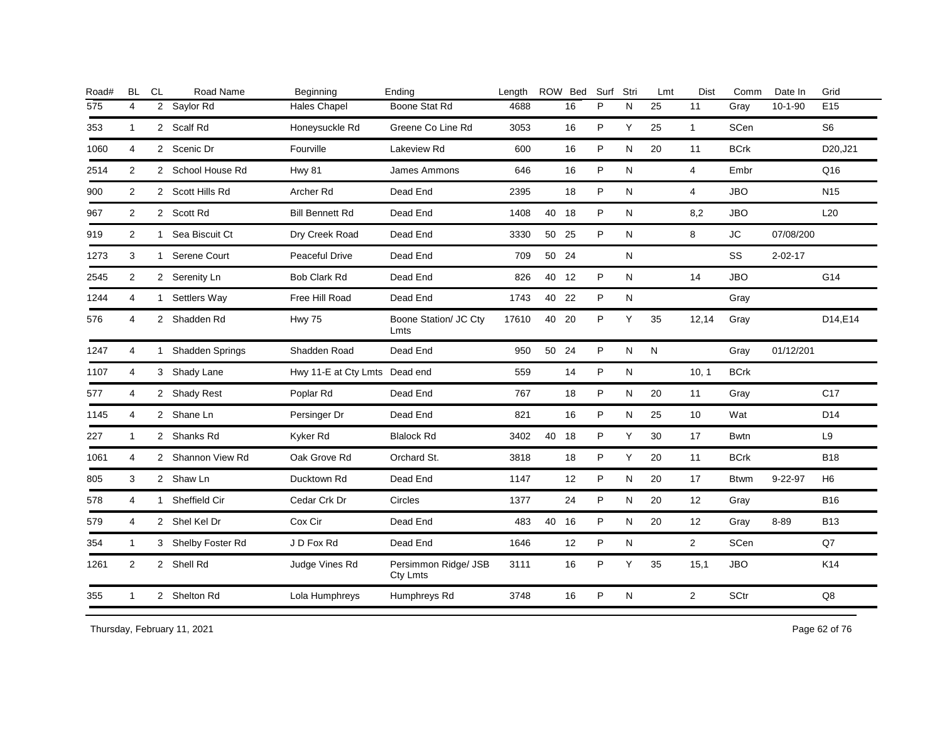| Road# | <b>BL</b>               | <b>CL</b> | Road Name          | Beginning                     | Ending                           | Length |       | ROW Bed | Surf | Stri         | Lmt | Dist           | Comm        | Date In       | Grid            |
|-------|-------------------------|-----------|--------------------|-------------------------------|----------------------------------|--------|-------|---------|------|--------------|-----|----------------|-------------|---------------|-----------------|
| 575   | $\overline{\mathbf{4}}$ |           | 2 Saylor Rd        | <b>Hales Chapel</b>           | Boone Stat Rd                    | 4688   |       | 16      | P    | N            | 25  | 11             | Gray        | $10-1-90$     | E <sub>15</sub> |
| 353   | $\mathbf{1}$            |           | 2 Scalf Rd         | Honeysuckle Rd                | Greene Co Line Rd                | 3053   |       | 16      | P    | Y            | 25  | $\mathbf{1}$   | SCen        |               | S <sub>6</sub>  |
| 1060  | $\overline{4}$          |           | 2 Scenic Dr        | Fourville                     | Lakeview Rd                      | 600    |       | 16      | P    | N            | 20  | 11             | <b>BCrk</b> |               | D20, J21        |
| 2514  | 2                       |           | 2 School House Rd  | Hwy 81                        | James Ammons                     | 646    |       | 16      | P    | N            |     | $\overline{4}$ | Embr        |               | Q16             |
| 900   | 2                       |           | 2 Scott Hills Rd   | Archer Rd                     | Dead End                         | 2395   |       | 18      | P    | $\mathsf{N}$ |     | $\overline{4}$ | <b>JBO</b>  |               | N <sub>15</sub> |
| 967   | 2                       |           | 2 Scott Rd         | <b>Bill Bennett Rd</b>        | Dead End                         | 1408   | 40    | - 18    | P    | N            |     | 8,2            | <b>JBO</b>  |               | L20             |
| 919   | 2                       |           | 1 Sea Biscuit Ct   | Dry Creek Road                | Dead End                         | 3330   | 50 25 |         | P    | N            |     | 8              | <b>JC</b>   | 07/08/200     |                 |
| 1273  | 3                       |           | 1 Serene Court     | Peaceful Drive                | Dead End                         | 709    | 50 24 |         |      | ${\sf N}$    |     |                | SS          | $2 - 02 - 17$ |                 |
| 2545  | 2                       |           | 2 Serenity Ln      | Bob Clark Rd                  | Dead End                         | 826    | 40 12 |         | P    | ${\sf N}$    |     | 14             | <b>JBO</b>  |               | G14             |
| 1244  | 4                       |           | 1 Settlers Way     | Free Hill Road                | Dead End                         | 1743   | 40 22 |         | P    | ${\sf N}$    |     |                | Gray        |               |                 |
| 576   | 4                       |           | 2 Shadden Rd       | <b>Hwy 75</b>                 | Boone Station/ JC Cty<br>Lmts    | 17610  | 40    | -20     | P    | Y            | 35  | 12,14          | Gray        |               | D14,E14         |
| 1247  | 4                       |           | 1 Shadden Springs  | Shadden Road                  | Dead End                         | 950    | 50 24 |         | P    | N            | N   |                | Gray        | 01/12/201     |                 |
| 1107  | $\overline{4}$          |           | 3 Shady Lane       | Hwy 11-E at Cty Lmts Dead end |                                  | 559    |       | 14      | P    | ${\sf N}$    |     | 10, 1          | <b>BCrk</b> |               |                 |
| 577   | 4                       |           | 2 Shady Rest       | Poplar Rd                     | Dead End                         | 767    |       | 18      | P    | N            | 20  | 11             | Gray        |               | C <sub>17</sub> |
| 1145  | 4                       |           | 2 Shane Ln         | Persinger Dr                  | Dead End                         | 821    |       | 16      | P    | $\mathsf{N}$ | 25  | 10             | Wat         |               | D14             |
| 227   | $\mathbf{1}$            |           | 2 Shanks Rd        | Kyker Rd                      | <b>Blalock Rd</b>                | 3402   | 40    | 18      | P.   | Y            | 30  | 17             | <b>Bwtn</b> |               | L <sub>9</sub>  |
| 1061  | 4                       |           | 2 Shannon View Rd  | Oak Grove Rd                  | Orchard St.                      | 3818   |       | 18      | P    | Y            | 20  | 11             | <b>BCrk</b> |               | <b>B18</b>      |
| 805   | 3                       |           | 2 Shaw Ln          | Ducktown Rd                   | Dead End                         | 1147   |       | 12      | P    | N            | 20  | 17             | <b>Btwm</b> | $9 - 22 - 97$ | H <sub>6</sub>  |
| 578   | 4                       |           | 1 Sheffield Cir    | Cedar Crk Dr                  | Circles                          | 1377   |       | 24      | P    | $\mathsf{N}$ | 20  | 12             | Gray        |               | <b>B16</b>      |
| 579   | 4                       |           | 2 Shel Kel Dr      | Cox Cir                       | Dead End                         | 483    | 40    | 16      | P    | N            | 20  | 12             | Gray        | 8-89          | <b>B13</b>      |
| 354   | $\mathbf{1}$            |           | 3 Shelby Foster Rd | J D Fox Rd                    | Dead End                         | 1646   |       | 12      | P    | ${\sf N}$    |     | $\overline{2}$ | SCen        |               | Q7              |
| 1261  | $\overline{2}$          |           | 2 Shell Rd         | Judge Vines Rd                | Persimmon Ridge/ JSB<br>Cty Lmts | 3111   |       | 16      | P    | Υ            | 35  | 15,1           | <b>JBO</b>  |               | K14             |
| 355   | $\mathbf{1}$            |           | 2 Shelton Rd       | Lola Humphreys                | Humphreys Rd                     | 3748   |       | 16      | P    | $\mathsf{N}$ |     | 2              | SCtr        |               | $\mathsf{Q8}$   |

Thursday, February 11, 2021 2012 2012 12:30 Page 62 of 76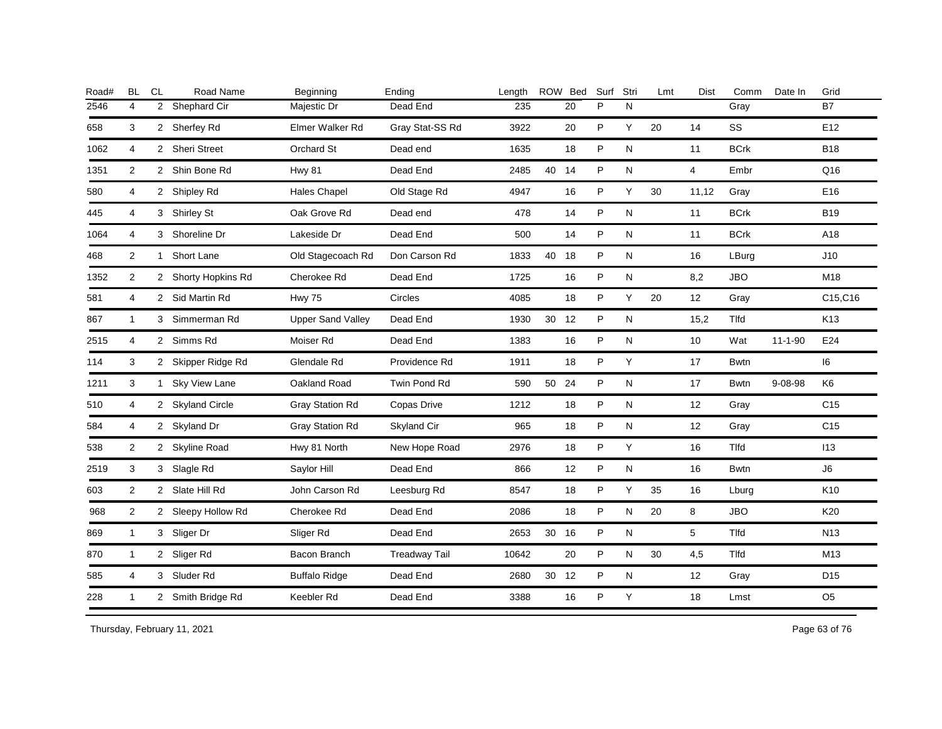| Road# | <b>BL</b>      | <b>CL</b> | Road Name           | Beginning                | Ending               | Length |       | ROW Bed | Surf | Stri         | Lmt | <b>Dist</b>    | Comm         | Date In       | Grid            |
|-------|----------------|-----------|---------------------|--------------------------|----------------------|--------|-------|---------|------|--------------|-----|----------------|--------------|---------------|-----------------|
| 2546  | 4              |           | 2 Shephard Cir      | Majestic Dr              | Dead End             | 235    |       | 20      | P    | N            |     |                | Gray         |               | <b>B7</b>       |
| 658   | 3              |           | 2 Sherfey Rd        | Elmer Walker Rd          | Gray Stat-SS Rd      | 3922   |       | 20      | P    | Y            | 20  | 14             | SS           |               | E12             |
| 1062  | 4              |           | 2 Sheri Street      | Orchard St               | Dead end             | 1635   |       | 18      | P    | N            |     | 11             | <b>BCrk</b>  |               | <b>B18</b>      |
| 1351  | 2              |           | 2 Shin Bone Rd      | <b>Hwy 81</b>            | Dead End             | 2485   | 40 14 |         | P    | N            |     | $\overline{4}$ | Embr         |               | Q16             |
| 580   | $\overline{4}$ |           | 2 Shipley Rd        | <b>Hales Chapel</b>      | Old Stage Rd         | 4947   |       | 16      | P    | Y            | 30  | 11,12          | Gray         |               | E16             |
| 445   | 4              |           | 3 Shirley St        | Oak Grove Rd             | Dead end             | 478    |       | 14      | P    | N            |     | 11             | <b>BCrk</b>  |               | <b>B19</b>      |
| 1064  | 4              |           | 3 Shoreline Dr      | Lakeside Dr              | Dead End             | 500    |       | 14      | P    | N            |     | 11             | <b>BCrk</b>  |               | A18             |
| 468   | 2              |           | 1 Short Lane        | Old Stagecoach Rd        | Don Carson Rd        | 1833   | 40    | 18      | P    | $\mathsf{N}$ |     | 16             | LBurg        |               | J10             |
| 1352  | 2              |           | 2 Shorty Hopkins Rd | Cherokee Rd              | Dead End             | 1725   |       | 16      | P    | N            |     | 8,2            | <b>JBO</b>   |               | M18             |
| 581   | 4              |           | 2 Sid Martin Rd     | <b>Hwy 75</b>            | Circles              | 4085   |       | 18      | P    | Y            | 20  | 12             | Gray         |               | C15, C16        |
| 867   | $\mathbf{1}$   |           | 3 Simmerman Rd      | <b>Upper Sand Valley</b> | Dead End             | 1930   | 30 12 |         | P    | N            |     | 15,2           | Tlfd         |               | K <sub>13</sub> |
| 2515  | 4              |           | 2 Simms Rd          | Moiser Rd                | Dead End             | 1383   |       | 16      | P    | N            |     | 10             | Wat          | $11 - 1 - 90$ | E24             |
| 114   | 3              |           | 2 Skipper Ridge Rd  | Glendale Rd              | Providence Rd        | 1911   |       | 18      | P    | Y            |     | 17             | <b>Bwtn</b>  |               | 16              |
| 1211  | 3              |           | 1 Sky View Lane     | Oakland Road             | Twin Pond Rd         | 590    | 50 24 |         | P    | N            |     | 17             | <b>Bwtn</b>  | $9 - 08 - 98$ | K6              |
| 510   | 4              |           | 2 Skyland Circle    | <b>Gray Station Rd</b>   | Copas Drive          | 1212   |       | 18      | P    | N            |     | 12             | Gray         |               | C <sub>15</sub> |
| 584   | 4              |           | 2 Skyland Dr        | <b>Gray Station Rd</b>   | Skyland Cir          | 965    |       | 18      | P    | N            |     | 12             | Gray         |               | C <sub>15</sub> |
| 538   | $\overline{2}$ |           | 2 Skyline Road      | Hwy 81 North             | New Hope Road        | 2976   |       | 18      | P    | Y            |     | 16             | <b>T</b> Ifd |               | 113             |
| 2519  | 3              |           | 3 Slagle Rd         | Saylor Hill              | Dead End             | 866    |       | 12      | P    | N            |     | 16             | Bwtn         |               | J6              |
| 603   | 2              |           | 2 Slate Hill Rd     | John Carson Rd           | Leesburg Rd          | 8547   |       | 18      | P    | Y            | 35  | 16             | Lburg        |               | K <sub>10</sub> |
| 968   | $\overline{2}$ |           | 2 Sleepy Hollow Rd  | Cherokee Rd              | Dead End             | 2086   |       | 18      | P    | N            | 20  | 8              | <b>JBO</b>   |               | K20             |
| 869   | $\mathbf{1}$   |           | 3 Sliger Dr         | Sliger Rd                | Dead End             | 2653   | 30 16 |         | P    | N            |     | 5              | <b>T</b> Ifd |               | N <sub>13</sub> |
| 870   | $\mathbf{1}$   |           | 2 Sliger Rd         | Bacon Branch             | <b>Treadway Tail</b> | 10642  |       | 20      | P    | N            | 30  | 4,5            | Tlfd         |               | M13             |
| 585   | 4              |           | 3 Sluder Rd         | <b>Buffalo Ridge</b>     | Dead End             | 2680   | 30    | 12      | P    | N            |     | 12             | Gray         |               | D <sub>15</sub> |
| 228   | $\mathbf{1}$   |           | 2 Smith Bridge Rd   | Keebler Rd               | Dead End             | 3388   |       | 16      | P    | Υ            |     | 18             | Lmst         |               | O <sub>5</sub>  |

Thursday, February 11, 2021 2012 2014 2015 2016 2017 2021 20:30 20:30 20:30 20:30 20:30 20:30 20:30 20:30 20:30 20:30 20:30 20:30 20:30 20:30 20:30 20:30 20:30 20:30 20:30 20:30 20:30 20:30 20:30 20:30 20:30 20:30 20:30 20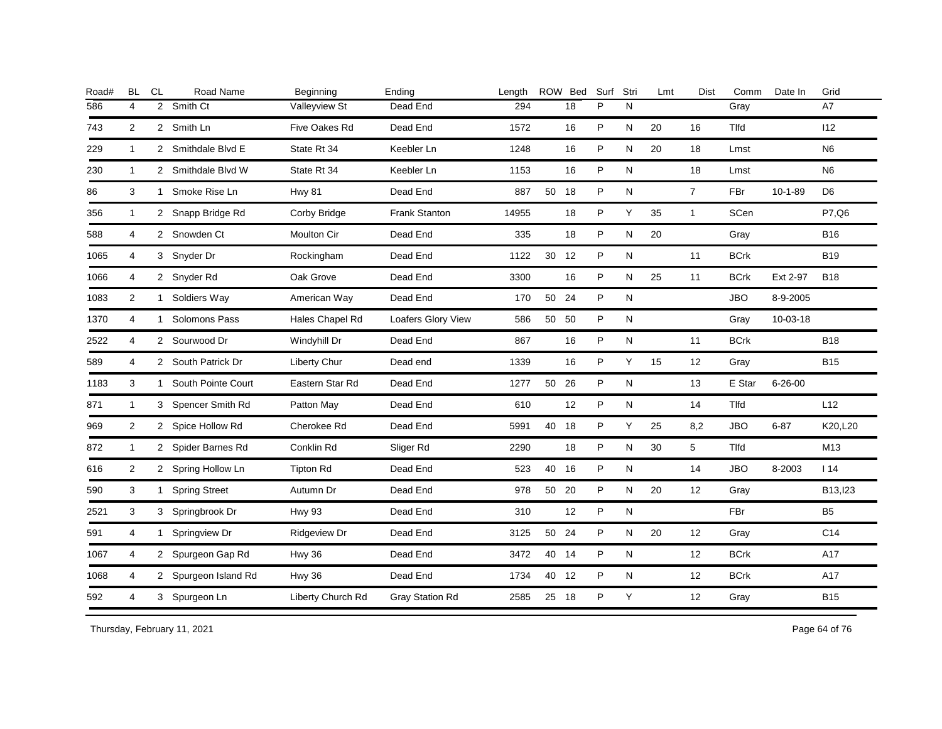| Road# | <b>BL</b>      | CL           | Road Name            | Beginning         | Ending               | Length |       | ROW Bed | Surf | Stri      | Lmt | <b>Dist</b>       | Comm        | Date In       | Grid           |
|-------|----------------|--------------|----------------------|-------------------|----------------------|--------|-------|---------|------|-----------|-----|-------------------|-------------|---------------|----------------|
| 586   | 4              |              | 2 Smith Ct           | Valleyview St     | Dead End             | 294    |       | 18      | P    | N         |     |                   | Gray        |               | A7             |
| 743   | 2              |              | 2 Smith Ln           | Five Oakes Rd     | Dead End             | 1572   |       | 16      | P    | ${\sf N}$ | 20  | 16                | Tlfd        |               | 112            |
| 229   | $\mathbf{1}$   |              | 2 Smithdale Blvd E   | State Rt 34       | Keebler Ln           | 1248   |       | 16      | P    | N         | 20  | 18                | Lmst        |               | N <sub>6</sub> |
| 230   | $\mathbf{1}$   |              | 2 Smithdale Blvd W   | State Rt 34       | Keebler Ln           | 1153   |       | 16      | P    | N         |     | 18                | Lmst        |               | N <sub>6</sub> |
| 86    | 3              |              | 1 Smoke Rise Ln      | <b>Hwy 81</b>     | Dead End             | 887    | 50 18 |         | P    | ${\sf N}$ |     | $\overline{7}$    | FBr         | $10 - 1 - 89$ | D <sub>6</sub> |
| 356   | $\overline{1}$ |              | 2 Snapp Bridge Rd    | Corby Bridge      | <b>Frank Stanton</b> | 14955  |       | 18      | P    | Y         | 35  | $\mathbf{1}$      | SCen        |               | P7,Q6          |
| 588   | 4              |              | 2 Snowden Ct         | Moulton Cir       | Dead End             | 335    |       | 18      | P    | N         | 20  |                   | Gray        |               | <b>B16</b>     |
| 1065  | 4              |              | 3 Snyder Dr          | Rockingham        | Dead End             | 1122   | 30    | 12      | P    | ${\sf N}$ |     | 11                | <b>BCrk</b> |               | <b>B19</b>     |
| 1066  | 4              |              | 2 Snyder Rd          | Oak Grove         | Dead End             | 3300   |       | 16      | P    | ${\sf N}$ | 25  | 11                | <b>BCrk</b> | Ext 2-97      | <b>B18</b>     |
| 1083  | 2              | 1            | Soldiers Way         | American Way      | Dead End             | 170    | 50    | 24      | P    | N         |     |                   | <b>JBO</b>  | 8-9-2005      |                |
| 1370  | 4              | $\mathbf{1}$ | Solomons Pass        | Hales Chapel Rd   | Loafers Glory View   | 586    | 50    | 50      | P    | ${\sf N}$ |     |                   | Gray        | 10-03-18      |                |
| 2522  | 4              |              | 2 Sourwood Dr        | Windyhill Dr      | Dead End             | 867    |       | 16      | P    | ${\sf N}$ |     | 11                | <b>BCrk</b> |               | <b>B18</b>     |
| 589   | 4              |              | 2 South Patrick Dr   | Liberty Chur      | Dead end             | 1339   |       | 16      | P    | Y         | 15  | $12 \overline{ }$ | Gray        |               | <b>B15</b>     |
| 1183  | 3              |              | 1 South Pointe Court | Eastern Star Rd   | Dead End             | 1277   | 50    | 26      | P    | N         |     | 13                | E Star      | $6 - 26 - 00$ |                |
| 871   | $\mathbf{1}$   |              | 3 Spencer Smith Rd   | Patton May        | Dead End             | 610    |       | 12      | P    | ${\sf N}$ |     | 14                | Tlfd        |               | L12            |
| 969   | 2              |              | 2 Spice Hollow Rd    | Cherokee Rd       | Dead End             | 5991   | 40 18 |         | P    | Y         | 25  | 8,2               | <b>JBO</b>  | $6 - 87$      | K20,L20        |
| 872   | $\mathbf{1}$   |              | 2 Spider Barnes Rd   | Conklin Rd        | Sliger Rd            | 2290   |       | 18      | P    | N         | 30  | 5                 | Tlfd        |               | M13            |
| 616   | $\overline{2}$ |              | 2 Spring Hollow Ln   | <b>Tipton Rd</b>  | Dead End             | 523    | 40 16 |         | P    | N         |     | 14                | <b>JBO</b>  | 8-2003        | 114            |
| 590   | 3              | $\mathbf{1}$ | <b>Spring Street</b> | Autumn Dr         | Dead End             | 978    | 50 20 |         | P    | N         | 20  | 12                | Gray        |               | B13, 123       |
| 2521  | 3              |              | 3 Springbrook Dr     | <b>Hwy 93</b>     | Dead End             | 310    |       | 12      | P    | ${\sf N}$ |     |                   | FBr         |               | B <sub>5</sub> |
| 591   | 4              | $\mathbf{1}$ | Springview Dr        | Ridgeview Dr      | Dead End             | 3125   | 50 24 |         | P    | ${\sf N}$ | 20  | 12                | Gray        |               | C14            |
| 1067  | 4              |              | 2 Spurgeon Gap Rd    | <b>Hwy 36</b>     | Dead End             | 3472   | 40 14 |         | P    | N         |     | 12                | <b>BCrk</b> |               | A17            |
| 1068  | 4              |              | 2 Spurgeon Island Rd | Hwy 36            | Dead End             | 1734   | 40 12 |         | P    | N         |     | 12                | <b>BCrk</b> |               | A17            |
| 592   | 4              |              | 3 Spurgeon Ln        | Liberty Church Rd | Gray Station Rd      | 2585   | 25 18 |         | P    | Υ         |     | 12                | Gray        |               | <b>B15</b>     |
|       |                |              |                      |                   |                      |        |       |         |      |           |     |                   |             |               |                |

Thursday, February 11, 2021 2012 2014 2012 20:30 Page 64 of 76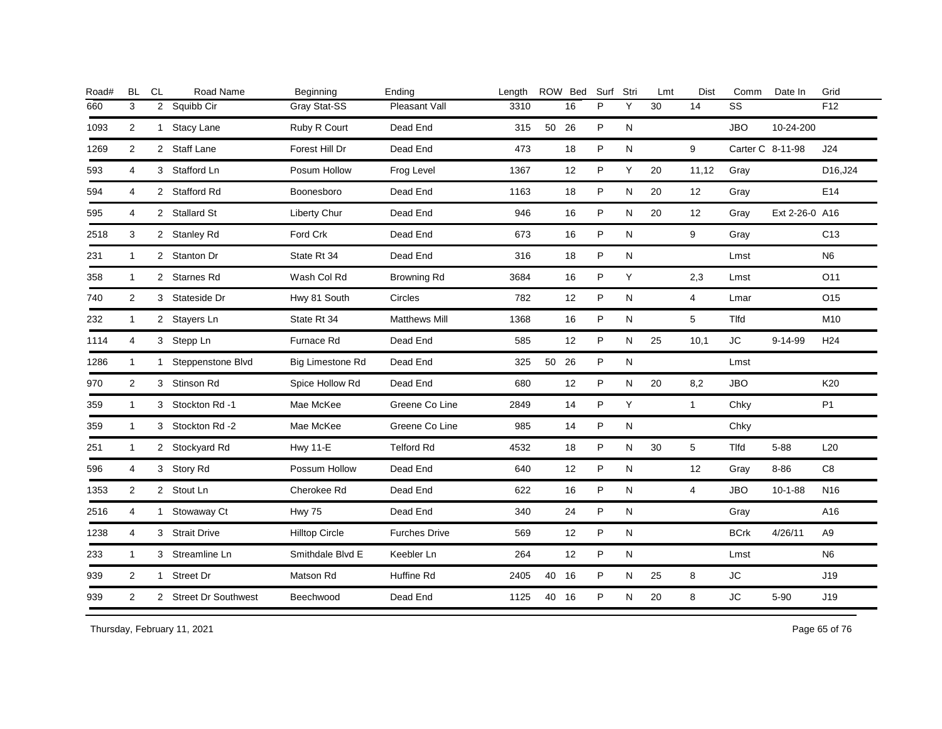| <b>BL</b>      | CL | Road Name | Beginning                                                                                                                                                                                                                                                                                                                                                                                                                  | Ending               | Lenath |    |    | Surf                                  | Stri         | Lmt | <b>Dist</b>    | Comm        | Date In        | Grid             |
|----------------|----|-----------|----------------------------------------------------------------------------------------------------------------------------------------------------------------------------------------------------------------------------------------------------------------------------------------------------------------------------------------------------------------------------------------------------------------------------|----------------------|--------|----|----|---------------------------------------|--------------|-----|----------------|-------------|----------------|------------------|
| 3              |    |           | Gray Stat-SS                                                                                                                                                                                                                                                                                                                                                                                                               | Pleasant Vall        | 3310   |    | 16 | P                                     | Y            | 30  | 14             | SS          |                | F <sub>12</sub>  |
| 2              |    |           | Ruby R Court                                                                                                                                                                                                                                                                                                                                                                                                               | Dead End             | 315    |    |    | P                                     | N            |     |                | <b>JBO</b>  | 10-24-200      |                  |
| 2              |    |           | Forest Hill Dr                                                                                                                                                                                                                                                                                                                                                                                                             | Dead End             | 473    |    | 18 | P                                     | N            |     | 9              |             |                | J24              |
| 4              |    |           | Posum Hollow                                                                                                                                                                                                                                                                                                                                                                                                               | Frog Level           | 1367   |    | 12 | P                                     | Υ            | 20  | 11,12          | Gray        |                | D16,J24          |
| 4              |    |           | Boonesboro                                                                                                                                                                                                                                                                                                                                                                                                                 | Dead End             | 1163   |    | 18 | P                                     | N            | 20  | 12             | Gray        |                | E14              |
| 4              |    |           | Liberty Chur                                                                                                                                                                                                                                                                                                                                                                                                               | Dead End             | 946    |    | 16 | P                                     | N            | 20  | 12             | Gray        | Ext 2-26-0 A16 |                  |
| 3              |    |           | Ford Crk                                                                                                                                                                                                                                                                                                                                                                                                                   | Dead End             | 673    |    | 16 | P                                     | N            |     | 9              | Gray        |                | C <sub>13</sub>  |
| $\mathbf{1}$   |    |           | State Rt 34                                                                                                                                                                                                                                                                                                                                                                                                                | Dead End             | 316    |    | 18 | P                                     | N            |     |                | Lmst        |                | N <sub>6</sub>   |
| $\mathbf{1}$   |    |           | Wash Col Rd                                                                                                                                                                                                                                                                                                                                                                                                                | <b>Browning Rd</b>   | 3684   |    | 16 | P                                     | Y            |     | 2,3            | Lmst        |                | O11              |
| 2              |    |           | Hwy 81 South                                                                                                                                                                                                                                                                                                                                                                                                               | Circles              | 782    |    | 12 | P                                     | N            |     | $\overline{4}$ | Lmar        |                | O15              |
| $\mathbf{1}$   |    |           | State Rt 34                                                                                                                                                                                                                                                                                                                                                                                                                | <b>Matthews Mill</b> | 1368   |    | 16 | P                                     | N            |     | 5              | <b>Tlfd</b> |                | M10              |
| 4              |    |           | Furnace Rd                                                                                                                                                                                                                                                                                                                                                                                                                 | Dead End             | 585    |    | 12 | P                                     | N            | 25  | 10,1           | JC          | 9-14-99        | H <sub>24</sub>  |
| $\mathbf{1}$   |    |           | <b>Big Limestone Rd</b>                                                                                                                                                                                                                                                                                                                                                                                                    | Dead End             | 325    | 50 |    | P                                     | N            |     |                | Lmst        |                |                  |
| 2              |    |           | Spice Hollow Rd                                                                                                                                                                                                                                                                                                                                                                                                            | Dead End             | 680    |    | 12 | P                                     | N            | 20  | 8,2            | <b>JBO</b>  |                | K20              |
| $\mathbf{1}$   |    |           | Mae McKee                                                                                                                                                                                                                                                                                                                                                                                                                  | Greene Co Line       | 2849   |    | 14 | P                                     | Y            |     | $\mathbf{1}$   | Chky        |                | <b>P1</b>        |
| $\mathbf{1}$   |    |           | Mae McKee                                                                                                                                                                                                                                                                                                                                                                                                                  | Greene Co Line       | 985    |    | 14 | P                                     | N            |     |                | Chky        |                |                  |
| $\mathbf{1}$   |    |           | <b>Hwy 11-E</b>                                                                                                                                                                                                                                                                                                                                                                                                            | <b>Telford Rd</b>    | 4532   |    | 18 | P                                     | N            | 30  | 5              | Tlfd        | $5 - 88$       | L20              |
| 4              |    |           | Possum Hollow                                                                                                                                                                                                                                                                                                                                                                                                              | Dead End             | 640    |    | 12 | P                                     | N            |     | 12             | Gray        | $8 - 86$       | C8               |
| 2              |    |           | Cherokee Rd                                                                                                                                                                                                                                                                                                                                                                                                                | Dead End             | 622    |    | 16 | P                                     | N            |     | $\overline{4}$ | <b>JBO</b>  | $10 - 1 - 88$  | N <sub>16</sub>  |
| 4              |    |           | <b>Hwy 75</b>                                                                                                                                                                                                                                                                                                                                                                                                              | Dead End             | 340    |    | 24 | P                                     | N            |     |                | Gray        |                | A16              |
| 4              |    |           | <b>Hilltop Circle</b>                                                                                                                                                                                                                                                                                                                                                                                                      | <b>Furches Drive</b> | 569    |    | 12 | P                                     | $\mathsf{N}$ |     |                | <b>BCrk</b> | 4/26/11        | A <sub>9</sub>   |
| $\mathbf{1}$   |    |           | Smithdale Blvd E                                                                                                                                                                                                                                                                                                                                                                                                           | Keebler Ln           | 264    |    | 12 | P                                     | N            |     |                | Lmst        |                | N <sub>6</sub>   |
| $\overline{2}$ |    |           | Matson Rd                                                                                                                                                                                                                                                                                                                                                                                                                  | Huffine Rd           | 2405   |    |    | P                                     | N            | 25  | 8              | JС          |                | J19              |
| $\overline{2}$ |    |           | Beechwood                                                                                                                                                                                                                                                                                                                                                                                                                  | Dead End             | 1125   | 40 |    | P                                     | N            | 20  | 8              | <b>JC</b>   | $5 - 90$       | J19              |
|                |    |           | 2 Squibb Cir<br>1 Stacy Lane<br>2 Staff Lane<br>3 Stafford Ln<br>2 Stafford Rd<br>2 Stallard St<br>2 Stanley Rd<br>2 Stanton Dr<br>2 Starnes Rd<br>3 Stateside Dr<br>2 Stayers Ln<br>3 Stepp Ln<br>1 Steppenstone Blvd<br>3 Stinson Rd<br>3 Stockton Rd -1<br>3 Stockton Rd -2<br>2 Stockyard Rd<br>3 Story Rd<br>2 Stout Ln<br>1 Stowaway Ct<br>3 Strait Drive<br>3 Streamline Ln<br>1 Street Dr<br>2 Street Dr Southwest |                      |        |    |    | ROW Bed<br>50 26<br>26<br>40 16<br>16 |              |     |                |             |                | Carter C 8-11-98 |

Thursday, February 11, 2021 2012 2014 2015 2016 2017 2021 20:30 20:30 20:30 20:30 20:30 20:30 Page 65 of 76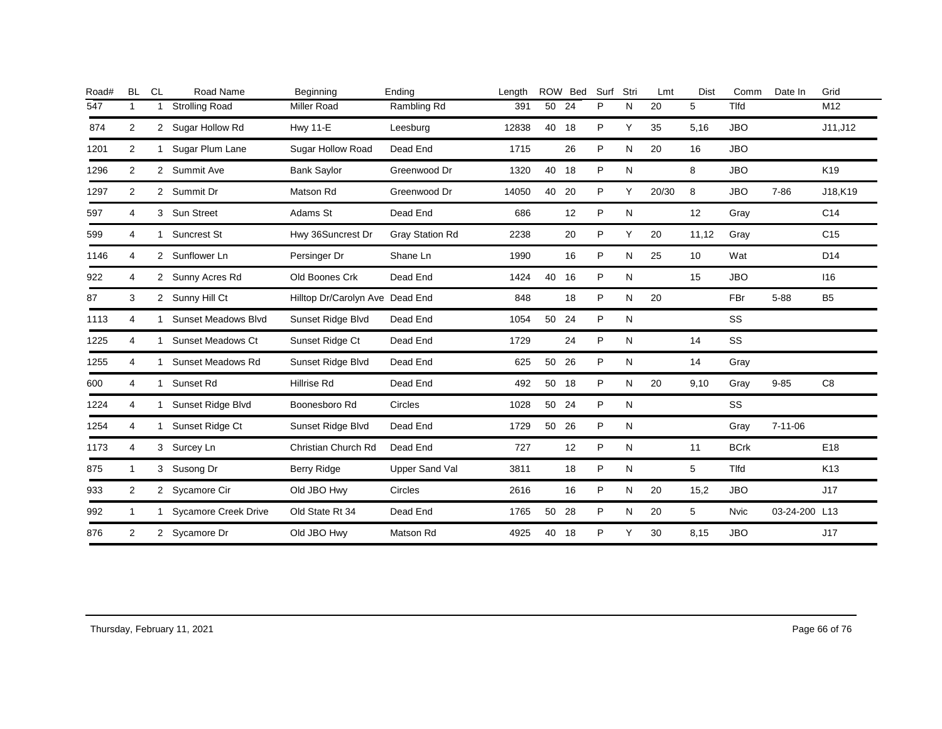| Road# | <b>BL</b>      | <b>CL</b>    | Road Name                   | Beginning                       | Ending                | Length | <b>ROW</b> | Bed | Surf         | Stri | Lmt   | <b>Dist</b> | Comm        | Date In       | Grid            |
|-------|----------------|--------------|-----------------------------|---------------------------------|-----------------------|--------|------------|-----|--------------|------|-------|-------------|-------------|---------------|-----------------|
| 547   | 1              |              | <b>Strolling Road</b>       | <b>Miller Road</b>              | Rambling Rd           | 391    | 50         | 24  | P            | N    | 20    | 5           | <b>Tlfd</b> |               | M12             |
| 874   | 2              |              | 2 Sugar Hollow Rd           | <b>Hwy 11-E</b>                 | Leesburg              | 12838  | 40         | 18  | P            | Y    | 35    | 5,16        | <b>JBO</b>  |               | J11, J12        |
| 1201  | 2              | 1            | Sugar Plum Lane             | Sugar Hollow Road               | Dead End              | 1715   |            | 26  | P            | N    | 20    | 16          | <b>JBO</b>  |               |                 |
| 1296  | 2              |              | 2 Summit Ave                | <b>Bank Saylor</b>              | Greenwood Dr          | 1320   | 40         | 18  | P            | N    |       | 8           | <b>JBO</b>  |               | K19             |
| 1297  | 2              |              | 2 Summit Dr                 | Matson Rd                       | Greenwood Dr          | 14050  | 40         | 20  | P            | Y    | 20/30 | 8           | <b>JBO</b>  | 7-86          | J18,K19         |
| 597   | 4              |              | 3 Sun Street                | Adams St                        | Dead End              | 686    |            | 12  | $\mathsf{P}$ | N    |       | 12          | Gray        |               | C14             |
| 599   | 4              | $\mathbf{1}$ | Suncrest St                 | Hwy 36Suncrest Dr               | Gray Station Rd       | 2238   |            | 20  | P            | Y    | 20    | 11,12       | Gray        |               | C <sub>15</sub> |
| 1146  | 4              |              | 2 Sunflower Ln              | Persinger Dr                    | Shane Ln              | 1990   |            | 16  | P            | N    | 25    | 10          | Wat         |               | D <sub>14</sub> |
| 922   | 4              |              | 2 Sunny Acres Rd            | Old Boones Crk                  | Dead End              | 1424   | 40 16      |     | P            | N    |       | 15          | <b>JBO</b>  |               | 116             |
| 87    | 3              |              | 2 Sunny Hill Ct             | Hilltop Dr/Carolyn Ave Dead End |                       | 848    |            | 18  | $\mathsf{P}$ | Ν    | 20    |             | FBr         | $5 - 88$      | B <sub>5</sub>  |
| 1113  | 4              | 1            | Sunset Meadows Blvd         | Sunset Ridge Blvd               | Dead End              | 1054   | 50 24      |     | P            | N    |       |             | SS          |               |                 |
| 1225  | 4              | 1            | <b>Sunset Meadows Ct</b>    | Sunset Ridge Ct                 | Dead End              | 1729   |            | 24  | P            | N    |       | 14          | SS          |               |                 |
| 1255  | 4              | 1            | Sunset Meadows Rd           | Sunset Ridge Blvd               | Dead End              | 625    | 50 26      |     | P            | N    |       | 14          | Gray        |               |                 |
| 600   | 4              | $\mathbf{1}$ | Sunset Rd                   | <b>Hillrise Rd</b>              | Dead End              | 492    | 50         | 18  | P            | N    | 20    | 9,10        | Gray        | $9 - 85$      | C <sub>8</sub>  |
| 1224  | 4              |              | Sunset Ridge Blvd           | Boonesboro Rd                   | Circles               | 1028   | 50 24      |     | P            | N    |       |             | SS          |               |                 |
| 1254  | 4              | 1            | Sunset Ridge Ct             | Sunset Ridge Blvd               | Dead End              | 1729   | 50         | 26  | P            | N    |       |             | Gray        | $7 - 11 - 06$ |                 |
| 1173  | 4              |              | 3 Surcey Ln                 | Christian Church Rd             | Dead End              | 727    |            | 12  | P            | N    |       | 11          | <b>BCrk</b> |               | E <sub>18</sub> |
| 875   | $\mathbf{1}$   |              | 3 Susong Dr                 | Berry Ridge                     | <b>Upper Sand Val</b> | 3811   |            | 18  | $\mathsf{P}$ | N    |       | 5           | <b>Tlfd</b> |               | K13             |
| 933   | $\overline{2}$ |              | 2 Sycamore Cir              | Old JBO Hwy                     | Circles               | 2616   |            | 16  | P            | Ν    | 20    | 15,2        | <b>JBO</b>  |               | J17             |
| 992   | $\mathbf{1}$   | 1            | <b>Sycamore Creek Drive</b> | Old State Rt 34                 | Dead End              | 1765   | 50         | 28  | P            | N    | 20    | 5           | <b>Nvic</b> | 03-24-200 L13 |                 |
| 876   | 2              |              | 2 Sycamore Dr               | Old JBO Hwy                     | Matson Rd             | 4925   | 40         | 18  | P            | Y    | 30    | 8,15        | <b>JBO</b>  |               | J17             |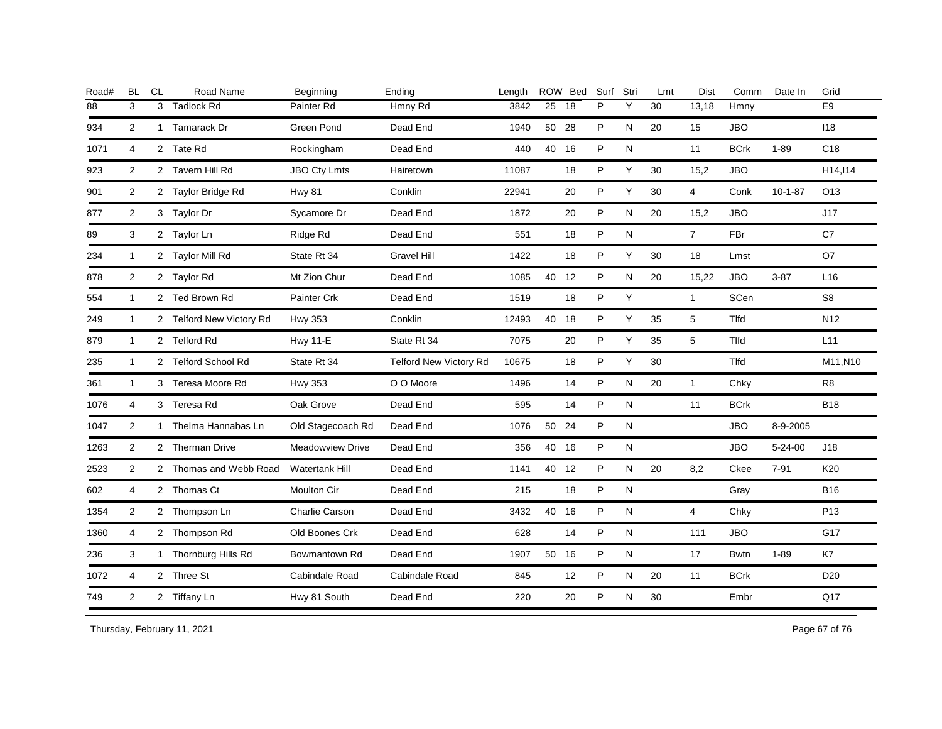| Road# | <b>BL</b>      | <b>CL</b> | Road Name                | Beginning             | Ending                        | Length |       | ROW Bed | Surf | Stri | Lmt | Dist           | Comm         | Date In       | Grid            |
|-------|----------------|-----------|--------------------------|-----------------------|-------------------------------|--------|-------|---------|------|------|-----|----------------|--------------|---------------|-----------------|
| 88    | 3              | 3         | <b>Tadlock Rd</b>        | Painter Rd            | Hmny Rd                       | 3842   | 25    | 18      | P    | Y    | 30  | 13,18          | Hmny         |               | E9              |
| 934   | 2              |           | 1 Tamarack Dr            | Green Pond            | Dead End                      | 1940   | 50 28 |         | P    | N    | 20  | 15             | <b>JBO</b>   |               | 118             |
| 1071  | $\overline{4}$ |           | 2 Tate Rd                | Rockingham            | Dead End                      | 440    | 40 16 |         | P    | N    |     | 11             | <b>BCrk</b>  | $1 - 89$      | C <sub>18</sub> |
| 923   | 2              |           | 2 Tavern Hill Rd         | <b>JBO Cty Lmts</b>   | Hairetown                     | 11087  |       | 18      | P    | Y    | 30  | 15,2           | <b>JBO</b>   |               | H14, I14        |
| 901   | 2              |           | 2 Taylor Bridge Rd       | <b>Hwy 81</b>         | Conklin                       | 22941  |       | 20      | P    | Y    | 30  | $\overline{4}$ | Conk         | $10 - 1 - 87$ | O <sub>13</sub> |
| 877   | 2              |           | 3 Taylor Dr              | Sycamore Dr           | Dead End                      | 1872   |       | 20      | P    | N    | 20  | 15,2           | <b>JBO</b>   |               | J17             |
| 89    | 3              |           | 2 Taylor Ln              | Ridge Rd              | Dead End                      | 551    |       | 18      | P    | N    |     | $\overline{7}$ | FBr          |               | C7              |
| 234   | $\mathbf{1}$   |           | 2 Taylor Mill Rd         | State Rt 34           | <b>Gravel Hill</b>            | 1422   |       | 18      | P    | Y    | 30  | 18             | Lmst         |               | O7              |
| 878   | $\overline{2}$ |           | 2 Taylor Rd              | Mt Zion Chur          | Dead End                      | 1085   | 40    | 12      | P    | N    | 20  | 15,22          | <b>JBO</b>   | $3 - 87$      | L16             |
| 554   | $\mathbf{1}$   |           | 2 Ted Brown Rd           | Painter Crk           | Dead End                      | 1519   |       | 18      | P    | Y    |     | $\mathbf{1}$   | SCen         |               | S8              |
| 249   | $\mathbf{1}$   |           | 2 Telford New Victory Rd | <b>Hwy 353</b>        | Conklin                       | 12493  | 40 18 |         | P    | Y    | 35  | 5              | Tlfd         |               | N <sub>12</sub> |
| 879   | $\mathbf{1}$   |           | 2 Telford Rd             | <b>Hwy 11-E</b>       | State Rt 34                   | 7075   |       | 20      | P    | Y    | 35  | 5              | Tlfd         |               | L11             |
| 235   | $\mathbf{1}$   |           | 2 Telford School Rd      | State Rt 34           | <b>Telford New Victory Rd</b> | 10675  |       | 18      | P    | Y    | 30  |                | <b>T</b> Ifd |               | M11, N10        |
| 361   | $\mathbf{1}$   |           | 3 Teresa Moore Rd        | <b>Hwy 353</b>        | O O Moore                     | 1496   |       | 14      | P    | N    | 20  | $\mathbf{1}$   | Chky         |               | R8              |
| 1076  | 4              |           | 3 Teresa Rd              | Oak Grove             | Dead End                      | 595    |       | 14      | P    | N    |     | 11             | <b>BCrk</b>  |               | <b>B18</b>      |
| 1047  | 2              |           | 1 Thelma Hannabas Ln     | Old Stagecoach Rd     | Dead End                      | 1076   | 50 24 |         | P    | N    |     |                | <b>JBO</b>   | 8-9-2005      |                 |
| 1263  | 2              |           | 2 Therman Drive          | Meadowview Drive      | Dead End                      | 356    | 40 16 |         | P    | N    |     |                | <b>JBO</b>   | $5 - 24 - 00$ | J18             |
| 2523  | $\overline{2}$ |           | 2 Thomas and Webb Road   | <b>Watertank Hill</b> | Dead End                      | 1141   | 40 12 |         | P    | N    | 20  | 8,2            | Ckee         | $7 - 91$      | K20             |
| 602   | 4              |           | 2 Thomas Ct              | Moulton Cir           | Dead End                      | 215    |       | 18      | P    | N    |     |                | Gray         |               | <b>B16</b>      |
| 1354  | 2              |           | 2 Thompson Ln            | Charlie Carson        | Dead End                      | 3432   | 40 16 |         | P    | N    |     | $\overline{4}$ | Chky         |               | P <sub>13</sub> |
| 1360  | 4              |           | 2 Thompson Rd            | Old Boones Crk        | Dead End                      | 628    |       | 14      | P    | N    |     | 111            | <b>JBO</b>   |               | G17             |
| 236   | 3              |           | 1 Thornburg Hills Rd     | Bowmantown Rd         | Dead End                      | 1907   | 50 16 |         | P    | N    |     | 17             | Bwtn         | $1 - 89$      | K7              |
| 1072  | $\overline{4}$ |           | 2 Three St               | Cabindale Road        | Cabindale Road                | 845    |       | 12      | P    | N    | 20  | 11             | <b>BCrk</b>  |               | D <sub>20</sub> |
| 749   | $\overline{2}$ |           | 2 Tiffany Ln             | Hwy 81 South          | Dead End                      | 220    |       | 20      | P    | N    | 30  |                | Embr         |               | Q17             |
|       |                |           |                          |                       |                               |        |       |         |      |      |     |                |              |               |                 |

Thursday, February 11, 2021 2012 2014 2015 2016 2017 2021 20:30 Page 67 of 76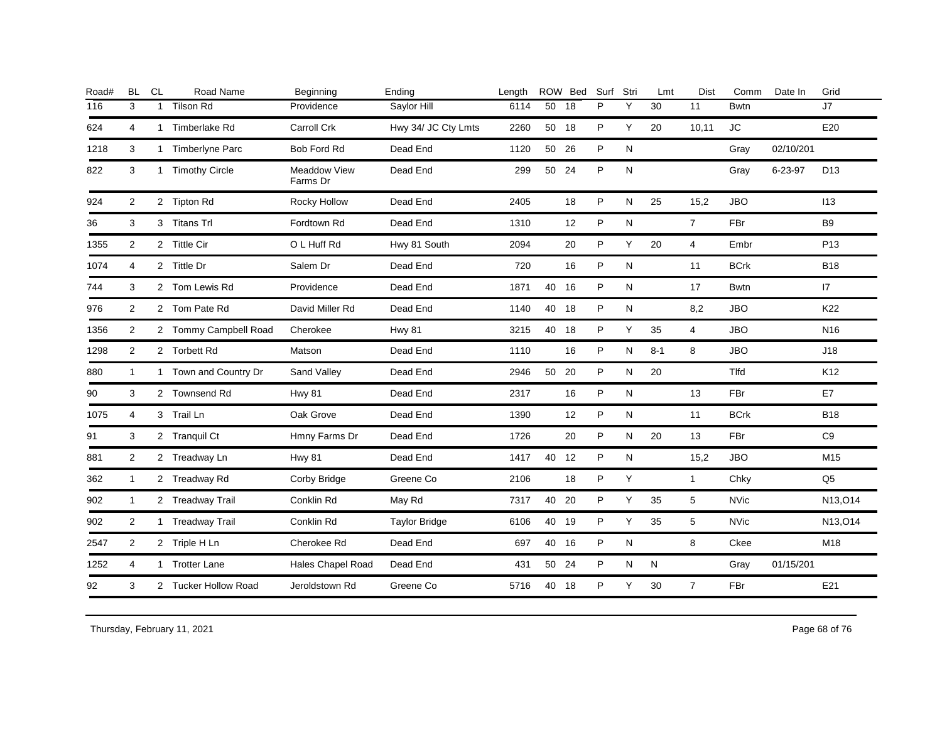|                |              | Road Name        | Beginning                                                                                                                                                                                                                                                                                                                                                                                                        | Ending               | Length |    | ROW Bed | Surf                                                                                               | Stri      | Lmt     | <b>Dist</b>    | Comm        | Date In   | Grid            |
|----------------|--------------|------------------|------------------------------------------------------------------------------------------------------------------------------------------------------------------------------------------------------------------------------------------------------------------------------------------------------------------------------------------------------------------------------------------------------------------|----------------------|--------|----|---------|----------------------------------------------------------------------------------------------------|-----------|---------|----------------|-------------|-----------|-----------------|
| 3              | $\mathbf{1}$ | <b>Tilson Rd</b> | Providence                                                                                                                                                                                                                                                                                                                                                                                                       | Saylor Hill          | 6114   | 50 | 18      | P                                                                                                  | Υ         | 30      | 11             | <b>Bwtn</b> |           | J7              |
| $\overline{4}$ |              |                  | Carroll Crk                                                                                                                                                                                                                                                                                                                                                                                                      | Hwy 34/ JC Cty Lmts  | 2260   |    |         | P                                                                                                  | Υ         | 20      | 10,11          | <b>JC</b>   |           | E20             |
| 3              |              |                  | <b>Bob Ford Rd</b>                                                                                                                                                                                                                                                                                                                                                                                               | Dead End             | 1120   | 50 |         | P                                                                                                  | N         |         |                | Gray        | 02/10/201 |                 |
| 3              |              |                  | <b>Meaddow View</b><br>Farms Dr                                                                                                                                                                                                                                                                                                                                                                                  | Dead End             | 299    | 50 |         | P                                                                                                  | N         |         |                | Gray        | 6-23-97   | D <sub>13</sub> |
| 2              |              |                  | Rocky Hollow                                                                                                                                                                                                                                                                                                                                                                                                     | Dead End             | 2405   |    | 18      | $\sf P$                                                                                            | N         | 25      | 15,2           | <b>JBO</b>  |           | 113             |
| 3              |              |                  | Fordtown Rd                                                                                                                                                                                                                                                                                                                                                                                                      | Dead End             | 1310   |    | 12      | P                                                                                                  | ${\sf N}$ |         | $\overline{7}$ | FBr         |           | <b>B</b> 9      |
| 2              |              |                  | O L Huff Rd                                                                                                                                                                                                                                                                                                                                                                                                      | Hwy 81 South         | 2094   |    | 20      | P                                                                                                  | Υ         | 20      | $\overline{4}$ | Embr        |           | P <sub>13</sub> |
| 4              |              |                  | Salem Dr                                                                                                                                                                                                                                                                                                                                                                                                         | Dead End             | 720    |    | 16      | P                                                                                                  | N         |         | 11             | <b>BCrk</b> |           | <b>B18</b>      |
| 3              |              |                  | Providence                                                                                                                                                                                                                                                                                                                                                                                                       | Dead End             | 1871   |    |         | P                                                                                                  | N         |         | 17             | <b>Bwtn</b> |           | 17              |
| 2              |              |                  | David Miller Rd                                                                                                                                                                                                                                                                                                                                                                                                  | Dead End             | 1140   |    |         | P                                                                                                  | N         |         | 8,2            | <b>JBO</b>  |           | K22             |
| 2              |              |                  | Cherokee                                                                                                                                                                                                                                                                                                                                                                                                         | <b>Hwy 81</b>        | 3215   |    |         | P                                                                                                  | Y         | 35      | $\overline{4}$ | <b>JBO</b>  |           | N <sub>16</sub> |
| $\overline{2}$ |              |                  | Matson                                                                                                                                                                                                                                                                                                                                                                                                           | Dead End             | 1110   |    | 16      | P                                                                                                  | N         | $8 - 1$ | 8              | <b>JBO</b>  |           | J18             |
| $\mathbf{1}$   |              |                  | Sand Valley                                                                                                                                                                                                                                                                                                                                                                                                      | Dead End             | 2946   | 50 |         | P                                                                                                  | ${\sf N}$ | 20      |                | Tlfd        |           | K12             |
| 3              |              |                  | <b>Hwy 81</b>                                                                                                                                                                                                                                                                                                                                                                                                    | Dead End             | 2317   |    | 16      | P                                                                                                  | N         |         | 13             | FBr         |           | E7              |
| 4              |              |                  | Oak Grove                                                                                                                                                                                                                                                                                                                                                                                                        | Dead End             | 1390   |    | 12      | P                                                                                                  | N         |         | 11             | <b>BCrk</b> |           | <b>B18</b>      |
| 3              |              |                  | Hmny Farms Dr                                                                                                                                                                                                                                                                                                                                                                                                    | Dead End             | 1726   |    | 20      | P                                                                                                  | N         | 20      | 13             | FBr         |           | C <sub>9</sub>  |
| 2              |              |                  | <b>Hwy 81</b>                                                                                                                                                                                                                                                                                                                                                                                                    | Dead End             | 1417   |    |         | P                                                                                                  | ${\sf N}$ |         | 15,2           | <b>JBO</b>  |           | M15             |
| $\mathbf{1}$   |              |                  | Corby Bridge                                                                                                                                                                                                                                                                                                                                                                                                     | Greene Co            | 2106   |    | 18      | P                                                                                                  | Υ         |         | $\mathbf{1}$   | Chky        |           | Q <sub>5</sub>  |
| $\mathbf{1}$   |              |                  | Conklin Rd                                                                                                                                                                                                                                                                                                                                                                                                       | May Rd               | 7317   | 40 |         | P                                                                                                  | Y         | 35      | 5              | <b>NVic</b> |           | N13, O14        |
| 2              |              |                  | Conklin Rd                                                                                                                                                                                                                                                                                                                                                                                                       | <b>Taylor Bridge</b> | 6106   |    |         | P                                                                                                  | Y         | 35      | 5              | <b>NVic</b> |           | N13, O14        |
| 2              |              |                  | Cherokee Rd                                                                                                                                                                                                                                                                                                                                                                                                      | Dead End             | 697    |    |         | P                                                                                                  | ${\sf N}$ |         | 8              | Ckee        |           | M18             |
| 4              |              |                  | Hales Chapel Road                                                                                                                                                                                                                                                                                                                                                                                                | Dead End             | 431    |    |         | P                                                                                                  | N         | N       |                | Gray        | 01/15/201 |                 |
| 3              |              |                  | Jeroldstown Rd                                                                                                                                                                                                                                                                                                                                                                                                   | Greene Co            | 5716   | 40 |         | P                                                                                                  | Y         | 30      | $\overline{7}$ | FBr         |           | E21             |
|                |              |                  | 1 Timberlake Rd<br>1 Timberlyne Parc<br>1 Timothy Circle<br>2 Tipton Rd<br>3 Titans Trl<br>2 Tittle Cir<br>2 Tittle Dr<br>2 Tom Lewis Rd<br>2 Tom Pate Rd<br>2 Tommy Campbell Road<br>2 Torbett Rd<br>1 Town and Country Dr<br>2 Townsend Rd<br>3 Trail Ln<br>2 Tranquil Ct<br>2 Treadway Ln<br>2 Treadway Rd<br>2 Treadway Trail<br>1 Treadway Trail<br>2 Triple H Ln<br>1 Trotter Lane<br>2 Tucker Hollow Road |                      |        |    |         | 50 18<br>26<br>24<br>40 16<br>40 18<br>40 18<br>20<br>40 12<br>20<br>40 19<br>40 16<br>50 24<br>18 |           |         |                |             |           |                 |

Thursday, February 11, 2021 2012 2012 12:30 Page 68 of 76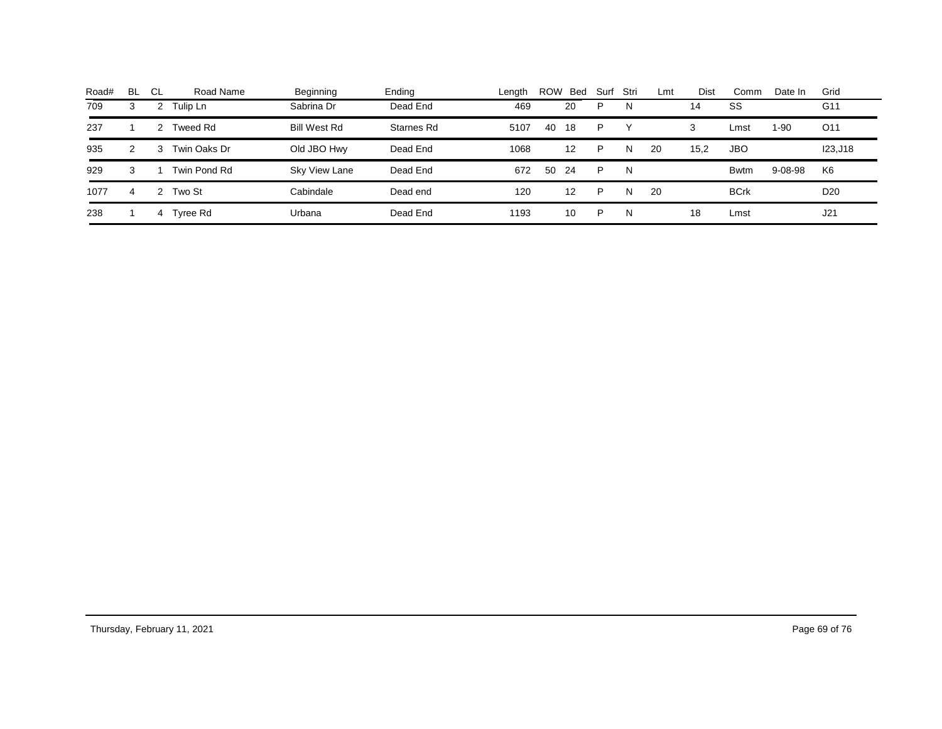| Road# | BL. | -CL | Road Name    | Beginning     | Ending     | Lenath | <b>ROW</b> | Bed | Surf | Stri | Lmt | Dist | Comm        | Date In       | Grid            |
|-------|-----|-----|--------------|---------------|------------|--------|------------|-----|------|------|-----|------|-------------|---------------|-----------------|
| 709   | 3   |     | Tulip Ln     | Sabrina Dr    | Dead End   | 469    |            | 20  | P    | N    |     | 14   | SS          |               | G11             |
| 237   |     |     | Tweed Rd     | Bill West Rd  | Starnes Rd | 5107   | 40         | 18  | P    |      |     | 3    | ∟mst        | 1-90          | O <sub>11</sub> |
| 935   | 2   | 3   | Twin Oaks Dr | Old JBO Hwy   | Dead End   | 1068   |            | 12  | P    | N    | 20  | 15,2 | <b>JBO</b>  |               | 123, J18        |
| 929   | 3   |     | Twin Pond Rd | Sky View Lane | Dead End   | 672    | 50         | 24  | P    | N    |     |      | <b>Bwtm</b> | $9 - 08 - 98$ | K <sub>6</sub>  |
| 1077  | 4   | 2   | Two St       | Cabindale     | Dead end   | 120    |            | 12  | P    | N    | 20  |      | <b>BCrk</b> |               | D <sub>20</sub> |
| 238   |     | 4   | Tyree Rd     | Urbana        | Dead End   | 1193   |            | 10  | P    | N    |     | 18   | Lmst        |               | J21             |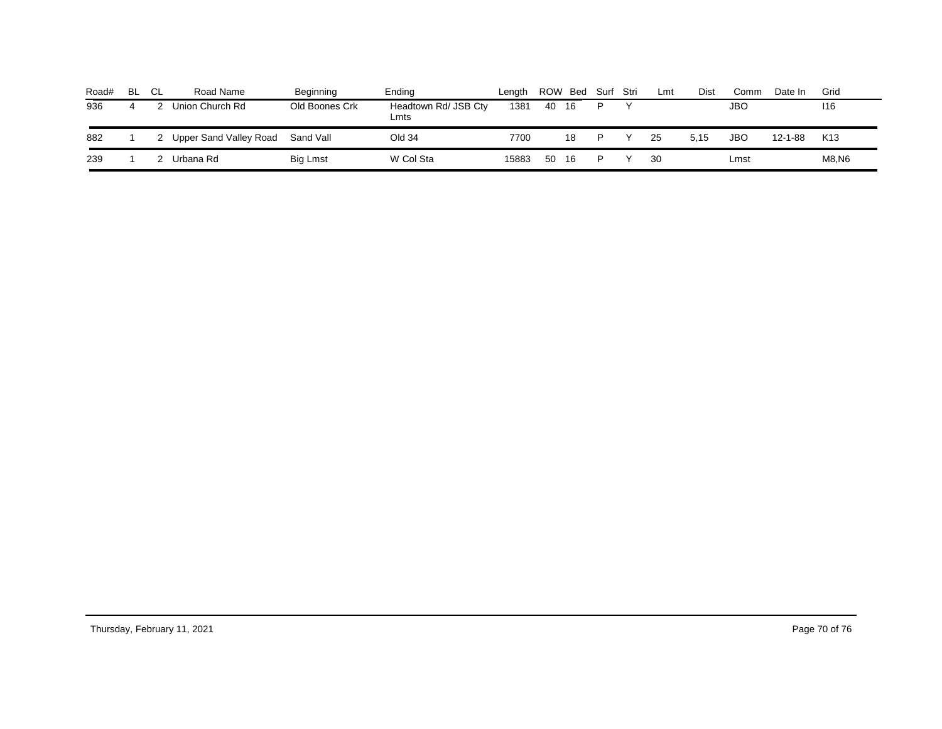| Road# | -BL | - CL | Road Name              | Beginning      | Endina                       | Lenath | ROW Bed |    | Surf Stri | Lmt | Dist | Comm | Date In       | Grid            |
|-------|-----|------|------------------------|----------------|------------------------------|--------|---------|----|-----------|-----|------|------|---------------|-----------------|
| 936   | 4   |      | Union Church Rd        | Old Boones Crk | Headtown Rd/ JSB Cty<br>Lmts | 1381   | 40      | 16 |           |     |      | JBO  |               | 116             |
| 882   |     |      | Upper Sand Valley Road | Sand Vall      | Old 34                       | 7700   |         | 18 |           | 25  | 5.15 | JBO  | $12 - 1 - 88$ | K <sub>13</sub> |
| 239   |     |      | Urbana Rd              | Big Lmst       | W Col Sta                    | 15883  | 50      | 16 |           | 30  |      | Lmst |               | M8,N6           |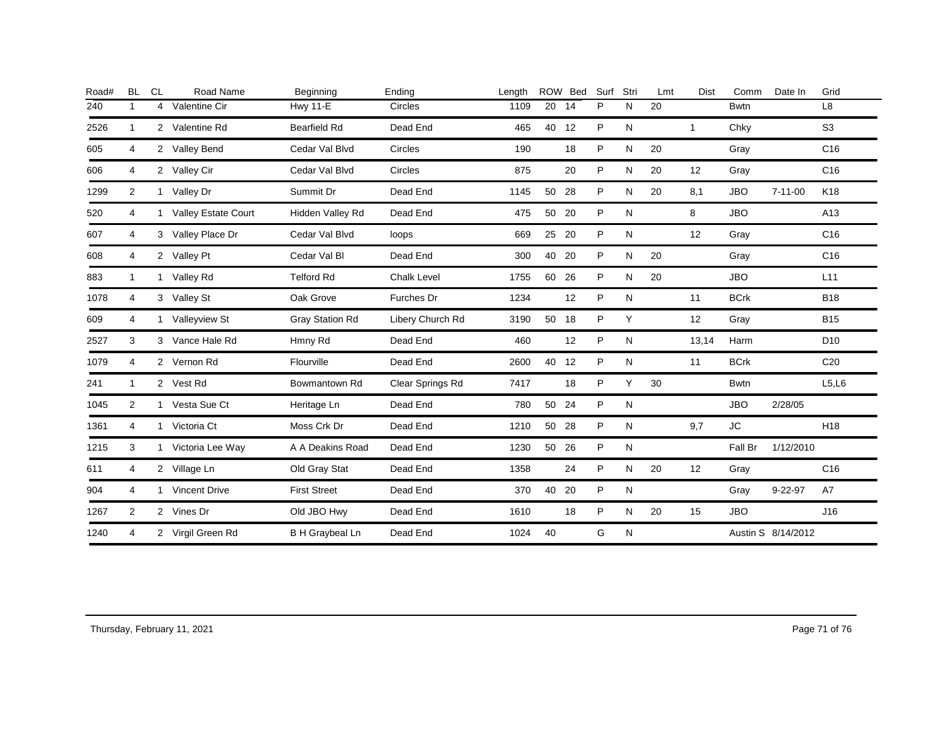| Road# | <b>BL</b>    | <b>CL</b> | Road Name           | Beginning              | Ending             | Length |       | ROW Bed | Surf         | Stri | Lmt | Dist         | Comm        | Date In            | Grid            |
|-------|--------------|-----------|---------------------|------------------------|--------------------|--------|-------|---------|--------------|------|-----|--------------|-------------|--------------------|-----------------|
| 240   | 1            | 4         | Valentine Cir       | <b>Hwy 11-E</b>        | <b>Circles</b>     | 1109   | 20    | 14      | P            | N    | 20  |              | <b>Bwtn</b> |                    | L <sub>8</sub>  |
| 2526  | $\mathbf{1}$ |           | 2 Valentine Rd      | <b>Bearfield Rd</b>    | Dead End           | 465    | 40    | 12      | P            | N    |     | $\mathbf{1}$ | Chky        |                    | S <sub>3</sub>  |
| 605   | 4            |           | 2 Valley Bend       | Cedar Val Blvd         | <b>Circles</b>     | 190    |       | 18      | P            | N    | 20  |              | Gray        |                    | C16             |
| 606   | 4            |           | 2 Valley Cir        | Cedar Val Blvd         | Circles            | 875    |       | 20      | P            | N    | 20  | 12           | Gray        |                    | C <sub>16</sub> |
| 1299  | 2            |           | 1 Valley Dr         | Summit Dr              | Dead End           | 1145   | 50 28 |         | P            | N    | 20  | 8,1          | <b>JBO</b>  | $7 - 11 - 00$      | K18             |
| 520   | 4            | 1         | Valley Estate Court | Hidden Valley Rd       | Dead End           | 475    | 50    | 20      | P            | N    |     | 8            | <b>JBO</b>  |                    | A13             |
| 607   | 4            |           | 3 Valley Place Dr   | Cedar Val Blvd         | loops              | 669    | 25 20 |         | P            | N    |     | 12           | Gray        |                    | C16             |
| 608   | 4            |           | 2 Valley Pt         | Cedar Val Bl           | Dead End           | 300    | 40    | 20      | P            | N    | 20  |              | Gray        |                    | C <sub>16</sub> |
| 883   | $\mathbf{1}$ |           | 1 Valley Rd         | <b>Telford Rd</b>      | <b>Chalk Level</b> | 1755   | 60 26 |         | P            | N    | 20  |              | <b>JBO</b>  |                    | L11             |
| 1078  | 4            |           | 3 Valley St         | Oak Grove              | Furches Dr         | 1234   |       | 12      | P            | N    |     | 11           | <b>BCrk</b> |                    | <b>B18</b>      |
| 609   | 4            |           | 1 Valleyview St     | <b>Gray Station Rd</b> | Libery Church Rd   | 3190   | 50 18 |         | P            | Y    |     | 12           | Gray        |                    | <b>B15</b>      |
| 2527  | 3            |           | 3 Vance Hale Rd     | Hmny Rd                | Dead End           | 460    |       | 12      | $\mathsf{P}$ | N    |     | 13,14        | Harm        |                    | D <sub>10</sub> |
| 1079  | 4            |           | 2 Vernon Rd         | Flourville             | Dead End           | 2600   | 40 12 |         | P            | N    |     | 11           | <b>BCrk</b> |                    | C <sub>20</sub> |
| 241   | $\mathbf{1}$ |           | 2 Vest Rd           | Bowmantown Rd          | Clear Springs Rd   | 7417   |       | 18      | P            | Y    | 30  |              | <b>Bwtn</b> |                    | L5, L6          |
| 1045  | 2            |           | 1 Vesta Sue Ct      | Heritage Ln            | Dead End           | 780    | 50 24 |         | P            | N    |     |              | <b>JBO</b>  | 2/28/05            |                 |
| 1361  | 4            | 1         | Victoria Ct         | Moss Crk Dr            | Dead End           | 1210   | 50    | 28      | P            | N    |     | 9,7          | JC          |                    | H <sub>18</sub> |
| 1215  | 3            |           | 1 Victoria Lee Way  | A A Deakins Road       | Dead End           | 1230   | 50 26 |         | P            | N    |     |              | Fall Br     | 1/12/2010          |                 |
| 611   | 4            |           | 2 Village Ln        | Old Gray Stat          | Dead End           | 1358   |       | 24      | P            | N    | 20  | 12           | Gray        |                    | C <sub>16</sub> |
| 904   | 4            |           | 1 Vincent Drive     | <b>First Street</b>    | Dead End           | 370    | 40    | 20      | P            | N    |     |              | Gray        | $9 - 22 - 97$      | A7              |
| 1267  | 2            |           | 2 Vines Dr          | Old JBO Hwy            | Dead End           | 1610   |       | 18      | P            | N    | 20  | 15           | <b>JBO</b>  |                    | J16             |
| 1240  | 4            |           | 2 Virgil Green Rd   | <b>B H Graybeal Ln</b> | Dead End           | 1024   | 40    |         | G            | N    |     |              |             | Austin S 8/14/2012 |                 |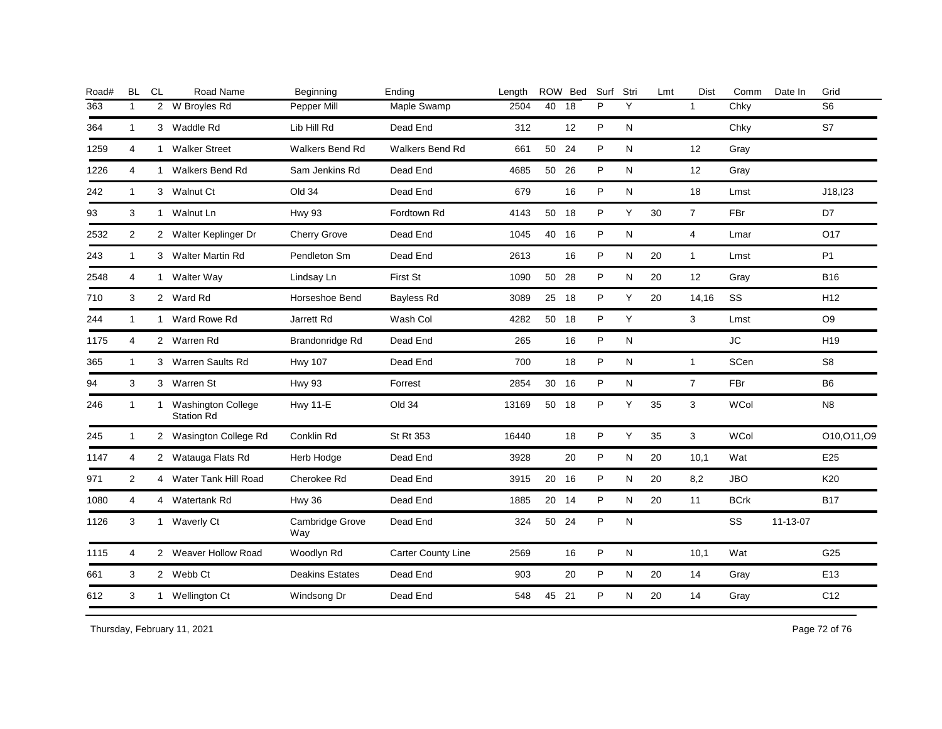| Road# | <b>BL</b>      | CL | Road Name                                 | Beginning              | Ending                    | Length |       | ROW Bed | Surf | Stri | Lmt | <b>Dist</b>    | Comm        | Date In  | Grid            |
|-------|----------------|----|-------------------------------------------|------------------------|---------------------------|--------|-------|---------|------|------|-----|----------------|-------------|----------|-----------------|
| 363   | $\mathbf{1}$   |    | 2 W Broyles Rd                            | Pepper Mill            | Maple Swamp               | 2504   | 40    | 18      | P    | Y    |     | $\mathbf{1}$   | Chky        |          | S <sub>6</sub>  |
| 364   | $\mathbf{1}$   |    | 3 Waddle Rd                               | Lib Hill Rd            | Dead End                  | 312    |       | 12      | P    | N    |     |                | Chky        |          | S7              |
| 1259  | $\overline{4}$ |    | 1 Walker Street                           | <b>Walkers Bend Rd</b> | <b>Walkers Bend Rd</b>    | 661    | 50 24 |         | P    | N    |     | 12             | Gray        |          |                 |
| 1226  | 4              |    | 1 Walkers Bend Rd                         | Sam Jenkins Rd         | Dead End                  | 4685   | 50 26 |         | P    | N    |     | 12             | Gray        |          |                 |
| 242   | $\mathbf{1}$   |    | 3 Walnut Ct                               | Old 34                 | Dead End                  | 679    |       | 16      | P    | N    |     | 18             | Lmst        |          | J18, 123        |
| 93    | 3              |    | 1 Walnut Ln                               | <b>Hwy 93</b>          | Fordtown Rd               | 4143   | 50 18 |         | P    | Y    | 30  | $\overline{7}$ | FBr         |          | D7              |
| 2532  | $\overline{2}$ |    | 2 Walter Keplinger Dr                     | <b>Cherry Grove</b>    | Dead End                  | 1045   | 40    | 16      | P    | N    |     | $\overline{4}$ | Lmar        |          | O17             |
| 243   | $\mathbf{1}$   |    | 3 Walter Martin Rd                        | Pendleton Sm           | Dead End                  | 2613   |       | 16      | P    | N    | 20  | $\mathbf{1}$   | Lmst        |          | P <sub>1</sub>  |
| 2548  | $\overline{4}$ |    | 1 Walter Way                              | Lindsay Ln             | First St                  | 1090   | 50    | 28      | P    | N    | 20  | 12             | Gray        |          | <b>B16</b>      |
| 710   | 3              |    | 2 Ward Rd                                 | Horseshoe Bend         | Bayless Rd                | 3089   | 25    | 18      | P    | Υ    | 20  | 14,16          | SS          |          | H <sub>12</sub> |
| 244   | $\mathbf{1}$   |    | 1 Ward Rowe Rd                            | Jarrett Rd             | Wash Col                  | 4282   | 50    | 18      | P    | Y    |     | 3              | Lmst        |          | O <sub>9</sub>  |
| 1175  | 4              |    | 2 Warren Rd                               | Brandonridge Rd        | Dead End                  | 265    |       | 16      | P    | N    |     |                | <b>JC</b>   |          | H <sub>19</sub> |
| 365   | $\mathbf{1}$   |    | 3 Warren Saults Rd                        | <b>Hwy 107</b>         | Dead End                  | 700    |       | 18      | P    | N    |     | $\mathbf{1}$   | SCen        |          | S <sub>8</sub>  |
| 94    | 3              |    | 3 Warren St                               | <b>Hwy 93</b>          | Forrest                   | 2854   | 30 16 |         | P    | N    |     | $\overline{7}$ | FBr         |          | B <sub>6</sub>  |
| 246   | $\mathbf{1}$   |    | 1 Washington College<br><b>Station Rd</b> | <b>Hwy 11-E</b>        | Old 34                    | 13169  | 50 18 |         | P    | Y    | 35  | 3              | <b>WCol</b> |          | N <sub>8</sub>  |
| 245   | $\mathbf{1}$   |    | 2 Wasington College Rd                    | Conklin Rd             | St Rt 353                 | 16440  |       | 18      | P    | Y    | 35  | 3              | <b>WCol</b> |          | O10, O11, O9    |
| 1147  | $\overline{4}$ |    | 2 Watauga Flats Rd                        | Herb Hodge             | Dead End                  | 3928   |       | 20      | P    | N    | 20  | 10,1           | Wat         |          | E25             |
| 971   | 2              |    | 4 Water Tank Hill Road                    | Cherokee Rd            | Dead End                  | 3915   | 20 16 |         | P    | N    | 20  | 8,2            | <b>JBO</b>  |          | K20             |
| 1080  | 4              |    | 4 Watertank Rd                            | Hwy 36                 | Dead End                  | 1885   | 20 14 |         | P    | N    | 20  | 11             | <b>BCrk</b> |          | <b>B17</b>      |
| 1126  | 3              |    | 1 Waverly Ct                              | Cambridge Grove<br>Way | Dead End                  | 324    | 50    | 24      | P    | N    |     |                | SS          | 11-13-07 |                 |
| 1115  | 4              |    | 2 Weaver Hollow Road                      | Woodlyn Rd             | <b>Carter County Line</b> | 2569   |       | 16      | P    | N    |     | 10,1           | Wat         |          | G25             |
| 661   | 3              |    | 2 Webb Ct                                 | <b>Deakins Estates</b> | Dead End                  | 903    |       | 20      | P    | N    | 20  | 14             | Gray        |          | E <sub>13</sub> |
| 612   | 3              |    | 1 Wellington Ct                           | Windsong Dr            | Dead End                  | 548    | 45 21 |         | P    | N    | 20  | 14             | Gray        |          | C <sub>12</sub> |
|       |                |    |                                           |                        |                           |        |       |         |      |      |     |                |             |          |                 |

Thursday, February 11, 2021 2012 12:00 Page 72 of 76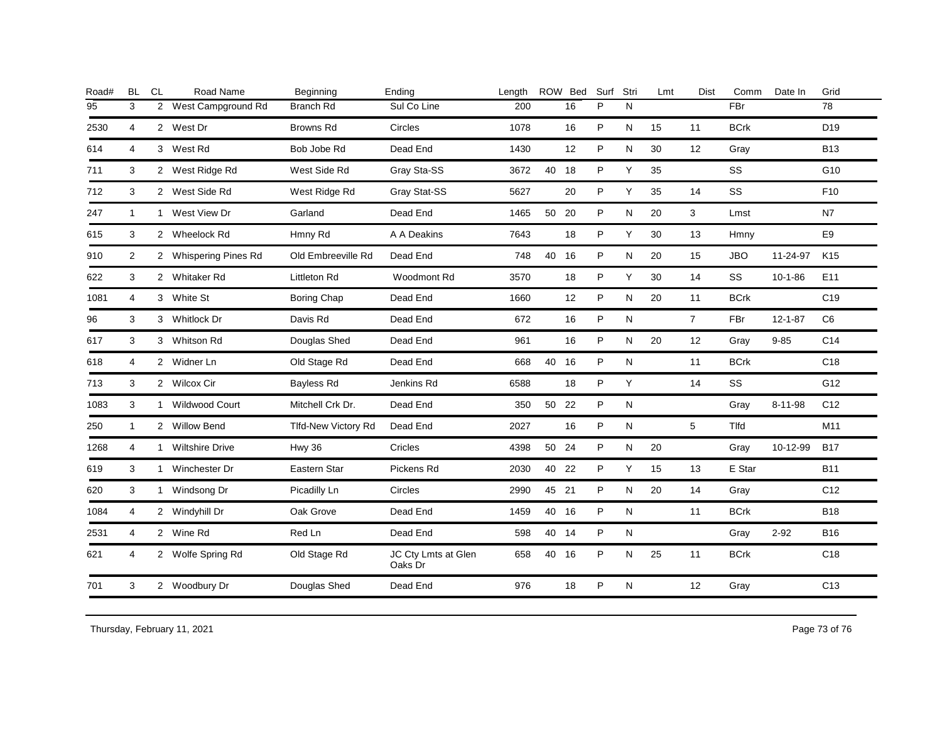| Road# | <b>BL</b>      | <b>CL</b>      | Road Name             | Beginning           | Ending                         | Length |       | ROW Bed | Surf | Stri         | Lmt | <b>Dist</b>    | Comm        | Date In       | Grid            |
|-------|----------------|----------------|-----------------------|---------------------|--------------------------------|--------|-------|---------|------|--------------|-----|----------------|-------------|---------------|-----------------|
| 95    | 3              | $\overline{2}$ | West Campground Rd    | Branch Rd           | Sul Co Line                    | 200    |       | 16      | P    | $\mathsf{N}$ |     |                | FBr         |               | 78              |
| 2530  | 4              |                | 2 West Dr             | <b>Browns Rd</b>    | <b>Circles</b>                 | 1078   |       | 16      | P    | N            | 15  | 11             | <b>BCrk</b> |               | D <sub>19</sub> |
| 614   | 4              |                | 3 West Rd             | Bob Jobe Rd         | Dead End                       | 1430   |       | 12      | P    | N            | 30  | 12             | Gray        |               | <b>B13</b>      |
| 711   | 3              |                | 2 West Ridge Rd       | West Side Rd        | Gray Sta-SS                    | 3672   | 40 18 |         | P    | Y            | 35  |                | SS          |               | G10             |
| 712   | 3              |                | 2 West Side Rd        | West Ridge Rd       | Gray Stat-SS                   | 5627   |       | 20      | P    | Y            | 35  | 14             | SS          |               | F <sub>10</sub> |
| 247   | $\mathbf{1}$   |                | 1 West View Dr        | Garland             | Dead End                       | 1465   | 50 20 |         | P    | N            | 20  | 3              | Lmst        |               | N7              |
| 615   | 3              |                | 2 Wheelock Rd         | Hmny Rd             | A A Deakins                    | 7643   |       | 18      | P    | Y            | 30  | 13             | Hmny        |               | E9              |
| 910   | 2              |                | 2 Whispering Pines Rd | Old Embreeville Rd  | Dead End                       | 748    | 40    | 16      | P    | N            | 20  | 15             | <b>JBO</b>  | 11-24-97      | K <sub>15</sub> |
| 622   | 3              |                | 2 Whitaker Rd         | Littleton Rd        | Woodmont Rd                    | 3570   |       | 18      | P    | Y            | 30  | 14             | SS          | $10 - 1 - 86$ | E11             |
| 1081  | $\overline{4}$ |                | 3 White St            | Boring Chap         | Dead End                       | 1660   |       | 12      | P    | N            | 20  | 11             | <b>BCrk</b> |               | C <sub>19</sub> |
| 96    | 3              |                | 3 Whitlock Dr         | Davis Rd            | Dead End                       | 672    |       | 16      | P    | ${\sf N}$    |     | $\overline{7}$ | FBr         | $12 - 1 - 87$ | C <sub>6</sub>  |
| 617   | 3              |                | 3 Whitson Rd          | Douglas Shed        | Dead End                       | 961    |       | 16      | P    | N            | 20  | 12             | Gray        | $9 - 85$      | C14             |
| 618   | $\overline{4}$ |                | 2 Widner Ln           | Old Stage Rd        | Dead End                       | 668    | 40    | - 16    | P    | N            |     | 11             | <b>BCrk</b> |               | C <sub>18</sub> |
| 713   | 3              |                | 2 Wilcox Cir          | Bayless Rd          | Jenkins Rd                     | 6588   |       | 18      | P    | Y            |     | 14             | SS          |               | G12             |
| 1083  | 3              |                | 1 Wildwood Court      | Mitchell Crk Dr.    | Dead End                       | 350    | 50 22 |         | P    | N            |     |                | Gray        | $8 - 11 - 98$ | C <sub>12</sub> |
| 250   | $\mathbf{1}$   |                | 2 Willow Bend         | Tlfd-New Victory Rd | Dead End                       | 2027   |       | 16      | P    | ${\sf N}$    |     | 5              | Tlfd        |               | M11             |
| 1268  | 4              |                | 1 Wiltshire Drive     | Hwy 36              | Cricles                        | 4398   | 50 24 |         | P    | N            | 20  |                | Gray        | 10-12-99      | <b>B17</b>      |
| 619   | 3              |                | 1 Winchester Dr       | Eastern Star        | Pickens Rd                     | 2030   | 40 22 |         | P    | Y            | 15  | 13             | E Star      |               | <b>B11</b>      |
| 620   | 3              |                | 1 Windsong Dr         | Picadilly Ln        | Circles                        | 2990   | 45    | 21      | P    | $\mathsf{N}$ | 20  | 14             | Gray        |               | C <sub>12</sub> |
| 1084  | 4              |                | 2 Windyhill Dr        | Oak Grove           | Dead End                       | 1459   | 40    | 16      | P    | N            |     | 11             | <b>BCrk</b> |               | <b>B18</b>      |
| 2531  | $\overline{4}$ |                | 2 Wine Rd             | Red Ln              | Dead End                       | 598    | 40 14 |         | P    | $\mathsf{N}$ |     |                | Gray        | $2 - 92$      | <b>B16</b>      |
| 621   | 4              |                | 2 Wolfe Spring Rd     | Old Stage Rd        | JC Cty Lmts at Glen<br>Oaks Dr | 658    | 40    | 16      | P    | N            | 25  | 11             | <b>BCrk</b> |               | C18             |
| 701   | 3              |                | 2 Woodbury Dr         | Douglas Shed        | Dead End                       | 976    |       | 18      | P    | $\mathsf{N}$ |     | 12             | Gray        |               | C <sub>13</sub> |
|       |                |                |                       |                     |                                |        |       |         |      |              |     |                |             |               |                 |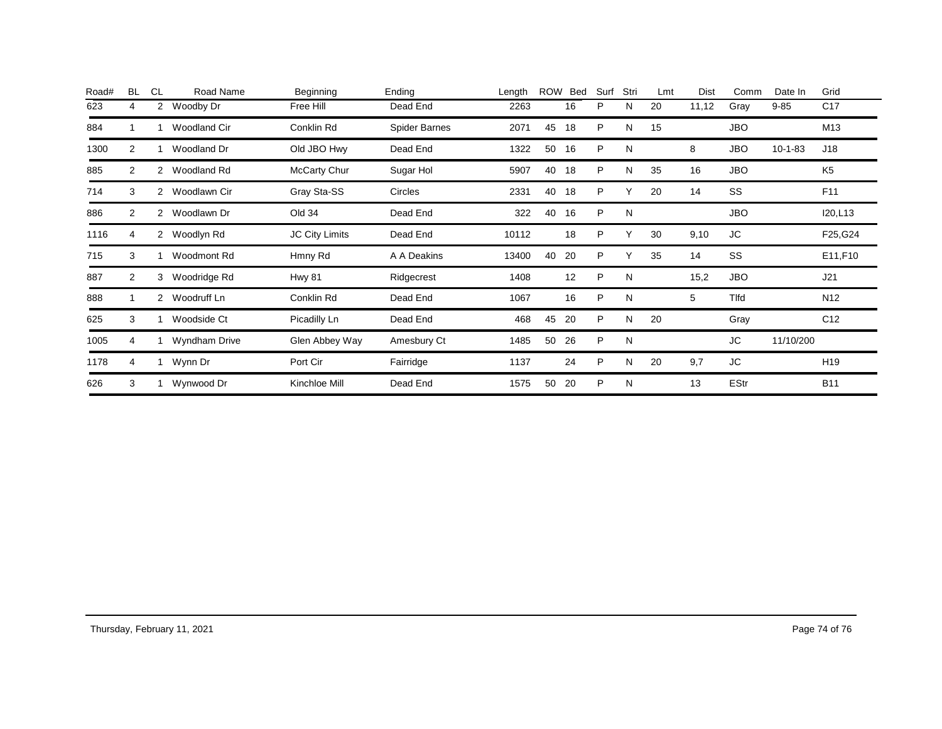| Road# | <b>BL</b> | <b>CL</b>      | Road Name           | Beginning      | Ending               | Length | <b>ROW</b> | Bed | Surf | Stri | Lmt | Dist  | Comm        | Date In   | Grid            |
|-------|-----------|----------------|---------------------|----------------|----------------------|--------|------------|-----|------|------|-----|-------|-------------|-----------|-----------------|
| 623   | 4         | $\overline{2}$ | Woodby Dr           | Free Hill      | Dead End             | 2263   |            | 16  | P    | N    | 20  | 11,12 | Gray        | $9 - 85$  | C <sub>17</sub> |
| 884   |           |                | <b>Woodland Cir</b> | Conklin Rd     | <b>Spider Barnes</b> | 2071   | 45         | 18  | P    | N    | 15  |       | <b>JBO</b>  |           | M13             |
| 1300  | 2         |                | Woodland Dr         | Old JBO Hwy    | Dead End             | 1322   | 50         | 16  | P    | N    |     | 8     | <b>JBO</b>  | $10-1-83$ | J18             |
| 885   | 2         | 2              | Woodland Rd         | McCarty Chur   | Sugar Hol            | 5907   | 40         | 18  | P    | N    | 35  | 16    | <b>JBO</b>  |           | K <sub>5</sub>  |
| 714   | 3         | 2              | Woodlawn Cir        | Gray Sta-SS    | <b>Circles</b>       | 2331   | 40         | 18  | P    |      | 20  | 14    | SS          |           | F11             |
| 886   | 2         | 2              | Woodlawn Dr         | Old 34         | Dead End             | 322    | 40         | 16  | P    | N    |     |       | <b>JBO</b>  |           | I20,L13         |
| 1116  | 4         | 2              | Woodlyn Rd          | JC City Limits | Dead End             | 10112  |            | 18  | P    | Υ    | 30  | 9,10  | <b>JC</b>   |           | F25, G24        |
| 715   | 3         |                | Woodmont Rd         | Hmny Rd        | A A Deakins          | 13400  | 40         | 20  | P    |      | 35  | 14    | SS          |           | E11,F10         |
| 887   | 2         | 3              | Woodridge Rd        | <b>Hwy 81</b>  | Ridgecrest           | 1408   |            | 12  | P    | N    |     | 15,2  | <b>JBO</b>  |           | J21             |
| 888   |           | $^{2}$         | Woodruff Ln         | Conklin Rd     | Dead End             | 1067   |            | 16  | P    | N    |     | 5     | Tlfd        |           | N <sub>12</sub> |
| 625   | 3         |                | Woodside Ct         | Picadilly Ln   | Dead End             | 468    | 45         | 20  | P    | N    | 20  |       | Gray        |           | C <sub>12</sub> |
| 1005  | 4         |                | Wyndham Drive       | Glen Abbey Way | Amesbury Ct          | 1485   | 50         | 26  | P    | N    |     |       | <b>JC</b>   | 11/10/200 |                 |
| 1178  | 4         |                | Wynn Dr             | Port Cir       | Fairridge            | 1137   |            | 24  | P    | N    | 20  | 9,7   | JC          |           | H <sub>19</sub> |
| 626   | 3         |                | Wynwood Dr          | Kinchloe Mill  | Dead End             | 1575   | 50         | 20  | P    | N    |     | 13    | <b>EStr</b> |           | <b>B11</b>      |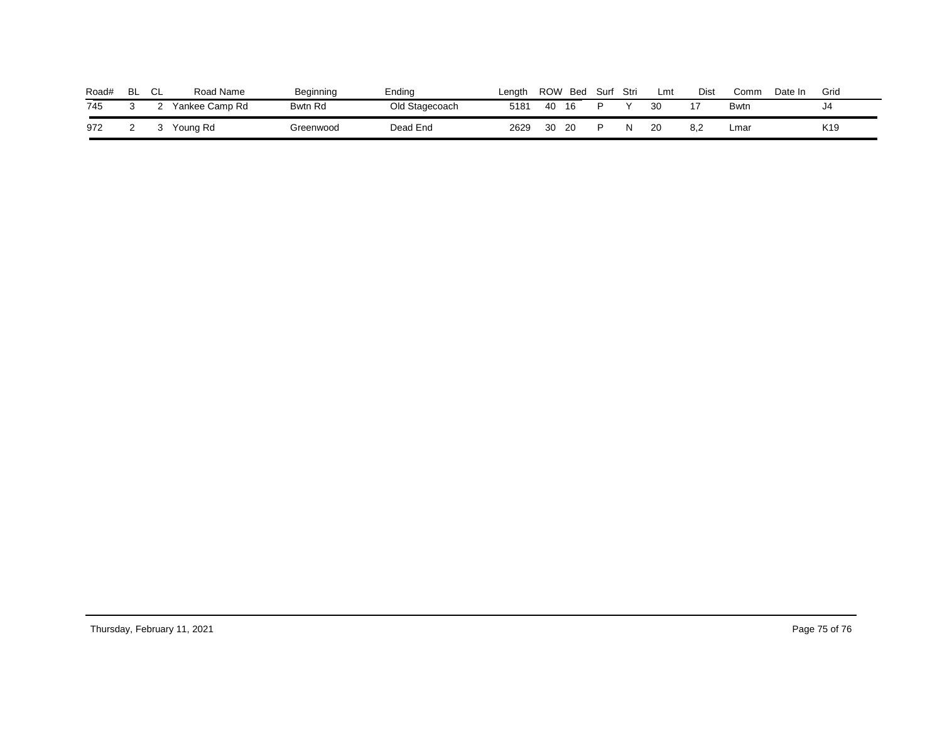| Road# | <b>BL</b> | $\sim$<br>◡∟ | Road Name      | Beginning      | Ending         | Lenath | ROW | Bed | Surf | Stri | Lmt | Dist | Comm        | Date In | Grid            |
|-------|-----------|--------------|----------------|----------------|----------------|--------|-----|-----|------|------|-----|------|-------------|---------|-----------------|
| 745   |           |              | Yankee Camp Rd | <b>Bwtn Rd</b> | Old Stagecoach | 5181   | 40  | 16  |      |      | 30  |      | <b>Bwtn</b> |         | J4              |
| 972   |           |              | Young Rd       | Greenwood      | Dead End       | 2629   | 30  | 20  |      |      | 20  | 8.2  | Lmaı        |         | K <sub>19</sub> |